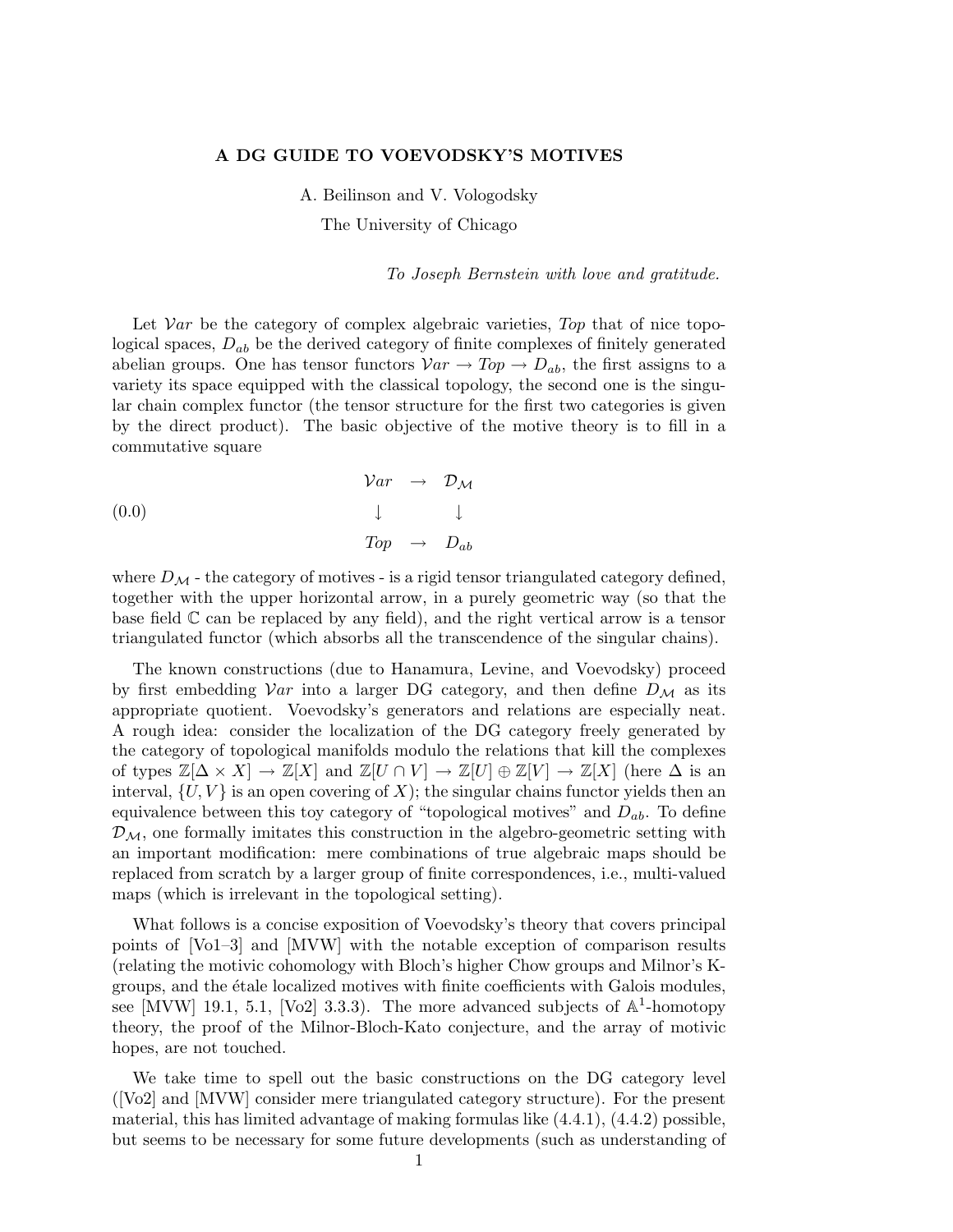### A DG GUIDE TO VOEVODSKY'S MOTIVES

A. Beilinson and V. Vologodsky

The University of Chicago

To Joseph Bernstein with love and gratitude.

Let  $Var$  be the category of complex algebraic varieties, Top that of nice topological spaces,  $D_{ab}$  be the derived category of finite complexes of finitely generated abelian groups. One has tensor functors  $Var \to Top \to D_{ab}$ , the first assigns to a variety its space equipped with the classical topology, the second one is the singular chain complex functor (the tensor structure for the first two categories is given by the direct product). The basic objective of the motive theory is to fill in a commutative square

(0.0) 
$$
\begin{array}{cccc}\n\mathcal{V}ar & \to & \mathcal{D}_{\mathcal{M}} \\
& \downarrow & & \downarrow \\
& \mathcal{T}op & \to & D_{ab}\n\end{array}
$$

where  $D_M$  - the category of motives - is a rigid tensor triangulated category defined, together with the upper horizontal arrow, in a purely geometric way (so that the base field  $\mathbb C$  can be replaced by any field), and the right vertical arrow is a tensor triangulated functor (which absorbs all the transcendence of the singular chains).

The known constructions (due to Hanamura, Levine, and Voevodsky) proceed by first embedding  $Var$  into a larger DG category, and then define  $D_{\mathcal{M}}$  as its appropriate quotient. Voevodsky's generators and relations are especially neat. A rough idea: consider the localization of the DG category freely generated by the category of topological manifolds modulo the relations that kill the complexes of types  $\mathbb{Z}[\Delta \times X] \to \mathbb{Z}[X]$  and  $\mathbb{Z}[U \cap V] \to \mathbb{Z}[U] \oplus \mathbb{Z}[V] \to \mathbb{Z}[X]$  (here  $\Delta$  is an interval,  $\{U, V\}$  is an open covering of X); the singular chains functor yields then an equivalence between this toy category of "topological motives" and  $D_{ab}$ . To define  $\mathcal{D}_{\mathcal{M}}$ , one formally imitates this construction in the algebro-geometric setting with an important modification: mere combinations of true algebraic maps should be replaced from scratch by a larger group of finite correspondences, i.e., multi-valued maps (which is irrelevant in the topological setting).

What follows is a concise exposition of Voevodsky's theory that covers principal points of [Vo1–3] and [MVW] with the notable exception of comparison results (relating the motivic cohomology with Bloch's higher Chow groups and Milnor's Kgroups, and the étale localized motives with finite coefficients with Galois modules. see [MVW] 19.1, 5.1, [Vo2] 3.3.3). The more advanced subjects of  $\mathbb{A}^1$ -homotopy theory, the proof of the Milnor-Bloch-Kato conjecture, and the array of motivic hopes, are not touched.

We take time to spell out the basic constructions on the DG category level ([Vo2] and [MVW] consider mere triangulated category structure). For the present material, this has limited advantage of making formulas like (4.4.1), (4.4.2) possible, but seems to be necessary for some future developments (such as understanding of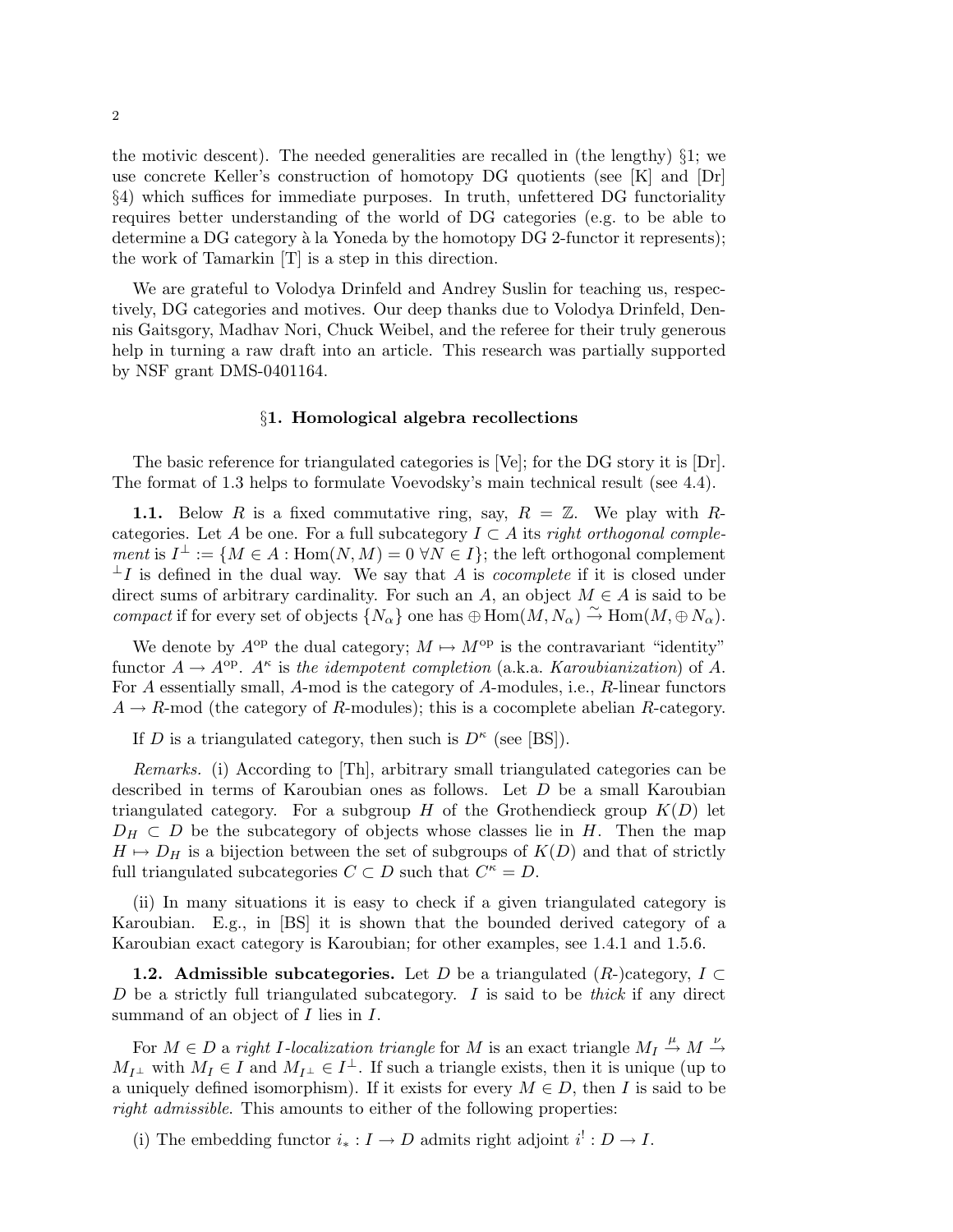the motivic descent). The needed generalities are recalled in (the lengthy)  $\S$ 1; we use concrete Keller's construction of homotopy DG quotients (see [K] and [Dr] §4) which suffices for immediate purposes. In truth, unfettered DG functoriality requires better understanding of the world of DG categories (e.g. to be able to determine a DG category à la Yoneda by the homotopy  $DG$  2-functor it represents); the work of Tamarkin [T] is a step in this direction.

We are grateful to Volodya Drinfeld and Andrey Suslin for teaching us, respectively, DG categories and motives. Our deep thanks due to Volodya Drinfeld, Dennis Gaitsgory, Madhav Nori, Chuck Weibel, and the referee for their truly generous help in turning a raw draft into an article. This research was partially supported by NSF grant DMS-0401164.

### §1. Homological algebra recollections

The basic reference for triangulated categories is [Ve]; for the DG story it is [Dr]. The format of 1.3 helps to formulate Voevodsky's main technical result (see 4.4).

1.1. Below R is a fixed commutative ring, say,  $R = \mathbb{Z}$ . We play with Rcategories. Let A be one. For a full subcategory  $I \subset A$  its right orthogonal comple*ment* is  $I^{\perp} := \{ M \in A : \text{Hom}(N, M) = 0 \ \forall N \in I \}$ ; the left orthogonal complement  $\perp I$  is defined in the dual way. We say that A is *cocomplete* if it is closed under direct sums of arbitrary cardinality. For such an A, an object  $M \in A$  is said to be compact if for every set of objects  $\{N_{\alpha}\}\$  one has  $\bigoplus_{\alpha} \text{Hom}(M, N_{\alpha}) \stackrel{\sim}{\rightarrow} \text{Hom}(M, \bigoplus N_{\alpha})$ .

We denote by  $A^{op}$  the dual category;  $M \mapsto M^{op}$  is the contravariant "identity" functor  $A \to A^{op}$ .  $A^{\kappa}$  is the idempotent completion (a.k.a. *Karoubianization*) of A. For A essentially small, A-mod is the category of A-modules, i.e., R-linear functors  $A \rightarrow R$ -mod (the category of R-modules); this is a cocomplete abelian R-category.

If D is a triangulated category, then such is  $D^{\kappa}$  (see [BS]).

Remarks. (i) According to [Th], arbitrary small triangulated categories can be described in terms of Karoubian ones as follows. Let D be a small Karoubian triangulated category. For a subgroup H of the Grothendieck group  $K(D)$  let  $D_H \subset D$  be the subcategory of objects whose classes lie in H. Then the map  $H \mapsto D_H$  is a bijection between the set of subgroups of  $K(D)$  and that of strictly full triangulated subcategories  $C \subset D$  such that  $C^{\kappa} = D$ .

(ii) In many situations it is easy to check if a given triangulated category is Karoubian. E.g., in [BS] it is shown that the bounded derived category of a Karoubian exact category is Karoubian; for other examples, see 1.4.1 and 1.5.6.

**1.2.** Admissible subcategories. Let D be a triangulated  $(R-)$ category,  $I \subset$ D be a strictly full triangulated subcategory. I is said to be thick if any direct summand of an object of  $I$  lies in  $I$ .

For  $M \in D$  a right I-localization triangle for M is an exact triangle  $M_I \stackrel{\mu}{\rightarrow} M \stackrel{\nu}{\rightarrow}$  $M_{I^{\perp}}$  with  $M_{I} \in I$  and  $M_{I^{\perp}} \in I^{\perp}$ . If such a triangle exists, then it is unique (up to a uniquely defined isomorphism). If it exists for every  $M \in D$ , then I is said to be right admissible. This amounts to either of the following properties:

(i) The embedding functor  $i_* : I \to D$  admits right adjoint  $i^!: D \to I$ .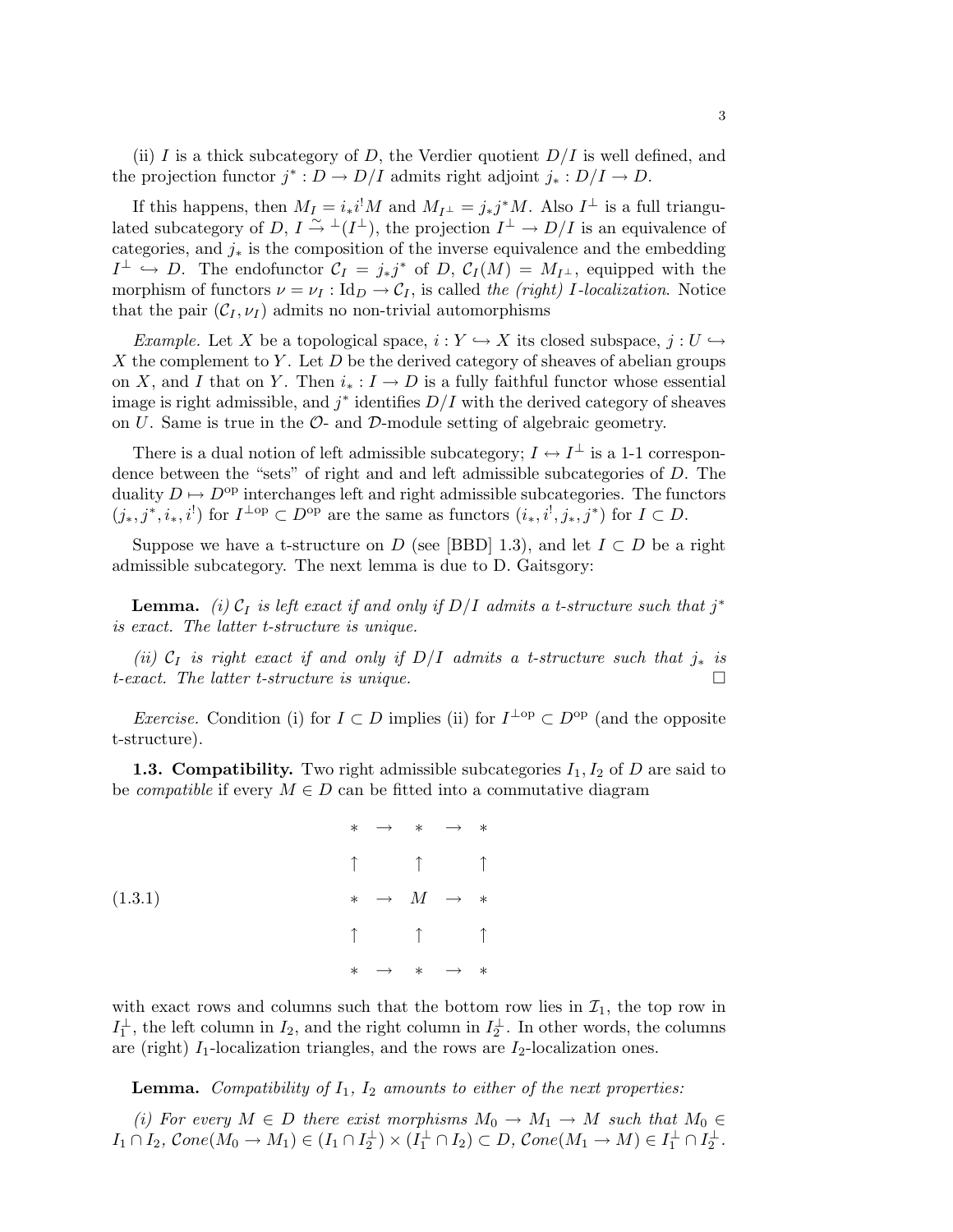(ii) I is a thick subcategory of D, the Verdier quotient  $D/I$  is well defined, and the projection functor  $j^* : D \to D/I$  admits right adjoint  $j_* : D/I \to D$ .

If this happens, then  $M_I = i_* i^! M$  and  $M_{I^{\perp}} = j_* j^* M$ . Also  $I^{\perp}$  is a full triangulated subcategory of  $D, I \stackrel{\sim}{\rightarrow} \perp (I^{\perp}),$  the projection  $I^{\perp} \rightarrow D/I$  is an equivalence of categories, and  $j_*$  is the composition of the inverse equivalence and the embedding  $I^{\perp} \hookrightarrow D$ . The endofunctor  $\mathcal{C}_I = j_*j^*$  of  $D, \mathcal{C}_I(M) = M_{I^{\perp}}$ , equipped with the morphism of functors  $\nu = \nu_I : Id_D \to C_I$ , is called the (right) I-localization. Notice that the pair  $(\mathcal{C}_I, \nu_I)$  admits no non-trivial automorphisms

*Example.* Let X be a topological space,  $i : Y \hookrightarrow X$  its closed subspace,  $j : U \hookrightarrow$ X the complement to Y. Let  $D$  be the derived category of sheaves of abelian groups on X, and I that on Y. Then  $i_* : I \to D$  is a fully faithful functor whose essential image is right admissible, and  $j^*$  identifies  $D/I$  with the derived category of sheaves on  $U$ . Same is true in the  $\mathcal{O}$ - and  $\mathcal{D}$ -module setting of algebraic geometry.

There is a dual notion of left admissible subcategory;  $I \leftrightarrow I^{\perp}$  is a 1-1 correspondence between the "sets" of right and and left admissible subcategories of D. The duality  $D \mapsto D^{\text{op}}$  interchanges left and right admissible subcategories. The functors  $(j_*, j^*, i_*, i^!)$  for  $I^{\perp op} \subset D^{\text{op}}$  are the same as functors  $(i_*, i^!, j_*, j^*)$  for  $I \subset D$ .

Suppose we have a t-structure on D (see [BBD] 1.3), and let  $I \subset D$  be a right admissible subcategory. The next lemma is due to D. Gaitsgory:

**Lemma.** (i)  $C_I$  is left exact if and only if  $D/I$  admits a t-structure such that  $j^*$ is exact. The latter t-structure is unique.

(ii)  $C_I$  is right exact if and only if D/I admits a t-structure such that  $j_*$  is t-exact. The latter t-structure is unique.

*Exercise.* Condition (i) for  $I \subset D$  implies (ii) for  $I^{\perp op} \subset D^{op}$  (and the opposite t-structure).

**1.3. Compatibility.** Two right admissible subcategories  $I_1, I_2$  of D are said to be *compatible* if every  $M \in D$  can be fitted into a commutative diagram

$$
\begin{array}{cccc}\n\ast & \rightarrow & \ast & \rightarrow & \ast \\
\uparrow & & \uparrow & & \uparrow \\
\ast & \rightarrow & M & \rightarrow & \ast \\
& & \uparrow & & \uparrow \\
& & \uparrow & & \uparrow \\
& & \uparrow & & \uparrow \\
& & \ast & \rightarrow & \ast & \rightarrow & \ast\n\end{array}
$$
\n(1.3.1)

with exact rows and columns such that the bottom row lies in  $\mathcal{I}_1$ , the top row in  $I_1^{\perp}$ , the left column in  $I_2$ , and the right column in  $I_2^{\perp}$ . In other words, the columns are (right)  $I_1$ -localization triangles, and the rows are  $I_2$ -localization ones.

**Lemma.** Compatibility of  $I_1$ ,  $I_2$  amounts to either of the next properties:

(i) For every  $M \in D$  there exist morphisms  $M_0 \to M_1 \to M$  such that  $M_0 \in$  $I_1 \cap I_2$ ,  $Cone(M_0 \to M_1) \in (I_1 \cap I_2^{\perp}) \times (I_1^{\perp} \cap I_2) \subset D$ ,  $Cone(M_1 \to M) \in I_1^{\perp} \cap I_2^{\perp}$ .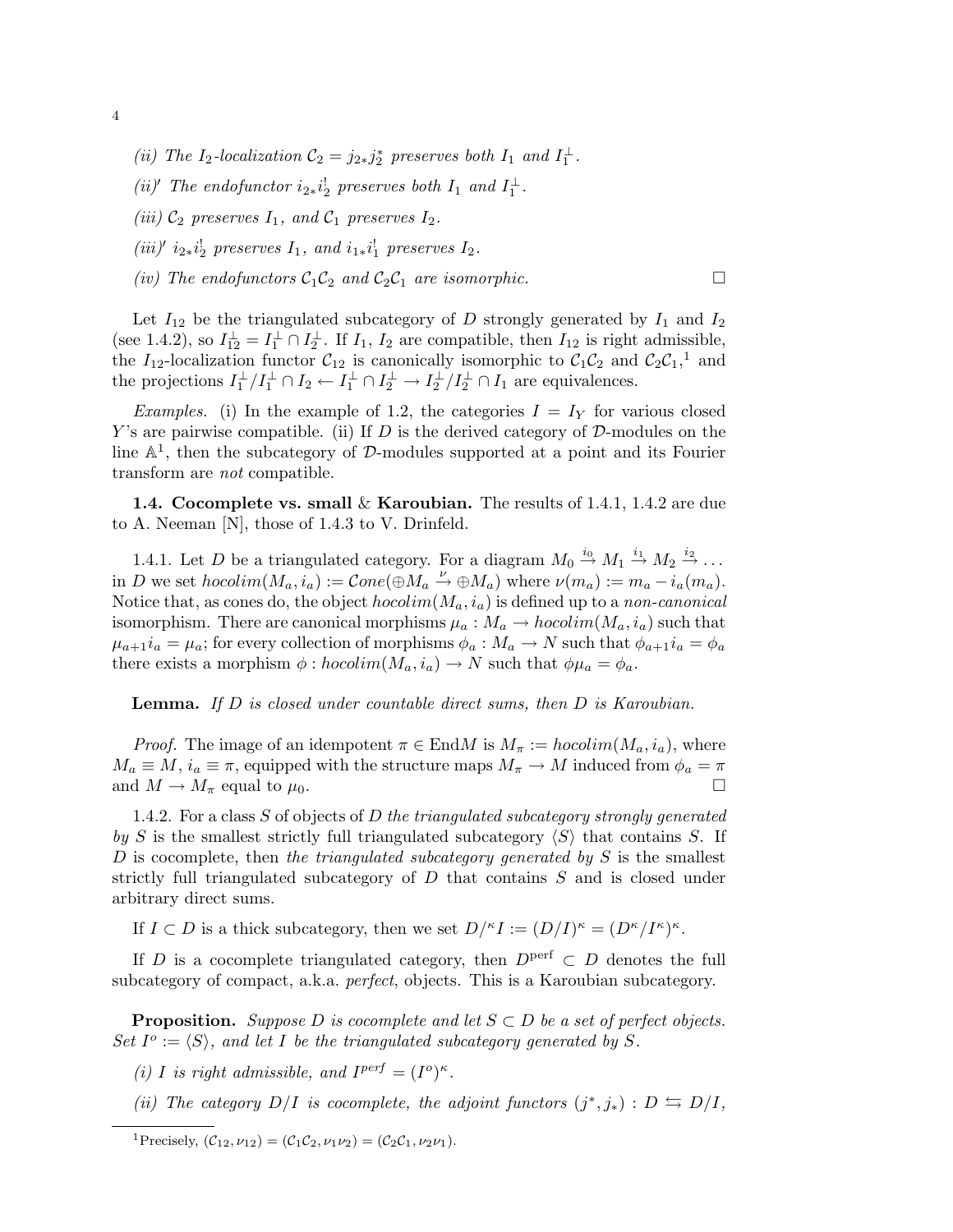- (ii) The I<sub>2</sub>-localization  $C_2 = j_{2*}j_2^*$  preserves both I<sub>1</sub> and I<sub>1</sub><sup>1</sup>.
- (ii)' The endofunctor  $i_{2*}i_2^!$  preserves both  $I_1$  and  $I_1^{\perp}$ .
- (iii)  $C_2$  preserves  $I_1$ , and  $C_1$  preserves  $I_2$ .
- (iii)'  $i_2 * i_2^!$  preserves  $I_1$ , and  $i_1 * i_1^!$  preserves  $I_2$ .
- (iv) The endofunctors  $C_1C_2$  and  $C_2C_1$  are isomorphic.

Let  $I_{12}$  be the triangulated subcategory of D strongly generated by  $I_1$  and  $I_2$ (see 1.4.2), so  $I_{12}^{\perp} = I_1^{\perp} \cap I_2^{\perp}$ . If  $I_1$ ,  $I_2$  are compatible, then  $I_{12}$  is right admissible, the I<sub>12</sub>-localization functor  $C_{12}$  is canonically isomorphic to  $C_1C_2$  and  $C_2C_1$ ,<sup>1</sup> and the projections  $I_1^{\perp}/I_1^{\perp} \cap I_2 \leftarrow I_1^{\perp} \cap I_2^{\perp} \rightarrow I_2^{\perp}/I_2^{\perp} \cap I_1$  are equivalences.

*Examples.* (i) In the example of 1.2, the categories  $I = I<sub>Y</sub>$  for various closed Y's are pairwise compatible. (ii) If  $D$  is the derived category of  $D$ -modules on the line  $\mathbb{A}^1$ , then the subcategory of D-modules supported at a point and its Fourier transform are not compatible.

**1.4. Cocomplete vs. small & Karoubian.** The results of 1.4.1, 1.4.2 are due to A. Neeman [N], those of 1.4.3 to V. Drinfeld.

1.4.1. Let D be a triangulated category. For a diagram  $M_0 \stackrel{i_0}{\rightarrow} M_1 \stackrel{i_1}{\rightarrow} M_2 \stackrel{i_2}{\rightarrow} \dots$ in D we set  $hocolim(M_a, i_a) := Cone(\oplus M_a \stackrel{\nu}{\to} \oplus M_a)$  where  $\nu(m_a) := m_a - i_a(m_a)$ . Notice that, as cones do, the object  $hocolim(M_a, i_a)$  is defined up to a non-canonical isomorphism. There are canonical morphisms  $\mu_a : M_a \to hocolim(M_a, i_a)$  such that  $\mu_{a+1}i_a = \mu_a$ ; for every collection of morphisms  $\phi_a : M_a \to N$  such that  $\phi_{a+1}i_a = \phi_a$ there exists a morphism  $\phi : hocolim(M_a, i_a) \to N$  such that  $\phi \mu_a = \phi_a$ .

Lemma. If D is closed under countable direct sums, then D is Karoubian.

*Proof.* The image of an idempotent  $\pi \in \text{End}M$  is  $M_{\pi} := hocolim(M_a, i_a)$ , where  $M_a \equiv M$ ,  $i_a \equiv \pi$ , equipped with the structure maps  $M_{\pi} \to M$  induced from  $\phi_a = \pi$ and  $M \to M_{\pi}$  equal to  $\mu_0$ .

1.4.2. For a class  $S$  of objects of  $D$  the triangulated subcategory strongly generated by S is the smallest strictly full triangulated subcategory  $\langle S \rangle$  that contains S. If D is cocomplete, then the triangulated subcategory generated by  $S$  is the smallest strictly full triangulated subcategory of D that contains S and is closed under arbitrary direct sums.

If  $I \subset D$  is a thick subcategory, then we set  $D^{k} I := (D/I)^{\kappa} = (D^{\kappa}/I^{\kappa})^{\kappa}$ .

If D is a cocomplete triangulated category, then  $D<sup>perf</sup> \subset D$  denotes the full subcategory of compact, a.k.a. perfect, objects. This is a Karoubian subcategory.

**Proposition.** Suppose D is cocomplete and let  $S \subset D$  be a set of perfect objects. Set  $I^o := \langle S \rangle$ , and let I be the triangulated subcategory generated by S.

(i) I is right admissible, and  $I^{perf} = (I^o)^{\kappa}$ .

(ii) The category  $D/I$  is cocomplete, the adjoint functors  $(j^*, j_*) : D \leftrightarrows D/I$ ,

4

<sup>&</sup>lt;sup>1</sup>Precisely,  $(C_{12}, \nu_{12}) = (C_1 C_2, \nu_1 \nu_2) = (C_2 C_1, \nu_2 \nu_1).$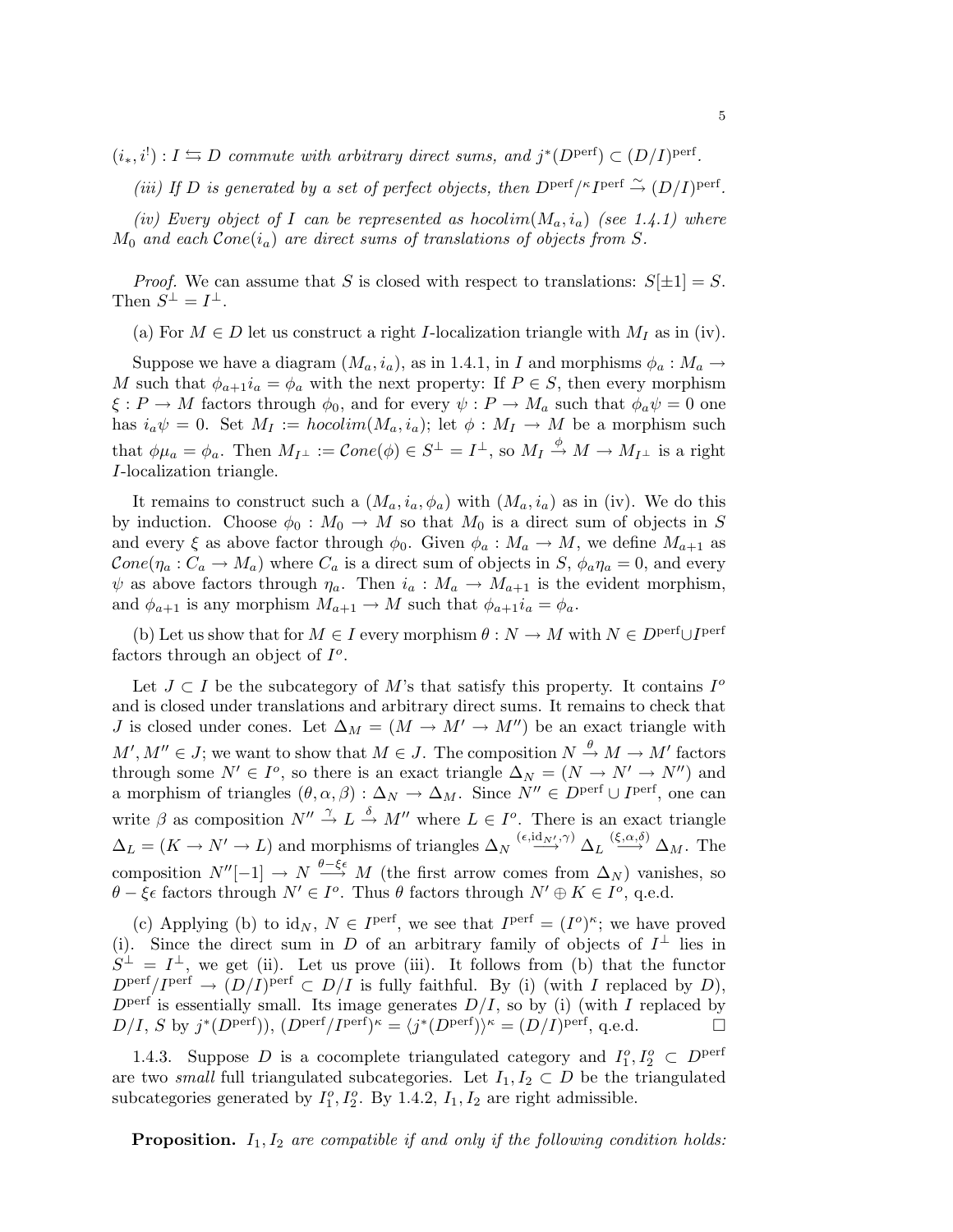$(i_*, i^!) : I \leftrightarrows D$  commute with arbitrary direct sums, and  $j^*(D^{\text{perf}}) \subset (D/I)^{\text{perf}}$ .

(iii) If D is generated by a set of perfect objects, then  $D^{\text{perf}}/^{\kappa}I^{\text{perf}} \stackrel{\sim}{\rightarrow} (D/I)^{\text{perf}}$ .

(iv) Every object of I can be represented as hocolim $(M_a, i_a)$  (see 1.4.1) where  $M_0$  and each  $Cone(i_a)$  are direct sums of translations of objects from S.

*Proof.* We can assume that S is closed with respect to translations:  $S[\pm 1] = S$ . Then  $S^{\perp} = I^{\perp}$ .

(a) For  $M \in D$  let us construct a right *I*-localization triangle with  $M_I$  as in (iv).

Suppose we have a diagram  $(M_a, i_a)$ , as in 1.4.1, in I and morphisms  $\phi_a : M_a \to$ M such that  $\phi_{a+1}i_a = \phi_a$  with the next property: If  $P \in S$ , then every morphism  $\xi : P \to M$  factors through  $\phi_0$ , and for every  $\psi : P \to M_a$  such that  $\phi_a \psi = 0$  one has  $i_a\psi = 0$ . Set  $M_I := hocolim(M_a, i_a);$  let  $\phi : M_I \to M$  be a morphism such that  $\phi\mu_a = \phi_a$ . Then  $M_{I^{\perp}} := Cone(\phi) \in S^{\perp} = I^{\perp}$ , so  $M_I \stackrel{\phi}{\to} M \to M_{I^{\perp}}$  is a right I-localization triangle.

It remains to construct such a  $(M_a, i_a, \phi_a)$  with  $(M_a, i_a)$  as in (iv). We do this by induction. Choose  $\phi_0 : M_0 \to M$  so that  $M_0$  is a direct sum of objects in S and every  $\xi$  as above factor through  $\phi_0$ . Given  $\phi_a : M_a \to M$ , we define  $M_{a+1}$  as  $Cone(\eta_a: C_a \to M_a)$  where  $C_a$  is a direct sum of objects in  $S$ ,  $\phi_a \eta_a = 0$ , and every  $\psi$  as above factors through  $\eta_a$ . Then  $i_a : M_a \to M_{a+1}$  is the evident morphism, and  $\phi_{a+1}$  is any morphism  $M_{a+1} \to M$  such that  $\phi_{a+1} i_a = \phi_a$ .

(b) Let us show that for  $M \in I$  every morphism  $\theta : N \to M$  with  $N \in D^{\text{perf}} \cup I^{\text{perf}}$ factors through an object of  $I^o$ .

Let  $J \subset I$  be the subcategory of M's that satisfy this property. It contains  $I^{\circ}$ and is closed under translations and arbitrary direct sums. It remains to check that J is closed under cones. Let  $\Delta_M = (M \to M' \to M'')$  be an exact triangle with  $M', M'' \in J$ ; we want to show that  $M \in J$ . The composition  $N \stackrel{\theta}{\rightarrow} M \rightarrow M'$  factors through some  $N' \in I^o$ , so there is an exact triangle  $\Delta_N = (N \to N' \to N'')$  and a morphism of triangles  $(\theta, \alpha, \beta) : \Delta_N \to \Delta_M$ . Since  $N'' \in D^{\text{perf}} \cup I^{\text{perf}}$ , one can write  $\beta$  as composition  $N'' \stackrel{\gamma}{\rightarrow} L \stackrel{\delta}{\rightarrow} M''$  where  $L \in I^o$ . There is an exact triangle  $\Delta_L = (K \to N' \to L)$  and morphisms of triangles  $\Delta_N \stackrel{(\epsilon, id_{N'}, \gamma)}{\longrightarrow} \Delta_L \stackrel{(\xi, \alpha, \delta)}{\longrightarrow} \Delta_M$ . The composition  $N''[-1] \to N \stackrel{\theta-\xi\epsilon}{\longrightarrow} M$  (the first arrow comes from  $\Delta_N$ ) vanishes, so  $\theta - \xi \epsilon$  factors through  $N' \in I^o$ . Thus  $\theta$  factors through  $N' \oplus K \in I^o$ , q.e.d.

(c) Applying (b) to id<sub>N</sub>,  $N \in I^{perf}$ , we see that  $I^{perf} = (I^o)^{\kappa}$ ; we have proved (i). Since the direct sum in D of an arbitrary family of objects of  $I^{\perp}$  lies in  $S^{\perp} = I^{\perp}$ , we get (ii). Let us prove (iii). It follows from (b) that the functor  $D^{\text{perf}}/I^{\text{perf}} \to (D/I)^{\text{perf}} \subset D/I$  is fully faithful. By (i) (with I replaced by D),  $D<sup>perf</sup>$  is essentially small. Its image generates  $D/I$ , so by (i) (with I replaced by  $D/I$ , S by  $j^*(D^{\text{perf}})$ ,  $(D^{\text{perf}}/I^{\text{perf}})^{\kappa} = \langle j^*(D^{\text{perf}})\rangle^{\kappa} = (D/I)^{\text{perf}}$ , q.e.d.

1.4.3. Suppose D is a cocomplete triangulated category and  $I_1^o, I_2^o \subset D^{\text{perf}}$ are two *small* full triangulated subcategories. Let  $I_1, I_2 \subset D$  be the triangulated subcategories generated by  $I_1^o, I_2^o$ . By 1.4.2,  $I_1, I_2$  are right admissible.

**Proposition.**  $I_1, I_2$  are compatible if and only if the following condition holds: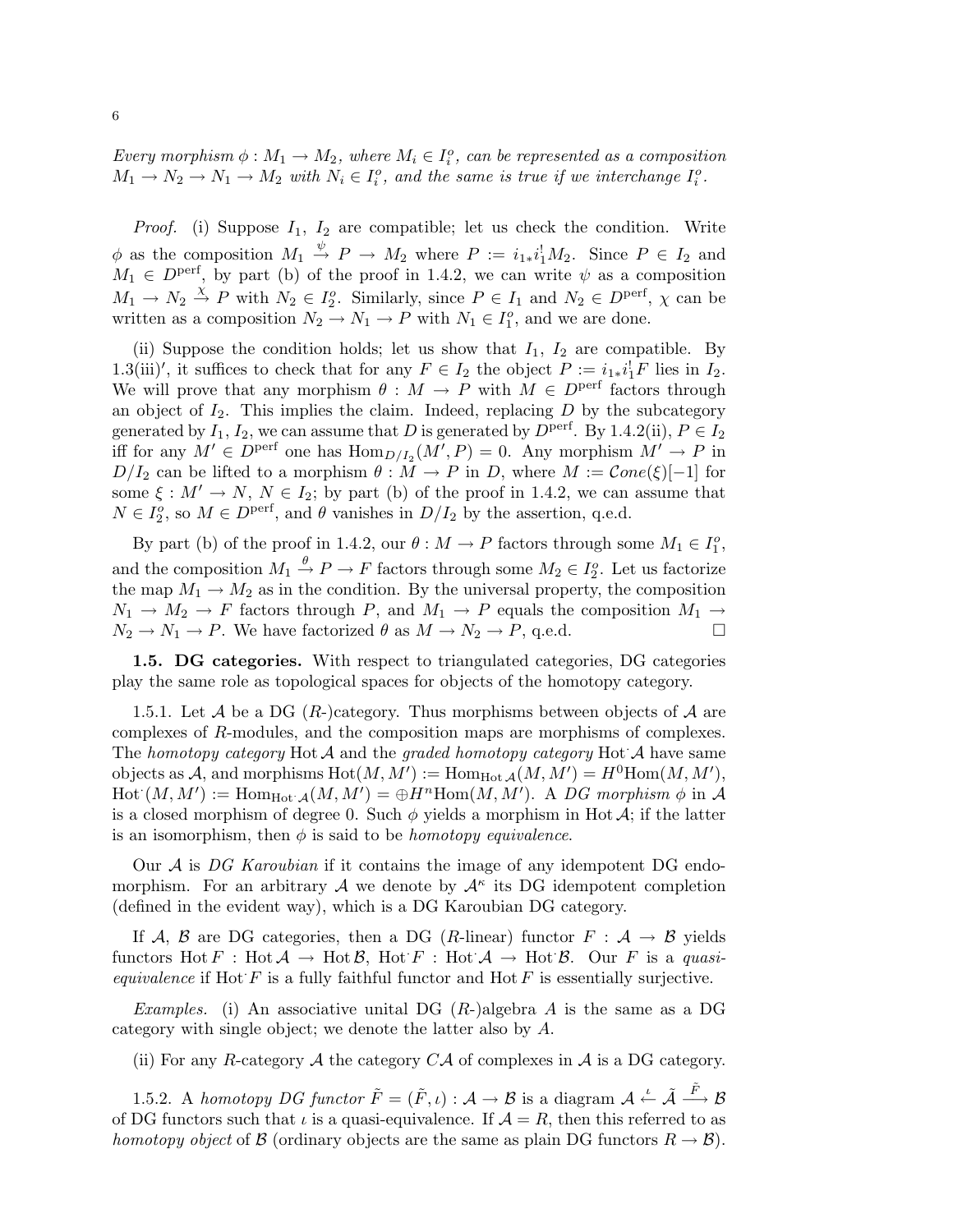Every morphism  $\phi: M_1 \to M_2$ , where  $M_i \in I_i^o$ , can be represented as a composition  $M_1 \rightarrow N_2 \rightarrow N_1 \rightarrow M_2$  with  $N_i \in I_i^o$ , and the same is true if we interchange  $I_i^o$ .

*Proof.* (i) Suppose  $I_1$ ,  $I_2$  are compatible; let us check the condition. Write  $\phi$  as the composition  $M_1 \stackrel{\psi}{\rightarrow} P \rightarrow M_2$  where  $P := i_{1*}i_1^!M_2$ . Since  $P \in I_2$  and  $M_1 \in D<sup>perf</sup>$ , by part (b) of the proof in 1.4.2, we can write  $\psi$  as a composition  $M_1 \to N_2 \stackrel{\chi}{\to} P$  with  $N_2 \in I_2^o$ . Similarly, since  $P \in I_1$  and  $N_2 \in D^{\text{perf}}$ ,  $\chi$  can be written as a composition  $N_2 \to N_1 \to P$  with  $N_1 \in I_1^o$ , and we are done.

(ii) Suppose the condition holds; let us show that  $I_1$ ,  $I_2$  are compatible. By 1.3(iii)', it suffices to check that for any  $F \in I_2$  the object  $P := i_{1*}i_1^!F$  lies in  $I_2$ . We will prove that any morphism  $\theta : M \to P$  with  $M \in D^{\text{perf}}$  factors through an object of  $I_2$ . This implies the claim. Indeed, replacing  $D$  by the subcategory generated by  $I_1, I_2$ , we can assume that D is generated by  $D^{\text{perf}}$ . By 1.4.2(ii),  $P \in I_2$ iff for any  $M' \in D^{\text{perf}}$  one has  $\text{Hom}_{D/I_2}(M', P) = 0$ . Any morphism  $M' \to P$  in  $D/I_2$  can be lifted to a morphism  $\theta : M \to P$  in D, where  $M := Cone(\xi)[-1]$  for some  $\xi : M' \to N$ ,  $N \in I_2$ ; by part (b) of the proof in 1.4.2, we can assume that  $N \in I_2^o$ , so  $M \in D^{\text{perf}}$ , and  $\theta$  vanishes in  $D/I_2$  by the assertion, q.e.d.

By part (b) of the proof in 1.4.2, our  $\theta : M \to P$  factors through some  $M_1 \in I_1^o$ , and the composition  $M_1 \stackrel{\theta}{\rightarrow} P \rightarrow F$  factors through some  $M_2 \in I_2^o$ . Let us factorize the map  $M_1 \to M_2$  as in the condition. By the universal property, the composition  $N_1 \rightarrow M_2 \rightarrow F$  factors through P, and  $M_1 \rightarrow P$  equals the composition  $M_1 \rightarrow$  $N_2 \to N_1 \to P$ . We have factorized  $\theta$  as  $M \to N_2 \to P$ , q.e.d.

1.5. DG categories. With respect to triangulated categories, DG categories play the same role as topological spaces for objects of the homotopy category.

1.5.1. Let A be a DG (R-)category. Thus morphisms between objects of A are complexes of R-modules, and the composition maps are morphisms of complexes. The homotopy category Hot  $A$  and the graded homotopy category Hot  $A$  have same objects as A, and morphisms  $\text{Hot}(M,M') := \text{Hom}_{\text{Hot }\mathcal{A}}(M,M') = H^0\text{Hom}(M,M'),$  $\text{Hot } (M, M') := \text{Hom}_{\text{Hot } \mathcal{A}}(M, M') = \bigoplus H^n \text{Hom}(M, M')$ . A DG morphism  $\phi$  in A is a closed morphism of degree 0. Such  $\phi$  yields a morphism in Hot A; if the latter is an isomorphism, then  $\phi$  is said to be *homotopy equivalence*.

Our  $\mathcal A$  is DG Karoubian if it contains the image of any idempotent DG endomorphism. For an arbitrary A we denote by  $A^{\kappa}$  its DG idempotent completion (defined in the evident way), which is a DG Karoubian DG category.

If A, B are DG categories, then a DG (R-linear) functor  $F : A \rightarrow B$  yields functors Hot  $F : \text{Hot } \mathcal{A} \to \text{Hot } \mathcal{B}$ , Hot  $F : \text{Hot } \mathcal{A} \to \text{Hot } \mathcal{B}$ . Our F is a quasiequivalence if Hot  $F$  is a fully faithful functor and Hot  $F$  is essentially surjective.

Examples. (i) An associative unital DG  $(R-)$ algebra A is the same as a DG category with single object; we denote the latter also by A.

(ii) For any R-category  $A$  the category  $C A$  of complexes in  $A$  is a DG category.

1.5.2. A homotopy DG functor  $\tilde{F} = (\tilde{F}, \iota) : \mathcal{A} \to \mathcal{B}$  is a diagram  $\mathcal{A} \stackrel{\iota}{\leftarrow} \tilde{\mathcal{A}} \stackrel{\tilde{F}}{\longrightarrow} \mathcal{B}$ of DG functors such that  $\iota$  is a quasi-equivalence. If  $\mathcal{A} = R$ , then this referred to as homotopy object of B (ordinary objects are the same as plain DG functors  $R \to B$ ).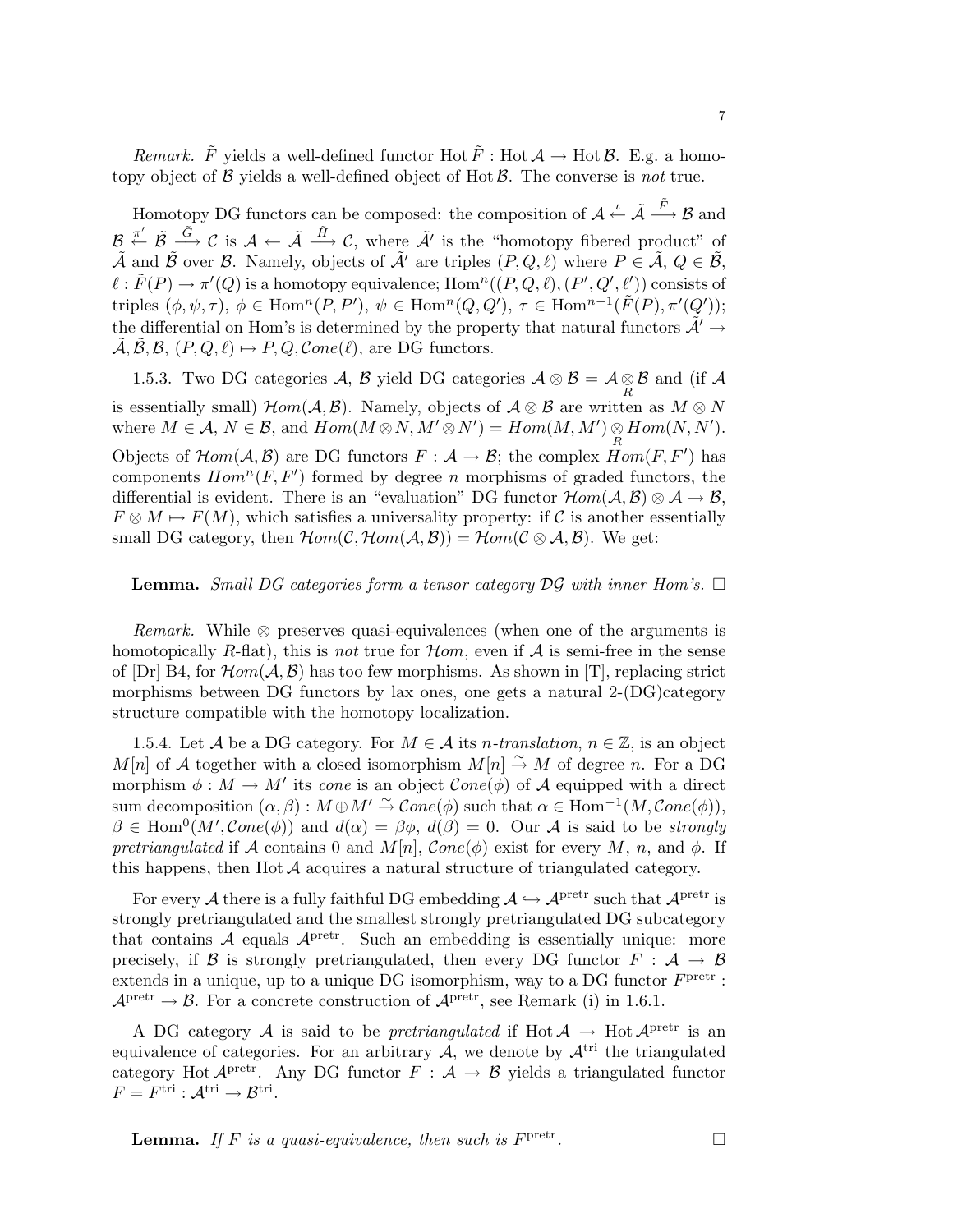*Remark.*  $\tilde{F}$  yields a well-defined functor Hot  $\tilde{F}$ : Hot  $\mathcal{A} \to$  Hot  $\mathcal{B}$ . E.g. a homotopy object of  $\beta$  yields a well-defined object of Hot  $\beta$ . The converse is not true.

Homotopy DG functors can be composed: the composition of  $\mathcal{A} \stackrel{\iota}{\leftarrow} \tilde{\mathcal{A}} \stackrel{\tilde{F}}{\longrightarrow} \mathcal{B}$  and  $\mathcal{B} \stackrel{\pi'}{\leftarrow} \tilde{\mathcal{B}} \stackrel{\tilde{G}}{\longrightarrow} \mathcal{C}$  is  $\mathcal{A} \leftarrow \tilde{\mathcal{A}} \stackrel{\tilde{H}}{\longrightarrow} \mathcal{C}$ , where  $\tilde{\mathcal{A}}'$  is the "homotopy fibered product" of  $\tilde{\mathcal{A}}$  and  $\tilde{\mathcal{B}}$  over  $\mathcal{B}$ . Namely, objects of  $\tilde{\mathcal{A}}'$  are triples  $(P, Q, \ell)$  where  $P \in \tilde{\mathcal{A}}, Q \in \tilde{\mathcal{B}},$  $\ell : \tilde{F}(P) \to \pi'(Q)$  is a homotopy equivalence;  $\text{Hom}^n((P,Q,\ell),(P',Q',\ell'))$  consists of triples  $(\phi, \psi, \tau)$ ,  $\phi \in \text{Hom}^n(P, P')$ ,  $\psi \in \text{Hom}^n(Q, Q')$ ,  $\tau \in \text{Hom}^{n-1}(\tilde{F}(P), \pi'(Q'))$ ; the differential on Hom's is determined by the property that natural functors  $\tilde{\mathcal{A}}' \rightarrow$  $\mathcal{A}, \mathcal{B}, \mathcal{B}, (P, Q, \ell) \mapsto P, Q, \mathcal{C}one(\ell),$  are DG functors.

1.5.3. Two DG categories A, B yield DG categories  $\mathcal{A} \otimes \mathcal{B} = \mathcal{A} \otimes \mathcal{B}$  and (if A is essentially small)  $Hom(\mathcal{A}, \mathcal{B})$ . Namely, objects of  $\mathcal{A} \otimes \mathcal{B}$  are written as  $M \otimes N$ where  $M \in \mathcal{A}, N \in \mathcal{B}$ , and  $Hom(M \otimes N, M' \otimes N') = Hom(M, M') \underset{R}{\otimes} Hom(N, N').$ Objects of  $\mathcal{H}om(\mathcal{A}, \mathcal{B})$  are DG functors  $F : \mathcal{A} \to \mathcal{B}$ ; the complex  $Hom(F, F')$  has components  $Hom<sup>n</sup>(F, F')$  formed by degree n morphisms of graded functors, the differential is evident. There is an "evaluation" DG functor  $\mathcal{H}om(\mathcal{A}, \mathcal{B})\otimes \mathcal{A} \to \mathcal{B}$ ,  $F \otimes M \mapsto F(M)$ , which satisfies a universality property: if C is another essentially small DG category, then  $Hom(C, Hom(A, B)) = Hom(C \otimes A, B)$ . We get:

### **Lemma.** Small DG categories form a tensor category  $\mathcal{D}\mathcal{G}$  with inner Hom's.  $\Box$

*Remark.* While  $\otimes$  preserves quasi-equivalences (when one of the arguments is homotopically R-flat), this is not true for  $\mathcal{H}om$ , even if  $\mathcal{A}$  is semi-free in the sense of  $[\text{Dr}]$  B4, for  $\mathcal{H}om(\mathcal{A}, \mathcal{B})$  has too few morphisms. As shown in [T], replacing strict morphisms between DG functors by lax ones, one gets a natural  $2-(DG)category$ structure compatible with the homotopy localization.

1.5.4. Let A be a DG category. For  $M \in \mathcal{A}$  its *n*-translation,  $n \in \mathbb{Z}$ , is an object  $M[n]$  of A together with a closed isomorphism  $M[n] \stackrel{\sim}{\rightarrow} M$  of degree n. For a DG morphism  $\phi : M \to M'$  its *cone* is an object  $Cone(\phi)$  of A equipped with a direct sum decomposition  $(\alpha, \beta) : M \oplus M' \stackrel{\sim}{\rightarrow} Cone(\phi)$  such that  $\alpha \in Hom^{-1}(M, Cone(\phi)),$  $\beta \in \text{Hom}^{0}(M',\mathcal{C}one(\phi))$  and  $d(\alpha) = \beta\phi, d(\beta) = 0$ . Our A is said to be strongly pretriangulated if A contains 0 and  $M[n]$ , Cone( $\phi$ ) exist for every M, n, and  $\phi$ . If this happens, then  $H$ ot  $A$  acquires a natural structure of triangulated category.

For every  $\mathcal A$  there is a fully faithful DG embedding  $\mathcal A\hookrightarrow \mathcal A^\mathrm{pretr}$  such that  $\mathcal A^\mathrm{pretr}$  is strongly pretriangulated and the smallest strongly pretriangulated DG subcategory that contains  $A$  equals  $A<sup>pretr</sup>$ . Such an embedding is essentially unique: more precisely, if B is strongly pretriangulated, then every DG functor  $F : A \rightarrow B$ extends in a unique, up to a unique DG isomorphism, way to a DG functor  $F<sup>pretr</sup>$ :  $\mathcal{A}^{\text{pretr}} \to \mathcal{B}$ . For a concrete construction of  $\mathcal{A}^{\text{pretr}}$ , see Remark (i) in 1.6.1.

A DG category A is said to be *pretriangulated* if  $Hot A \rightarrow Hot A^{pretr}$  is an equivalence of categories. For an arbitrary  $A$ , we denote by  $A<sup>tri</sup>$  the triangulated category Hot  $A<sup>pretr</sup>$ . Any DG functor  $F : A \rightarrow B$  yields a triangulated functor  $F = F^{\text{tri}} : \mathcal{A}^{\text{tri}} \to \mathcal{B}^{\text{tri}}.$ 

**Lemma.** If F is a quasi-equivalence, then such is  $F<sup>pretr</sup>$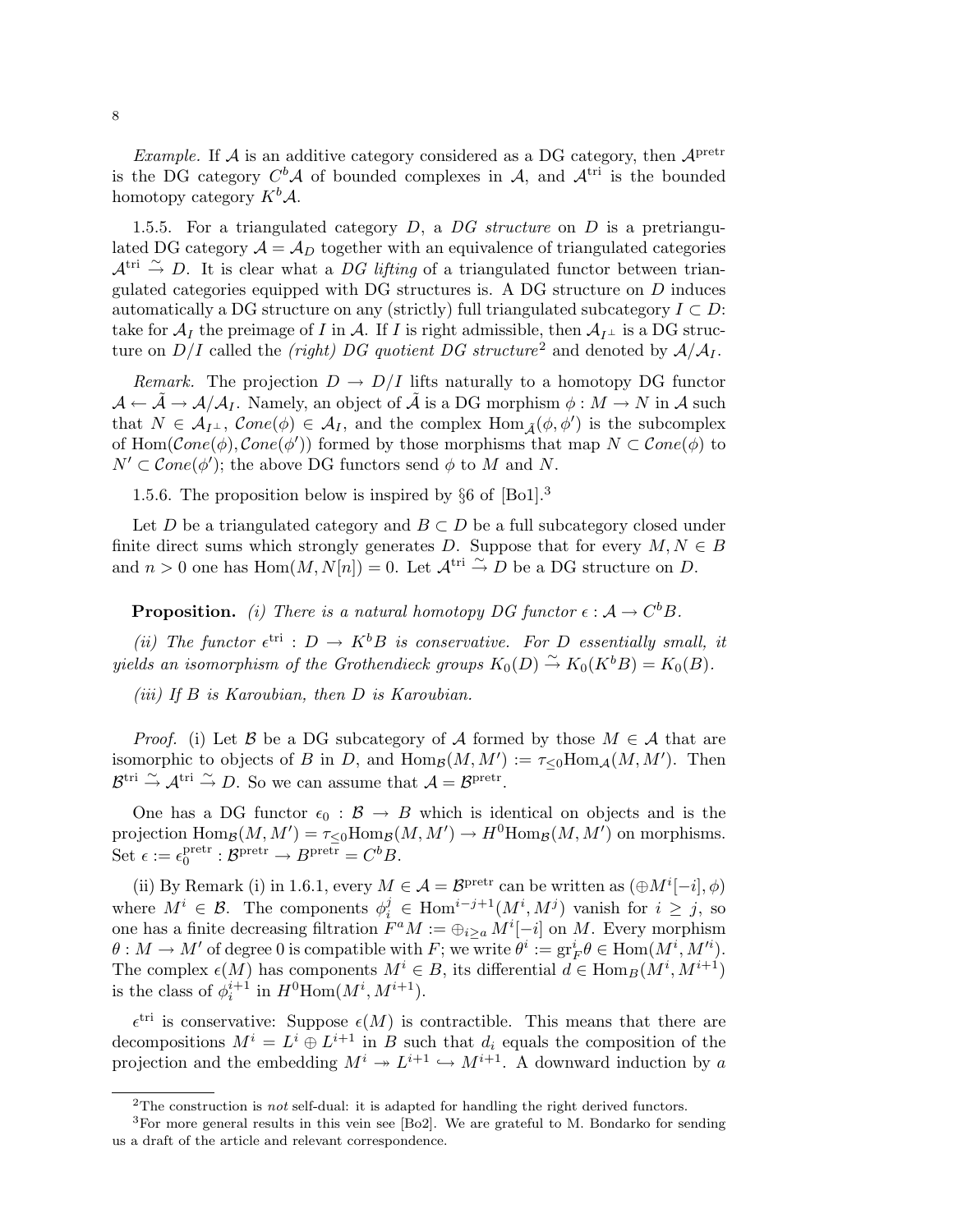*Example.* If  $A$  is an additive category considered as a DG category, then  $A<sup>pretr</sup>$ is the DG category  $C^b$ *A* of bounded complexes in *A*, and  $A^{tri}$  is the bounded homotopy category  $K^b \mathcal{A}$ .

1.5.5. For a triangulated category  $D$ , a  $DG$  structure on  $D$  is a pretriangulated DG category  $A = A_D$  together with an equivalence of triangulated categories  $\mathcal{A}^{\text{tri}} \stackrel{\sim}{\rightarrow} D$ . It is clear what a DG lifting of a triangulated functor between triangulated categories equipped with DG structures is. A DG structure on D induces automatically a DG structure on any (strictly) full triangulated subcategory  $I \subset D$ : take for  $\mathcal{A}_I$  the preimage of I in  $\mathcal{A}$ . If I is right admissible, then  $\mathcal{A}_{I^{\perp}}$  is a DG structure on  $D/I$  called the *(right)* DG quotient DG structure<sup>2</sup> and denoted by  $A/A_I$ .

*Remark.* The projection  $D \to D/I$  lifts naturally to a homotopy DG functor  $\mathcal{A} \leftarrow \mathcal{A} \rightarrow \mathcal{A}/\mathcal{A}_I$ . Namely, an object of  $\tilde{\mathcal{A}}$  is a DG morphism  $\phi : M \rightarrow N$  in  $\mathcal{A}$  such that  $N \in \mathcal{A}_{I^{\perp}}$ ,  $Cone(\phi) \in \mathcal{A}_{I}$ , and the complex  $Hom_{\tilde{\mathcal{A}}}(\phi, \phi')$  is the subcomplex of Hom( $Cone(\phi)$ ,  $Cone(\phi')$ ) formed by those morphisms that map  $N \subset Cone(\phi)$  to  $N' \subset Cone(\phi')$ ; the above DG functors send  $\phi$  to M and N.

1.5.6. The proposition below is inspired by §6 of [Bo1].<sup>3</sup>

Let D be a triangulated category and  $B \subset D$  be a full subcategory closed under finite direct sums which strongly generates D. Suppose that for every  $M, N \in B$ and  $n > 0$  one has Hom $(M, N[n]) = 0$ . Let  $\mathcal{A}^{\text{tri}} \overset{\sim}{\to} D$  be a DG structure on D.

**Proposition.** (i) There is a natural homotopy DG functor  $\epsilon : A \to C^b B$ .

(ii) The functor  $\epsilon^{\text{tri}}$  :  $D \to K^b B$  is conservative. For D essentially small, it yields an isomorphism of the Grothendieck groups  $K_0(D) \stackrel{\sim}{\rightarrow} K_0(K^b B) = K_0(B)$ .

(iii) If B is Karoubian, then D is Karoubian.

*Proof.* (i) Let B be a DG subcategory of A formed by those  $M \in \mathcal{A}$  that are isomorphic to objects of B in D, and  $\text{Hom}_{\mathcal{B}}(M, M') := \tau_{\leq 0} \text{Hom}_{\mathcal{A}}(M, M')$ . Then  $\mathcal{B}^{\text{tri}} \overset{\sim}{\to} \mathcal{A}^{\text{tri}} \overset{\sim}{\to} D$ . So we can assume that  $\mathcal{A} = \mathcal{B}^{\text{pretr}}$ .

One has a DG functor  $\epsilon_0 : \mathcal{B} \to B$  which is identical on objects and is the projection  $\text{Hom}_{\mathcal{B}}(M, M') = \tau_{\leq 0} \text{Hom}_{\mathcal{B}}(M, M') \to H^0 \text{Hom}_{\mathcal{B}}(M, M')$  on morphisms. Set  $\epsilon := \epsilon_0^{\text{pretr}}$  $0^{\text{pretr}}: \mathcal{B}^{\text{pretr}} \to B^{\text{pretr}} = C^b B.$ 

(ii) By Remark (i) in 1.6.1, every  $M \in \mathcal{A} = \mathcal{B}^{\text{pretr}}$  can be written as  $(\oplus M^{i}[-i], \phi)$ where  $M^i \in \mathcal{B}$ . The components  $\phi_i^j \in \text{Hom}^{i-j+1}(M^i, M^j)$  vanish for  $i \geq j$ , so one has a finite decreasing filtration  $F^aM := \bigoplus_{i \geq a} M^i[-i]$  on M. Every morphism  $\theta : M \to M'$  of degree 0 is compatible with F; we write  $\theta^i := \text{gr}_F^i \theta \in \text{Hom}(M^i, M'^i)$ . The complex  $\epsilon(M)$  has components  $M^i \in B$ , its differential  $d \in \text{Hom}_B(M^i, M^{i+1})$ is the class of  $\phi_i^{i+1}$  in  $H^0$ Hom $(M^i, M^{i+1})$ .

 $\epsilon^{tri}$  is conservative: Suppose  $\epsilon(M)$  is contractible. This means that there are decompositions  $M^i = L^i \oplus L^{i+1}$  in B such that  $d_i$  equals the composition of the projection and the embedding  $M^i \to L^{i+1} \hookrightarrow M^{i+1}$ . A downward induction by a

<sup>&</sup>lt;sup>2</sup>The construction is *not* self-dual: it is adapted for handling the right derived functors.

<sup>&</sup>lt;sup>3</sup>For more general results in this vein see [Bo2]. We are grateful to M. Bondarko for sending us a draft of the article and relevant correspondence.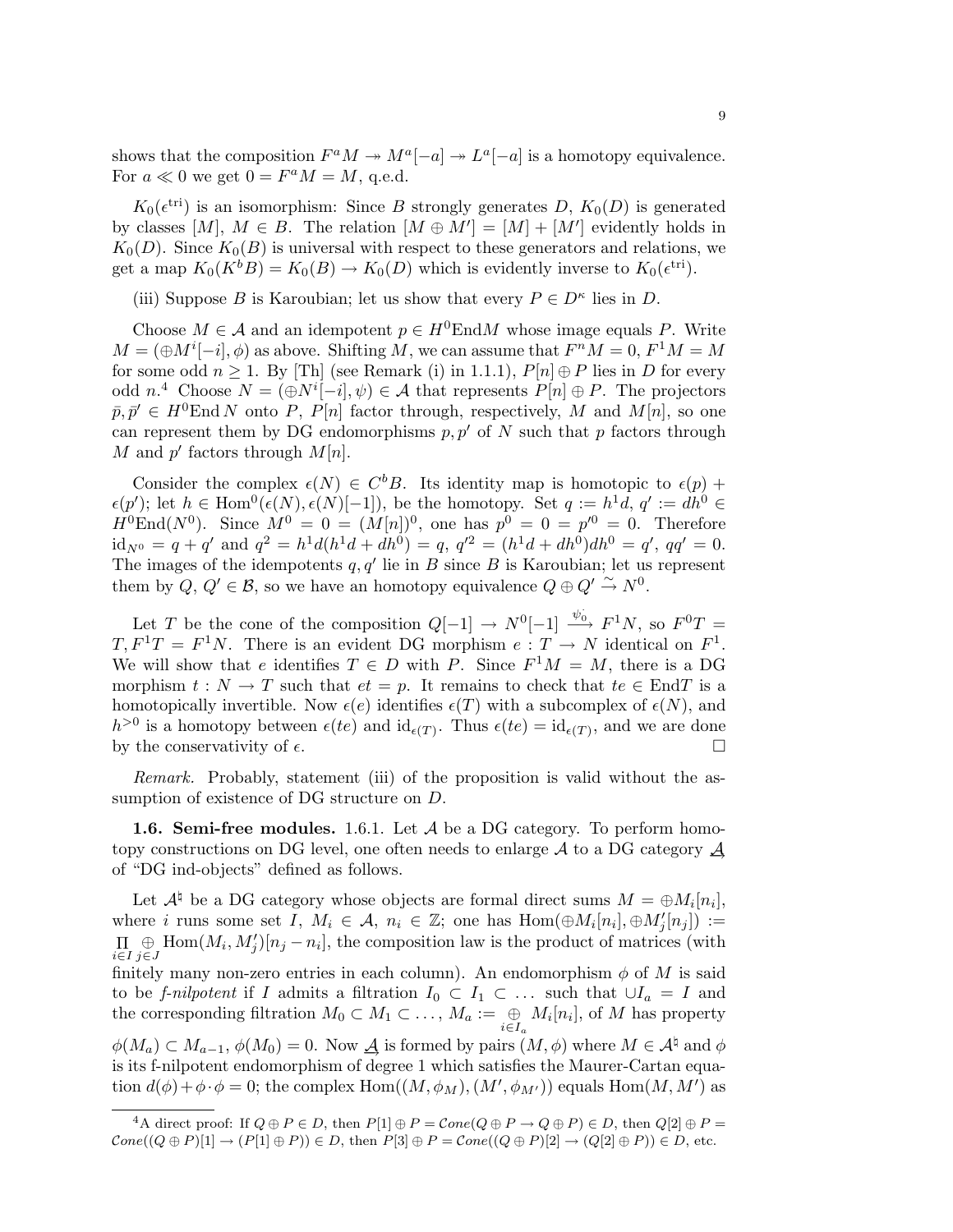shows that the composition  $F^a M \to M^a[-a] \to L^a[-a]$  is a homotopy equivalence. For  $a \ll 0$  we get  $0 = F^a M = M$ , q.e.d.

 $K_0(\epsilon^{\text{tri}})$  is an isomorphism: Since B strongly generates D,  $K_0(D)$  is generated by classes  $[M], M \in B$ . The relation  $[M \oplus M'] = [M] + [M']$  evidently holds in  $K_0(D)$ . Since  $K_0(B)$  is universal with respect to these generators and relations, we get a map  $K_0(K^b B) = K_0(B) \to K_0(D)$  which is evidently inverse to  $K_0(\epsilon^{\text{tri}})$ .

(iii) Suppose B is Karoubian; let us show that every  $P \in D^{\kappa}$  lies in D.

Choose  $M \in \mathcal{A}$  and an idempotent  $p \in H^0$ EndM whose image equals P. Write  $M = (\bigoplus M^{i}[-i], \phi)$  as above. Shifting M, we can assume that  $F^{n}M = 0, F^{1}M = M$ for some odd  $n \geq 1$ . By [Th] (see Remark (i) in 1.1.1),  $P[n] \oplus P$  lies in D for every odd  $n^4$  Choose  $N = (\bigoplus N^i[-i], \psi) \in \mathcal{A}$  that represents  $P[n] \oplus P$ . The projectors  $\bar{p}, \bar{p}' \in H^0$ End N onto P, P[n] factor through, respectively, M and M[n], so one can represent them by DG endomorphisms  $p, p'$  of N such that p factors through M and  $p'$  factors through  $M[n]$ .

Consider the complex  $\epsilon(N) \in C^bB$ . Its identity map is homotopic to  $\epsilon(p)$  +  $\epsilon(p')$ ; let  $h \in \text{Hom}^{0}(\epsilon(N), \epsilon(N)[-1])$ , be the homotopy. Set  $q := h^{1}d, q' := dh^{0} \in$  $H^{0}End(N^{0})$ . Since  $M^{0} = 0 = (M[n])^{0}$ , one has  $p^{0} = 0 = p'^{0} = 0$ . Therefore  $\mathrm{id}_{N^0} = q + q'$  and  $q^2 = h^1 d(h^1 d + dh^0) = q, q'^2 = (h^1 d + dh^0) dh^0 = q', qq' = 0.$ The images of the idempotents  $q, q'$  lie in B since B is Karoubian; let us represent them by  $Q, Q' \in \mathcal{B}$ , so we have an homotopy equivalence  $Q \oplus Q' \stackrel{\sim}{\rightarrow} N^0$ .

Let T be the cone of the composition  $Q[-1] \rightarrow N^0[-1] \stackrel{\psi_0}{\longrightarrow} F^1N$ , so  $F^0T =$  $T, F<sup>1</sup>T = F<sup>1</sup>N$ . There is an evident DG morphism  $e: T \to N$  identical on  $F<sup>1</sup>$ . We will show that e identifies  $T \in D$  with P. Since  $F^1M = M$ , there is a DG morphism  $t : N \to T$  such that  $et = p$ . It remains to check that  $te \in End T$  is a homotopically invertible. Now  $\epsilon(e)$  identifies  $\epsilon(T)$  with a subcomplex of  $\epsilon(N)$ , and  $h^{>0}$  is a homotopy between  $\epsilon(te)$  and  $\mathrm{id}_{\epsilon(T)}$ . Thus  $\epsilon(te) = \mathrm{id}_{\epsilon(T)}$ , and we are done by the conservativity of  $\epsilon$ .

Remark. Probably, statement (iii) of the proposition is valid without the assumption of existence of DG structure on D.

**1.6. Semi-free modules.** 1.6.1. Let  $\mathcal A$  be a DG category. To perform homotopy constructions on DG level, one often needs to enlarge A to a DG category  $\mathcal A$ of "DG ind-objects" defined as follows.

Let  $\mathcal{A}^\natural$  be a DG category whose objects are formal direct sums  $M = \bigoplus M_i[n_i],$ where i runs some set I,  $M_i \in \mathcal{A}$ ,  $n_i \in \mathbb{Z}$ ; one has  $Hom(\bigoplus M_i[n_i], \bigoplus M'_j[n_j]) :=$  $\prod_{i\in I} \bigoplus_{j\in I} \text{Hom}(M_i, M'_j)[n_j - n_i],$  the composition law is the product of matrices (with i∈I j∈J finitely many non-zero entries in each column). An endomorphism  $\phi$  of M is said to be f-nilpotent if I admits a filtration  $I_0 \subset I_1 \subset \ldots$  such that  $\cup I_a = I$  and the corresponding filtration  $M_0 \subset M_1 \subset \ldots$ ,  $M_a := \bigoplus_{i \in I_a} M_i[n_i]$ , of M has property  $\phi(M_a) \subset M_{a-1}, \phi(M_0) = 0.$  Now  $\underline{\mathcal{A}}$  is formed by pairs  $(M, \phi)$  where  $M \in \mathcal{A}^{\natural}$  and  $\phi$ is its f-nilpotent endomorphism of degree 1 which satisfies the Maurer-Cartan equation  $d(\phi) + \phi \cdot \phi = 0$ ; the complex Hom $((M, \phi_M), (M', \phi_{M'}))$  equals Hom $(M, M')$  as

<sup>&</sup>lt;sup>4</sup>A direct proof: If  $Q \oplus P \in D$ , then  $P[1] \oplus P = Cone(Q \oplus P \rightarrow Q \oplus P) \in D$ , then  $Q[2] \oplus P =$  $Cone((Q \oplus P)[1] \rightarrow (P[1] \oplus P)) \in D$ , then  $P[3] \oplus P = Cone((Q \oplus P)[2] \rightarrow (Q[2] \oplus P)) \in D$ , etc.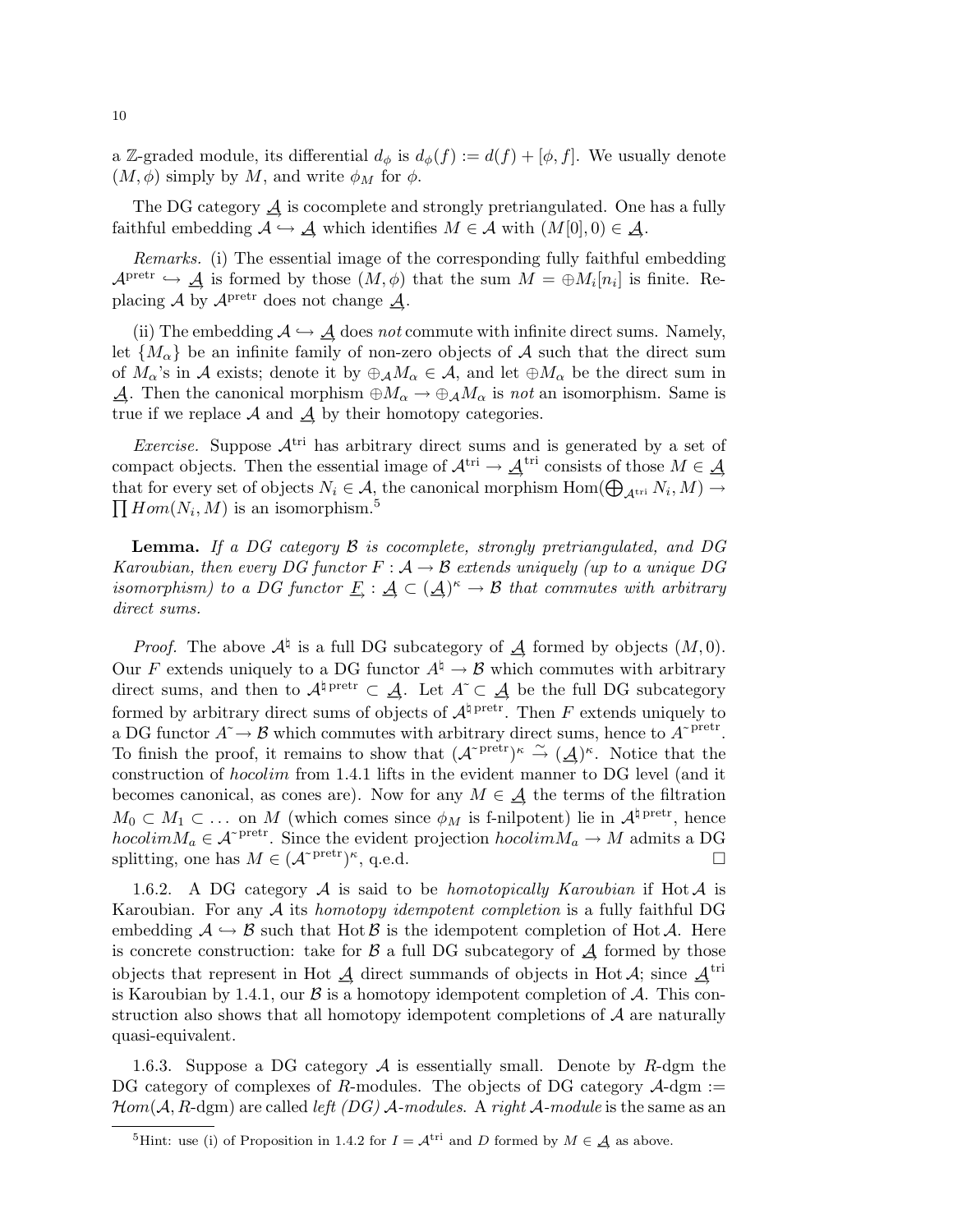a Z-graded module, its differential  $d_{\phi}$  is  $d_{\phi}(f) := d(f) + [\phi, f]$ . We usually denote  $(M, \phi)$  simply by M, and write  $\phi_M$  for  $\phi$ .

The DG category  $\mathcal A$  is cocomplete and strongly pretriangulated. One has a fully faithful embedding  $\mathcal{A} \hookrightarrow \mathcal{A}$  which identifies  $M \in \mathcal{A}$  with  $(M[0], 0) \in \mathcal{A}$ .

Remarks. (i) The essential image of the corresponding fully faithful embedding  $\mathcal{A}^{\text{pretr}} \hookrightarrow \mathcal{A}$  is formed by those  $(M, \phi)$  that the sum  $M = \bigoplus M_i[n_i]$  is finite. Replacing  $\mathcal A$  by  $\mathcal A^{\operatorname{pretr}}$  does not change  $\mathcal A$ .

(ii) The embedding  $A \hookrightarrow \underline{A}$  does not commute with infinite direct sums. Namely, let  $\{M_{\alpha}\}\$ be an infinite family of non-zero objects of A such that the direct sum of  $M_{\alpha}$ 's in A exists; denote it by  $\oplus_{\mathcal{A}} M_{\alpha} \in \mathcal{A}$ , and let  $\oplus M_{\alpha}$  be the direct sum in  $\mathcal{A}$ . Then the canonical morphism  $\oplus M_{\alpha} \to \oplus_{\mathcal{A}} M_{\alpha}$  is not an isomorphism. Same is true if we replace  $\mathcal A$  and  $\underline{\mathcal A}$  by their homotopy categories.

*Exercise.* Suppose  $A<sup>tri</sup>$  has arbitrary direct sums and is generated by a set of compact objects. Then the essential image of  $\mathcal{A}^{\text{tri}} \to \mathcal{A}^{\text{tri}}$  consists of those  $M \in \mathcal{A}$ that for every set of objects  $N_i \in \mathcal{A}$ , the canonical morphism  $\text{Hom}(\bigoplus_{\mathcal{A}^{\text{tri}}} N_i, M) \to$  $\prod Hom(N_i, M)$  is an isomorphism.<sup>5</sup>

Lemma. If a DG category B is cocomplete, strongly pretriangulated, and DG Karoubian, then every DG functor  $F: \mathcal{A} \to \mathcal{B}$  extends uniquely (up to a unique DG isomorphism) to a DG functor  $\underline{F}$  :  $\underline{A} \subset (\underline{A})^{\kappa} \to \mathcal{B}$  that commutes with arbitrary direct sums.

*Proof.* The above  $\mathcal{A}^{\dagger}$  is a full DG subcategory of  $\mathcal{A}$  formed by objects  $(M, 0)$ . Our F extends uniquely to a DG functor  $A^{\dagger} \rightarrow \mathcal{B}$  which commutes with arbitrary direct sums, and then to  $\mathcal{A}^{\dagger}$  pretr  $\subset \mathcal{A}$ . Let  $A \subset \mathcal{A}$  be the full DG subcategory formed by arbitrary direct sums of objects of  $A^{\dagger}$ <sup>pretr</sup>. Then F extends uniquely to a DG functor  $A^{\sim} \to \mathcal{B}$  which commutes with arbitrary direct sums, hence to  $A^{\sim}$ <sup>pretr</sup>. To finish the proof, it remains to show that  $({\cal A}^{\text{pretr}})^{\kappa} \stackrel{\sim}{\to} (\underline{\cal A})^{\kappa}$ . Notice that the construction of hocolim from 1.4.1 lifts in the evident manner to DG level (and it becomes canonical, as cones are). Now for any  $M \in \mathcal{A}$  the terms of the filtration  $M_0 \subset M_1 \subset \ldots$  on M (which comes since  $\phi_M$  is f-nilpotent) lie in  $\mathcal{A}^{\natural \text{ pretr}}$ , hence hocolim $M_a \in \mathcal{A}^{\text{pretr}}$ . Since the evident projection  $hocolim M_a \to M$  admits a DG splitting, one has  $M \in (\mathcal{A}^{\text{pretr}})^{\kappa}$ , q.e.d.

1.6.2. A DG category  $A$  is said to be *homotopically Karoubian* if Hot  $A$  is Karoubian. For any A its homotopy idempotent completion is a fully faithful DG embedding  $A \hookrightarrow B$  such that Hot B is the idempotent completion of Hot A. Here is concrete construction: take for  $\beta$  a full DG subcategory of  $\mathcal A$  formed by those objects that represent in Hot  $\overline{A}$  direct summands of objects in Hot  $\overline{A}$ ; since  $\overline{A}$ <sup>tri</sup> is Karoubian by 1.4.1, our  $\beta$  is a homotopy idempotent completion of  $\mathcal{A}$ . This construction also shows that all homotopy idempotent completions of  $A$  are naturally quasi-equivalent.

1.6.3. Suppose a DG category  $\mathcal A$  is essentially small. Denote by R-dgm the DG category of complexes of R-modules. The objects of DG category  $\mathcal{A}\text{-dgm} :=$  $\mathcal{H}om(\mathcal{A}, R$ -dgm) are called *left (DG)*  $\mathcal{A}$ -modules. A right  $\mathcal{A}$ -module is the same as an

<sup>&</sup>lt;sup>5</sup>Hint: use (i) of Proposition in 1.4.2 for  $I = A^{\text{tri}}$  and D formed by  $M \in \mathcal{A}$  as above.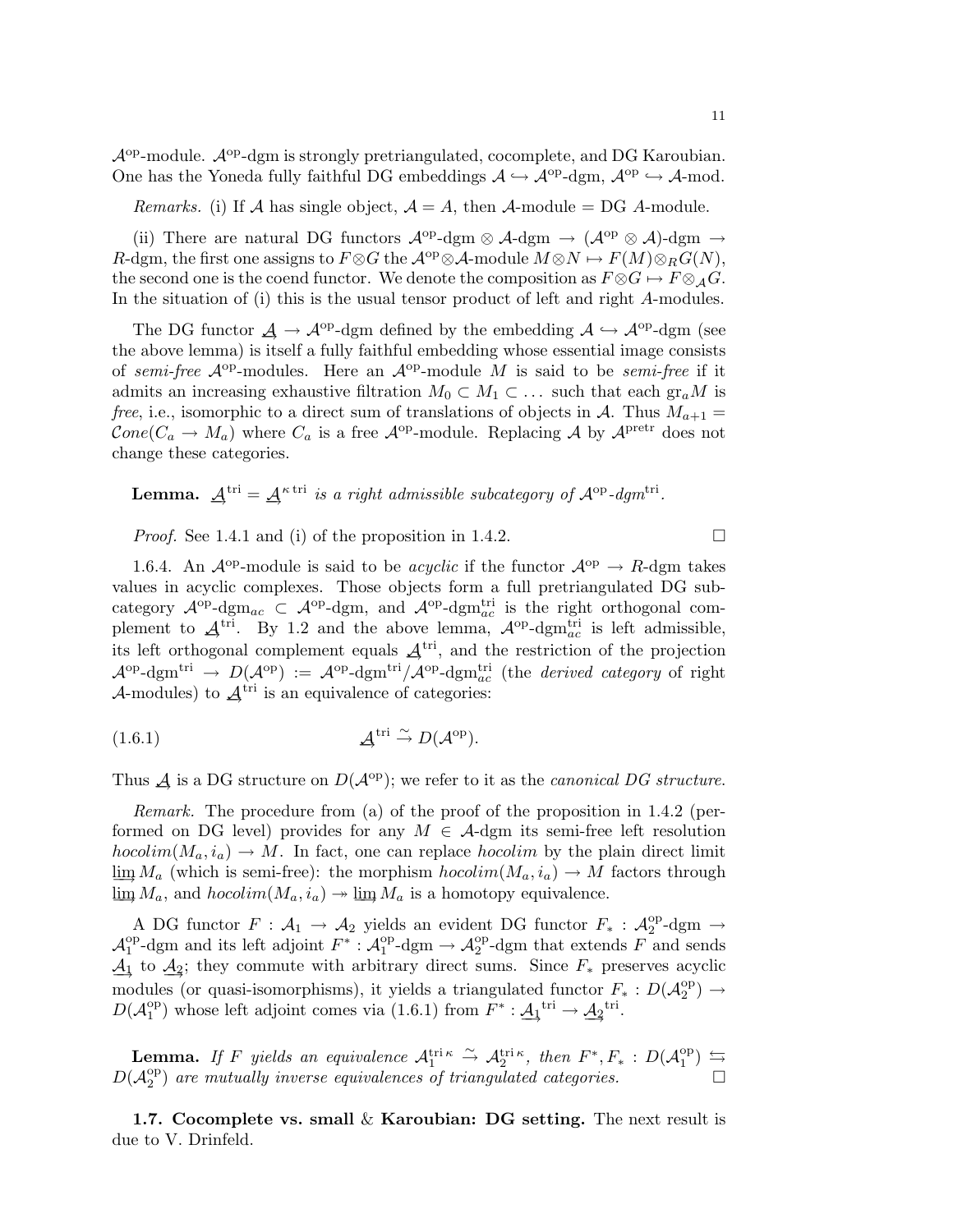$\mathcal{A}^{\mathrm{op}}$ -module.  $\mathcal{A}^{\mathrm{op}}$ -dgm is strongly pretriangulated, cocomplete, and DG Karoubian. One has the Yoneda fully faithful DG embeddings  $\mathcal{A} \hookrightarrow \mathcal{A}^{\text{op}}$ -dgm,  $\mathcal{A}^{\text{op}} \hookrightarrow \mathcal{A}$ -mod.

*Remarks.* (i) If A has single object,  $A = A$ , then A-module = DG A-module.

(ii) There are natural DG functors  $\mathcal{A}^{op}$ -dgm  $\otimes$  A-dgm  $\rightarrow$   $(\mathcal{A}^{op} \otimes \mathcal{A})$ -dgm  $\rightarrow$ R-dgm, the first one assigns to  $F \otimes G$  the  $\mathcal{A}^{op} \otimes \mathcal{A}$ -module  $M \otimes N \mapsto F(M) \otimes_R G(N)$ , the second one is the coend functor. We denote the composition as  $F \otimes G \mapsto F \otimes_A G$ . In the situation of (i) this is the usual tensor product of left and right A-modules.

The DG functor  $\underline{\mathcal{A}} \to \mathcal{A}^{op}$ -dgm defined by the embedding  $\mathcal{A} \hookrightarrow \mathcal{A}^{op}$ -dgm (see the above lemma) is itself a fully faithful embedding whose essential image consists of semi-free  $\mathcal{A}^{\text{op}}$ -modules. Here an  $\mathcal{A}^{\text{op}}$ -module M is said to be semi-free if it admits an increasing exhaustive filtration  $M_0 \subset M_1 \subset \ldots$  such that each  $gr_a M$  is free, i.e., isomorphic to a direct sum of translations of objects in A. Thus  $M_{a+1}$  =  $Cone(C_a \rightarrow M_a)$  where  $C_a$  is a free  $\mathcal{A}^{op}$ -module. Replacing A by  $\mathcal{A}^{pretr}$  does not change these categories.

**Lemma.**  $A^{tri} = A^{\kappa tri}$  is a right admissible subcategory of  $A^{op}$ -dgm<sup>tri</sup>.

*Proof.* See 1.4.1 and (i) of the proposition in 1.4.2.

1.6.4. An  $\mathcal{A}^{op}$ -module is said to be *acyclic* if the functor  $\mathcal{A}^{op} \to R$ -dgm takes values in acyclic complexes. Those objects form a full pretriangulated DG subcategory  $\mathcal{A}^{op}$ -dgm<sub>ac</sub>  $\subset \mathcal{A}^{op}$ -dgm, and  $\mathcal{A}^{op}$ -dgm<sub>ac</sub> is the right orthogonal complement to  $\underline{A}^{\text{tri}}$ . By 1.2 and the above lemma,  $A^{\text{op}}$ -dgm<sup>tri</sup> is left admissible, its left orthogonal complement equals  $\mathcal{A}^{\text{tri}}$ , and the restriction of the projection  $\mathcal{A}^{\mathrm{op}}$ -dgm<sup>tri</sup>  $\to D(\mathcal{A}^{\mathrm{op}}) := \mathcal{A}^{\mathrm{op}}$ -dgm<sup>tri</sup>/ $\mathcal{A}^{\mathrm{op}}$ -dgm<sup>tri</sup> (the *derived category* of right A-modules) to  $A<sup>tri</sup>$  is an equivalence of categories:

(1.6.1) 
$$
\mathcal{A}^{\text{tri}} \overset{\sim}{\rightarrow} D(\mathcal{A}^{\text{op}}).
$$

Thus  $\vec{A}$  is a DG structure on  $D(\mathcal{A}^{\text{op}})$ ; we refer to it as the *canonical DG structure*.

Remark. The procedure from (a) of the proof of the proposition in 1.4.2 (performed on DG level) provides for any  $M \in \mathcal{A}$ -dgm its semi-free left resolution  $hocolim(M_a, i_a)\rightarrow M$ . In fact, one can replace  $hocolim$  by the plain direct limit  $\lim M_a$  (which is semi-free): the morphism  $hocolim(M_a, i_a) \to M$  factors through  $\lim M_a$ , and  $hocolim(M_a, i_a) \rightarrow \lim M_a$  is a homotopy equivalence.

A DG functor  $F: \mathcal{A}_1 \to \mathcal{A}_2$  yields an evident DG functor  $F_*: \mathcal{A}_2^{\text{op}}$ -dgm  $\to$  $A_1^{\text{op}}$ -dgm and its left adjoint  $F^* : A_1^{\text{op}}$ -dgm  $\rightarrow A_2^{\text{op}}$ -dgm that extends  $F$ <sup>op</sup>-dgm and its left adjoint  $F^* : \mathcal{A}_1^{\text{op}}$ <sup>op</sup>-dgm  $\rightarrow$  A<sup>op</sup>-dgm that extends F and sends  $\underline{A}_1$  to  $\underline{A}_2$ ; they commute with arbitrary direct sums. Since  $F_*$  preserves acyclic modules (or quasi-isomorphisms), it yields a triangulated functor  $F_*: D(\mathcal{A}_2^{\text{op}})$  $_2^{\text{op}}$ )  $\rightarrow$  $D(\mathcal{A}_1^{\mathrm{op}})$ <sup>op</sup>) whose left adjoint comes via (1.6.1) from  $F^* : \underline{A_1}^{\text{tri}} \to \underline{A_2}^{\text{tri}}$ .

**Lemma.** If F yields an equivalence  $\mathcal{A}_1^{\text{tri}} \stackrel{\sim}{\rightarrow} \mathcal{A}_2^{\text{tri}} \stackrel{\kappa}{\cdot}$ , then  $F^*, F_* : D(\mathcal{A}_1^{\text{op}})$  $_{1}^{\text{op}}$   $\right) \leftrightharpoons$  $D(\mathcal{A}_2^{\mathrm{op}})$  $\binom{10}{2}$  are mutually inverse equivalences of triangulated categories.

1.7. Cocomplete vs. small  $\&$  Karoubian: DG setting. The next result is due to V. Drinfeld.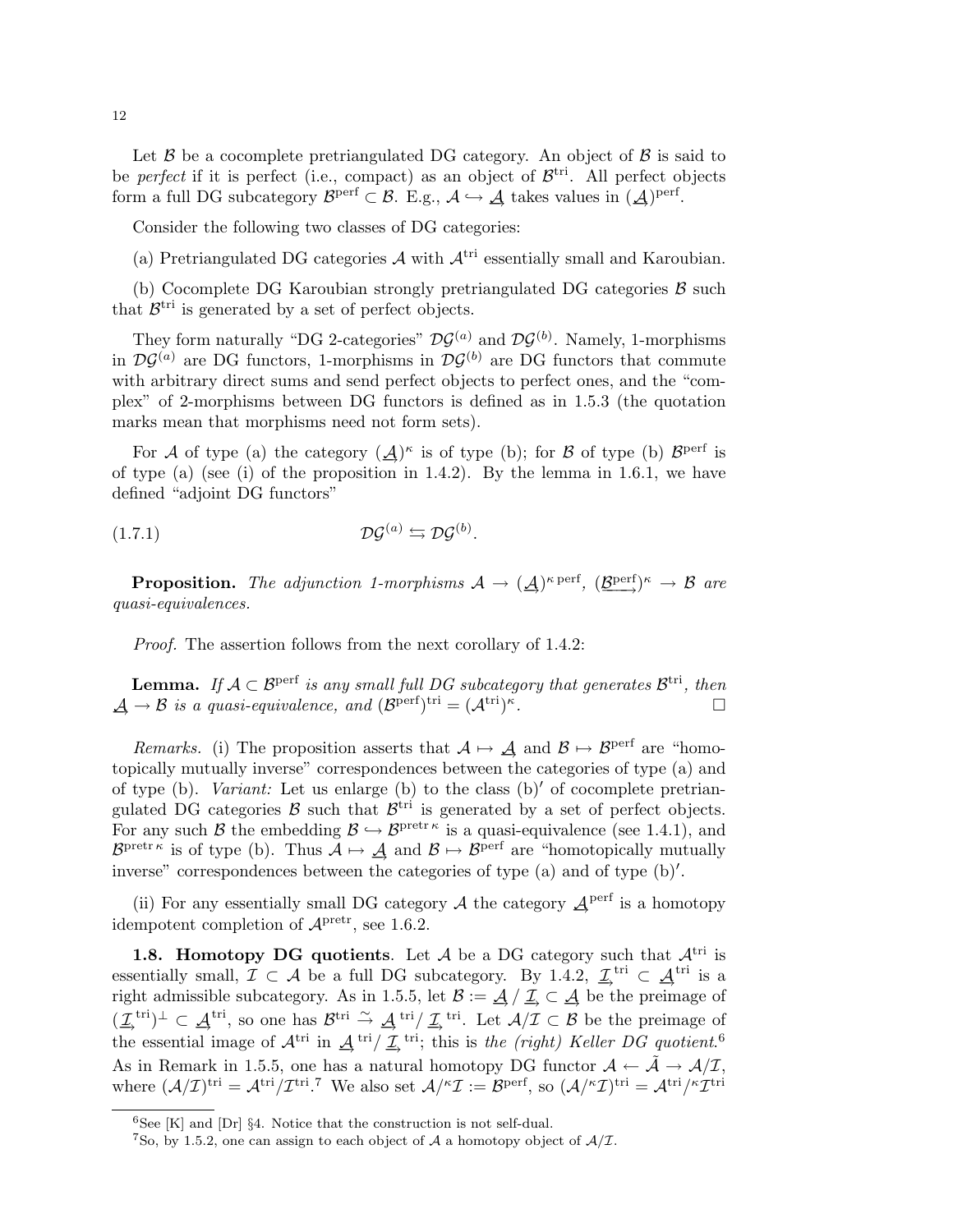Let  $\beta$  be a cocomplete pretriangulated DG category. An object of  $\beta$  is said to be *perfect* if it is perfect (i.e., compact) as an object of  $\mathcal{B}^{tri}$ . All perfect objects form a full DG subcategory  $\mathcal{B}^{\text{perf}} \subset \mathcal{B}$ . E.g.,  $\mathcal{A} \hookrightarrow \mathcal{A}$  takes values in  $(\mathcal{A})^{\text{perf}}$ .

Consider the following two classes of DG categories:

(a) Pretriangulated DG categories  $\mathcal A$  with  $\mathcal A^{\text{tri}}$  essentially small and Karoubian.

(b) Cocomplete DG Karoubian strongly pretriangulated DG categories  $\beta$  such that  $\mathcal{B}^{\text{tri}}$  is generated by a set of perfect objects.

They form naturally "DG 2-categories"  $\mathcal{DG}^{(a)}$  and  $\mathcal{DG}^{(b)}$ . Namely, 1-morphisms in  $\mathcal{D}\mathcal{G}^{(a)}$  are DG functors, 1-morphisms in  $\mathcal{D}\mathcal{G}^{(b)}$  are DG functors that commute with arbitrary direct sums and send perfect objects to perfect ones, and the "complex" of 2-morphisms between DG functors is defined as in 1.5.3 (the quotation marks mean that morphisms need not form sets).

For A of type (a) the category  $(\underline{A})^{\kappa}$  is of type (b); for B of type (b)  $\mathcal{B}^{\text{perf}}$  is of type (a) (see (i) of the proposition in 1.4.2). By the lemma in 1.6.1, we have defined "adjoint DG functors"

$$
(1.7.1) \t\t \mathcal{D}\mathcal{G}^{(a)} \leftrightarrows \mathcal{D}\mathcal{G}^{(b)}.
$$

**Proposition.** The adjunction 1-morphisms  $A \to (\underline{A})^{\kappa \text{ perf}}, (\underline{B}^{\text{perf}})^{\kappa} \to \mathcal{B}$  are quasi-equivalences.

Proof. The assertion follows from the next corollary of 1.4.2:

**Lemma.** If  $A \subset \mathcal{B}^{\text{perf}}$  is any small full DG subcategory that generates  $\mathcal{B}^{\text{tri}}$ , then  $\underline{\mathcal{A}} \to \mathcal{B}$  is a quasi-equivalence, and  $(\mathcal{B}^{\text{perf}})^{\text{tri}} = (\mathcal{A}^{\text{tri}})^{\kappa}$ . — Первый процесс в получине и продательно производите в собстановки производите в собстановки производите со<br>В собстановки производите собстановки производите собстановки производите собстановки производите собстановки

Remarks. (i) The proposition asserts that  $A \mapsto \underline{A}$  and  $B \mapsto B^{\text{perf}}$  are "homotopically mutually inverse" correspondences between the categories of type (a) and of type (b). Variant: Let us enlarge (b) to the class  $(b)'$  of cocomplete pretriangulated DG categories  $\mathcal{B}$  such that  $\mathcal{B}^{\text{tri}}$  is generated by a set of perfect objects. For any such B the embedding  $\mathcal{B} \hookrightarrow \mathcal{B}^{\text{pretr } \kappa}$  is a quasi-equivalence (see 1.4.1), and  $\mathcal{B}^{\text{pretr } \kappa}$  is of type (b). Thus  $\mathcal{A} \mapsto \mathcal{A}$  and  $\mathcal{B} \mapsto \mathcal{B}^{\text{perf}}$  are "homotopically mutually inverse" correspondences between the categories of type  $(a)$  and of type  $(b)$ .

(ii) For any essentially small DG category  $\mathcal A$  the category  $\mathcal A$ <sup>perf</sup> is a homotopy idempotent completion of  $\mathcal{A}^{\text{pretr}}$ , see 1.6.2.

1.8. Homotopy DG quotients. Let  $A$  be a DG category such that  $A<sup>tri</sup>$  is essentially small,  $\mathcal{I} \subset \mathcal{A}$  be a full DG subcategory. By 1.4.2,  $\underline{\mathcal{I}}^{\text{tri}} \subset \underline{\mathcal{A}}^{\text{tri}}$  is a right admissible subcategory. As in 1.5.5, let  $\mathcal{B} := \mathcal{A}/\mathcal{I} \subset \mathcal{A}$  be the preimage of  $(\underline{\mathcal{I}}_n^{\text{tri}})^\perp \subset \underline{\mathcal{A}}^{\text{tri}}$ , so one has  $\mathcal{B}^{\text{tri}} \stackrel{\sim}{\to} \underline{\mathcal{A}}^{\text{tri}}/\underline{\mathcal{I}}_n^{\text{tri}}$ . Let  $\mathcal{A}/\mathcal{I} \subset \mathcal{B}$  be the preimage of the essential image of  $\mathcal{A}^{\text{tri}}$  in  $\underline{\mathcal{A}}^{\text{tri}}/\underline{\mathcal{I}}^{\text{tri}}$ ; this is the (right) Keller DG quotient.<sup>6</sup> As in Remark in 1.5.5, one has a natural homotopy DG functor  $\mathcal{A} \leftarrow \tilde{\mathcal{A}} \rightarrow \mathcal{A}/\mathcal{I}$ , where  $(\mathcal{A}/\mathcal{I})^{\text{tri}} = \mathcal{A}^{\text{tri}}/\mathcal{I}^{\text{tri}}$ . The also set  $\mathcal{A}/^{\kappa}\mathcal{I} := \mathcal{B}^{\text{perf}}$ , so  $(\mathcal{A}/^{\kappa}\mathcal{I})^{\text{tri}} = \mathcal{A}^{\text{tri}}/\kappa\mathcal{I}^{\text{tri}}$ 

 ${}^{6}$ See [K] and [Dr] §4. Notice that the construction is not self-dual.

<sup>&</sup>lt;sup>7</sup>So, by 1.5.2, one can assign to each object of A a homotopy object of  $A/\mathcal{I}$ .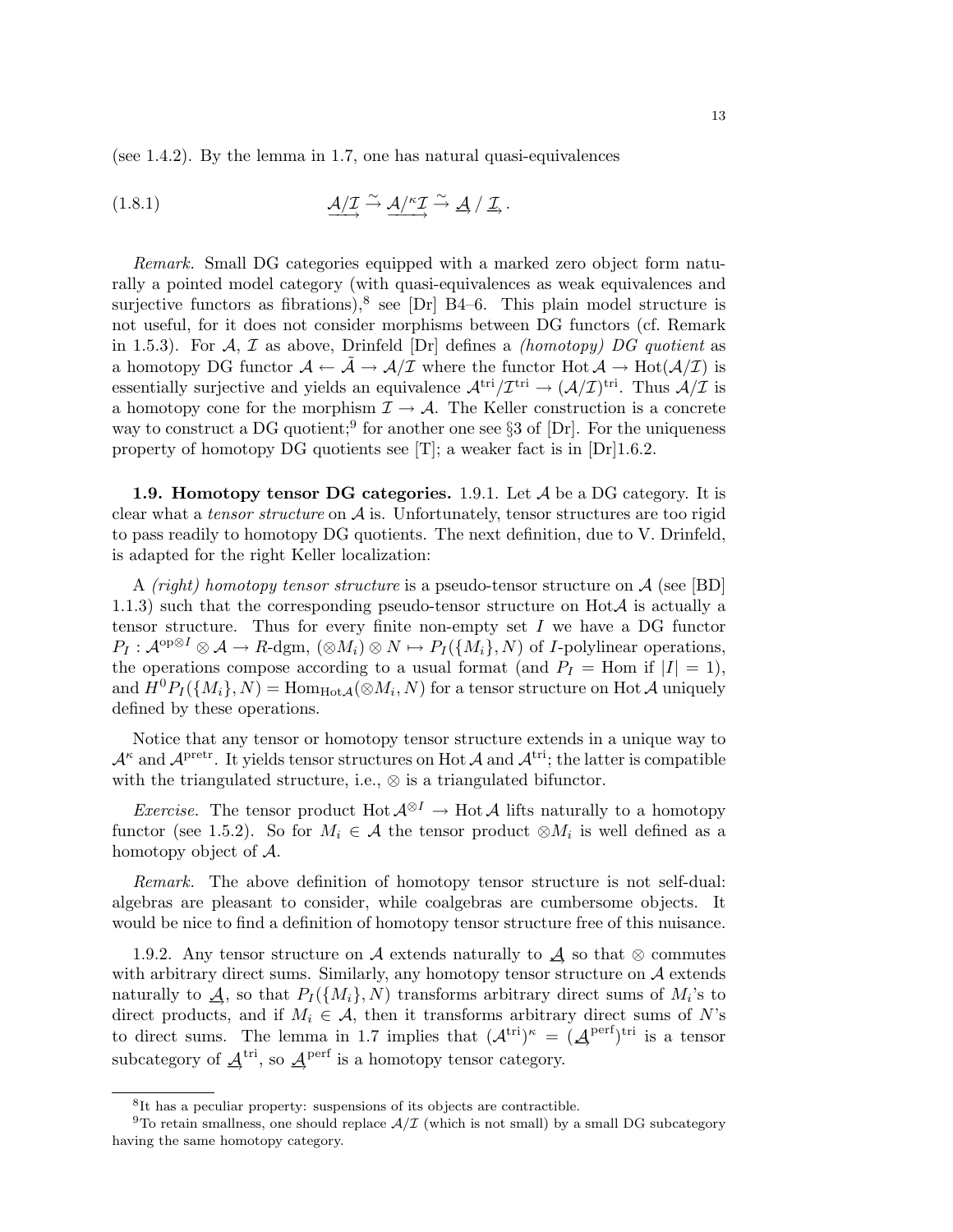(see 1.4.2). By the lemma in 1.7, one has natural quasi-equivalences

(1.8.1) 
$$
\underline{\mathcal{A}}/\underline{\mathcal{I}} \xrightarrow{\sim} \underline{\mathcal{A}}/\underline{\mathcal{I}} \xrightarrow{\sim} \underline{\mathcal{A}}/\underline{\mathcal{I}}.
$$

Remark. Small DG categories equipped with a marked zero object form naturally a pointed model category (with quasi-equivalences as weak equivalences and surjective functors as fibrations),<sup>8</sup> see [Dr] B4–6. This plain model structure is not useful, for it does not consider morphisms between DG functors (cf. Remark in 1.5.3). For A, T as above, Drinfeld  $\text{Dr}$  defines a *(homotopy)* DG quotient as a homotopy DG functor  $\mathcal{A} \leftarrow \tilde{\mathcal{A}} \rightarrow \mathcal{A}/\mathcal{I}$  where the functor  $\text{Hot } \mathcal{A} \rightarrow \text{Hot } (\mathcal{A}/\mathcal{I})$  is essentially surjective and yields an equivalence  $\mathcal{A}^{\text{tri}}/\mathcal{I}^{\text{tri}} \to (\mathcal{A}/\mathcal{I})^{\text{tri}}$ . Thus  $\mathcal{A}/\mathcal{I}$  is a homotopy cone for the morphism  $\mathcal{I} \to \mathcal{A}$ . The Keller construction is a concrete way to construct a DG quotient;<sup>9</sup> for another one see  $\S 3$  of  $[Dr]$ . For the uniqueness property of homotopy DG quotients see  $[T]$ ; a weaker fact is in  $[Dr]1.6.2$ .

**1.9. Homotopy tensor DG categories.** 1.9.1. Let  $A$  be a DG category. It is clear what a *tensor structure* on  $\mathcal A$  is. Unfortunately, tensor structures are too rigid to pass readily to homotopy DG quotients. The next definition, due to V. Drinfeld, is adapted for the right Keller localization:

A *(right)* homotopy tensor structure is a pseudo-tensor structure on  $\mathcal{A}$  (see [BD] 1.1.3) such that the corresponding pseudo-tensor structure on  $HotA$  is actually a tensor structure. Thus for every finite non-empty set  $I$  we have a DG functor  $P_I: \mathcal{A}^{op \otimes I} \otimes \mathcal{A} \to R$ -dgm,  $(\otimes M_i) \otimes N \mapsto P_I(\{M_i\}, N)$  of *I*-polylinear operations, the operations compose according to a usual format (and  $P_I =$  Hom if  $|I| = 1$ ), and  $H^0P_I(\{M_i\}, N) = \text{Hom}_{\text{Hot}\mathcal{A}}(\otimes M_i, N)$  for a tensor structure on Hot  $\mathcal A$  uniquely defined by these operations.

Notice that any tensor or homotopy tensor structure extends in a unique way to  $\mathcal{A}^{\kappa}$  and  $\mathcal{A}^{\text{pretr}}$ . It yields tensor structures on Hot  $\mathcal{A}$  and  $\mathcal{A}^{\text{tri}}$ ; the latter is compatible with the triangulated structure, i.e.,  $\otimes$  is a triangulated bifunctor.

*Exercise.* The tensor product Hot  $\mathcal{A}^{\otimes I} \to$  Hot  $\mathcal{A}$  lifts naturally to a homotopy functor (see 1.5.2). So for  $M_i \in \mathcal{A}$  the tensor product  $\otimes M_i$  is well defined as a homotopy object of A.

Remark. The above definition of homotopy tensor structure is not self-dual: algebras are pleasant to consider, while coalgebras are cumbersome objects. It would be nice to find a definition of homotopy tensor structure free of this nuisance.

1.9.2. Any tensor structure on A extends naturally to  $\mathcal A$  so that ⊗ commutes with arbitrary direct sums. Similarly, any homotopy tensor structure on  $A$  extends naturally to  $\mathcal{A}$ , so that  $P_I(\lbrace M_i \rbrace, N)$  transforms arbitrary direct sums of  $M_i$ 's to direct products, and if  $M_i \in \mathcal{A}$ , then it transforms arbitrary direct sums of N's to direct sums. The lemma in 1.7 implies that  $(\mathcal{A}^{\text{tri}})^{\kappa} = (\mathcal{A}^{\text{perf}})^{\text{tri}}$  is a tensor subcategory of  $\underline{\mathcal{A}}^{\text{tri}}$ , so  $\underline{\mathcal{A}}^{\text{perf}}$  is a homotopy tensor category.

<sup>&</sup>lt;sup>8</sup>It has a peculiar property: suspensions of its objects are contractible.

<sup>&</sup>lt;sup>9</sup>To retain smallness, one should replace  $A/T$  (which is not small) by a small DG subcategory having the same homotopy category.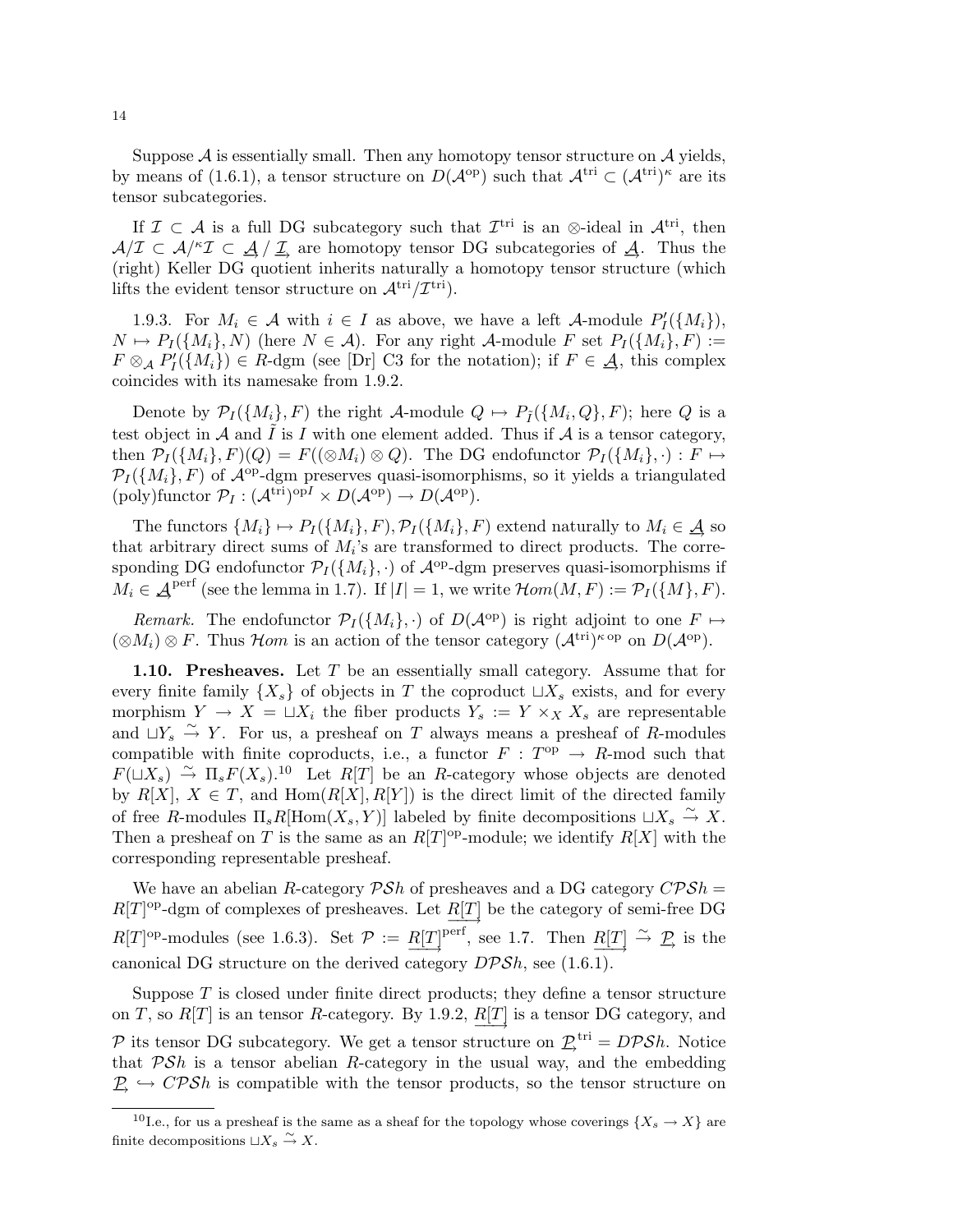Suppose  $A$  is essentially small. Then any homotopy tensor structure on  $A$  yields, by means of (1.6.1), a tensor structure on  $D(\mathcal{A}^{\mathrm{op}})$  such that  $\mathcal{A}^{\mathrm{tri}} \subset (\mathcal{A}^{\mathrm{tri}})^{\kappa}$  are its tensor subcategories.

If  $\mathcal{I} \subset \mathcal{A}$  is a full DG subcategory such that  $\mathcal{I}^{tri}$  is an ⊗-ideal in  $\mathcal{A}^{tri}$ , then  $A/\mathcal{I} \subset \mathcal{A}/^k\mathcal{I} \subset \mathcal{A}/\mathcal{I}$  are homotopy tensor DG subcategories of  $\mathcal{A}$ . Thus the (right) Keller DG quotient inherits naturally a homotopy tensor structure (which lifts the evident tensor structure on  $\mathcal{A}^{\text{tri}}/\mathcal{I}^{\text{tri}}$ .

1.9.3. For  $M_i \in \mathcal{A}$  with  $i \in I$  as above, we have a left  $\mathcal{A}$ -module  $P'_I(\lbrace M_i \rbrace)$ ,  $N \mapsto P_I(\{M_i\}, N)$  (here  $N \in \mathcal{A}$ ). For any right  $\mathcal{A}\text{-module } F$  set  $P_I(\{M_i\}, F) :=$  $F \otimes_A P'_I(\lbrace M_i \rbrace) \in R$ -dgm (see [Dr] C3 for the notation); if  $F \in \mathcal{A}$ , this complex coincides with its namesake from 1.9.2.

Denote by  $\mathcal{P}_I(\{M_i\}, F)$  the right A-module  $Q \mapsto P_{\tilde{I}}(\{M_i, Q\}, F)$ ; here  $Q$  is a test object in A and  $\tilde{I}$  is I with one element added. Thus if A is a tensor category, then  $\mathcal{P}_I(\{M_i\}, F)(Q) = F((\otimes M_i) \otimes Q)$ . The DG endofunctor  $\mathcal{P}_I(\{M_i\}, \cdot) : F \mapsto$  $\mathcal{P}_I(\{M_i\}, F)$  of  $\mathcal{A}^{op}\text{-}\mathrm{dgm}$  preserves quasi-isomorphisms, so it yields a triangulated  $($ poly)functor  $\mathcal{P}_I : (\mathcal{A}^{tri})^{opI} \times D(\mathcal{A}^{op}) \to D(\mathcal{A}^{op}).$ 

The functors  $\{M_i\} \mapsto P_I(\{M_i\}, F), \mathcal{P}_I(\{M_i\}, F)$  extend naturally to  $M_i \in \mathcal{A}$  so that arbitrary direct sums of  $M_i$ 's are transformed to direct products. The corresponding DG endofunctor  $\mathcal{P}_I(\{M_i\},\cdot)$  of  $\mathcal{A}^{\text{op}}$ -dgm preserves quasi-isomorphisms if  $M_i \in \mathcal{A}^{\text{perf}}$  (see the lemma in 1.7). If  $|I| = 1$ , we write  $\mathcal{H}om(M, F) := \mathcal{P}_I(\{M\}, F)$ .

Remark. The endofunctor  $\mathcal{P}_I(\{M_i\},\cdot)$  of  $D(\mathcal{A}^{\text{op}})$  is right adjoint to one  $F \mapsto$  $(\otimes M_i) \otimes F$ . Thus Hom is an action of the tensor category  $(\mathcal{A}^{\text{tri}})^{\kappa \text{ op}}$  on  $D(\mathcal{A}^{\text{op}})$ .

1.10. Presheaves. Let T be an essentially small category. Assume that for every finite family  $\{X_s\}$  of objects in T the coproduct  $\sqcup X_s$  exists, and for every morphism  $Y \to X = \sqcup X_i$  the fiber products  $Y_s := Y \times_X X_s$  are representable and  $\iota \mathcal{X}_s \stackrel{\sim}{\to} Y$ . For us, a presheaf on T always means a presheaf of R-modules compatible with finite coproducts, i.e., a functor  $F : T^{op} \to R$ -mod such that  $F(\mathfrak{u}_s) \stackrel{\sim}{\to} \Pi_s F(X_s).$ <sup>10</sup> Let  $R[T]$  be an R-category whose objects are denoted by  $R[X], X \in T$ , and  $Hom(R[X], R[Y])$  is the direct limit of the directed family of free R-modules  $\Pi_s R$ [Hom $(X_s, Y)$ ] labeled by finite decompositions  $\sqcup X_s \stackrel{\sim}{\to} X$ . Then a presheaf on T is the same as an  $R[T]$ <sup>op</sup>-module; we identify  $R[X]$  with the corresponding representable presheaf.

We have an abelian R-category  $\mathcal{PSh}$  of presheaves and a DG category  $\mathcal{CPSh} =$  $R[T]$ <sup>op</sup>-dgm of complexes of presheaves. Let  $R[T]$  be the category of semi-free DG  $R[T]$ <sup>op</sup>-modules (see 1.6.3). Set  $\mathcal{P} := R[T]$ <sup>perf</sup>, see 1.7. Then  $R[T] \stackrel{\sim}{\rightarrow} \mathcal{P}$  is the canonical DG structure on the derived category  $DPSh$ , see (1.6.1).

Suppose T is closed under finite direct products; they define a tensor structure on T, so  $R[T]$  is an tensor R-category. By 1.9.2,  $R[T]$  is a tensor DG category, and  $\overrightarrow{v_1}$ P its tensor DG subcategory. We get a tensor structure on  $\underline{P}^{\text{tri}} = D\mathcal{P}Sh$ . Notice that  $\mathcal{PSh}$  is a tensor abelian R-category in the usual way, and the embedding  $\mathcal{P} \hookrightarrow \mathit{CPSh}$  is compatible with the tensor products, so the tensor structure on

<sup>&</sup>lt;sup>10</sup>I.e., for us a presheaf is the same as a sheaf for the topology whose coverings  $\{X_s \to X\}$  are finite decompositions  $\sqcup X_s \stackrel{\sim}{\to} X$ .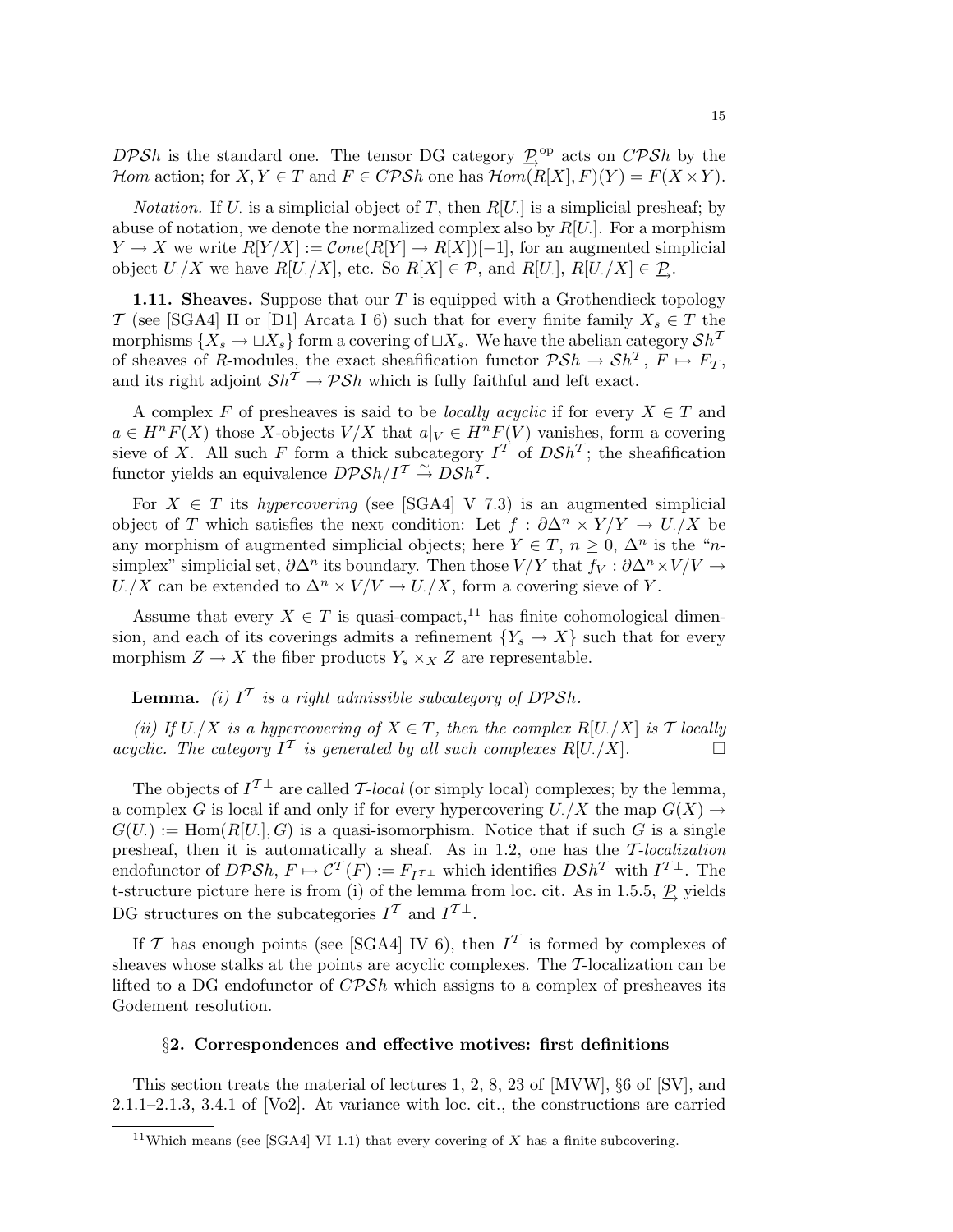DPSh is the standard one. The tensor DG category  $\mathcal{P}^{\text{op}}$  acts on  $\mathcal{CPSh}$  by the Hom action; for  $X, Y \in T$  and  $F \in CPSh$  one has  $\mathcal{H}om(R[X], F)(Y) = F(X \times Y)$ .

*Notation*. If U is a simplicial object of T, then  $R[U]$  is a simplicial presheaf; by abuse of notation, we denote the normalized complex also by  $R[U]$ . For a morphism  $Y \to X$  we write  $R[Y/X] := \mathcal{C}one(R[Y] \to R[X])[-1]$ , for an augmented simplicial object  $U$ ./X we have  $R[U]/X$ , etc. So  $R[X] \in \mathcal{P}$ , and  $R[U]$ ,  $R[U]/X] \in \mathcal{P}$ .

1.11. Sheaves. Suppose that our  $T$  is equipped with a Grothendieck topology T (see [SGA4] II or [D1] Arcata I 6) such that for every finite family  $X_s \in T$  the morphisms  $\{X_s \to \sqcup X_s\}$  form a covering of  $\sqcup X_s$ . We have the abelian category  $\mathcal{S}h^T$ of sheaves of R-modules, the exact sheafification functor  $\mathcal{PSh} \to Sh^{\mathcal{T}}$ ,  $F \mapsto F_{\mathcal{T}}$ , and its right adjoint  $\mathcal{S}h^T \to \mathcal{P}\mathcal{S}h$  which is fully faithful and left exact.

A complex F of presheaves is said to be *locally acyclic* if for every  $X \in T$  and  $a \in H^nF(X)$  those X-objects  $V/X$  that  $a|_V \in H^nF(V)$  vanishes, form a covering sieve of X. All such F form a thick subcategory  $I<sup>T</sup>$  of  $D\mathcal{S}h<sup>T</sup>$ ; the sheafification functor yields an equivalence  $D\mathcal{P} \mathcal{S} h / I^{\mathcal{T}} \overset{\sim}{\rightarrow} D \overset{\sim}{\mathcal{S}} h^{\mathcal{T}}$ .

For  $X \in T$  its *hypercovering* (see [SGA4] V 7.3) is an augmented simplicial object of T which satisfies the next condition: Let  $f : \partial \Delta^n \times Y/Y \to U/X$  be any morphism of augmented simplicial objects; here  $Y \in T$ ,  $n \geq 0$ ,  $\Delta^n$  is the "*n*simplex" simplicial set,  $\partial \Delta^n$  its boundary. Then those  $V/Y$  that  $f_V : \partial \Delta^n \times V/V \to$  $U./X$  can be extended to  $\Delta^n \times V/V \to U./X$ , form a covering sieve of Y.

Assume that every  $X \in T$  is quasi-compact,<sup>11</sup> has finite cohomological dimension, and each of its coverings admits a refinement  ${Y_s \to X}$  such that for every morphism  $Z \to X$  the fiber products  $Y_s \times_X Z$  are representable.

**Lemma.** (i)  $I<sup>T</sup>$  is a right admissible subcategory of DPSh.

(ii) If  $U/X$  is a hypercovering of  $X \in T$ , then the complex  $R[U/X]$  is T locally acyclic. The category  $I^{\mathcal{T}}$  is generated by all such complexes  $R[U]/X$ .

The objects of  $I^{\mathcal{T}\perp}$  are called T-local (or simply local) complexes; by the lemma, a complex G is local if and only if for every hypercovering  $U$ . /X the map  $G(X) \rightarrow$  $G(U) := \text{Hom}(R[U], G)$  is a quasi-isomorphism. Notice that if such G is a single presheaf, then it is automatically a sheaf. As in 1.2, one has the T-localization endofunctor of  $DPSh, F \mapsto \mathcal{C}^T(F) := F_I \tau_{\perp}$  which identifies  $DSh^T$  with  $I^{\perp}$ . The t-structure picture here is from (i) of the lemma from loc. cit. As in 1.5.5,  $\mathcal{P}$  yields DG structures on the subcategories  $I^{\mathcal{T}}$  and  $I^{\mathcal{T} \perp}$ .

If T has enough points (see [SGA4] IV 6), then  $I<sup>T</sup>$  is formed by complexes of sheaves whose stalks at the points are acyclic complexes. The T-localization can be lifted to a DG endofunctor of  $C\mathcal{P}Sh$  which assigns to a complex of presheaves its Godement resolution.

## §2. Correspondences and effective motives: first definitions

This section treats the material of lectures 1, 2, 8, 23 of [MVW], §6 of [SV], and 2.1.1–2.1.3, 3.4.1 of [Vo2]. At variance with loc. cit., the constructions are carried

<sup>&</sup>lt;sup>11</sup>Which means (see [SGA4] VI 1.1) that every covering of  $X$  has a finite subcovering.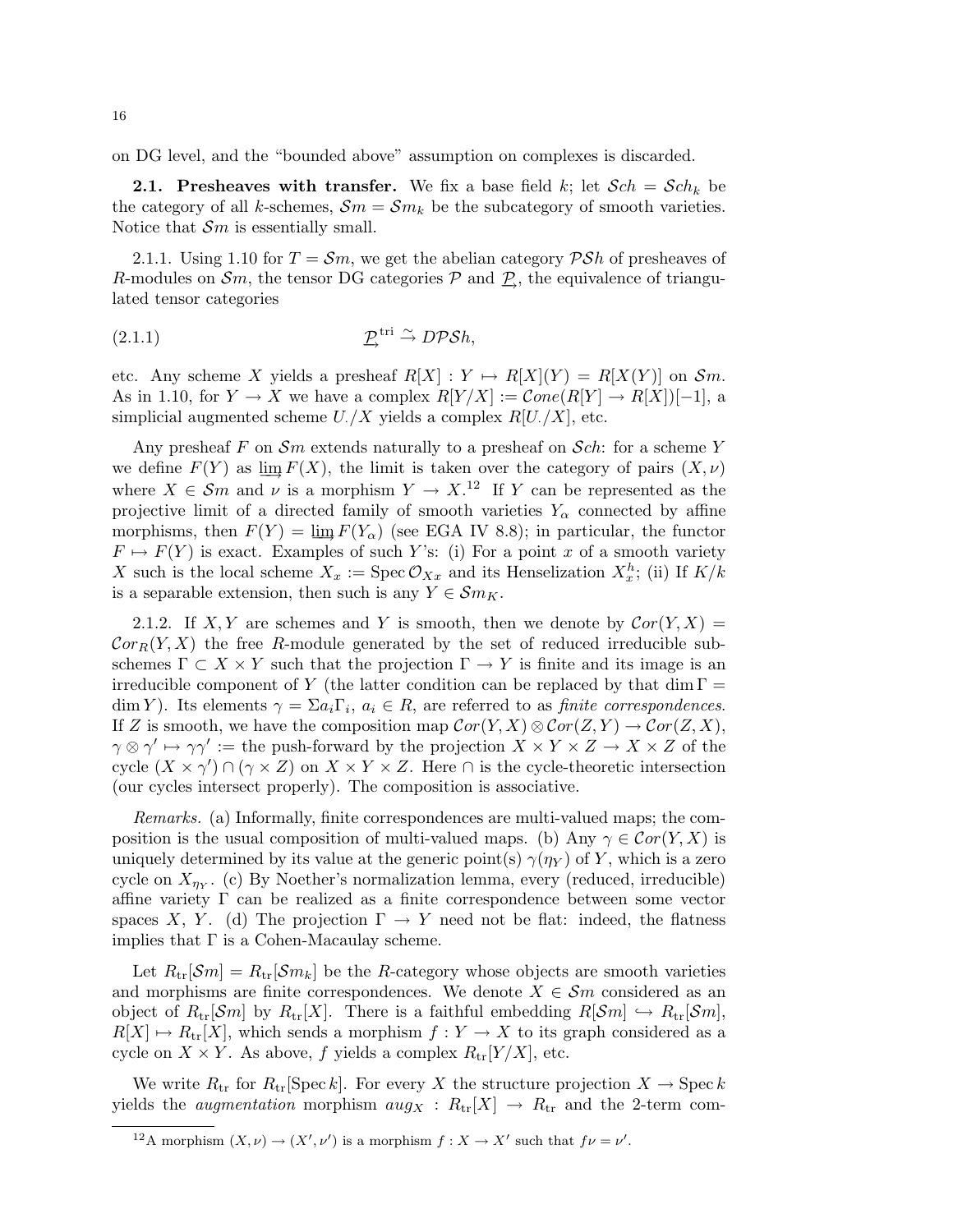on DG level, and the "bounded above" assumption on complexes is discarded.

**2.1.** Presheaves with transfer. We fix a base field k; let  $Sch = Sch_k$  be the category of all k-schemes,  $\mathcal{S}_m = \mathcal{S}_m$  be the subcategory of smooth varieties. Notice that  $\mathcal{S}_m$  is essentially small.

2.1.1. Using 1.10 for  $T = \mathcal{S}m$ , we get the abelian category  $\mathcal{P}\mathcal{S}h$  of presheaves of R-modules on  $\mathcal{S}_m$ , the tensor DG categories  $\mathcal{P}$  and  $\underline{\mathcal{P}}$ , the equivalence of triangulated tensor categories

(2.1.1) −→P tri <sup>∼</sup>→ DPSh,

etc. Any scheme X yields a presheaf  $R[X] : Y \mapsto R[X](Y) = R[X(Y)]$  on  $\mathcal{S}m$ . As in 1.10, for  $Y \to X$  we have a complex  $R[Y/X] := \mathcal{C}one(R[Y] \to R[X])[-1]$ , a simplicial augmented scheme  $U/X$  yields a complex  $R[U/X]$ , etc.

Any presheaf F on  $\mathcal{S}_m$  extends naturally to a presheaf on  $\mathcal{S}_c$ . for a scheme Y we define  $F(Y)$  as  $\lim_{x \to \infty} F(X)$ , the limit is taken over the category of pairs  $(X, \nu)$ where  $X \in \mathcal{S}_m$  and  $\nu$  is a morphism  $Y \to X$ .<sup>12</sup> If Y can be represented as the projective limit of a directed family of smooth varieties  $Y_\alpha$  connected by affine morphisms, then  $F(Y) = \lim_{\alpha} F(Y_{\alpha})$  (see EGA IV 8.8); in particular, the functor  $F \mapsto F(Y)$  is exact. Examples of such Y's: (i) For a point x of a smooth variety X such is the local scheme  $X_x := \text{Spec } \mathcal{O}_{Xx}$  and its Henselization  $X_x^h$ ; (ii) If  $K/k$ is a separable extension, then such is any  $Y \in \mathcal{S}m_K$ .

2.1.2. If X, Y are schemes and Y is smooth, then we denote by  $Cor(Y, X)$  =  $Cor_R(Y, X)$  the free R-module generated by the set of reduced irreducible subschemes  $\Gamma \subset X \times Y$  such that the projection  $\Gamma \to Y$  is finite and its image is an irreducible component of Y (the latter condition can be replaced by that dim  $\Gamma =$ dim Y). Its elements  $\gamma = \sum a_i \Gamma_i$ ,  $a_i \in R$ , are referred to as *finite correspondences*. If Z is smooth, we have the composition map  $Cor(Y, X) \otimes Cor(Z, Y) \rightarrow Cor(Z, X)$ ,  $\gamma \otimes \gamma' \mapsto \gamma \gamma' :=$  the push-forward by the projection  $X \times Y \times Z \to X \times Z$  of the cycle  $(X \times \gamma') \cap (\gamma \times Z)$  on  $X \times Y \times Z$ . Here  $\cap$  is the cycle-theoretic intersection (our cycles intersect properly). The composition is associative.

Remarks. (a) Informally, finite correspondences are multi-valued maps; the composition is the usual composition of multi-valued maps. (b) Any  $\gamma \in \mathcal{C}or(Y,X)$  is uniquely determined by its value at the generic point(s)  $\gamma(\eta_Y)$  of Y, which is a zero cycle on  $X_{\eta_Y}$ . (c) By Noether's normalization lemma, every (reduced, irreducible) affine variety  $\Gamma$  can be realized as a finite correspondence between some vector spaces X, Y. (d) The projection  $\Gamma \to Y$  need not be flat: indeed, the flatness implies that  $\Gamma$  is a Cohen-Macaulay scheme.

Let  $R_{tr}[\mathcal{S}m] = R_{tr}[\mathcal{S}m_k]$  be the R-category whose objects are smooth varieties and morphisms are finite correspondences. We denote  $X \in \mathcal{S}m$  considered as an object of  $R_{tr}[Sm]$  by  $R_{tr}[X]$ . There is a faithful embedding  $R[\mathcal{S}m] \hookrightarrow R_{tr}[\mathcal{S}m]$ ,  $R[X] \mapsto R_{tr}[X]$ , which sends a morphism  $f : Y \to X$  to its graph considered as a cycle on  $X \times Y$ . As above, f yields a complex  $R_{tr}[Y/X]$ , etc.

We write  $R_{tr}$  for  $R_{tr}$ [Spec k]. For every X the structure projection  $X \to \text{Spec } k$ yields the *augmentation* morphism  $aug_X : R_{tr}[X] \rightarrow R_{tr}$  and the 2-term com-

<sup>&</sup>lt;sup>12</sup>A morphism  $(X, \nu) \to (X', \nu')$  is a morphism  $f : X \to X'$  such that  $f\nu = \nu'$ .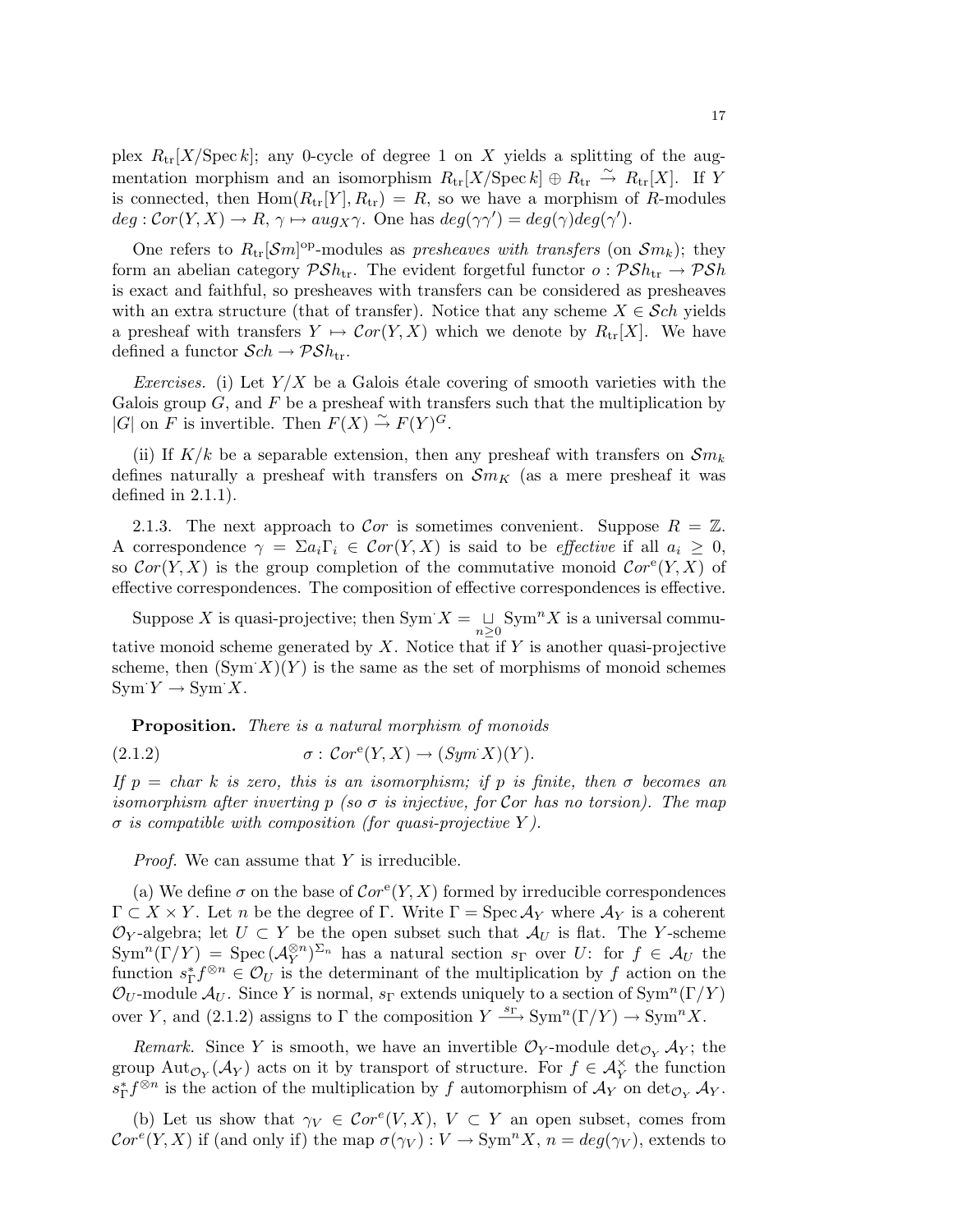plex  $R_{tr}[X/\text{Spec } k]$ ; any 0-cycle of degree 1 on X yields a splitting of the augmentation morphism and an isomorphism  $R_{tr}[X/\operatorname{Spec} k] \oplus R_{tr} \overset{\sim}{\to} R_{tr}[X]$ . If Y is connected, then  $Hom(R_{tr}[Y], R_{tr}) = R$ , so we have a morphism of R-modules  $deg:Cor(Y, X) \to R, \, \gamma \mapsto aug_X \gamma.$  One has  $deg(\gamma \gamma') = deg(\gamma)deg(\gamma').$ 

One refers to  $R_{tr}[\mathcal{S}m]^{\text{op}}$ -modules as presheaves with transfers (on  $\mathcal{S}m_k$ ); they form an abelian category  $\mathcal{P}Sh_{\text{tr}}$ . The evident forgetful functor  $o: \mathcal{P}Sh_{\text{tr}} \to \mathcal{P}Sh$ is exact and faithful, so presheaves with transfers can be considered as presheaves with an extra structure (that of transfer). Notice that any scheme  $X \in \mathcal{S}ch$  yields a presheaf with transfers  $Y \mapsto \mathcal{C}or(Y, X)$  which we denote by  $R_{tr}[X]$ . We have defined a functor  $\mathcal{S}ch \to \mathcal{P}\mathcal{S}h_{\text{tr}}$ .

Exercises. (i) Let  $Y/X$  be a Galois étale covering of smooth varieties with the Galois group  $G$ , and  $F$  be a presheaf with transfers such that the multiplication by  $|G|$  on F is invertible. Then  $F(X) \stackrel{\sim}{\rightarrow} F(Y)^G$ .

(ii) If  $K/k$  be a separable extension, then any presheaf with transfers on  $\mathcal{S}m_k$ defines naturally a presheaf with transfers on  $\mathcal{S}m_K$  (as a mere presheaf it was defined in 2.1.1).

2.1.3. The next approach to Cor is sometimes convenient. Suppose  $R = \mathbb{Z}$ . A correspondence  $\gamma = \sum a_i \Gamma_i \in \mathcal{C}or(Y,X)$  is said to be *effective* if all  $a_i \geq 0$ , so  $Cor(Y, X)$  is the group completion of the commutative monoid  $Cor^{e}(Y, X)$  of effective correspondences. The composition of effective correspondences is effective.

Suppose X is quasi-projective; then  $\text{Sym } X = \bigcup_{n \geq 0} \text{Sym}^n X$  is a universal commutative monoid scheme generated by  $X$ . Notice that if  $Y$  is another quasi-projective scheme, then  $(Sym X)(Y)$  is the same as the set of morphisms of monoid schemes  $Sym Y \rightarrow Sym X$ .

Proposition. There is a natural morphism of monoids

(2.1.2) 
$$
\sigma: Cor^e(Y, X) \to (Sym^X)(Y).
$$

If  $p = char k$  is zero, this is an isomorphism; if p is finite, then  $\sigma$  becomes an isomorphism after inverting p (so  $\sigma$  is injective, for Cor has no torsion). The map  $\sigma$  is compatible with composition (for quasi-projective Y).

*Proof.* We can assume that Y is irreducible.

(a) We define  $\sigma$  on the base of  $Cor^e(Y, X)$  formed by irreducible correspondences  $\Gamma \subset X \times Y$ . Let n be the degree of  $\Gamma$ . Write  $\Gamma = \text{Spec } \mathcal{A}_Y$  where  $\mathcal{A}_Y$  is a coherent  $\mathcal{O}_Y$ -algebra; let  $U \subset Y$  be the open subset such that  $\mathcal{A}_U$  is flat. The Y-scheme  $\text{Sym}^n(\Gamma/Y) = \text{Spec}(\mathcal{A}_Y^{\otimes n})^{\Sigma_n}$  has a natural section  $s_{\Gamma}$  over U: for  $f \in \mathcal{A}_U$  the function  $s_{\Gamma}^* f^{\otimes n} \in \mathcal{O}_U$  is the determinant of the multiplication by f action on the  $\mathcal{O}_U$ -module  $\mathcal{A}_U$ . Since Y is normal,  $s_{\Gamma}$  extends uniquely to a section of Sym<sup>n</sup>(Γ/Y) over Y, and (2.1.2) assigns to  $\Gamma$  the composition  $Y \xrightarrow{s_{\Gamma}} \text{Sym}^n(\Gamma/Y) \to \text{Sym}^nX$ .

Remark. Since Y is smooth, we have an invertible  $\mathcal{O}_Y$ -module  $\det_{\mathcal{O}_Y} A_Y$ ; the group  ${\rm Aut}_{\mathcal{O}_Y}(\mathcal{A}_Y)$  acts on it by transport of structure. For  $f \in \mathcal{A}_Y^{\times}$  the function  $s_{\Gamma}^* f^{\otimes n}$  is the action of the multiplication by f automorphism of  $\mathcal{A}_Y$  on  $\det_{\mathcal{O}_Y} \mathcal{A}_Y$ .

(b) Let us show that  $\gamma_V \in \mathcal{C}or^e(V,X)$ ,  $V \subset Y$  an open subset, comes from  $Cor^{e}(Y, X)$  if (and only if) the map  $\sigma(\gamma_{V}): V \to \text{Sym}^{n} X$ ,  $n = deg(\gamma_{V})$ , extends to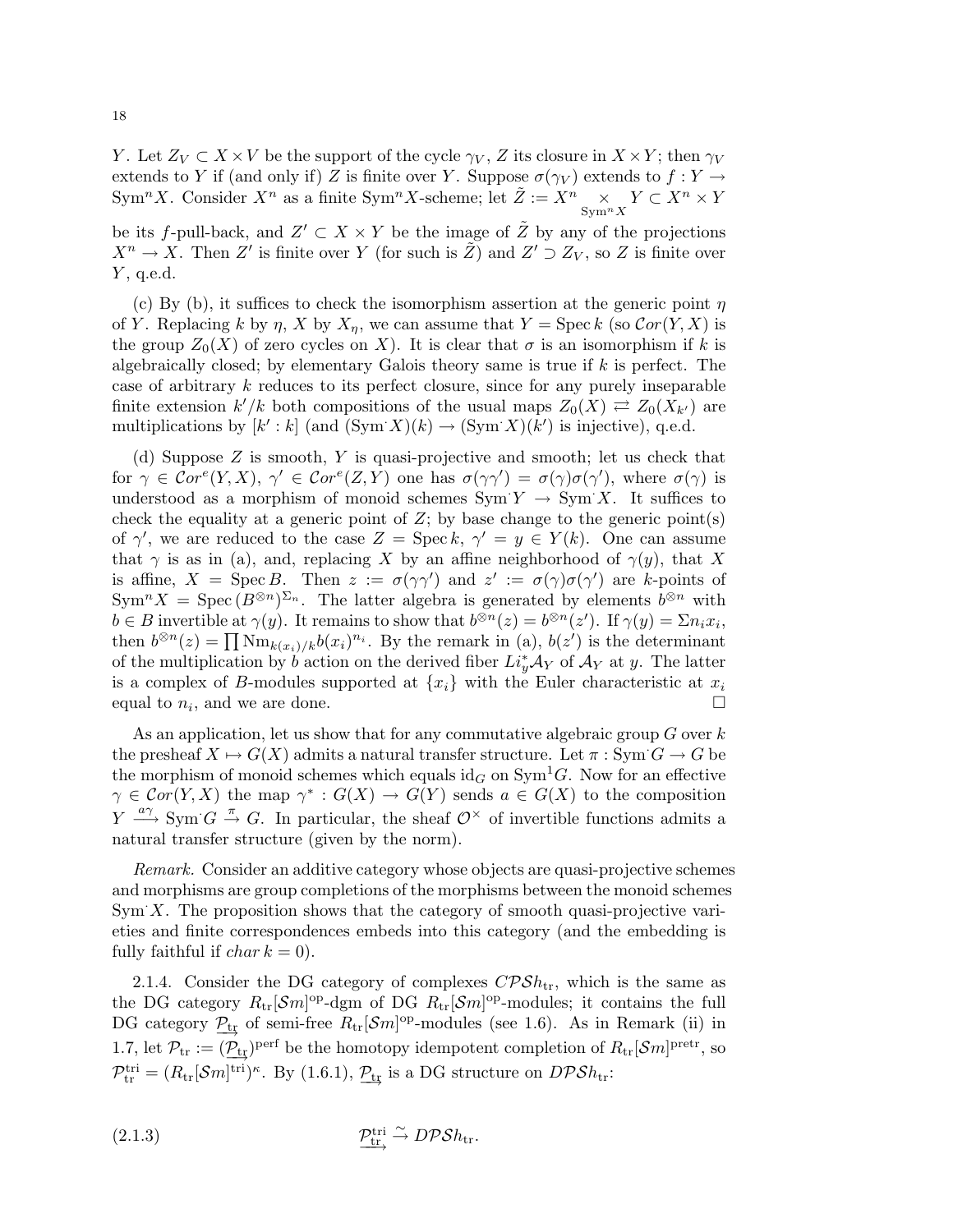Y. Let  $Z_V \subset X \times V$  be the support of the cycle  $\gamma_V$ , Z its closure in  $X \times Y$ ; then  $\gamma_V$ extends to Y if (and only if) Z is finite over Y. Suppose  $\sigma(\gamma_V)$  extends to  $f: Y \to Y$ Sym<sup>n</sup>X. Consider  $X^n$  as a finite Sym<sup>n</sup>X-scheme; let  $\tilde{Z} := X^n \underset{\text{Sym}^n X}{\times} Y \subset X^n \times Y$ 

be its f-pull-back, and  $Z' \subset X \times Y$  be the image of  $\tilde{Z}$  by any of the projections  $X^n \to X$ . Then Z' is finite over Y (for such is  $\tilde{Z}$ ) and  $Z' \supset Z_V$ , so Z is finite over  $Y$ , q.e.d.

(c) By (b), it suffices to check the isomorphism assertion at the generic point  $\eta$ of Y. Replacing k by  $\eta$ , X by  $X_{\eta}$ , we can assume that  $Y = \operatorname{Spec} k$  (so  $Cor(Y, X)$  is the group  $Z_0(X)$  of zero cycles on X). It is clear that  $\sigma$  is an isomorphism if k is algebraically closed; by elementary Galois theory same is true if  $k$  is perfect. The case of arbitrary k reduces to its perfect closure, since for any purely inseparable finite extension  $k'/k$  both compositions of the usual maps  $Z_0(X) \rightleftarrows Z_0(X_{k'})$  are multiplications by  $[k':k]$  (and  $(Sym X)(k) \rightarrow (Sym X)(k')$  is injective), q.e.d.

(d) Suppose Z is smooth, Y is quasi-projective and smooth; let us check that for  $\gamma \in \mathcal{C}or^{\epsilon}(Y,X)$ ,  $\gamma' \in \mathcal{C}or^{\epsilon}(Z,Y)$  one has  $\sigma(\gamma\gamma') = \sigma(\gamma)\sigma(\gamma')$ , where  $\sigma(\gamma)$  is understood as a morphism of monoid schemes  $\text{Sym } Y \to \text{Sym } X$ . It suffices to check the equality at a generic point of  $Z$ ; by base change to the generic point(s) of  $\gamma'$ , we are reduced to the case  $Z = \text{Spec } k, \gamma' = y \in Y(k)$ . One can assume that  $\gamma$  is as in (a), and, replacing X by an affine neighborhood of  $\gamma(y)$ , that X is affine,  $X = \text{Spec } B$ . Then  $z := \sigma(\gamma \gamma')$  and  $z' := \sigma(\gamma) \sigma(\gamma')$  are k-points of  $\text{Sym}^n X = \text{Spec} (B^{\otimes n})^{\Sigma_n}$ . The latter algebra is generated by elements  $b^{\otimes n}$  with  $b \in B$  invertible at  $\gamma(y)$ . It remains to show that  $b^{\otimes n}(z) = b^{\otimes n}(z')$ . If  $\gamma(y) = \sum n_i x_i$ , then  $b^{\otimes n}(z) = \prod \text{Nm}_{k(x_i)/k} b(x_i)^{n_i}$ . By the remark in (a),  $b(z')$  is the determinant of the multiplication by b action on the derived fiber  $Li_y^*\mathcal{A}_Y$  of  $\mathcal{A}_Y$  at y. The latter is a complex of B-modules supported at  $\{x_i\}$  with the Euler characteristic at  $x_i$ equal to  $n_i$ , and we are done.

As an application, let us show that for any commutative algebraic group  $G$  over  $k$ the presheaf  $X \mapsto G(X)$  admits a natural transfer structure. Let  $\pi : \text{Sym } G \to G$  be the morphism of monoid schemes which equals  $\mathrm{id}_G$  on  $\mathrm{Sym}^1 G$ . Now for an effective  $\gamma \in \mathcal{C}or(Y,X)$  the map  $\gamma^* : G(X) \to G(Y)$  sends  $a \in G(X)$  to the composition  $Y \stackrel{a\gamma}{\longrightarrow} \text{Sym } G \stackrel{\pi}{\to} G$ . In particular, the sheaf  $\mathcal{O}^\times$  of invertible functions admits a natural transfer structure (given by the norm).

Remark. Consider an additive category whose objects are quasi-projective schemes and morphisms are group completions of the morphisms between the monoid schemes  $Sym X$ . The proposition shows that the category of smooth quasi-projective varieties and finite correspondences embeds into this category (and the embedding is fully faithful if *char*  $k = 0$ .

2.1.4. Consider the DG category of complexes  $CPSh_{\rm tr}$ , which is the same as the DG category  $R_{tr}[\mathcal{S}m]^{\text{op}}$ -dgm of DG  $R_{tr}[\mathcal{S}m]^{\text{op}}$ -modules; it contains the full DG category  $\underline{P_{tr}}$  of semi-free  $R_{tr}[\mathcal{S}m]^{\text{op}}$ -modules (see 1.6). As in Remark (ii) in 1.7, let  $\mathcal{P}_{tr} := (\underline{\mathcal{P}_{tr}})^{\text{perf}}$  be the homotopy idempotent completion of  $R_{tr}[\mathcal{S}m]^{\text{pretr}}$ , so  $\mathcal{P}_{tr}^{tri} = (R_{tr}[\mathcal{S}m]^{tri})^{\kappa}$ . By (1.6.1),  $\underline{\mathcal{P}}_{tr}$  is a DG structure on  $D\mathcal{P}Sh_{tr}$ :

(2.1.3) 
$$
\underbrace{\mathcal{P}_{tr}^{tri}}_{\longrightarrow} \stackrel{\sim}{\longrightarrow} \widehat{DPSh}_{tr}.
$$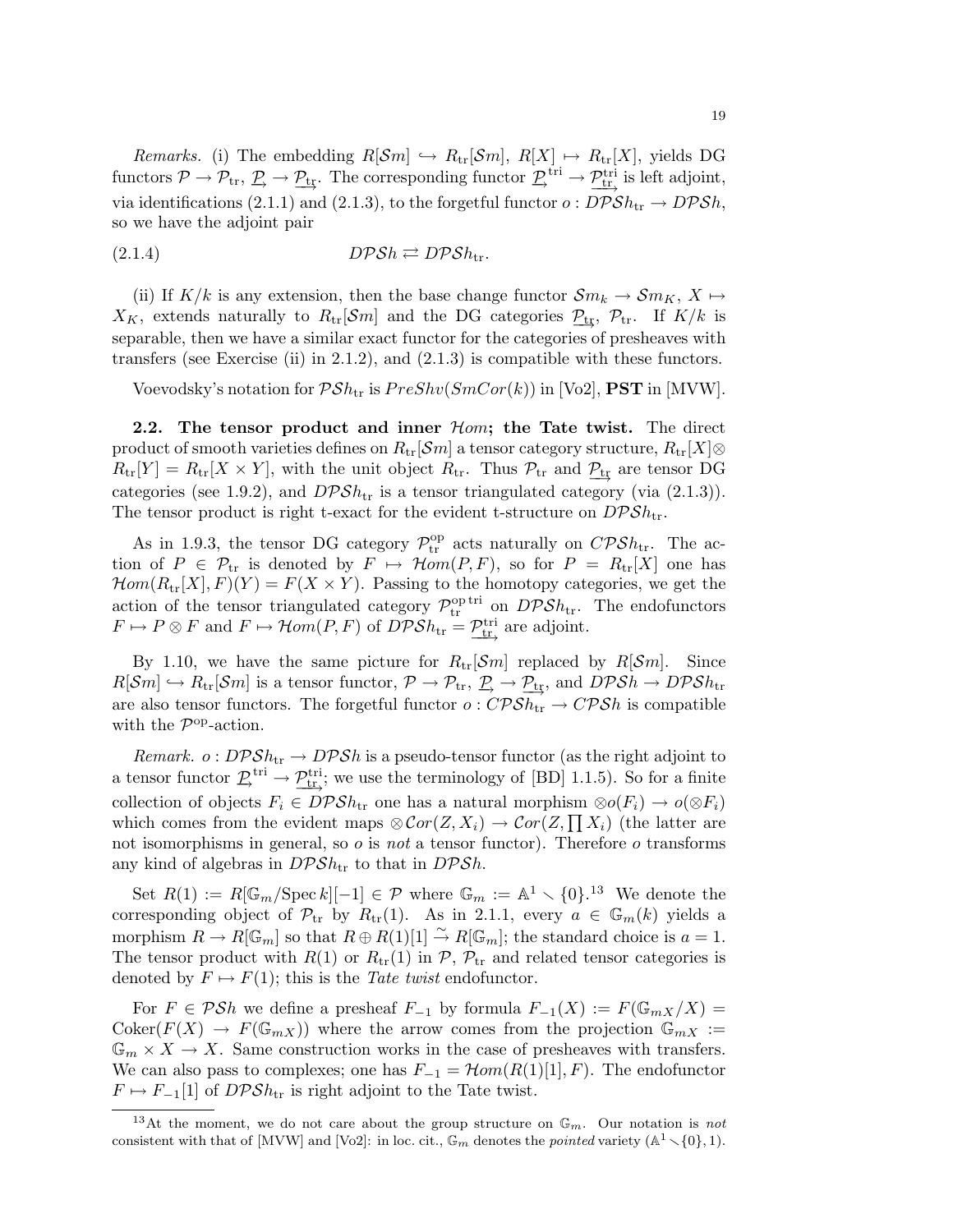*Remarks.* (i) The embedding  $R[\mathcal{S}m] \hookrightarrow R_{tr}[\mathcal{S}m], R[X] \mapsto R_{tr}[X]$ , yields DG functors  $\mathcal{P} \to \mathcal{P}_{tr}, \mathcal{P} \to \mathcal{P}_{tr}$ . The corresponding functor  $\mathcal{P}_{tr}^{tri} \to \mathcal{P}_{tr}^{tri}$  is left adjoint, via identifications (2.1.1) and (2.1.3), to the forgetful functor  $o: D\mathcal{P}Sh_{tr} \to D\mathcal{P}Sh$ , so we have the adjoint pair

$$
(2.1.4) \t\t \tD\mathcal{P} \mathcal{S} h \rightleftarrows D\mathcal{P} \mathcal{S} h_{\text{tr}}.
$$

(ii) If  $K/k$  is any extension, then the base change functor  $\mathcal{S}m_k \to \mathcal{S}m_K$ ,  $X \mapsto$  $X_K$ , extends naturally to  $R_{tr}[\mathcal{S}m]$  and the DG categories  $\mathcal{P}_{tr}$ ,  $\mathcal{P}_{tr}$ . If  $K/k$  is separable, then we have a similar exact functor for the categories of presheaves with transfers (see Exercise (ii) in 2.1.2), and  $(2.1.3)$  is compatible with these functors.

Voevodsky's notation for  $\mathcal{P}Sh_{tr}$  is  $PreShv(SmCor(k))$  in [Vo2], **PST** in [MVW].

2.2. The tensor product and inner  $H$ om; the Tate twist. The direct product of smooth varieties defines on  $R_{tr}[\mathcal{S}m]$  a tensor category structure,  $R_{tr}[X] \otimes$  $R_{\text{tr}}[Y] = R_{\text{tr}}[X \times Y]$ , with the unit object  $R_{\text{tr}}$ . Thus  $\mathcal{P}_{\text{tr}}$  and  $\mathcal{P}_{\text{tr}}$  are tensor DG categories (see 1.9.2), and  $DPSh_{tr}$  is a tensor triangulated category (via (2.1.3)). The tensor product is right t-exact for the evident t-structure on  $D\mathcal{P}Sh_{\text{tr}}$ .

As in 1.9.3, the tensor DG category  $\mathcal{P}_{tr}^{op}$  acts naturally on  $\mathcal{CPSh}_{tr}$ . The action of  $P \in \mathcal{P}_{tr}$  is denoted by  $F \mapsto \mathcal{H}om(P, F)$ , so for  $P = R_{tr}[X]$  one has  $\mathcal{H}om(R_{tr}[X], F)(Y) = F(X \times Y)$ . Passing to the homotopy categories, we get the action of the tensor triangulated category  $\mathcal{P}_{tr}^{\text{optri}}$  on  $D\mathcal{P}Sh_{tr}$ . The endofunctors  $F \mapsto P \otimes F$  and  $F \mapsto \mathcal{H}om(P, F)$  of  $D \mathcal{P} \mathcal{S} h_{tr} = \underline{\mathcal{P}_{tr\,^{\text{tri}}$  are adjoint.

By 1.10, we have the same picture for  $R_{tr}[\mathcal{S}m]$  replaced by  $R[\mathcal{S}m]$ . Since  $R[\mathcal{S}m] \hookrightarrow R_{\text{tr}}[\mathcal{S}m]$  is a tensor functor,  $\mathcal{P} \to \mathcal{P}_{\text{tr}}, \mathcal{P} \to \mathcal{P}_{\text{tr}},$  and  $D\mathcal{P}\mathcal{S}h \to D\mathcal{P}\mathcal{S}h_{\text{tr}}$ are also tensor functors. The forgetful functor  $o: \mathbb{CPSh}_{tr} \to \mathbb{CPSh}$  is compatible with the  $\mathcal{P}^{\text{op}}$ -action.

*Remark.*  $o: DPSh_{tr} \to DPSh$  is a pseudo-tensor functor (as the right adjoint to a tensor functor  $\underline{\mathcal{P}}_{tr}^{tri} \rightarrow \underline{\mathcal{P}}_{tr}^{tri}$ ; we use the terminology of [BD] 1.1.5). So for a finite collection of objects  $F_i \in DPSh_{tr}$  one has a natural morphism  $\otimes o(F_i) \to o(\otimes F_i)$ which comes from the evident maps  $\otimes \mathcal{C}or(Z, X_i) \to \mathcal{C}or(Z, \prod X_i)$  (the latter are not isomorphisms in general, so  $\sigma$  is not a tensor functor). Therefore  $\sigma$  transforms any kind of algebras in  $DPSh_{tr}$  to that in  $DPSh$ .

Set  $R(1) := R[\mathbb{G}_m/\operatorname{Spec} k][-1] \in \mathcal{P}$  where  $\mathbb{G}_m := \mathbb{A}^1 \setminus \{0\}.$ <sup>13</sup> We denote the corresponding object of  $\mathcal{P}_{tr}$  by  $R_{tr}(1)$ . As in 2.1.1, every  $a \in \mathbb{G}_m(k)$  yields a morphism  $R \to R[\mathbb{G}_m]$  so that  $R \oplus R(1)[1] \stackrel{\sim}{\to} R[\mathbb{G}_m]$ ; the standard choice is  $a = 1$ . The tensor product with  $R(1)$  or  $R_{tr}(1)$  in  $P$ ,  $P_{tr}$  and related tensor categories is denoted by  $F \mapsto F(1)$ ; this is the Tate twist endofunctor.

For  $F \in \mathcal{P}Sh$  we define a presheaf  $F_{-1}$  by formula  $F_{-1}(X) := F(\mathbb{G}_{mX}/X) =$  $\text{Coker}(F(X) \to F(\mathbb{G}_{mX}))$  where the arrow comes from the projection  $\mathbb{G}_{mX}$  :=  $\mathbb{G}_m \times X \to X$ . Same construction works in the case of presheaves with transfers. We can also pass to complexes; one has  $F_{-1} = \mathcal{H}om(R(1)[1], F)$ . The endofunctor  $F \mapsto F_{-1}[1]$  of  $DPSh_{tr}$  is right adjoint to the Tate twist.

<sup>&</sup>lt;sup>13</sup>At the moment, we do not care about the group structure on  $\mathbb{G}_m$ . Our notation is not consistent with that of [MVW] and [Vo2]: in loc. cit.,  $\mathbb{G}_m$  denotes the pointed variety  $(\mathbb{A}^1 \setminus \{0\}, 1)$ .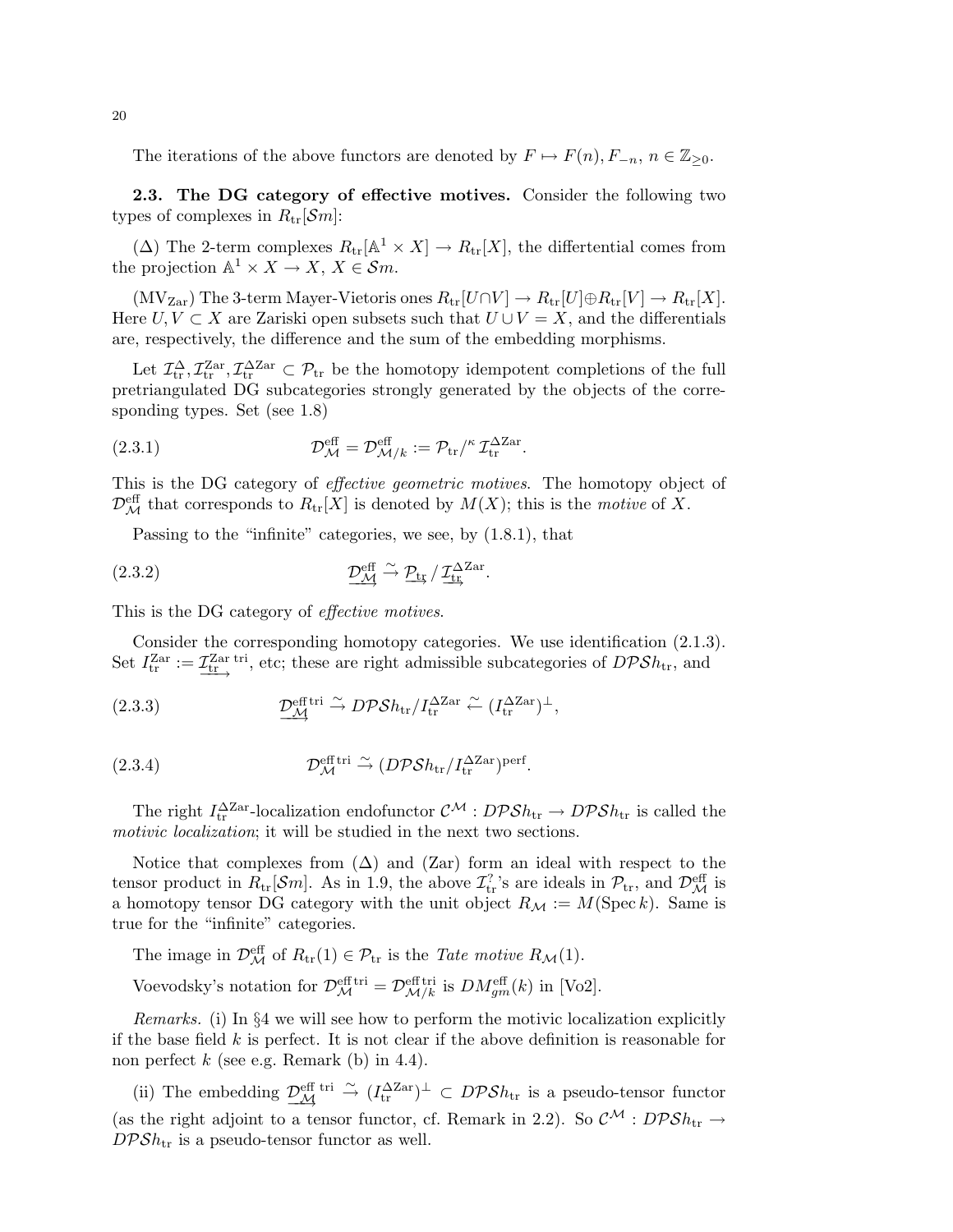The iterations of the above functors are denoted by  $F \mapsto F(n)$ ,  $F_{-n}$ ,  $n \in \mathbb{Z}_{\geq 0}$ .

2.3. The DG category of effective motives. Consider the following two types of complexes in  $R_{\text{tr}}[\mathcal{S}m]$ :

( $\Delta$ ) The 2-term complexes  $R_{tr}[\mathbb{A}^1 \times X] \to R_{tr}[X]$ , the differtential comes from the projection  $\mathbb{A}^1 \times X \to X$ ,  $X \in \mathcal{S}m$ .

 $(MV_{Zar})$  The 3-term Mayer-Vietoris ones  $R_{tr}[U \cap V] \to R_{tr}[U] \oplus R_{tr}[V] \to R_{tr}[X]$ . Here  $U, V \subset X$  are Zariski open subsets such that  $U \cup V = X$ , and the differentials are, respectively, the difference and the sum of the embedding morphisms.

Let  $\mathcal{I}_{tr}^{\Delta}, \mathcal{I}_{tr}^{\text{Zar}}, \mathcal{I}_{tr}^{\Delta \text{Zar}} \subset \mathcal{P}_{tr}$  be the homotopy idempotent completions of the full pretriangulated DG subcategories strongly generated by the objects of the corresponding types. Set (see 1.8)

(2.3.1) 
$$
\mathcal{D}_{\mathcal{M}}^{\text{eff}} = \mathcal{D}_{\mathcal{M}/k}^{\text{eff}} := \mathcal{P}_{\text{tr}}^{/\kappa} \mathcal{I}_{\text{tr}}^{\Delta \text{Zar}}.
$$

This is the DG category of effective geometric motives. The homotopy object of  $\mathcal{D}_{\mathcal{M}}^{\text{eff}}$  that corresponds to  $R_{\text{tr}}[X]$  is denoted by  $M(X)$ ; this is the motive of X.

Passing to the "infinite" categories, we see, by (1.8.1), that

(2.3.2) 
$$
\underline{\mathcal{D}_{\mathcal{M}}^{\text{eff}}} \xrightarrow{\sim} \underline{\mathcal{P}_{\text{tr}}} / \underline{\mathcal{I}_{\text{tr}}^{\Delta \text{Zar}}}.
$$

This is the DG category of effective motives.

Consider the corresponding homotopy categories. We use identification (2.1.3). Set  $I_{\text{tr}}^{\text{Zar}} := \underline{\mathcal{I}_{\text{tr}}^{\text{Zar tri}}},$  etc; these are right admissible subcategories of  $DPSh_{\text{tr}},$  and

(2.3.3) 
$$
\underline{\mathcal{D}_{\mathcal{M}}^{\text{eff tri}}} \xrightarrow{\sim} D\mathcal{P}\mathcal{S}h_{\text{tr}}/I_{\text{tr}}^{\Delta\text{Zar}} \xleftarrow{\sim} (I_{\text{tr}}^{\Delta\text{Zar}})^{\perp},
$$

(2.3.4) 
$$
\mathcal{D}_{\mathcal{M}}^{\text{eff tri}} \xrightarrow{\sim} (D\mathcal{P} \mathcal{S} h_{\text{tr}} / I_{\text{tr}}^{\Delta \text{Zar}})^{\text{perf}}.
$$

The right  $I_{\text{tr}}^{\Delta \text{Zar}}$ -localization endofunctor  $\mathcal{C}^{\mathcal{M}}: D\mathcal{P}Sh_{\text{tr}} \to D\mathcal{P}Sh_{\text{tr}}$  is called the motivic *localization*; it will be studied in the next two sections.

Notice that complexes from  $(\Delta)$  and  $(Zar)$  form an ideal with respect to the tensor product in  $R_{tr}[\mathcal{S}m]$ . As in 1.9, the above  $\mathcal{I}_{tr}^?$ 's are ideals in  $\mathcal{P}_{tr}$ , and  $\mathcal{D}_{\mathcal{M}}^{\text{eff}}$  is a homotopy tensor DG category with the unit object  $R_{\mathcal{M}} := M(\operatorname{Spec} k)$ . Same is true for the "infinite" categories.

The image in  $\mathcal{D}_{\mathcal{M}}^{\text{eff}}$  of  $R_{\text{tr}}(1) \in \mathcal{P}_{\text{tr}}$  is the *Tate motive*  $R_{\mathcal{M}}(1)$ .

Voevodsky's notation for  $\mathcal{D}_{\mathcal{M}}^{\text{eff}} = \mathcal{D}_{\mathcal{M}/k}^{\text{eff}}$  is  $DM_{gm}^{\text{eff}}(k)$  in [Vo2].

Remarks. (i) In §4 we will see how to perform the motivic localization explicitly if the base field  $k$  is perfect. It is not clear if the above definition is reasonable for non perfect  $k$  (see e.g. Remark (b) in 4.4).

(ii) The embedding  $\underline{\mathcal{D}_{\mathcal{M}}^{\text{eff}}}\stackrel{\text{tri}}{\rightarrow} (I_{\text{tr}}^{\Delta\text{Zar}})^{\perp} \subset DPSh_{\text{tr}}$  is a pseudo-tensor functor (as the right adjoint to a tensor functor, cf. Remark in 2.2). So  $\mathcal{C}^{\mathcal{M}}$  :  $D\mathcal{P}Sh_{tr} \rightarrow$  $DPSh_{\text{tr}}$  is a pseudo-tensor functor as well.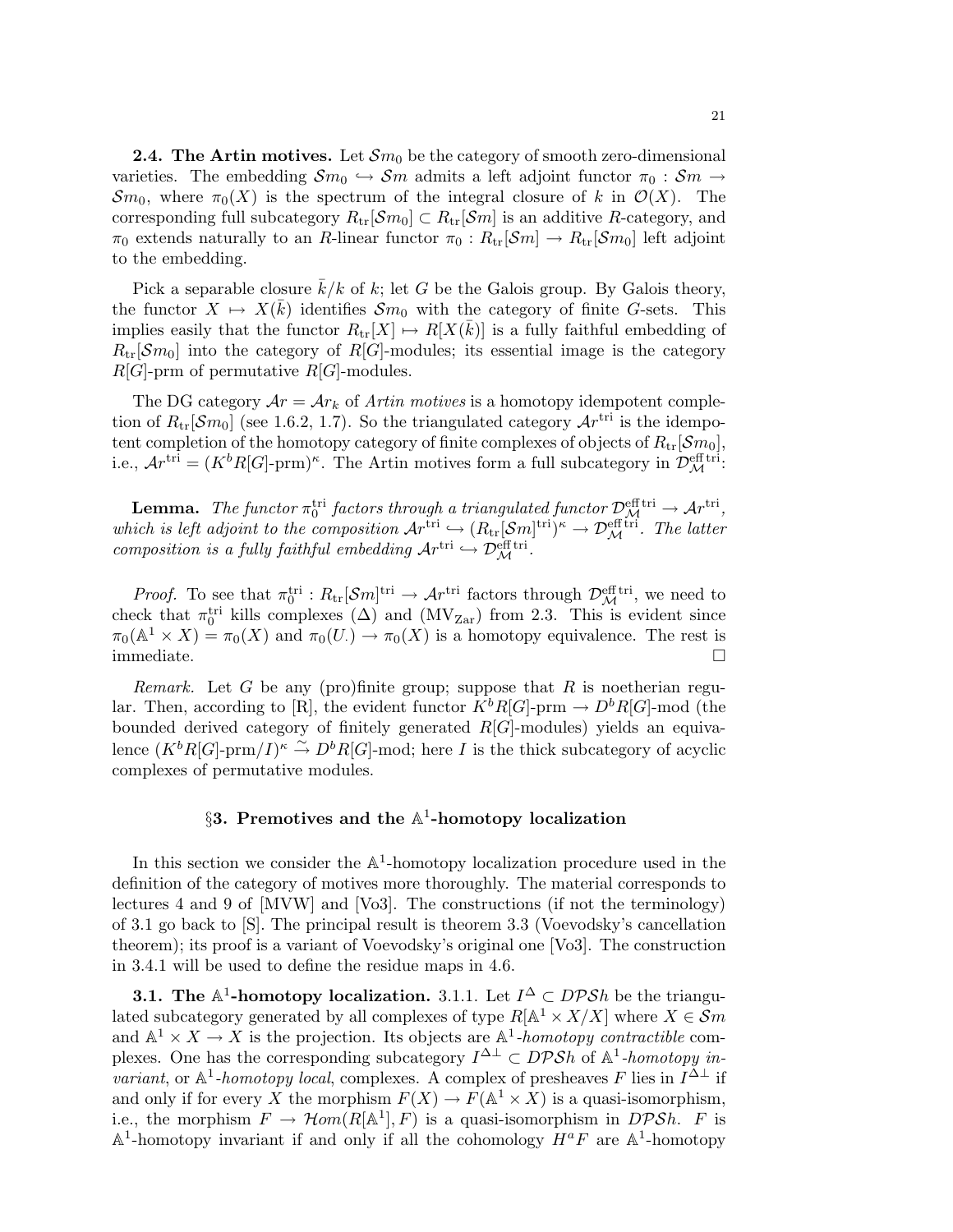**2.4. The Artin motives.** Let  $\mathcal{S}m_0$  be the category of smooth zero-dimensional varieties. The embedding  $\mathcal{S}m_0 \hookrightarrow \mathcal{S}m$  admits a left adjoint functor  $\pi_0 : \mathcal{S}m \rightarrow$  $\mathcal{S}m_0$ , where  $\pi_0(X)$  is the spectrum of the integral closure of k in  $\mathcal{O}(X)$ . The corresponding full subcategory  $R_{\text{tr}}[\mathcal{S}m_0] \subset R_{\text{tr}}[\mathcal{S}m]$  is an additive R-category, and  $\pi_0$  extends naturally to an R-linear functor  $\pi_0 : R_{\text{tr}}[\mathcal{S}m] \to R_{\text{tr}}[\mathcal{S}m_0]$  left adjoint to the embedding.

Pick a separable closure  $\overline{k}/k$  of k; let G be the Galois group. By Galois theory, the functor  $X \mapsto X(\bar{k})$  identifies  $\mathcal{S}m_0$  with the category of finite G-sets. This implies easily that the functor  $R_{tr}[X] \mapsto R[X(\bar{k})]$  is a fully faithful embedding of  $R_{\text{tr}}[\mathcal{S}m_0]$  into the category of  $R[G]$ -modules; its essential image is the category  $R[G]$ -prm of permutative  $R[G]$ -modules.

The DG category  $Ar = Ar_k$  of Artin motives is a homotopy idempotent completion of  $R_{\text{tr}}[\mathcal{S}m_0]$  (see 1.6.2, 1.7). So the triangulated category  $\mathcal{A}r^{\text{tri}}$  is the idempotent completion of the homotopy category of finite complexes of objects of  $R_{\text{tr}}[\mathcal{S}m_0]$ , i.e.,  $Ar^{\text{tri}} = (K^b R[G] \text{-}\text{prm})^{\kappa}$ . The Artin motives form a full subcategory in  $\mathcal{D}_{\mathcal{M}}^{\text{eff tri}}$ :

**Lemma.** The functor  $\pi_0^{\text{tri}}$  factors through a triangulated functor  $\mathcal{D}_{\mathcal{M}}^{\text{eff}}$  in  $\rightarrow \mathcal{A}r^{\text{tri}}$ , which is left adjoint to the composition  $\mathcal{A}r^{\text{tri}} \hookrightarrow (R_{\text{tr}}[\mathcal{S}m]^{\text{tri}})^{\kappa} \to \mathcal{D}_{\mathcal{M}}^{\text{eff}}$ . The latter composition is a fully faithful embedding  $Ar^{\text{tri}} \hookrightarrow \mathcal{D}_{\mathcal{M}}^{\text{eff}}$ .

*Proof.* To see that  $\pi_0^{tri} : R_{tr}[\mathcal{S}m]^{tri} \to \mathcal{A}r^{tri}$  factors through  $\mathcal{D}_{\mathcal{M}}^{\text{eff}}$ , we need to check that  $\pi_0^{\text{tri}}$  kills complexes ( $\Delta$ ) and ( $\text{MV}_{\text{Zar}}$ ) from 2.3. This is evident since  $\pi_0(\mathbb{A}^1 \times X) = \pi_0(X)$  and  $\pi_0(U) \to \pi_0(X)$  is a homotopy equivalence. The rest is immediate.

*Remark.* Let G be any (pro)finite group; suppose that R is noetherian regular. Then, according to [R], the evident functor  $K^bR[G]$ -prm  $\rightarrow D^bR[G]$ -mod (the bounded derived category of finitely generated  $R[G]$ -modules) yields an equivalence  $(K^b R[G]$ -prm/ $I)^{\kappa} \stackrel{\sim}{\to} D^b R[G]$ -mod; here I is the thick subcategory of acyclic complexes of permutative modules.

# $\S 3.$  Premotives and the  $\mathbb{A}^1$ -homotopy localization

In this section we consider the  $A^1$ -homotopy localization procedure used in the definition of the category of motives more thoroughly. The material corresponds to lectures 4 and 9 of [MVW] and [Vo3]. The constructions (if not the terminology) of 3.1 go back to [S]. The principal result is theorem 3.3 (Voevodsky's cancellation theorem); its proof is a variant of Voevodsky's original one [Vo3]. The construction in 3.4.1 will be used to define the residue maps in 4.6.

**3.1.** The  $\mathbb{A}^1$ -homotopy localization. 3.1.1. Let  $I^{\Delta} \subset DPSh$  be the triangulated subcategory generated by all complexes of type  $R[A^1 \times X/X]$  where  $X \in \mathcal{S}m$ and  $\mathbb{A}^1 \times X \to X$  is the projection. Its objects are  $\mathbb{A}^1$ -homotopy contractible complexes. One has the corresponding subcategory  $I^{\Delta \perp} \subset DPSh$  of  $\mathbb{A}^1$ -homotopy invariant, or  $\mathbb{A}^1$ -homotopy local, complexes. A complex of presheaves F lies in  $I^{\Delta \perp}$  if and only if for every X the morphism  $F(X) \to F(\mathbb{A}^1 \times X)$  is a quasi-isomorphism, i.e., the morphism  $F \to \mathcal{H}om(R[\mathbb{A}^1], F)$  is a quasi-isomorphism in  $D\mathcal{P}Sh$ . F is  $\mathbb{A}^1$ -homotopy invariant if and only if all the cohomology  $H^aF$  are  $\mathbb{A}^1$ -homotopy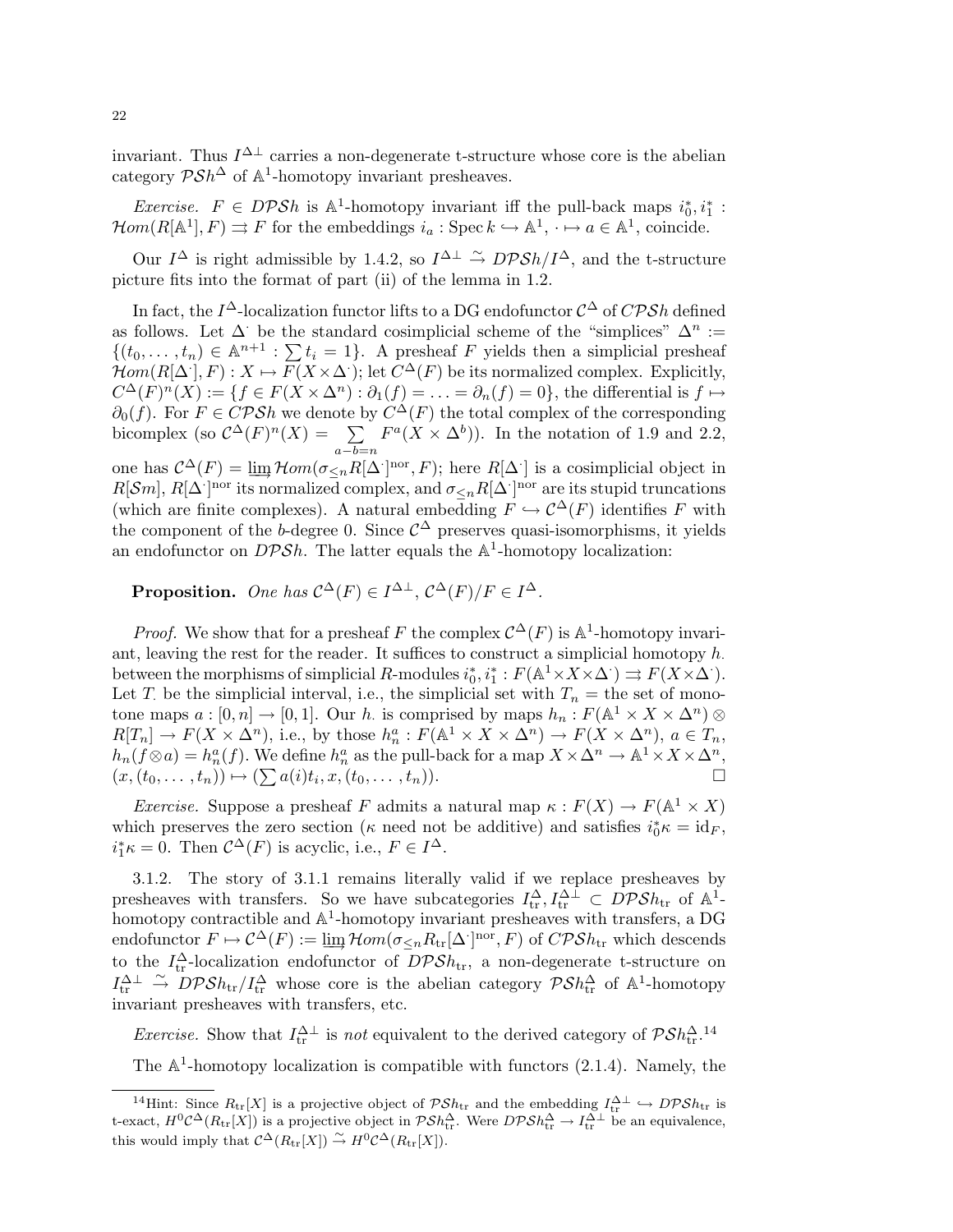invariant. Thus  $I^{\Delta \perp}$  carries a non-degenerate t-structure whose core is the abelian category  $\mathcal{P} Sh^{\Delta}$  of  $\mathbb{A}^{1}$ -homotopy invariant presheaves.

*Exercise.*  $F \in DPSh$  is  $\mathbb{A}^1$ -homotopy invariant iff the pull-back maps  $i_0^*, i_1^*$ :  $\mathcal{H}om(R[\mathbb{A}^1], F) \rightrightarrows F$  for the embeddings  $i_a : \mathrm{Spec} \, k \hookrightarrow \mathbb{A}^1, \dots \to a \in \mathbb{A}^1$ , coincide.

Our  $I^{\Delta}$  is right admissible by 1.4.2, so  $I^{\Delta \perp} \stackrel{\sim}{\rightarrow} DPSh/I^{\Delta}$ , and the t-structure picture fits into the format of part (ii) of the lemma in 1.2.

In fact, the  $I^{\Delta}$ -localization functor lifts to a DG endofunctor  $\mathcal{C}^{\Delta}$  of  $\mathbb{CPSh}$  defined as follows. Let  $\Delta$  be the standard cosimplicial scheme of the "simplices"  $\Delta^n :=$  $\{(t_0, \ldots, t_n) \in \mathbb{A}^{n+1} : \sum t_i = 1\}.$  A presheaf F yields then a simplicial presheaf  $\mathcal{H}om(R[\Delta'], F) : X \mapsto F(X \times \Delta');$  let  $C^{\Delta}(F)$  be its normalized complex. Explicitly,  $C^{\Delta}(F)^n(X) := \{f \in F(X \times \Delta^n) : \partial_1(f) = \ldots = \partial_n(f) = 0\}$ , the differential is  $f \mapsto$  $\partial_0(f)$ . For  $F \in \mathbb{CPSh}$  we denote by  $C^{\Delta}(F)$  the total complex of the corresponding bicomplex (so  $\mathcal{C}^{\Delta}(F)^n(X) = \sum$  $a-b=n$  $F^a(X \times \Delta^b)$ . In the notation of 1.9 and 2.2, one has  $\mathcal{C}^{\Delta}(F) = \lim_{m \to \infty} \mathcal{H}om(\sigma_{\leq n} R[\Delta])^{\text{nor}}, F$ ; here  $R[\Delta]$  is a cosimplicial object in  $R[\mathcal{S}m], R[\Delta]$ <sup>nor</sup> its normalized complex, and  $\sigma_{\leq n}R[\Delta]$ <sup>nor</sup> are its stupid truncations (which are finite complexes). A natural embedding  $F \hookrightarrow \mathcal{C}^{\Delta}(F)$  identifies F with the component of the b-degree 0. Since  $\mathcal{C}^{\Delta}$  preserves quasi-isomorphisms, it yields an endofunctor on  $DPSh$ . The latter equals the  $\mathbb{A}^1$ -homotopy localization:

**Proposition.** One has  $C^{\Delta}(F) \in I^{\Delta \perp}$ ,  $C^{\Delta}(F)/F \in I^{\Delta}$ .

*Proof.* We show that for a presheaf F the complex  $C^{\Delta}(F)$  is  $\mathbb{A}^1$ -homotopy invariant, leaving the rest for the reader. It suffices to construct a simplicial homotopy  $h$ . between the morphisms of simplicial R-modules  $i_0^*, i_1^*: F(\mathbb{A}^1 \times X \times \Delta^{\cdot}) \rightrightarrows F(X \times \Delta^{\cdot}).$ Let T. be the simplicial interval, i.e., the simplicial set with  $T_n =$  the set of monotone maps  $a: [0, n] \to [0, 1]$ . Our h is comprised by maps  $h_n: F(\mathbb{A}^1 \times X \times \mathbb{A}^n) \otimes$  $R[T_n] \to F(X \times \Delta^n)$ , i.e., by those  $h_n^a : F(\mathbb{A}^1 \times X \times \Delta^n) \to F(X \times \Delta^n)$ ,  $a \in T_n$ ,  $h_n(f \otimes a) = h_n^a(f)$ . We define  $h_n^a$  as the pull-back for a map  $X \times \Delta^n \to \mathbb{A}^1 \times X \times \Delta^n$ ,  $(x,(t_0,\ldots,t_n)) \mapsto (\sum a(i)t_i,x,(t_0,\ldots,t_n)).$ 

*Exercise.* Suppose a presheaf F admits a natural map  $\kappa : F(X) \to F(\mathbb{A}^1 \times X)$ which preserves the zero section ( $\kappa$  need not be additive) and satisfies  $i_0^* \kappa = id_F$ ,  $i_1^*\kappa = 0$ . Then  $C^{\Delta}(F)$  is acyclic, i.e.,  $F \in I^{\Delta}$ .

3.1.2. The story of 3.1.1 remains literally valid if we replace presheaves by presheaves with transfers. So we have subcategories  $I_{tr}^{\Delta}, I_{tr}^{\Delta \perp} \subset \overline{D} \mathcal{P} \mathcal{S} h_{tr}$  of  $\mathbb{A}^{\perp}$ homotopy contractible and  $\mathbb{A}^1$ -homotopy invariant presheaves with transfers, a DG endofunctor  $F \mapsto C^{\Delta}(F) := \lim_{\Delta \to \infty} \mathcal{H}om(\sigma_{\leq n} R_{tr}[\Delta^{\Delta}]^{nor}, F)$  of  $\mathcal{CPSh}_{tr}$  which descends to the  $I_{\text{tr}}^{\Delta}$ -localization endofunctor of  $DPSh_{\text{tr}}$ , a non-degenerate t-structure on  $I_{tr}^{\Delta \perp} \stackrel{\sim}{\rightarrow} DPSh_{tr}/I_{tr}^{\Delta}$  whose core is the abelian category  $PSh_{tr}^{\Delta}$  of  $\mathbb{A}^1$ -homotopy invariant presheaves with transfers, etc.

Exercise. Show that  $I_{tr}^{\Delta \perp}$  is not equivalent to the derived category of  $\mathcal{P} Sh_{tr}^{\Delta}$ .<sup>14</sup> The  $\mathbb{A}^1$ -homotopy localization is compatible with functors (2.1.4). Namely, the

<sup>&</sup>lt;sup>14</sup>Hint: Since  $R_{tr}[X]$  is a projective object of  $\mathcal{P}Sh_{tr}$  and the embedding  $I_{tr}^{\Delta \perp} \hookrightarrow D\mathcal{P}Sh_{tr}$  is t-exact,  $H^0\mathcal{C}^{\Delta}(R_{\text{tr}}[X])$  is a projective object in  $\mathcal{P}Sh_{\text{tr}}^{\Delta}$ . Were  $D\mathcal{P}Sh_{\text{tr}}^{\Delta}\to I_{\text{tr}}^{\Delta\perp}$  be an equivalence, this would imply that  $\mathcal{C}^{\Delta}(R_{\text{tr}}[X]) \overset{\sim}{\to} H^0 \mathcal{C}^{\Delta}(R_{\text{tr}}[X]).$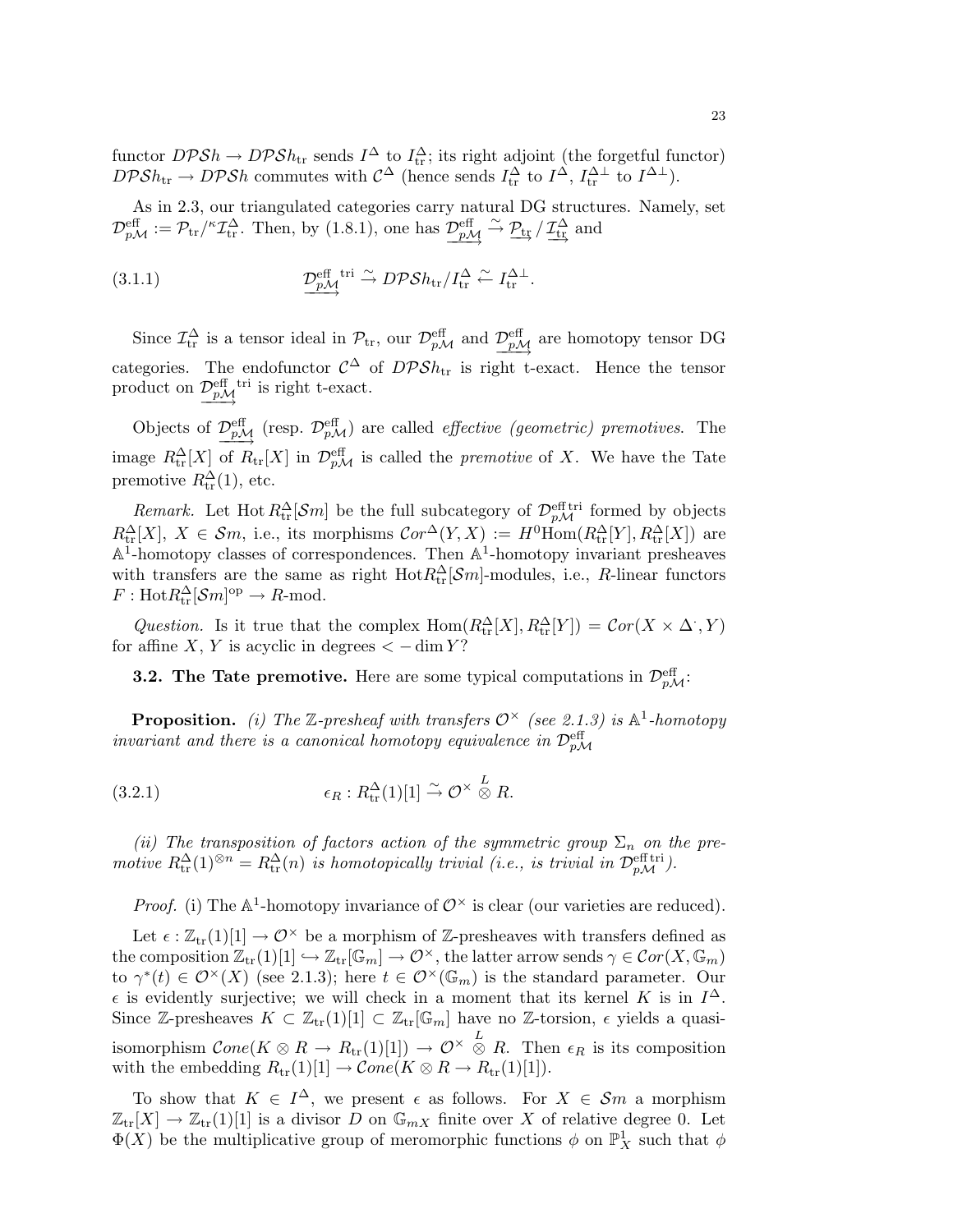functor  $DPSh \to DPSh_{tr}$  sends  $I^{\Delta}$  to  $I_{tr}^{\Delta}$ ; its right adjoint (the forgetful functor)  $DPSh_{\text{tr}} \to DPSh$  commutes with  $C^{\Delta}$  (hence sends  $I_{\text{tr}}^{\Delta}$  to  $I^{\Delta}$ ,  $I_{\text{tr}}^{\Delta \perp}$  to  $I^{\Delta \perp}$ ).

As in 2.3, our triangulated categories carry natural DG structures. Namely, set  $\mathcal{D}_{p\mathcal{M}}^{\text{eff}} := \mathcal{P}_{tr}/\kappa \mathcal{I}_{tr}^{\Delta}$ . Then, by (1.8.1), one has  $\underbrace{\mathcal{D}_{p\mathcal{M}}^{\text{eff}} \xrightarrow{\sim} \mathcal{P}_{tr}} / \mathcal{I}_{tr}^{\Delta}$  and

(3.1.1) 
$$
\underbrace{\mathcal{D}_{p\mathcal{M}}^{\text{eff}}}_{\longrightarrow} {}^{\text{tri}} \xrightarrow{\sim} D\mathcal{P} \mathcal{S} h_{\text{tr}} / I_{\text{tr}}^{\Delta} \xleftarrow{\sim} I_{\text{tr}}^{\Delta \perp}.
$$

Since  $\mathcal{I}^{\Delta}_{tr}$  is a tensor ideal in  $\mathcal{P}_{tr}$ , our  $\mathcal{D}_{p\mathcal{M}}^{\text{eff}}$  and  $\underline{\mathcal{D}}_{p\mathcal{M}}^{\text{eff}}$  are homotopy tensor DG categories. The endofunctor  $\mathcal{C}^{\Delta}$  of  $D\mathcal{P}Sh_{tr}$  is right t-exact. Hence the tensor product on  $\mathcal{D}_{p\mathcal{M}}^{\text{eff}}$  tri is right t-exact.

Objects of  $\mathcal{D}_{p\mathcal{M}}^{\text{eff}}$  (resp.  $\mathcal{D}_{p\mathcal{M}}^{\text{eff}}$ ) are called *effective (geometric) premotives*. The image  $R_{tr}^{\Delta}[X]$  of  $R_{tr}[X]$  in  $\mathcal{D}_{p\mathcal{M}}^{\text{eff}}$  is called the *premotive* of X. We have the Tate premotive  $R_{\text{tr}}^{\Delta}(1)$ , etc.

*Remark.* Let Hot  $R_{tr}^{\Delta}[\mathcal{S}m]$  be the full subcategory of  $\mathcal{D}_{p\mathcal{M}}^{\text{eff}}$  formed by objects  $R_{\text{tr}}^{\Delta}[X], X \in \mathcal{S}m$ , i.e., its morphisms  $\mathcal{C}or^{\Delta}(Y,X) := H^0 \text{Hom}(R_{\text{tr}}^{\Delta}[Y], R_{\text{tr}}^{\Delta}[X])$  are  $A^1$ -homotopy classes of correspondences. Then  $A^1$ -homotopy invariant presheaves with transfers are the same as right  $Hot R_{tr}^{\Delta}[\mathcal{S}m]$ -modules, i.e., R-linear functors  $F: \text{Hot} R^{\Delta}_{\text{tr}}[\mathcal{S}m]^{\text{op}} \to R\text{-mod}.$ 

Question. Is it true that the complex  $\text{Hom}(R_{\text{tr}}^{\Delta}[X], R_{\text{tr}}^{\Delta}[Y]) = \text{Cor}(X \times \Delta, Y)$ for affine X, Y is acyclic in degrees  $\lt$  -dim Y?

**3.2. The Tate premotive.** Here are some typical computations in  $\mathcal{D}_{p\mathcal{M}}^{\text{eff}}$ .

**Proposition.** (i) The Z-presheaf with transfers  $\mathcal{O}^{\times}$  (see 2.1.3) is  $\mathbb{A}^1$ -homotopy invariant and there is a canonical homotopy equivalence in  $\mathcal{D}_{p\mathcal{M}}^{\text{eff}}$ 

(3.2.1) 
$$
\epsilon_R: R_{\text{tr}}^{\Delta}(1)[1] \stackrel{\sim}{\to} \mathcal{O}^{\times} \stackrel{L}{\otimes} R.
$$

(ii) The transposition of factors action of the symmetric group  $\Sigma_n$  on the premotive  $R_{\text{tr}}^{\Delta}(1)^{\otimes n} = R_{\text{tr}}^{\Delta}(n)$  is homotopically trivial (i.e., is trivial in  $\mathcal{D}_{pM}^{\text{eff tri}}$ ).

*Proof.* (i) The  $\mathbb{A}^1$ -homotopy invariance of  $\mathcal{O}^\times$  is clear (our varieties are reduced).

Let  $\epsilon : \mathbb{Z}_{tr}(1)[1] \to \mathcal{O}^\times$  be a morphism of  $\mathbb{Z}$ -presheaves with transfers defined as the composition  $\mathbb{Z}_{tr}(1)[1] \hookrightarrow \mathbb{Z}_{tr}[\mathbb{G}_m] \to \mathcal{O}^\times$ , the latter arrow sends  $\gamma \in \mathcal{C}or(X,\mathbb{G}_m)$ to  $\gamma^*(t) \in \mathcal{O}^\times(X)$  (see 2.1.3); here  $t \in \mathcal{O}^\times(\mathbb{G}_m)$  is the standard parameter. Our  $\epsilon$  is evidently surjective; we will check in a moment that its kernel K is in  $I^{\Delta}$ . Since Z-presheaves  $K \subset \mathbb{Z}_{tr}[1][1] \subset \mathbb{Z}_{tr}[\mathbb{G}_m]$  have no Z-torsion,  $\epsilon$  yields a quasiisomorphism  $Cone(K \otimes R \to R_{tr}(1)[1]) \to \mathcal{O}^{\times} \overset{L}{\otimes} R$ . Then  $\epsilon_R$  is its composition with the embedding  $R_{\text{tr}}(1)[1] \to \mathcal{C}one(K \otimes R \to R_{\text{tr}}(1)[1]).$ 

To show that  $K \in I^{\Delta}$ , we present  $\epsilon$  as follows. For  $X \in \mathcal{S}m$  a morphism  $\mathbb{Z}_{tr}[X] \to \mathbb{Z}_{tr}(1)[1]$  is a divisor D on  $\mathbb{G}_{mX}$  finite over X of relative degree 0. Let  $\Phi(X)$  be the multiplicative group of meromorphic functions  $\phi$  on  $\mathbb{P}^1_X$  such that  $\phi$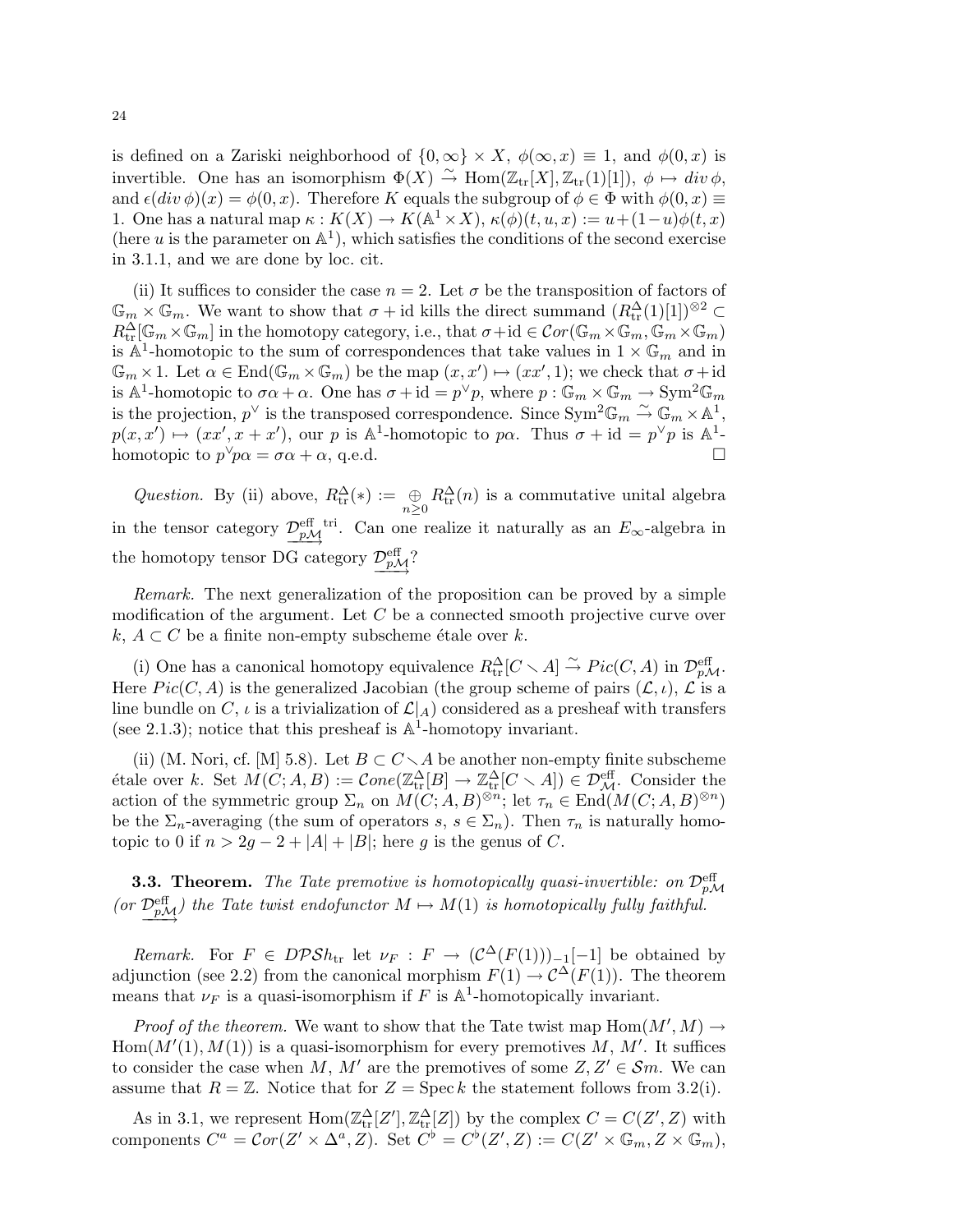is defined on a Zariski neighborhood of  $\{0,\infty\}\times X$ ,  $\phi(\infty,x)\equiv 1$ , and  $\phi(0,x)$  is invertible. One has an isomorphism  $\Phi(X) \stackrel{\sim}{\to} \text{Hom}(\mathbb{Z}_{tr}[X], \mathbb{Z}_{tr}(1)[1]), \phi \mapsto div \phi$ , and  $\epsilon(\text{div }\phi)(x) = \phi(0, x)$ . Therefore K equals the subgroup of  $\phi \in \Phi$  with  $\phi(0, x) \equiv$ 1. One has a natural map  $\kappa : K(X) \to K(\mathbb{A}^1 \times X), \kappa(\phi)(t, u, x) := u + (1-u)\phi(t, x)$ (here u is the parameter on  $\mathbb{A}^1$ ), which satisfies the conditions of the second exercise in 3.1.1, and we are done by loc. cit.

(ii) It suffices to consider the case  $n = 2$ . Let  $\sigma$  be the transposition of factors of  $\mathbb{G}_m \times \mathbb{G}_m$ . We want to show that  $\sigma + id$  kills the direct summand  $(R_t^{\Delta}(1)[1])^{\otimes 2} \subset$  $R_{\rm tr}^{\Delta}[\mathbb{G}_m\times\mathbb{G}_m]$  in the homotopy category, i.e., that  $\sigma+{\rm id}\in\mathcal{C}or(\mathbb{G}_m\times\mathbb{G}_m,\mathbb{G}_m\times\mathbb{G}_m)$ is  $\mathbb{A}^1$ -homotopic to the sum of correspondences that take values in  $1 \times \mathbb{G}_m$  and in  $\mathbb{G}_m \times 1$ . Let  $\alpha \in \text{End}(\mathbb{G}_m \times \mathbb{G}_m)$  be the map  $(x, x') \mapsto (xx', 1)$ ; we check that  $\sigma + id$ is  $\mathbb{A}^1$ -homotopic to  $\sigma \alpha + \alpha$ . One has  $\sigma + id = p^{\vee} p$ , where  $p : \mathbb{G}_m \times \mathbb{G}_m \to \text{Sym}^2 \mathbb{G}_m$ is the projection,  $p^{\vee}$  is the transposed correspondence. Since  $\text{Sym}^2 \mathbb{G}_m \overset{\sim}{\sim} \mathbb{G}_m \times \mathbb{A}^1$ ,  $p(x, x') \mapsto (xx', x + x')$ , our p is  $\mathbb{A}^1$ -homotopic to p $\alpha$ . Thus  $\sigma + id = p^{\vee}p$  is  $\mathbb{A}^1$ homotopic to  $p^{\vee}p\alpha = \sigma\alpha + \alpha$ , q.e.d.

Question. By (ii) above,  $R_{tr}^{\Delta}(*) := \bigoplus_{n \geq 0} R_{tr}^{\Delta}(n)$  is a commutative unital algebra in the tensor category  $\frac{\mathcal{D}_{pM}^{\text{eff}}}{\gamma}$  Can one realize it naturally as an  $E_{\infty}$ -algebra in the homotopy tensor DG category  $\mathcal{D}_{p\mathcal{M}}^{\text{eff}}$ ?

Remark. The next generalization of the proposition can be proved by a simple modification of the argument. Let C be a connected smooth projective curve over k,  $A \subset C$  be a finite non-empty subscheme étale over k.

(i) One has a canonical homotopy equivalence  $R_{\text{tr}}^{\Delta}[C \setminus A] \xrightarrow{\sim} Pic(C, A)$  in  $\mathcal{D}_{p\mathcal{M}}^{\text{eff}}$ . Here  $Pic(C, A)$  is the generalized Jacobian (the group scheme of pairs  $(L, \iota)$ ,  $\mathcal{L}$  is a line bundle on C,  $\iota$  is a trivialization of  $\mathcal{L}|_A$ ) considered as a presheaf with transfers (see 2.1.3); notice that this presheaf is  $\mathbb{A}^1$ -homotopy invariant.

(ii) (M. Nori, cf. [M] 5.8). Let  $B \subset C \setminus A$  be another non-empty finite subscheme étale over k. Set  $M(C; A, B) := \mathcal{C}one(\mathbb{Z}^{\Delta}_{tr}[B] \to \mathbb{Z}^{\Delta}_{tr}[C \setminus A]) \in \mathcal{D}^{\text{eff}}_{\mathcal{M}}.$  Consider the action of the symmetric group  $\Sigma_n$  on  $M(C; A, B)^{\otimes n}$ ; let  $\tau_n \in \text{End}(M(C; A, B)^{\otimes n})$ be the  $\Sigma_n$ -averaging (the sum of operators s,  $s \in \Sigma_n$ ). Then  $\tau_n$  is naturally homotopic to 0 if  $n > 2g - 2 + |A| + |B|$ ; here g is the genus of C.

**3.3. Theorem.** The Tate premotive is homotopically quasi-invertible: on  $\mathcal{D}_{p\mathcal{M}}^{\text{eff}}$ (or  $\frac{\mathcal{D}_{p\mathcal{M}}^{\text{eff}}}{\mathcal{D}_{p\mathcal{M}}}$ ) the Tate twist endofunctor  $M \mapsto M(1)$  is homotopically fully faithful.

Remark. For  $F \in DPSh_{tr}$  let  $\nu_F : F \to (C^{\Delta}(F(1)))_{-1}[-1]$  be obtained by adjunction (see 2.2) from the canonical morphism  $F(1) \to \mathcal{C}^{\Delta}(F(1))$ . The theorem means that  $\nu_F$  is a quasi-isomorphism if F is  $\mathbb{A}^1$ -homotopically invariant.

*Proof of the theorem.* We want to show that the Tate twist map  $Hom(M', M) \to$  $Hom(M'(1), M(1))$  is a quasi-isomorphism for every premotives M, M'. It suffices to consider the case when M, M' are the premotives of some  $Z, Z' \in \mathcal{S}m$ . We can assume that  $R = \mathbb{Z}$ . Notice that for  $Z = \text{Spec } k$  the statement follows from 3.2(i).

As in 3.1, we represent  $\text{Hom}(\mathbb{Z}_\text{tr}^{\Delta}[Z'], \mathbb{Z}_\text{tr}^{\Delta}[Z])$  by the complex  $C = C(Z', Z)$  with components  $C^a = \mathcal{C}or(Z' \times \Delta^a, Z)$ . Set  $C^b = C^b(Z', Z) := C(Z' \times \mathbb{G}_m, Z \times \mathbb{G}_m)$ ,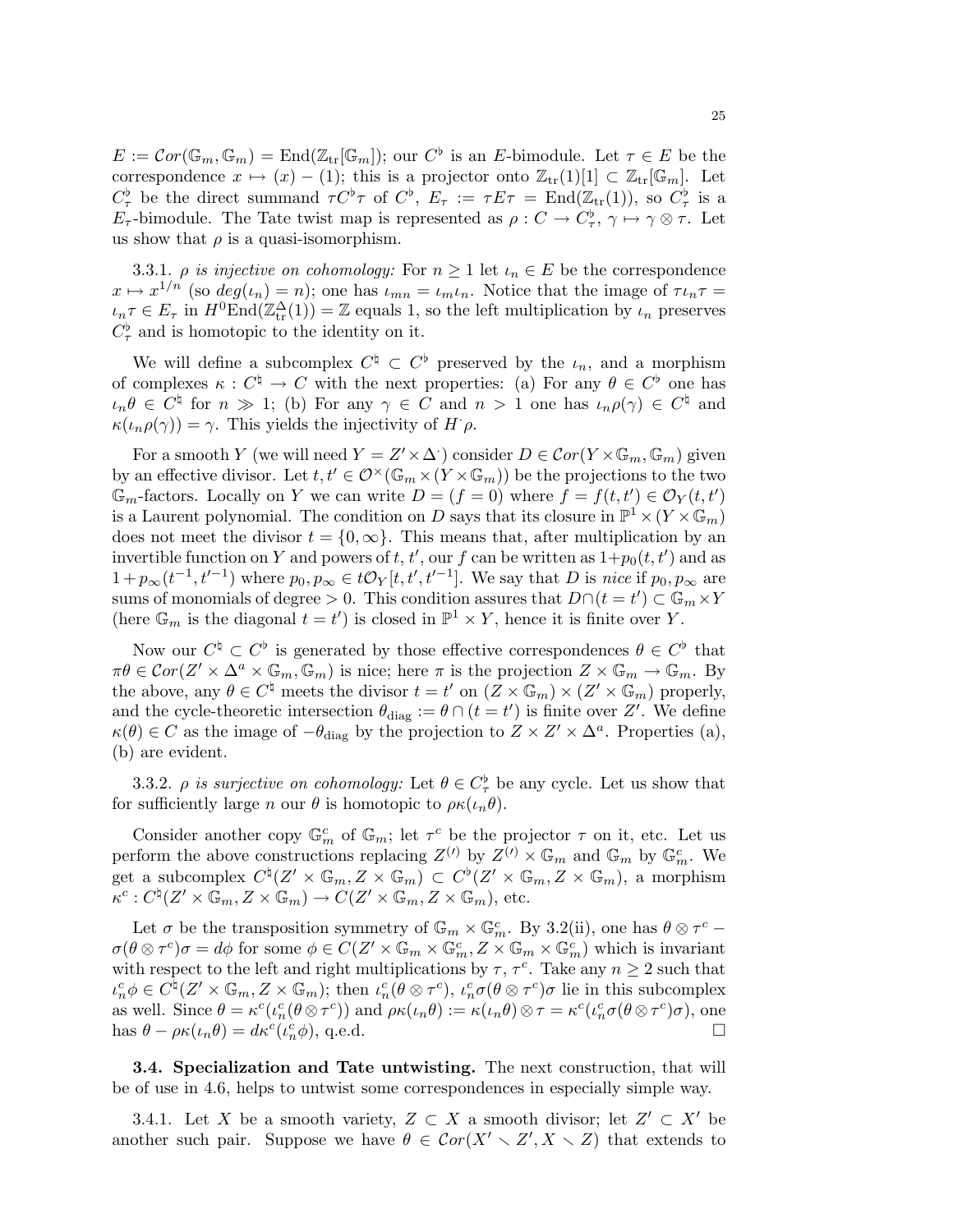$E := \mathcal{C}or(\mathbb{G}_m, \mathbb{G}_m) = \text{End}(\mathbb{Z}_{tr}[\mathbb{G}_m])$ ; our  $C^{\flat}$  is an E-bimodule. Let  $\tau \in E$  be the correspondence  $x \mapsto (x) - (1)$ ; this is a projector onto  $\mathbb{Z}_{tr}[1][1] \subset \mathbb{Z}_{tr}[\mathbb{G}_m]$ . Let  $C^{\flat}_{\tau}$  be the direct summand  $\tau C^{\flat}\tau$  of  $C^{\flat}$ ,  $E_{\tau} := \tau E \tau = \text{End}(\mathbb{Z}_{tr}(1)),$  so  $C^{\flat}_{\tau}$  is a  $E_{\tau}$ -bimodule. The Tate twist map is represented as  $\rho: C \to C_{\tau}^{\flat}, \gamma \mapsto \gamma \otimes \tau$ . Let us show that  $\rho$  is a quasi-isomorphism.

3.3.1.  $\rho$  is injective on cohomology: For  $n \geq 1$  let  $\iota_n \in E$  be the correspondence  $x \mapsto x^{1/n}$  (so  $deg(\iota_n) = n$ ); one has  $\iota_{mn} = \iota_m \iota_n$ . Notice that the image of  $\tau \iota_n \tau =$  $\iota_n \tau \in E_\tau$  in  $H^0\text{End}(\mathbb{Z}^{\Delta}_{tr}(1)) = \mathbb{Z}$  equals 1, so the left multiplication by  $\iota_n$  preserves  $C_{\tau}^{\flat}$  and is homotopic to the identity on it.

We will define a subcomplex  $C^{\natural} \subset C^{\flat}$  preserved by the  $\iota_n$ , and a morphism of complexes  $\kappa : C^{\natural} \to C$  with the next properties: (a) For any  $\theta \in C^{\flat}$  one has  $\iota_n \theta \in C^{\natural}$  for  $n \gg 1$ ; (b) For any  $\gamma \in C$  and  $n > 1$  one has  $\iota_n \rho(\gamma) \in C^{\natural}$  and  $\kappa(\iota_n \rho(\gamma)) = \gamma$ . This yields the injectivity of  $H \rho$ .

For a smooth Y (we will need  $Y = Z' \times \Delta$ ) consider  $D \in \mathcal{C}or(Y \times \mathbb{G}_m, \mathbb{G}_m)$  given by an effective divisor. Let  $t, t' \in \mathcal{O}^{\times}(\mathbb{G}_m \times (Y \times \mathbb{G}_m))$  be the projections to the two  $\mathbb{G}_m$ -factors. Locally on Y we can write  $D = (f = 0)$  where  $\overline{f} = f(t, t') \in \mathcal{O}_Y(t, t')$ is a Laurent polynomial. The condition on D says that its closure in  $\mathbb{P}^1 \times (Y \times \mathbb{G}_m)$ does not meet the divisor  $t = \{0, \infty\}$ . This means that, after multiplication by an invertible function on Y and powers of t, t', our f can be written as  $1+p_0(t,t')$  and as  $1+p_\infty(t^{-1},t^{-1})$  where  $p_0, p_\infty \in t\mathcal{O}_Y[t,t',t^{-1}]$ . We say that D is nice if  $p_0, p_\infty$  are sums of monomials of degree > 0. This condition assures that  $D \cap (t = t') \subset \mathbb{G}_m \times Y$ (here  $\mathbb{G}_m$  is the diagonal  $t = t'$ ) is closed in  $\mathbb{P}^1 \times Y$ , hence it is finite over Y.

Now our  $C^{\natural} \subset C^{\flat}$  is generated by those effective correspondences  $\theta \in C^{\flat}$  that  $\pi\theta \in \mathcal{C}or(Z' \times \Delta^a \times \mathbb{G}_m, \mathbb{G}_m)$  is nice; here  $\pi$  is the projection  $Z \times \mathbb{G}_m \to \mathbb{G}_m$ . By the above, any  $\theta \in C^{\natural}$  meets the divisor  $t = t'$  on  $(\overline{Z} \times \mathbb{G}_m) \times (\overline{Z'} \times \mathbb{G}_m)$  properly, and the cycle-theoretic intersection  $\theta_{\text{diag}} := \theta \cap (t = t')$  is finite over Z'. We define  $\kappa(\theta) \in C$  as the image of  $-\theta_{\text{diag}}$  by the projection to  $Z \times Z' \times \Delta^a$ . Properties (a), (b) are evident.

3.3.2.  $\rho$  is surjective on cohomology: Let  $\theta \in C^{\flat}_{\tau}$  be any cycle. Let us show that for sufficiently large n our  $\theta$  is homotopic to  $\rho \kappa(\iota_n \theta)$ .

Consider another copy  $\mathbb{G}_m^c$  of  $\mathbb{G}_m$ ; let  $\tau^c$  be the projector  $\tau$  on it, etc. Let us perform the above constructions replacing  $Z^{(l)}$  by  $Z^{(l)} \times \mathbb{G}_m$  and  $\mathbb{G}_m$  by  $\mathbb{G}_m^c$ . We get a subcomplex  $C^{\natural}(Z' \times \mathbb{G}_m, Z \times \mathbb{G}_m) \subset C^{\flat}(Z' \times \mathbb{G}_m, Z \times \mathbb{G}_m)$ , a morphism  $\kappa^c : C^{\natural}(Z' \times \mathbb{G}_m, Z \times \mathbb{G}_m) \to C(Z' \times \mathbb{G}_m, Z \times \mathbb{G}_m)$ , etc.

Let  $\sigma$  be the transposition symmetry of  $\mathbb{G}_m \times \mathbb{G}_m^c$ . By 3.2(ii), one has  $\theta \otimes \tau^c$  –  $\sigma(\theta \otimes \tau^c)\sigma = d\phi$  for some  $\phi \in C(Z' \times \mathbb{G}_m \times \mathbb{G}_m^c, Z \times \mathbb{G}_m \times \mathbb{G}_m^c)$  which is invariant with respect to the left and right multiplications by  $\tau$ ,  $\tau^c$ . Take any  $n \geq 2$  such that  $\iota_n^c \phi \in C^{\natural}(\mathcal{Z}' \times \mathbb{G}_m, \mathcal{Z} \times \mathbb{G}_m)$ ; then  $\iota_n^c (\theta \otimes \tau^c), \iota_n^c \sigma (\theta \otimes \tau^c) \sigma$  lie in this subcomplex as well. Since  $\theta = \kappa^c(\iota_n^c(\theta \otimes \tau^c))$  and  $\rho \kappa(\iota_n \theta) := \kappa(\iota_n \theta) \otimes \tau = \kappa^c(\iota_n^c \sigma(\theta \otimes \tau^c) \sigma)$ , one has  $\theta - \rho \kappa(\iota_n \theta) = d\kappa^c(\iota_n^c \phi)$ , q.e.d.

3.4. Specialization and Tate untwisting. The next construction, that will be of use in 4.6, helps to untwist some correspondences in especially simple way.

3.4.1. Let X be a smooth variety,  $Z \subset X$  a smooth divisor; let  $Z' \subset X'$  be another such pair. Suppose we have  $\theta \in \mathcal{C}or(X' \setminus Z', X \setminus Z)$  that extends to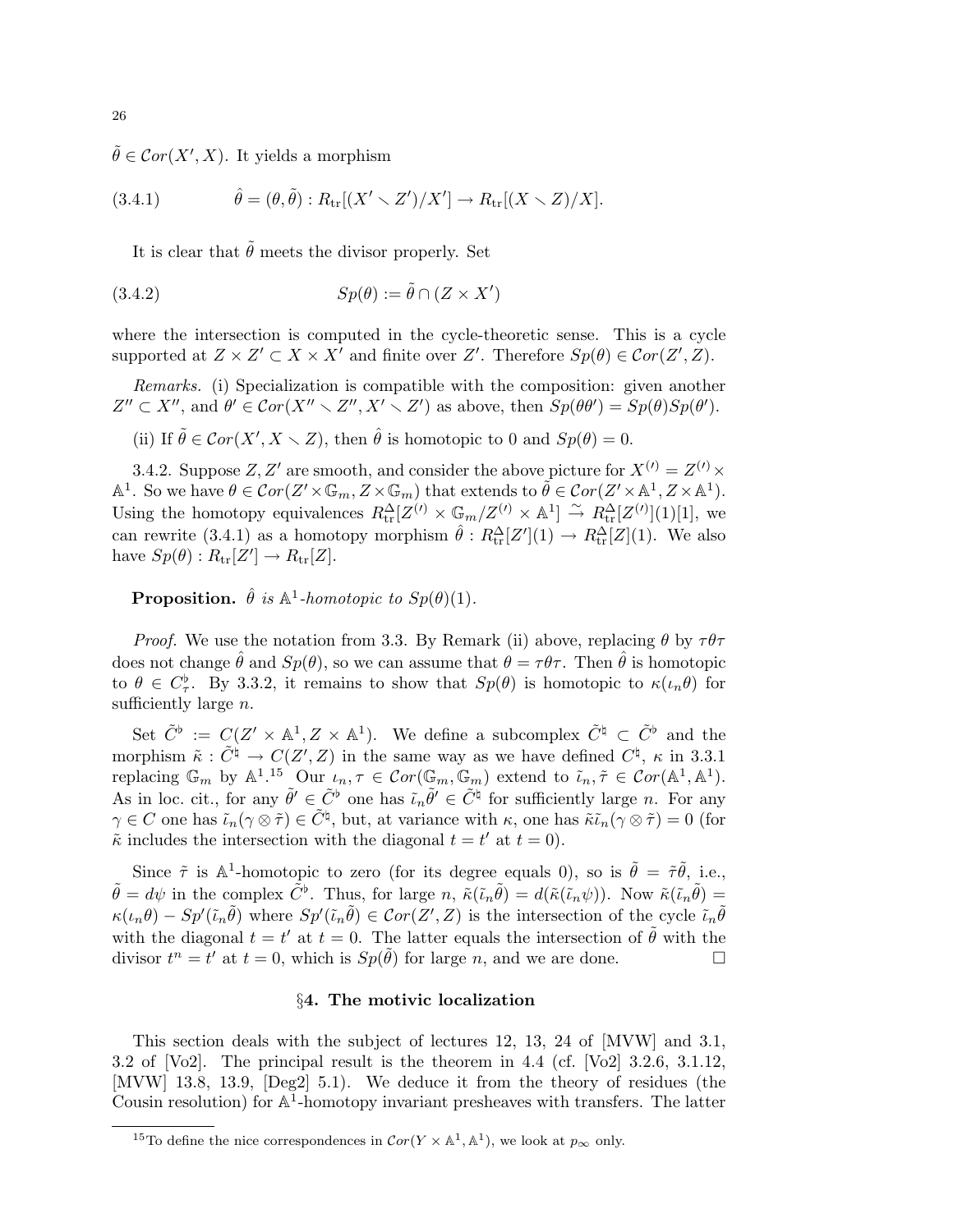$\tilde{\theta} \in \mathcal{C}or(X', X)$ . It yields a morphism

(3.4.1) 
$$
\hat{\theta} = (\theta, \tilde{\theta}) : R_{\text{tr}}[(X' \setminus Z')/X'] \to R_{\text{tr}}[(X \setminus Z)/X].
$$

It is clear that  $\tilde{\theta}$  meets the divisor properly. Set

$$
(3.4.2) \t\t Sp(\theta) := \tilde{\theta} \cap (Z \times X')
$$

where the intersection is computed in the cycle-theoretic sense. This is a cycle supported at  $Z \times Z' \subset X \times X'$  and finite over Z'. Therefore  $Sp(\theta) \in Cor(Z', Z)$ .

Remarks. (i) Specialization is compatible with the composition: given another  $Z'' \subset X''$ , and  $\theta' \in Cor(X'' \setminus Z'', X' \setminus Z')$  as above, then  $Sp(\theta \theta') = Sp(\theta)Sp(\theta')$ .

(ii) If  $\tilde{\theta} \in \mathcal{C}or(X', X \setminus Z)$ , then  $\hat{\theta}$  is homotopic to 0 and  $Sp(\theta) = 0$ .

3.4.2. Suppose  $Z, Z'$  are smooth, and consider the above picture for  $X^{(l)} = Z^{(l)} \times$  $\mathbb{A}^1$ . So we have  $\theta \in \mathcal{C}or(Z' \times \mathbb{G}_m, Z \times \mathbb{G}_m)$  that extends to  $\widetilde{\theta} \in \mathcal{C}or(Z' \times \mathbb{A}^1, Z \times \mathbb{A}^1)$ . Using the homotopy equivalences  $R_{tr}^{\Delta}[Z^{(\prime)} \times \mathbb{G}_m/Z^{(\prime)} \times \mathbb{A}^1] \stackrel{\sim}{\to} R_{tr}^{\Delta}[Z^{(\prime)}](1)[1],$  we can rewrite (3.4.1) as a homotopy morphism  $\hat{\theta}: R_{tr}^{\Delta}[Z](1) \to R_{tr}^{\Delta}[Z](1)$ . We also have  $Sp(\theta): R_{\text{tr}}[Z'] \to R_{\text{tr}}[Z]$ .

**Proposition.**  $\hat{\theta}$  is  $\mathbb{A}^1$ -homotopic to  $Sp(\theta)(1)$ .

*Proof.* We use the notation from 3.3. By Remark (ii) above, replacing  $\theta$  by  $\tau\theta\tau$ does not change  $\hat{\theta}$  and  $Sp(\theta)$ , so we can assume that  $\theta = \tau \theta \tau$ . Then  $\hat{\theta}$  is homotopic to  $\theta \in C^{\flat}_{\tau}$ . By 3.3.2, it remains to show that  $Sp(\theta)$  is homotopic to  $\kappa(\iota_n\theta)$  for sufficiently large  $n$ .

Set  $\tilde{C}^{\flat} := C(Z' \times \mathbb{A}^1, Z \times \mathbb{A}^1)$ . We define a subcomplex  $\tilde{C}^{\natural} \subset \tilde{C}^{\flat}$  and the morphism  $\tilde{\kappa}: \tilde{C}^{\natural} \to C(Z', Z)$  in the same way as we have defined  $C^{\natural}, \kappa$  in 3.3.1 replacing  $\mathbb{G}_m$  by  $\mathbb{A}^{1,15}$  Our  $\iota_n, \tau \in \mathcal{C}or(\mathbb{G}_m, \mathbb{G}_m)$  extend to  $\tilde{\iota}_n, \tilde{\tau} \in \mathcal{C}or(\mathbb{A}^1, \mathbb{A}^1)$ . As in loc. cit., for any  $\tilde{\theta}' \in \tilde{C}^{\flat}$  one has  $\tilde{\iota}_n \tilde{\theta}' \in \tilde{C}^{\natural}$  for sufficiently large *n*. For any  $\gamma \in C$  one has  $\tilde{t}_n(\gamma \otimes \tilde{\tau}) \in \tilde{C}^{\natural}$ , but, at variance with  $\kappa$ , one has  $\tilde{\kappa}\tilde{t}_n(\gamma \otimes \tilde{\tau}) = 0$  (for  $\tilde{\kappa}$  includes the intersection with the diagonal  $t = t'$  at  $t = 0$ ).

Since  $\tilde{\tau}$  is  $\mathbb{A}^1$ -homotopic to zero (for its degree equals 0), so is  $\tilde{\theta} = \tilde{\tau}\tilde{\theta}$ , i.e.,  $\tilde{\theta} = d\psi$  in the complex  $\tilde{C}^{\flat}$ . Thus, for large n,  $\tilde{\kappa}(\tilde{\iota}_n\tilde{\theta}) = d(\tilde{\kappa}(\tilde{\iota}_n\psi))$ . Now  $\tilde{\kappa}(\tilde{\iota}_n\tilde{\theta}) =$  $\kappa(\iota_n\theta) - Sp'(\tilde{\iota}_n\tilde{\theta})$  where  $Sp'(\tilde{\iota}_n\tilde{\theta}) \in Cor(Z', Z)$  is the intersection of the cycle  $\tilde{\iota}_n\tilde{\theta}$ with the diagonal  $t = t'$  at  $t = 0$ . The latter equals the intersection of  $\tilde{\theta}$  with the divisor  $t^n = t'$  at  $t = 0$ , which is  $Sp(\tilde{\theta})$  for large n, and we are done.

## §4. The motivic localization

This section deals with the subject of lectures 12, 13, 24 of [MVW] and 3.1, 3.2 of [Vo2]. The principal result is the theorem in 4.4 (cf. [Vo2] 3.2.6, 3.1.12, [MVW] 13.8, 13.9, [Deg2] 5.1). We deduce it from the theory of residues (the Cousin resolution) for  $\mathbb{A}^1$ -homotopy invariant presheaves with transfers. The latter

<sup>&</sup>lt;sup>15</sup>To define the nice correspondences in  $Cor(Y \times \mathbb{A}^1, \mathbb{A}^1)$ , we look at  $p_{\infty}$  only.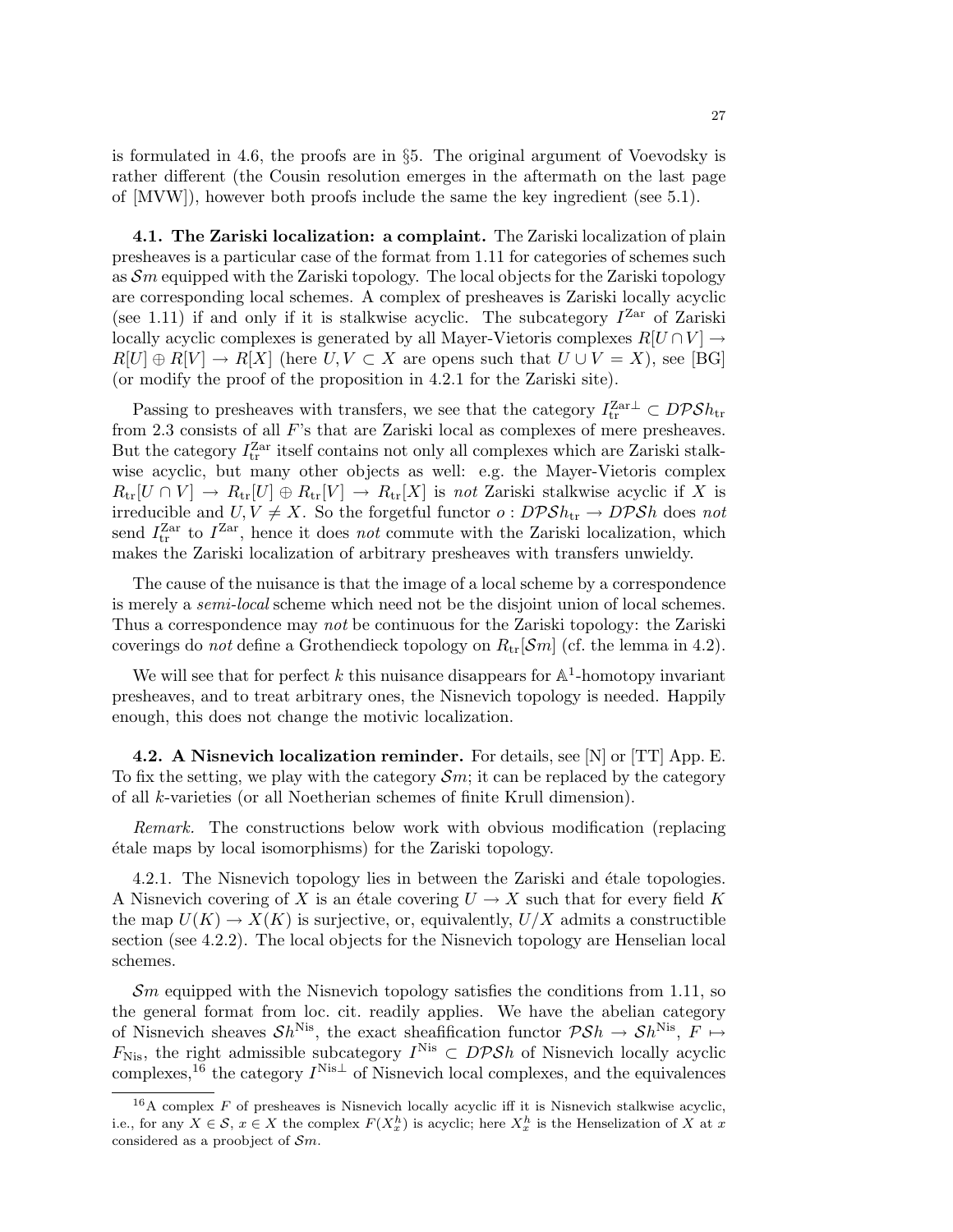is formulated in 4.6, the proofs are in  $\S5$ . The original argument of Voevodsky is rather different (the Cousin resolution emerges in the aftermath on the last page of [MVW]), however both proofs include the same the key ingredient (see 5.1).

4.1. The Zariski localization: a complaint. The Zariski localization of plain presheaves is a particular case of the format from 1.11 for categories of schemes such as  $\mathcal{S}_m$  equipped with the Zariski topology. The local objects for the Zariski topology are corresponding local schemes. A complex of presheaves is Zariski locally acyclic (see 1.11) if and only if it is stalkwise acyclic. The subcategory  $I^{Zar}$  of Zariski locally acyclic complexes is generated by all Mayer-Vietoris complexes  $R[U \cap V] \rightarrow$  $R[U] \oplus R[V] \rightarrow R[X]$  (here  $U, V \subset X$  are opens such that  $U \cup V = X$ ), see [BG] (or modify the proof of the proposition in 4.2.1 for the Zariski site).

Passing to presheaves with transfers, we see that the category  $I_{tr}^{Zar \perp} \subset D\mathcal{PS}h_{tr}$ from 2.3 consists of all F's that are Zariski local as complexes of mere presheaves. But the category  $I_{\text{tr}}^{\text{Zar}}$  itself contains not only all complexes which are Zariski stalkwise acyclic, but many other objects as well: e.g. the Mayer-Vietoris complex  $R_{\text{tr}}[U \cap V] \to R_{\text{tr}}[U] \oplus R_{\text{tr}}[V] \to R_{\text{tr}}[X]$  is not Zariski stalkwise acyclic if X is irreducible and  $U, V \neq X$ . So the forgetful functor  $o: D\mathcal{P}Sh_{tr} \to D\mathcal{P}Sh$  does not send  $I_{\text{tr}}^{\text{Zar}}$  to  $I^{\text{Zar}}$ , hence it does *not* commute with the Zariski localization, which makes the Zariski localization of arbitrary presheaves with transfers unwieldy.

The cause of the nuisance is that the image of a local scheme by a correspondence is merely a semi-local scheme which need not be the disjoint union of local schemes. Thus a correspondence may not be continuous for the Zariski topology: the Zariski coverings do not define a Grothendieck topology on  $R_{tr}[\mathcal{S}m]$  (cf. the lemma in 4.2).

We will see that for perfect  $k$  this nuisance disappears for  $\mathbb{A}^1$ -homotopy invariant presheaves, and to treat arbitrary ones, the Nisnevich topology is needed. Happily enough, this does not change the motivic localization.

**4.2.** A Nisnevich localization reminder. For details, see  $[N]$  or  $[TT]$  App. E. To fix the setting, we play with the category  $\mathcal{S}_m$ ; it can be replaced by the category of all k-varieties (or all Noetherian schemes of finite Krull dimension).

Remark. The constructions below work with obvious modification (replacing ´etale maps by local isomorphisms) for the Zariski topology.

4.2.1. The Nisnevich topology lies in between the Zariski and étale topologies. A Nisnevich covering of X is an étale covering  $U \to X$  such that for every field K the map  $U(K) \to X(K)$  is surjective, or, equivalently,  $U/X$  admits a constructible section (see 4.2.2). The local objects for the Nisnevich topology are Henselian local schemes.

 $\mathcal{S}_m$  equipped with the Nisnevich topology satisfies the conditions from 1.11, so the general format from loc. cit. readily applies. We have the abelian category of Nisnevich sheaves  $\mathcal{S}h^{\text{Nis}}$ , the exact sheafification functor  $\mathcal{P}\mathcal{S}h \to \mathcal{S}h^{\text{Nis}}$ ,  $F \mapsto$  $F_{\text{Nis}}$ , the right admissible subcategory  $I^{\text{Nis}} \subset D\mathcal{P} \mathcal{S}h$  of Nisnevich locally acyclic complexes,<sup>16</sup> the category  $I^{\text{Nis}\perp}$  of Nisnevich local complexes, and the equivalences

 $16A$  complex F of presheaves is Nisnevich locally acyclic iff it is Nisnevich stalkwise acyclic, i.e., for any  $X \in \mathcal{S}$ ,  $x \in X$  the complex  $F(X_x^h)$  is acyclic; here  $X_x^h$  is the Henselization of X at x considered as a proobject of  $\mathcal{S}m$ .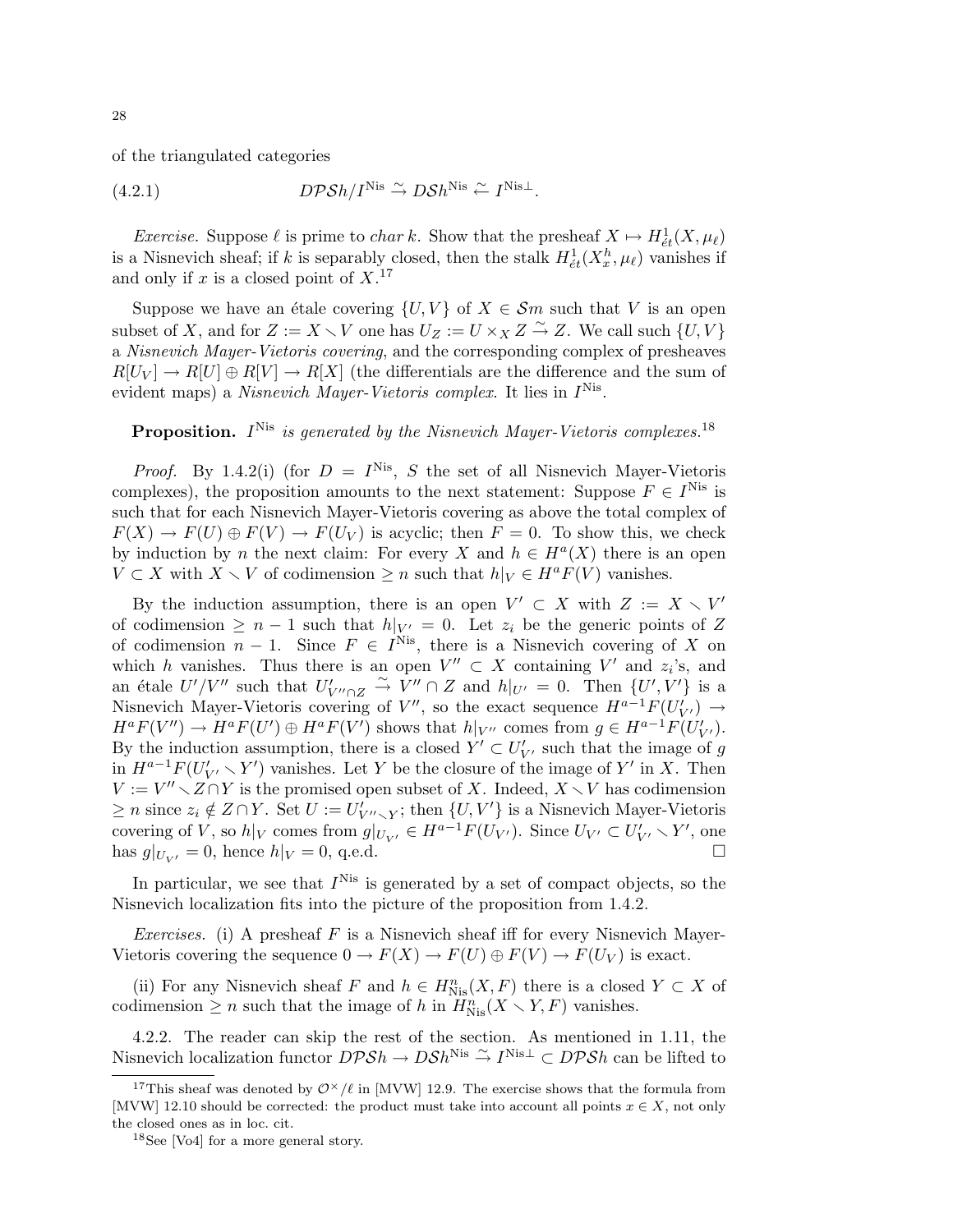of the triangulated categories

(4.2.1) 
$$
D\mathcal{P}Sh/I^{\text{Nis}} \stackrel{\sim}{\rightarrow} D\mathcal{S}h^{\text{Nis}} \stackrel{\sim}{\leftarrow} I^{\text{Nis}\perp}.
$$

*Exercise.* Suppose  $\ell$  is prime to *char k*. Show that the presheaf  $X \mapsto H^1_{\acute{e}t}(X, \mu_{\ell})$ is a Nisnevich sheaf; if k is separably closed, then the stalk  $H^1_{\acute{e}t}(X_x^h, \mu_\ell)$  vanishes if and only if  $x$  is a closed point of  $X$ .<sup>17</sup>

Suppose we have an étale covering  $\{U, V\}$  of  $X \in \mathcal{S}m$  such that V is an open subset of X, and for  $Z := X \setminus V$  one has  $U_Z := U \times_X Z \overset{\sim}{\to} Z$ . We call such  $\{U, V\}$ a Nisnevich Mayer-Vietoris covering, and the corresponding complex of presheaves  $R[U_V] \to R[U] \oplus R[V] \to R[X]$  (the differentials are the difference and the sum of evident maps) a *Nisnevich Mayer-Vietoris complex*. It lies in  $I<sup>Nis</sup>$ .

## **Proposition.**  $I^{\text{Nis}}$  is generated by the Nisnevich Mayer-Vietoris complexes.<sup>18</sup>

*Proof.* By 1.4.2(i) (for  $D = I^{Nis}$ , S the set of all Nisnevich Mayer-Vietoris complexes), the proposition amounts to the next statement: Suppose  $F \in I^{\text{Nis}}$  is such that for each Nisnevich Mayer-Vietoris covering as above the total complex of  $F(X) \to F(U) \oplus F(V) \to F(U_V)$  is acyclic; then  $F = 0$ . To show this, we check by induction by *n* the next claim: For every X and  $h \in H^a(X)$  there is an open  $V \subset X$  with  $X \setminus V$  of codimension  $\geq n$  such that  $h|_V \in H^a F(V)$  vanishes.

By the induction assumption, there is an open  $V' \subset X$  with  $Z := X \setminus V'$ of codimension  $\geq n-1$  such that  $h|_{V'} = 0$ . Let  $z_i$  be the generic points of Z of codimension  $n-1$ . Since  $F \in I^{Nis}$ , there is a Nisnevich covering of X on which h vanishes. Thus there is an open  $V'' \subset X$  containing V' and  $z_i$ 's, and an étale  $U'/V''$  such that  $U'_{V'' \cap Z} \stackrel{\sim}{\rightarrow} V'' \cap Z$  and  $h|_{U'} = 0$ . Then  $\{U', V'\}$  is a Nisnevich Mayer-Vietoris covering of  $V''$ , so the exact sequence  $H^{a-1}F(U'_{V'}) \rightarrow$  $H^a F(V'') \to H^a F(U') \oplus H^a F(V')$  shows that  $h|_{V''}$  comes from  $g \in H^{a-1} F(U'_{V'})$ . By the induction assumption, there is a closed  $Y' \subset U'_{V'}$  such that the image of g in  $H^{a-1}F(U'_{V'} \setminus Y')$  vanishes. Let Y be the closure of the image of Y' in X. Then  $V := V'' \setminus Z \cap Y$  is the promised open subset of X. Indeed,  $X \setminus V$  has codimension  $\geq n$  since  $z_i \notin Z \cap Y$ . Set  $U := U'_{V'' \setminus Y}$ ; then  $\{U, V'\}$  is a Nisnevich Mayer-Vietoris covering of V, so  $h|_V$  comes from  $g|_{U_{V'}} \in H^{a-1}F(U_{V'})$ . Since  $U_{V'} \subset U'_{V'} \setminus Y'$ , one has  $g|_{U_V} = 0$ , hence  $h|_V = 0$ , q.e.d.

In particular, we see that  $I<sup>Nis</sup>$  is generated by a set of compact objects, so the Nisnevich localization fits into the picture of the proposition from 1.4.2.

Exercises. (i) A presheaf F is a Nisnevich sheaf iff for every Nisnevich Mayer-Vietoris covering the sequence  $0 \to F(X) \to F(U) \oplus F(V) \to F(U_V)$  is exact.

(ii) For any Nisnevich sheaf F and  $h \in H^n_{Nis}(X, F)$  there is a closed  $Y \subset X$  of codimension  $\geq n$  such that the image of h in  $H_{Nis}^n(X \setminus Y, F)$  vanishes.

4.2.2. The reader can skip the rest of the section. As mentioned in 1.11, the Nisnevich localization functor  $DPSh \to DSh^{\text{Nis}} \stackrel{\sim}{\to} I^{\text{Nis}\perp} \subset DPSh$  can be lifted to

<sup>&</sup>lt;sup>17</sup>This sheaf was denoted by  $\mathcal{O}^{\times}/\ell$  in [MVW] 12.9. The exercise shows that the formula from [MVW] 12.10 should be corrected: the product must take into account all points  $x \in X$ , not only the closed ones as in loc. cit.

<sup>18</sup>See [Vo4] for a more general story.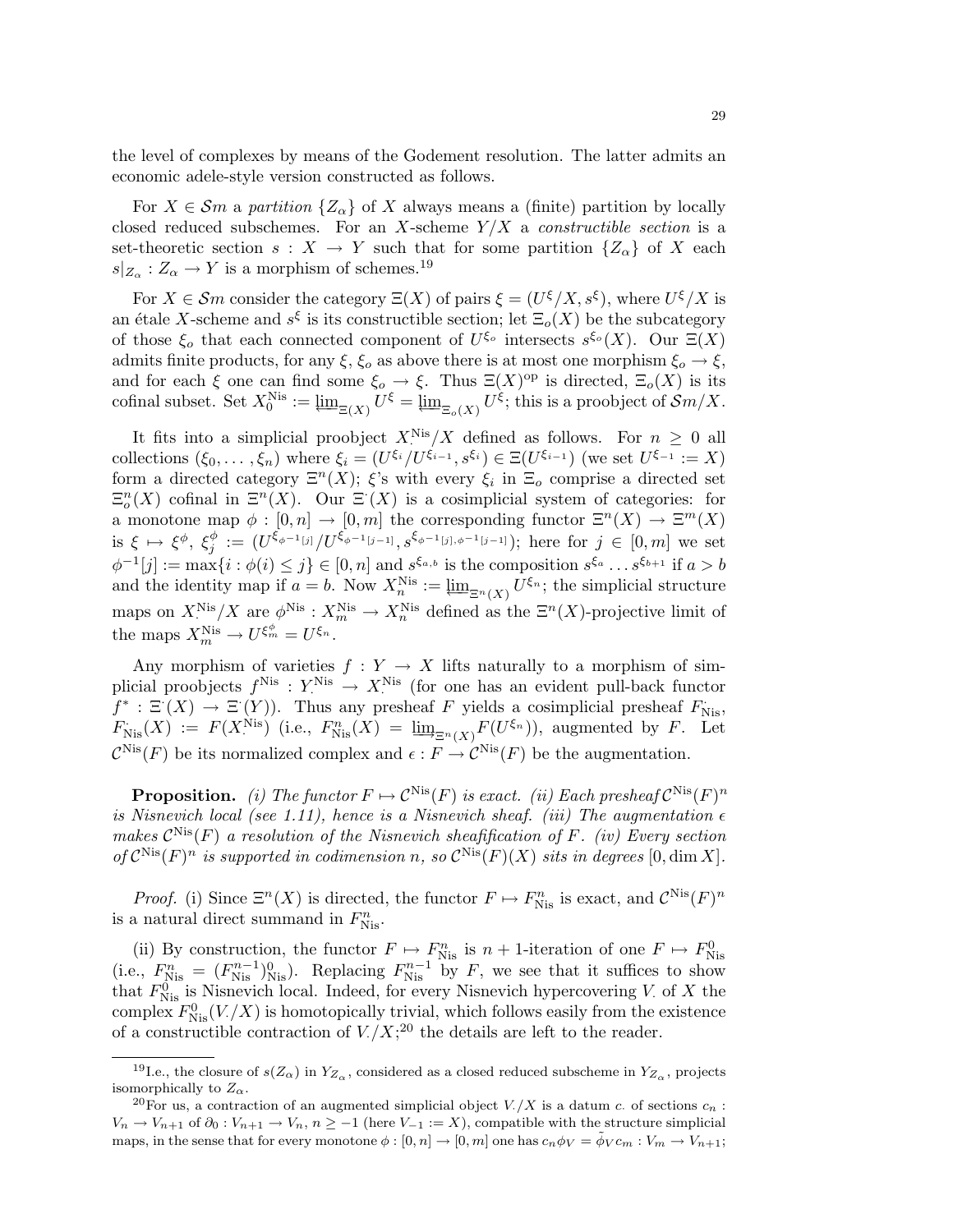the level of complexes by means of the Godement resolution. The latter admits an economic adele-style version constructed as follows.

For  $X \in \mathcal{S}_m$  a partition  $\{Z_\alpha\}$  of X always means a (finite) partition by locally closed reduced subschemes. For an X-scheme  $Y/X$  a constructible section is a set-theoretic section  $s : X \to Y$  such that for some partition  $\{Z_{\alpha}\}\$  of X each  $s|_{Z_\alpha}: Z_\alpha \to Y$  is a morphism of schemes.<sup>19</sup>

For  $X \in \mathcal{S}m$  consider the category  $\Xi(X)$  of pairs  $\xi = (U^{\xi}/X, s^{\xi})$ , where  $U^{\xi}/X$  is an étale X-scheme and  $s^{\xi}$  is its constructible section; let  $\Xi_o(X)$  be the subcategory of those  $\xi_o$  that each connected component of  $U^{\xi_o}$  intersects  $s^{\xi_o}(X)$ . Our  $\Xi(X)$ admits finite products, for any  $\xi$ ,  $\xi_o$  as above there is at most one morphism  $\xi_o \to \xi$ , and for each  $\xi$  one can find some  $\xi_o \to \xi$ . Thus  $\Xi(X)^\text{op}$  is directed,  $\Xi_o(X)$  is its cofinal subset. Set  $X_0^{\text{Nis}} := \varprojlim_{\Xi(X)} U^{\xi} = \varprojlim_{\Xi_o(X)} U^{\xi}$ ; this is a proobject of  $\mathcal{S}m/X$ .

It fits into a simplicial proobject  $X^{\text{Nis}}/X$  defined as follows. For  $n \geq 0$  all collections  $(\xi_0,\ldots,\xi_n)$  where  $\xi_i = (U^{\xi_i}/U^{\xi_{i-1}},s^{\xi_i}) \in \Xi(U^{\xi_{i-1}})$  (we set  $U^{\xi_{-1}} := X$ ) form a directed category  $\Xi^{n}(X)$ ;  $\xi$ 's with every  $\xi_i$  in  $\Xi_o$  comprise a directed set  $\Xi_o^n(X)$  cofinal in  $\Xi^n(X)$ . Our  $\Xi^{\cdot}(X)$  is a cosimplicial system of categories: for a monotone map  $\phi : [0, n] \to [0, m]$  the corresponding functor  $\Xi<sup>n</sup>(X) \to \Xi<sup>m</sup>(X)$ is  $\xi \mapsto \xi^{\phi}, \xi_i^{\phi}$  $j^{\phi} := (U^{\xi_{\phi^{-1}[j]}}/U^{\xi_{\phi^{-1}[j-1]}}, s^{\xi_{\phi^{-1}[j], \phi^{-1}[j-1]}});$  here for  $j \in [0, m]$  we set  $\phi^{-1}[j] := \max\{i : \phi(i) \leq j\} \in [0, n]$  and  $s^{\xi_{a,b}}$  is the composition  $s^{\xi_a} \dots s^{\xi_{b+1}}$  if  $a > b$ and the identity map if  $a = b$ . Now  $X_n^{\text{Nis}} := \varprojlim_{\Xi^n(X)} U^{\xi_n}$ ; the simplicial structure maps on  $X^{\text{Nis}}_{\cdot}/X$  are  $\phi^{\text{Nis}}: X^{\text{Nis}}_{m} \to X^{\text{Nis}}_{n}$  defined as the  $\Xi^{n}(X)$ -projective limit of the maps  $X_m^{\text{Nis}} \to U^{\xi_m^{\phi}} = U^{\xi_n}$ .

Any morphism of varieties  $f: Y \to X$  lifts naturally to a morphism of simplicial proobjects  $f^{\text{Nis}}: Y^{\text{Nis}} \to X^{\text{Nis}}$  (for one has an evident pull-back functor  $f^* : \Xi(X) \to \Xi(Y)$ . Thus any presheaf F yields a cosimplicial presheaf  $F_{\text{Nis}}$ ,  $F_{\text{Nis}}(X) := F(X^{\text{Nis}})$  (i.e.,  $F_{\text{Nis}}^n(X) = \underline{\lim}_{\Xi^n(X)} F(U^{\xi_n})$ ), augmented by F. Let  $\mathcal{C}^{\text{Nis}}(F)$  be its normalized complex and  $\epsilon : F \to \mathcal{C}^{\text{Nis}}(F)$  be the augmentation.

**Proposition.** (i) The functor  $F \mapsto C^{Nis}(F)$  is exact. (ii) Each presheaf  $C^{Nis}(F)^n$ is Nisnevich local (see 1.11), hence is a Nisnevich sheaf. (iii) The augmentation  $\epsilon$ makes  $\mathcal{C}^{\text{Nis}}(F)$  a resolution of the Nisnevich sheafification of F. (iv) Every section of  $\mathcal{C}^{\text{Nis}}(F)^n$  is supported in codimension n, so  $\mathcal{C}^{\text{Nis}}(F)(X)$  sits in degrees  $[0, \dim X]$ .

*Proof.* (i) Since  $\Xi^{n}(X)$  is directed, the functor  $F \mapsto F_{Nis}^{n}$  is exact, and  $\mathcal{C}^{Nis}(F)^{n}$ is a natural direct summand in  $F_{\text{Nis}}^n$ .

(ii) By construction, the functor  $F \mapsto F_{\text{Nis}}^n$  is  $n + 1$ -iteration of one  $F \mapsto F_{\text{Nis}}^0$ (i.e.,  $F_{\text{Nis}}^n = (F_{\text{Nis}}^{n-1})_{\text{Nis}}^0$ ). Replacing  $F_{\text{Nis}}^{n-1}$  by F, we see that it suffices to show that  $F_{\text{Nis}}^0$  is Nisnevich local. Indeed, for every Nisnevich hypercovering V. of X the complex  $F_{\text{Nis}}^{0}(V/X)$  is homotopically trivial, which follows easily from the existence of a constructible contraction of  $V/(X;^{20})$  the details are left to the reader.

<sup>&</sup>lt;sup>19</sup>I.e., the closure of  $s(Z_\alpha)$  in  $Y_{Z_\alpha}$ , considered as a closed reduced subscheme in  $Y_{Z_\alpha}$ , projects isomorphically to  $Z_{\alpha}$ .

<sup>&</sup>lt;sup>20</sup>For us, a contraction of an augmented simplicial object  $V/X$  is a datum c. of sections  $c_n$ :  $V_n \to V_{n+1}$  of  $\partial_0 : V_{n+1} \to V_n$ ,  $n \ge -1$  (here  $V_{-1} := X$ ), compatible with the structure simplicial maps, in the sense that for every monotone  $\phi : [0, n] \to [0, m]$  one has  $c_n \phi_V = \tilde{\phi}_V c_m : V_m \to V_{n+1}$ ;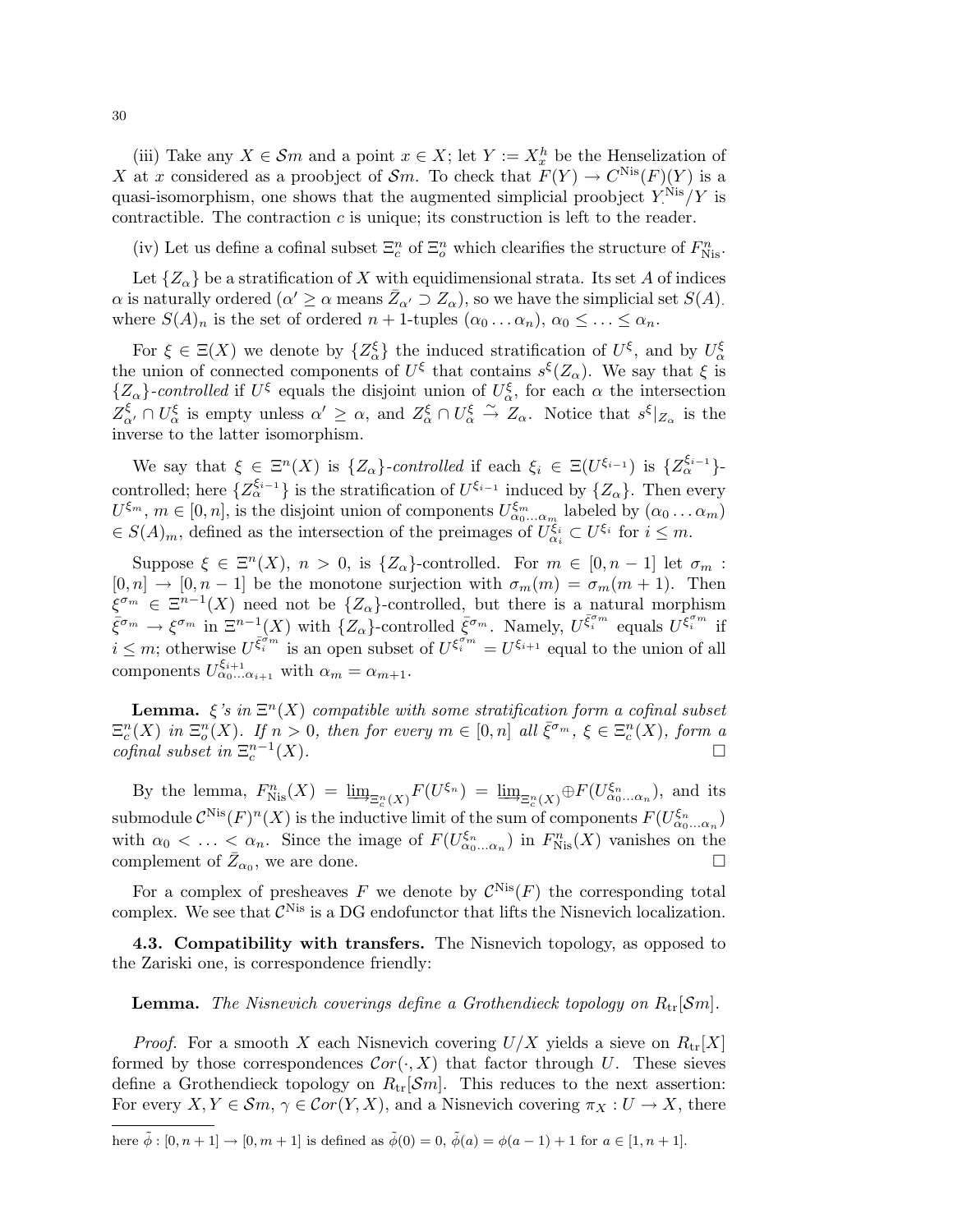(iii) Take any  $X \in \mathcal{S}m$  and a point  $x \in X$ ; let  $Y := X_x^h$  be the Henselization of X at x considered as a proobject of Sm. To check that  $F(Y) \to C^{Nis}(F)(Y)$  is a quasi-isomorphism, one shows that the augmented simplicial proobject  $Y^{\text{Nis}}_1/Y$  is contractible. The contraction  $c$  is unique; its construction is left to the reader.

(iv) Let us define a cofinal subset  $\Xi_c^n$  of  $\Xi_o^n$  which clearifies the structure of  $F_{\text{Nis}}^n$ .

Let  $\{Z_{\alpha}\}\$ be a stratification of X with equidimensional strata. Its set A of indices  $\alpha$  is naturally ordered  $(\alpha' \geq \alpha \text{ means } \bar{Z}_{\alpha'} \supseteq Z_{\alpha})$ , so we have the simplicial set  $S(A)$ . where  $S(A)_n$  is the set of ordered  $n+1$ -tuples  $(\alpha_0 \dots \alpha_n), \alpha_0 \leq \dots \leq \alpha_n$ .

For  $\xi \in \Xi(X)$  we denote by  $\{Z_\alpha^{\xi}\}\$  the induced stratification of  $U^{\xi}$ , and by  $U_\alpha^{\xi}$ the union of connected components of  $U^{\xi}$  that contains  $s^{\xi}(Z_{\alpha})$ . We say that  $\xi$  is  $\{Z_{\alpha}\}\text{-}controlled if  $U^{\xi}$  equals the disjoint union of  $U_{\alpha}^{\xi}$ , for each  $\alpha$  the intersection$  $Z_{\alpha}^{\xi} \cap U_{\alpha}^{\xi}$  is empty unless  $\alpha' \geq \alpha$ , and  $Z_{\alpha}^{\xi} \cap U_{\alpha}^{\xi} \stackrel{\sim}{\rightarrow} Z_{\alpha}$ . Notice that  $s^{\xi}|_{Z_{\alpha}}$  is the inverse to the latter isomorphism.

We say that  $\xi \in \Xi^n(X)$  is  $\{Z_\alpha\}$ -controlled if each  $\xi_i \in \Xi(U^{\xi_{i-1}})$  is  $\{Z_\alpha^{\xi_{i-1}}\}$ controlled; here  $\{Z_{\alpha}^{\xi_{i-1}}\}$  is the stratification of  $U^{\xi_{i-1}}$  induced by  $\{Z_{\alpha}\}\$ . Then every  $U^{\xi_m}, m \in [0,n]$ , is the disjoint union of components  $U^{\xi_m}_{\alpha_0...\alpha_m}$  labeled by  $(\alpha_0...\alpha_m)$  $\in S(A)_m$ , defined as the intersection of the preimages of  $U_{\alpha_i}^{\xi_i} \subset U^{\xi_i}$  for  $i \leq m$ .

Suppose  $\xi \in \Xi^n(X)$ ,  $n > 0$ , is  $\{Z_\alpha\}$ -controlled. For  $m \in [0, n-1]$  let  $\sigma_m$ :  $[0, n] \rightarrow [0, n-1]$  be the monotone surjection with  $\sigma_m(m) = \sigma_m(m+1)$ . Then  $\xi^{\sigma_m} \in \Xi^{n-1}(X)$  need not be  $\{Z_\alpha\}$ -controlled, but there is a natural morphism  $\bar{\xi}^{\sigma_m} \to \xi^{\sigma_m}$  in  $\Xi^{n-1}(X)$  with  $\{Z_\alpha\}$ -controlled  $\bar{\xi}^{\sigma_m}$ . Namely,  $U^{\bar{\xi}_i^{\sigma_m}}$  equals  $U^{\bar{\xi}_i^{\sigma_m}}$  if  $i \leq m$ ; otherwise  $U^{\bar{\xi}_i^{\sigma_m}}$  is an open subset of  $U^{\xi_i^{\sigma_m}} = U^{\xi_{i+1}}$  equal to the union of all components  $U_{\alpha_0...\alpha_{i+1}}^{\xi_{i+1}}$  with  $\alpha_m = \alpha_{m+1}$ .

**Lemma.**  $\xi$ 's in  $\Xi^n(X)$  compatible with some stratification form a cofinal subset  $\Xi_c^n(X)$  in  $\Xi_o^n(X)$ . If  $n > 0$ , then for every  $m \in [0,n]$  all  $\bar{\xi}^{\sigma_m}$ ,  $\xi \in \Xi_c^n(X)$ , form a cofinal subset in  $\Xi_c^{n-1}$  $(X)$ .

By the lemma,  $F_{\text{Nis}}^n(X) = \underline{\lim}_{\Xi_c^n(X)} F(U^{\xi_n}) = \underline{\lim}_{\Xi_c^n(X)} \oplus F(U^{\xi_n}_{\alpha_0...\alpha_n}),$  and its submodule  $\mathcal{C}^{\text{Nis}}(F)^n(X)$  is the inductive limit of the sum of components  $F(U_{\alpha_0...\alpha_n}^{\xi_n})$ with  $\alpha_0 < \ldots < \alpha_n$ . Since the image of  $F(U_{\alpha_0...\alpha_n}^{\xi_n})$  in  $F_{Nis}^n(X)$  vanishes on the complement of  $\bar{Z}_{\alpha_0}$ , we are done.

For a complex of presheaves F we denote by  $\mathcal{C}^{\text{Nis}}(F)$  the corresponding total complex. We see that  $\mathcal{C}^{\text{Nis}}$  is a DG endofunctor that lifts the Nisnevich localization.

4.3. Compatibility with transfers. The Nisnevich topology, as opposed to the Zariski one, is correspondence friendly:

**Lemma.** The Nisnevich coverings define a Grothendieck topology on  $R_{tr}[Sm]$ .

*Proof.* For a smooth X each Nisnevich covering  $U/X$  yields a sieve on  $R_{tr}[X]$ formed by those correspondences  $Cor(\cdot, X)$  that factor through U. These sieves define a Grothendieck topology on  $R_{tr}[\mathcal{S}m]$ . This reduces to the next assertion: For every  $X, Y \in \mathcal{S}m$ ,  $\gamma \in \mathcal{C}or(Y, X)$ , and a Nisnevich covering  $\pi_X : U \to X$ , there

here  $\tilde{\phi} : [0, n + 1] \to [0, m + 1]$  is defined as  $\tilde{\phi}(0) = 0$ ,  $\tilde{\phi}(a) = \phi(a - 1) + 1$  for  $a \in [1, n + 1]$ .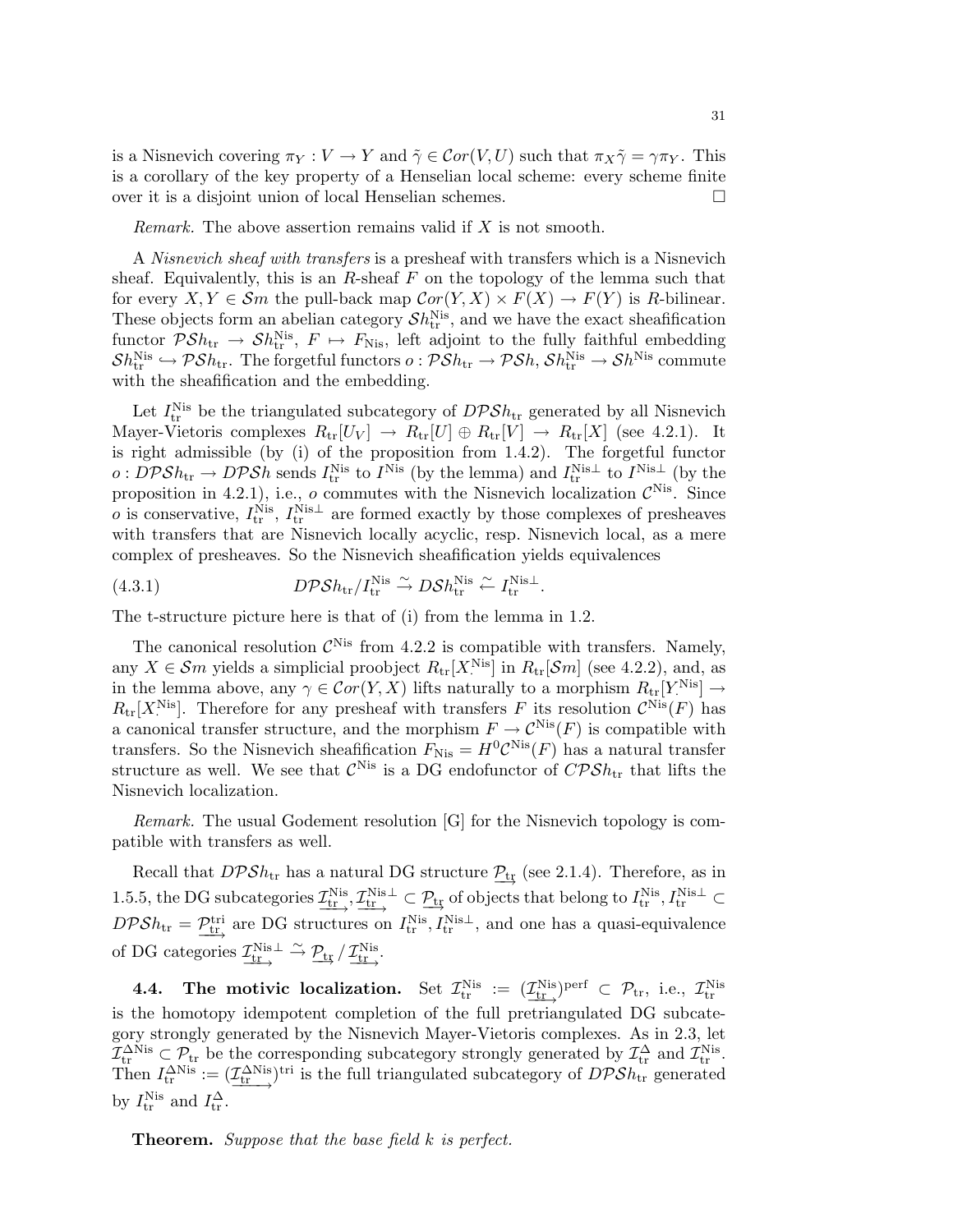is a Nisnevich covering  $\pi_Y : V \to Y$  and  $\tilde{\gamma} \in \mathcal{C}or(V, U)$  such that  $\pi_X \tilde{\gamma} = \gamma \pi_Y$ . This is a corollary of the key property of a Henselian local scheme: every scheme finite over it is a disjoint union of local Henselian schemes.

Remark. The above assertion remains valid if X is not smooth.

A Nisnevich sheaf with transfers is a presheaf with transfers which is a Nisnevich sheaf. Equivalently, this is an  $R$ -sheaf  $F$  on the topology of the lemma such that for every  $X, Y \in \mathcal{S}m$  the pull-back map  $\mathcal{C}or(Y, X) \times F(X) \to F(Y)$  is R-bilinear. These objects form an abelian category  $\mathcal{S}h^{\text{Nis}}_{\text{tr}}$ , and we have the exact sheafification functor  $\mathcal{P}Sh_{\text{tr}} \to Sh_{\text{tr}}^{\text{Nis}}, F \mapsto F_{\text{Nis}}$ , left adjoint to the fully faithful embedding  $\mathcal{S}h^{\text{Nis}}_{\text{tr}}\hookrightarrow \mathcal{P}\mathcal{S}h_{\text{tr}}.$  The forgetful functors  $o:\mathcal{P}\mathcal{S}h_{\text{tr}}\to \mathcal{P}\mathcal{S}h,$   $\mathcal{S}h^{\text{Nis}}_{\text{tr}}\to \mathcal{S}h^{\text{Nis}}$  commute with the sheafification and the embedding.

Let  $I_{\text{tr}}^{\text{Nis}}$  be the triangulated subcategory of  $DPSh_{\text{tr}}$  generated by all Nisnevich Mayer-Vietoris complexes  $R_{tr}[U_V] \rightarrow R_{tr}[U] \oplus R_{tr}[V] \rightarrow R_{tr}[X]$  (see 4.2.1). It is right admissible (by (i) of the proposition from 1.4.2). The forgetful functor  $\omega: D\mathcal{P}Sh_{\text{tr}} \to D\mathcal{P}Sh$  sends  $I_{\text{tr}}^{\text{Nis}}$  to  $I^{\text{Nis}}$  (by the lemma) and  $I_{\text{tr}}^{\text{Nis}\perp}$  to  $I^{\text{Nis}\perp}$  (by the proposition in 4.2.1), i.e., o commutes with the Nisnevich localization  $\mathcal{C}^{\text{Nis}}$ . Since *o* is conservative,  $I_{tr}^{Nis}$ ,  $I_{tr}^{Nis\perp}$  are formed exactly by those complexes of presheaves with transfers that are Nisnevich locally acyclic, resp. Nisnevich local, as a mere complex of presheaves. So the Nisnevich sheafification yields equivalences

(4.3.1) 
$$
D\mathcal{P}Sh_{tr}/I_{tr}^{\text{Nis}} \overset{\sim}{\rightarrow} D\mathcal{S}h_{tr}^{\text{Nis}} \overset{\sim}{\leftarrow} I_{tr}^{\text{Nis}\perp}.
$$

The t-structure picture here is that of (i) from the lemma in 1.2.

The canonical resolution  $\mathcal{C}^{\text{Nis}}$  from 4.2.2 is compatible with transfers. Namely, any  $X \in \mathcal{S}m$  yields a simplicial proobject  $R_{\text{tr}}[X^{\text{Nis}}]$  in  $R_{\text{tr}}[\mathcal{S}m]$  (see 4.2.2), and, as in the lemma above, any  $\gamma \in \mathcal{C}or(Y,X)$  lifts naturally to a morphism  $R_{tr}[Y]$ <sup>Nis</sup>  $] \to$  $R_{tr}[X]^{Nis}$ . Therefore for any presheaf with transfers F its resolution  $\mathcal{C}^{Nis}(F)$  has a canonical transfer structure, and the morphism  $F \to \mathcal{C}^{\text{Nis}}(F)$  is compatible with transfers. So the Nisnevich sheafification  $F_{\text{Nis}} = H^0 \mathcal{C}^{\text{Nis}}(F)$  has a natural transfer structure as well. We see that  $\mathcal{C}^{\text{Nis}}$  is a DG endofunctor of  $\mathcal{CPSh}_\text{tr}$  that lifts the Nisnevich localization.

Remark. The usual Godement resolution [G] for the Nisnevich topology is compatible with transfers as well.

Recall that  $DPSh_{tr}$  has a natural DG structure  $\mathcal{P}_{tr}$  (see 2.1.4). Therefore, as in 1.5.5, the DG subcategories  $\underline{\mathcal{I}^{\text{Nis}}_{tr}}, \underline{\mathcal{I}^{\text{Nis}}_{tr}} \subset \underline{\mathcal{P}_{tr}}$  of objects that belong to  $I^{\text{Nis}}_{tr}, I^{\text{Nis}\perp}_{tr} \subset$  $DPSh_{\text{tr}} = \underline{P_{\text{tr}}^{\text{tri}}}$  are DG structures on  $I_{\text{tr}}^{\text{Nis}}, I_{\text{tr}}^{\text{Nis}\perp}$ , and one has a quasi-equivalence of DG categories  $\underline{\mathcal{I}}_{tr}^{\text{Nis}\perp} \xrightarrow{\sim} \underline{\mathcal{P}}_{tr} / \underline{\mathcal{I}}_{tr}^{\text{Nis}}.$ 

**4.4.** The motivic localization. Set  $\mathcal{I}_{tr}^{Nis} := (\underline{\mathcal{I}_{tr}^{Nis}})^{perf} \subset \mathcal{P}_{tr}$ , i.e.,  $\mathcal{I}_{tr}^{Nis}$ is the homotopy idempotent completion of the full pretriangulated DG subcategory strongly generated by the Nisnevich Mayer-Vietoris complexes. As in 2.3, let  $\mathcal{I}^{\Delta \text{Nis}}_{\text{tr}} \subset \mathcal{P}_{\text{tr}}$  be the corresponding subcategory strongly generated by  $\mathcal{I}^{\Delta}_{\text{tr}}$  and  $\mathcal{I}^{\text{Nis}}_{\text{tr}}$ . Then  $I_{\text{tr}}^{\Delta \text{Nis}} := (\underline{\mathcal{I}_{\text{tr}}^{\Delta \text{Nis}}})^{\text{tri}}$  is the full triangulated subcategory of  $DPSh_{\text{tr}}$  generated by  $I_{\text{tr}}^{\text{Nis}}$  and  $I_{\text{tr}}^{\Delta}$ .

**Theorem.** Suppose that the base field  $k$  is perfect.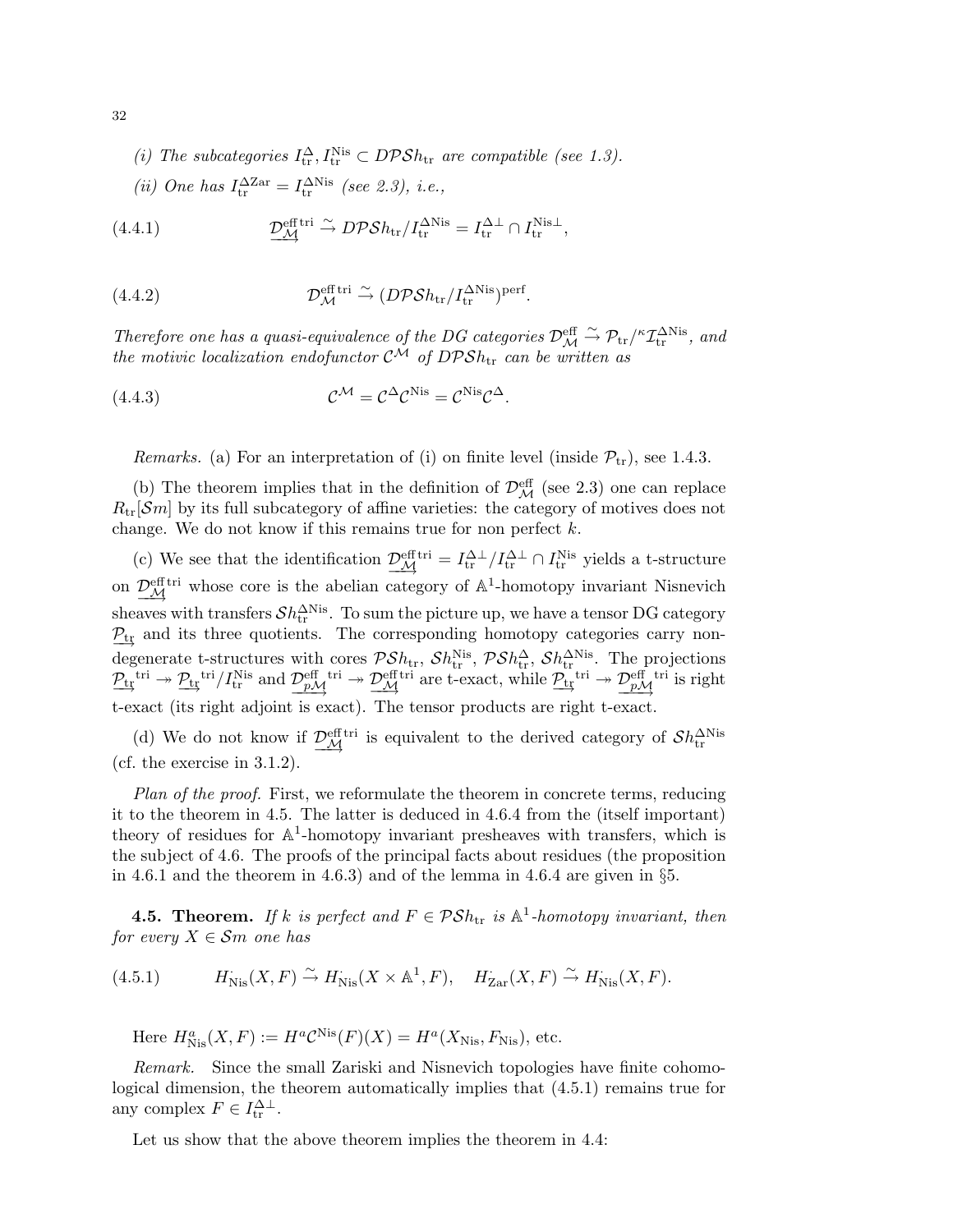(i) The subcategories 
$$
I_{\text{tr}}^{\Delta}
$$
,  $I_{\text{tr}}^{\text{Nis}} \subset DPSh_{\text{tr}}$  are compatible (see 1.3).

(ii) One has 
$$
I_{tr}^{\Delta \text{Zar}} = I_{tr}^{\Delta \text{Nis}}
$$
 (see 2.3), i.e.,

(4.4.1) 
$$
\underline{\mathcal{D}_{\mathcal{M}}^{\text{eff tri}}} \xrightarrow{\sim} D\mathcal{P} \mathcal{S} h_{\text{tr}} / I_{\text{tr}}^{\Delta \text{Nis}} = I_{\text{tr}}^{\Delta \perp} \cap I_{\text{tr}}^{\text{Nis}\perp},
$$

(4.4.2) 
$$
\mathcal{D}_{\mathcal{M}}^{\text{eff tri}} \xrightarrow{\sim} (D \mathcal{P} \mathcal{S} h_{\text{tr}} / I_{\text{tr}}^{\Delta \text{Nis}})^{\text{perf}}.
$$

Therefore one has a quasi-equivalence of the DG categories  $\mathcal{D}_{\mathcal{M}}^{\text{eff}} \stackrel{\sim}{\rightarrow} \mathcal{P}_{tr}/^{\kappa} \mathcal{I}_{tr}^{\Delta \text{Nis}}$ , and the motivic localization endofunctor  $C^{\mathcal{M}}$  of DPS $h_{tr}$  can be written as

(4.4.3) 
$$
\mathcal{C}^{\mathcal{M}} = \mathcal{C}^{\Delta} \mathcal{C}^{\text{Nis}} = \mathcal{C}^{\text{Nis}} \mathcal{C}^{\Delta}.
$$

*Remarks.* (a) For an interpretation of (i) on finite level (inside  $\mathcal{P}_{tr}$ ), see 1.4.3.

(b) The theorem implies that in the definition of  $\mathcal{D}_{\mathcal{M}}^{\text{eff}}$  (see 2.3) one can replace  $R_{tr}[\mathcal{S}m]$  by its full subcategory of affine varieties: the category of motives does not change. We do not know if this remains true for non perfect  $k$ .

(c) We see that the identification  $\frac{\mathcal{D}_{\mathcal{M}}^{\text{eff}}}{\mathcal{M}} = I_{tr}^{\Delta \perp} / I_{tr}^{\Delta \perp} \cap I_{tr}^{\text{Nis}}$  yields a t-structure on  $\underline{\mathcal{D}_{\mathcal{M}}^{\text{eff}}}\$  whose core is the abelian category of  $\mathbb{A}^1$ -homotopy invariant Nisnevich sheaves with transfers  $\mathcal{Sh}^{\Delta \text{Nis}}_{\text{tr}}$  . To sum the picture up, we have a tensor DG category  $P_{tr}$  and its three quotients. The corresponding homotopy categories carry nondegenerate t-structures with cores  $\mathcal{PS}h_{\text{tr}}, \mathcal{S}h_{\text{tr}}^{\text{Nis}}, \mathcal{PS}h_{\text{tr}}^{\Delta}, \mathcal{S}h_{\text{tr}}^{\text{Nis}}$ . The projections  $\underline{\mathcal{P}_{tr}}^{\text{tri}} \rightarrow \underline{\mathcal{P}_{tr}}^{\text{tri}}/I_{tr}^{\text{Nis}}$  and  $\underline{\mathcal{P}_{pM}^{\text{eff}}^{\text{tri}}} \rightarrow \underline{\mathcal{P}_{M}^{\text{eff}}^{\text{tri}}}$  are t-exact, while  $\underline{\mathcal{P}_{tr}^{\text{tri}}} \rightarrow \underline{\mathcal{P}_{pM}^{\text{eff}}}^{\text{tri}}$  is right t-exact (its right adjoint is exact). The tensor products are right t-exact.

(d) We do not know if  $\mathcal{D}_{\mathcal{M}}^{\text{eff}}$  is equivalent to the derived category of  $\mathcal{S}h_{\text{tr}}^{\Delta Nis}$ (cf. the exercise in  $3.1.2$ ).

Plan of the proof. First, we reformulate the theorem in concrete terms, reducing it to the theorem in 4.5. The latter is deduced in 4.6.4 from the (itself important) theory of residues for  $\mathbb{A}^1$ -homotopy invariant presheaves with transfers, which is the subject of 4.6. The proofs of the principal facts about residues (the proposition in 4.6.1 and the theorem in 4.6.3) and of the lemma in 4.6.4 are given in  $\S5$ .

**4.5. Theorem.** If k is perfect and  $F \in \mathcal{PS}$ <sub>b<sub>tr</sub> is  $\mathbb{A}^1$ -homotopy invariant, then</sub> for every  $X \in \mathcal{S}m$  one has

(4.5.1) 
$$
H_{Nis}(X, F) \xrightarrow{\sim} H_{Nis}(X \times \mathbb{A}^1, F), \quad H_{Zar}(X, F) \xrightarrow{\sim} H_{Nis}(X, F).
$$

Here  $H_{\text{Nis}}^{a}(X, F) := H^{a} \mathcal{C}^{\text{Nis}}(F)(X) = H^{a}(X_{\text{Nis}}, F_{\text{Nis}})$ , etc.

Remark. Since the small Zariski and Nisnevich topologies have finite cohomological dimension, the theorem automatically implies that (4.5.1) remains true for any complex  $F \in I_{tr}^{\Delta \perp}$ .

Let us show that the above theorem implies the theorem in 4.4:

32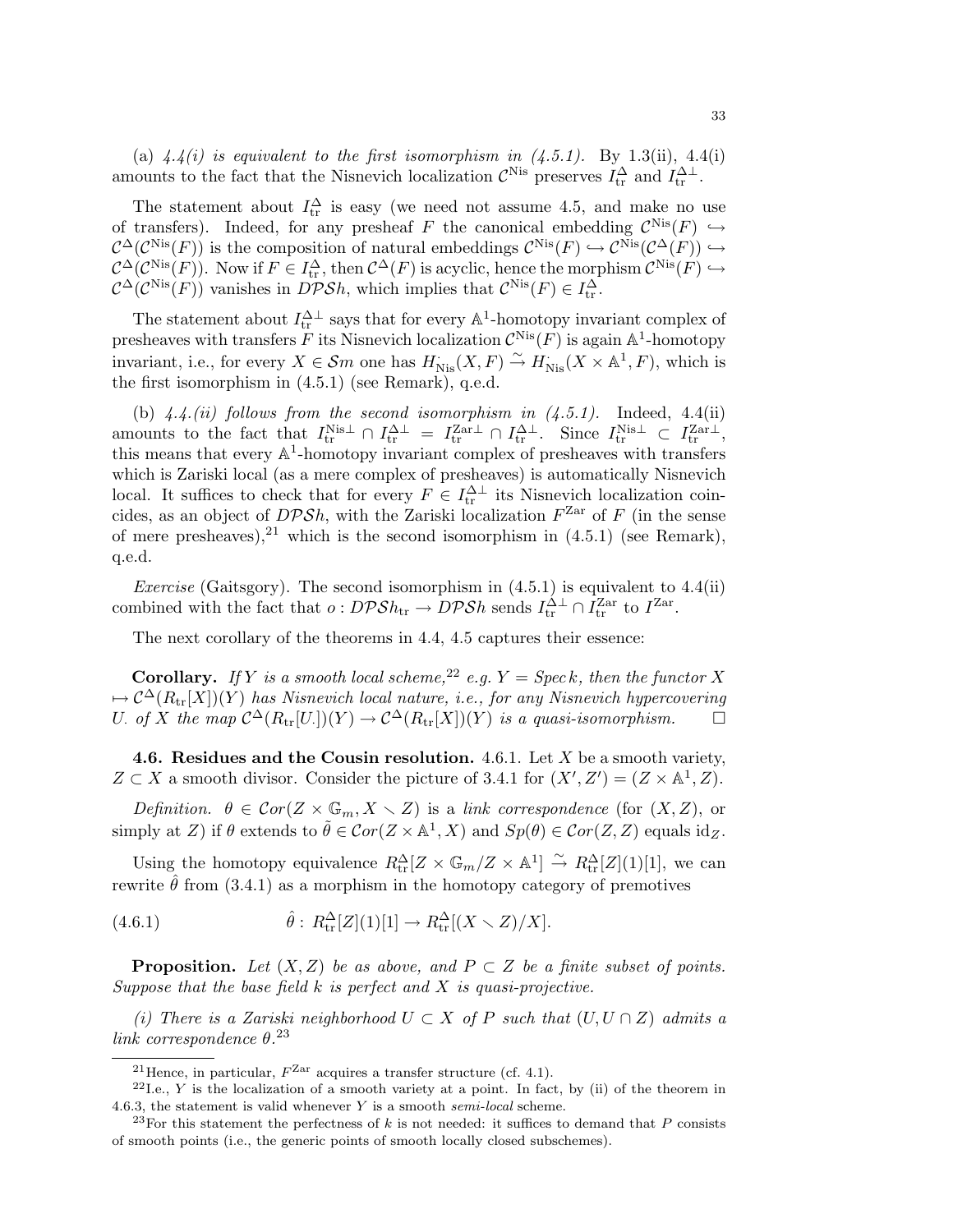(a)  $4.4(i)$  is equivalent to the first isomorphism in  $(4.5.1)$ . By 1.3(ii), 4.4(i) amounts to the fact that the Nisnevich localization  $\mathcal{C}^{\text{Nis}}$  preserves  $I_{tr}^{\Delta}$  and  $I_{tr}^{\Delta \perp}$ .

The statement about  $I_{tr}^{\Delta}$  is easy (we need not assume 4.5, and make no use of transfers). Indeed, for any presheaf F the canonical embedding  $\mathcal{C}^{\text{Nis}}(F) \hookrightarrow$  $\mathcal{C}^{\Delta}(\mathcal{C}^{\text{Nis}}(F))$  is the composition of natural embeddings  $\mathcal{C}^{\text{Nis}}(F) \hookrightarrow \mathcal{C}^{\text{Nis}}(\mathcal{C}^{\Delta}(F)) \hookrightarrow$  $\mathcal{C}^{\Delta}(\mathcal{C}^{\text{Nis}}(F))$ . Now if  $F \in I^{\Delta}_{tr}$ , then  $\mathcal{C}^{\Delta}(F)$  is acyclic, hence the morphism  $\mathcal{C}^{\text{Nis}}(F) \hookrightarrow$  $\mathcal{C}^{\Delta}(\mathcal{C}^{\mathbf{Nis}}(F))$  vanishes in  $D\mathcal{PS}h$ , which implies that  $\mathcal{C}^{\mathbf{Nis}}(F) \in I_{tr}^{\Delta}$ .

The statement about  $I_{tr}^{\Delta \perp}$  says that for every  $\mathbb{A}^1$ -homotopy invariant complex of presheaves with transfers  $\tilde{F}$  its Nisnevich localization  $\mathcal{C}^{\text{Nis}}(F)$  is again  $\mathbb{A}^1$ -homotopy invariant, i.e., for every  $X \in \mathcal{S}_m$  one has  $H^{\cdot}_{Nis}(X, F) \stackrel{\sim}{\to} H^{\cdot}_{Nis}(X \times \mathbb{A}^1, F)$ , which is the first isomorphism in (4.5.1) (see Remark), q.e.d.

(b)  $4.4$ .(ii) follows from the second isomorphism in  $(4.5.1)$ . Indeed,  $4.4$ (ii) amounts to the fact that  $I_{tr}^{\text{Nis}\perp} \cap I_{tr}^{\Delta\perp} = I_{tr}^{\text{Zar}\perp} \cap I_{tr}^{\Delta\perp}$ . Since  $I_{tr}^{\text{Nis}\perp} \subset I_{tr}^{\text{Zar}\perp}$ , this means that every A 1 -homotopy invariant complex of presheaves with transfers which is Zariski local (as a mere complex of presheaves) is automatically Nisnevich local. It suffices to check that for every  $F \in I^{\Delta \perp}_{tr}$  its Nisnevich localization coincides, as an object of  $DPSh$ , with the Zariski localization  $F<sup>Zar</sup>$  of F (in the sense of mere presheaves),  $2^1$  which is the second isomorphism in  $(4.5.1)$  (see Remark). q.e.d.

*Exercise* (Gaitsgory). The second isomorphism in  $(4.5.1)$  is equivalent to  $4.4(ii)$ combined with the fact that  $o: DPSh_{tr} \to DPSh$  sends  $I_{tr}^{\Delta \perp} \cap I_{tr}^{\text{Zar}}$  to  $I^{\text{Zar}}$ .

The next corollary of the theorems in 4.4, 4.5 captures their essence:

**Corollary.** If Y is a smooth local scheme,<sup>22</sup> e.g.  $Y = \text{Spec } k$ , then the functor X  $\tau \mapsto \mathcal{C}^{\Delta}(R_{\mathrm{tr}}[X])(Y)$  has Nisnevich local nature, i.e., for any Nisnevich hypercovering U. of X the map  $C^{\Delta}(R_{tr}[U_{.}]) (Y) \to C^{\Delta}(R_{tr}[X])(Y)$  is a quasi-isomorphism.  $\square$ 

4.6. Residues and the Cousin resolution. 4.6.1. Let  $X$  be a smooth variety,  $Z \subset X$  a smooth divisor. Consider the picture of 3.4.1 for  $(X', Z') = (Z \times \mathbb{A}^1, Z)$ .

Definition.  $\theta \in \mathcal{C}or(Z \times \mathbb{G}_m, X \times Z)$  is a link correspondence (for  $(X, Z)$ , or simply at Z) if  $\theta$  extends to  $\tilde{\theta} \in Cor(Z \times \mathbb{A}^1, X)$  and  $Sp(\theta) \in Cor(Z, Z)$  equals  $id_Z$ .

Using the homotopy equivalence  $R_{\text{tr}}^{\Delta}[Z \times \mathbb{G}_m/Z \times \mathbb{A}^1] \stackrel{\sim}{\to} R_{\text{tr}}^{\Delta}[Z](1)[1]$ , we can rewrite  $\hat{\theta}$  from (3.4.1) as a morphism in the homotopy category of premotives

(4.6.1) 
$$
\hat{\theta}: R_{\text{tr}}^{\Delta}[Z](1)[1] \to R_{\text{tr}}^{\Delta}[(X \setminus Z)/X].
$$

**Proposition.** Let  $(X, Z)$  be as above, and  $P \subset Z$  be a finite subset of points. Suppose that the base field  $k$  is perfect and  $X$  is quasi-projective.

(i) There is a Zariski neighborhood  $U \subset X$  of P such that  $(U, U \cap Z)$  admits a link correspondence  $\theta$ .<sup>23</sup>

<sup>&</sup>lt;sup>21</sup> Hence, in particular,  $F<sup>Zar</sup>$  acquires a transfer structure (cf. 4.1).

 $^{22}$ I.e., Y is the localization of a smooth variety at a point. In fact, by (ii) of the theorem in 4.6.3, the statement is valid whenever  $Y$  is a smooth semi-local scheme.

<sup>&</sup>lt;sup>23</sup>For this statement the perfectness of k is not needed: it suffices to demand that P consists of smooth points (i.e., the generic points of smooth locally closed subschemes).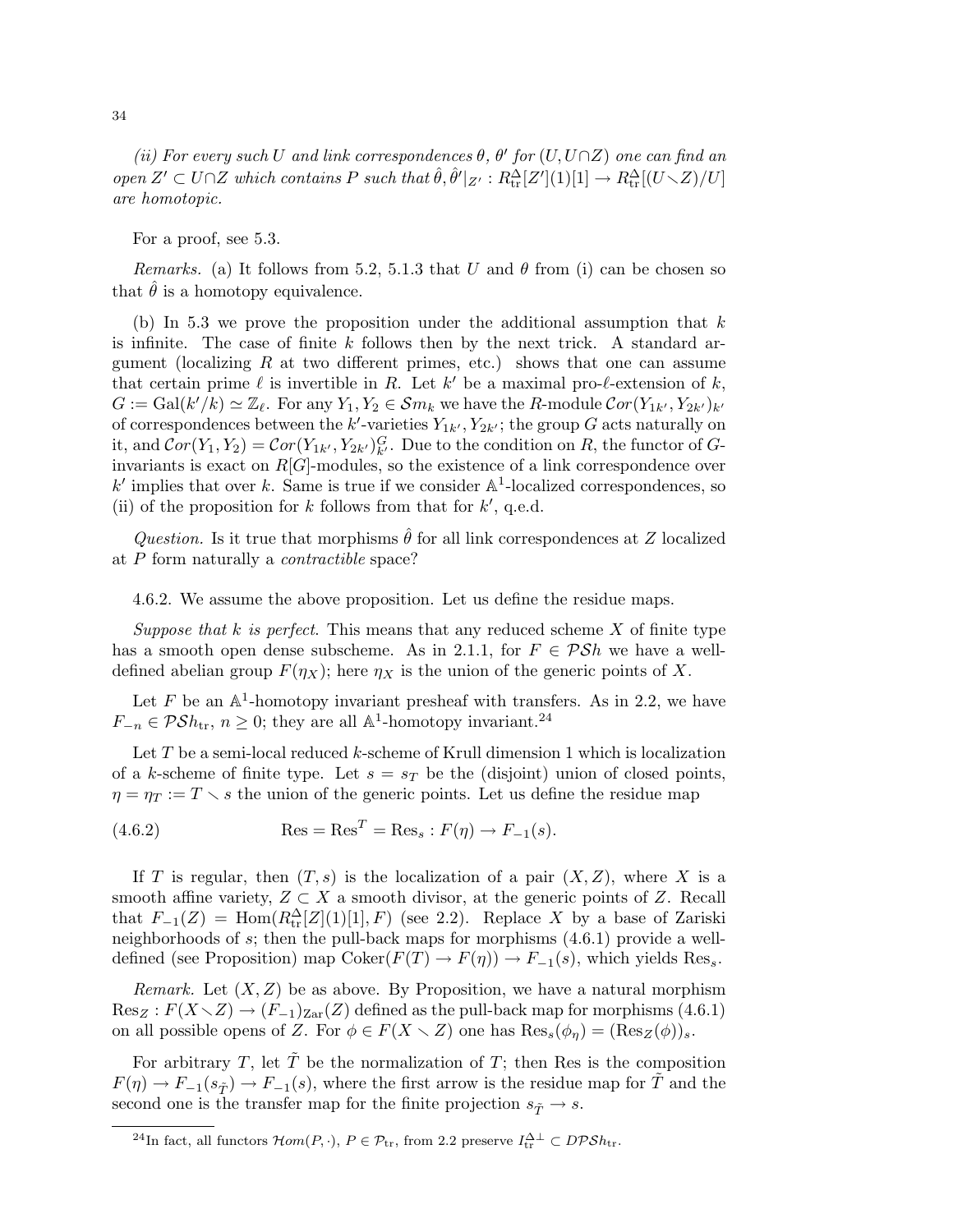(ii) For every such U and link correspondences  $\theta$ ,  $\theta'$  for  $(U, U \cap Z)$  one can find an open  $Z' \subset U \cap Z$  which contains P such that  $\hat{\theta}, \hat{\theta}'|_{Z'} : R_{tr}^{\Delta}[Z'](1)[1] \to R_{tr}^{\Delta}[(U \setminus Z)/U]$ are homotopic.

For a proof, see 5.3.

*Remarks.* (a) It follows from 5.2, 5.1.3 that U and  $\theta$  from (i) can be chosen so that  $\theta$  is a homotopy equivalence.

(b) In 5.3 we prove the proposition under the additional assumption that  $k$ is infinite. The case of finite  $k$  follows then by the next trick. A standard argument (localizing  $R$  at two different primes, etc.) shows that one can assume that certain prime  $\ell$  is invertible in R. Let  $k'$  be a maximal pro- $\ell$ -extension of  $k$ ,  $G := \text{Gal}(k'/k) \simeq \mathbb{Z}_{\ell}$ . For any  $Y_1, Y_2 \in \mathcal{S}m_k$  we have the R-module  $\mathcal{C}or(Y_{1k'}, Y_{2k'})_{k'}$ of correspondences between the  $k'$ -varieties  $Y_{1k'}$ ,  $Y_{2k'}$ ; the group G acts naturally on it, and  $Cor(Y_1, Y_2) = Cor(Y_{1k'}, Y_{2k'})^G_{k'}$ . Due to the condition on R, the functor of Ginvariants is exact on  $R[G]$ -modules, so the existence of a link correspondence over  $k'$  implies that over k. Same is true if we consider  $\mathbb{A}^1$ -localized correspondences, so (ii) of the proposition for k follows from that for  $k'$ , q.e.d.

Question. Is it true that morphisms  $\hat{\theta}$  for all link correspondences at Z localized at P form naturally a contractible space?

4.6.2. We assume the above proposition. Let us define the residue maps.

Suppose that k is perfect. This means that any reduced scheme  $X$  of finite type has a smooth open dense subscheme. As in 2.1.1, for  $F \in \mathcal{PS}h$  we have a welldefined abelian group  $F(\eta_X)$ ; here  $\eta_X$  is the union of the generic points of X.

Let  $F$  be an  $\mathbb{A}^1$ -homotopy invariant presheaf with transfers. As in 2.2, we have  $F_{-n} \in \mathcal{PS}h_{\text{tr}}, n \geq 0$ ; they are all  $\mathbb{A}^1$ -homotopy invariant.<sup>24</sup>

Let  $T$  be a semi-local reduced  $k$ -scheme of Krull dimension 1 which is localization of a k-scheme of finite type. Let  $s = s_T$  be the (disjoint) union of closed points,  $\eta = \eta_T := T \setminus s$  the union of the generic points. Let us define the residue map

(4.6.2) 
$$
\operatorname{Res} = \operatorname{Res}^T = \operatorname{Res}_s : F(\eta) \to F_{-1}(s).
$$

If T is regular, then  $(T, s)$  is the localization of a pair  $(X, Z)$ , where X is a smooth affine variety,  $Z \subset X$  a smooth divisor, at the generic points of Z. Recall that  $F_{-1}(Z) = \text{Hom}(R_{tr}^{\Delta}[Z](1)[1], F)$  (see 2.2). Replace X by a base of Zariski neighborhoods of s; then the pull-back maps for morphisms (4.6.1) provide a welldefined (see Proposition) map  $Coker(F(T) \to F(\eta)) \to F_{-1}(s)$ , which yields Res<sub>s</sub>.

*Remark.* Let  $(X, Z)$  be as above. By Proposition, we have a natural morphism  $\text{Res}_Z : F(X \setminus Z) \to (F_{-1})_{\text{Zar}}(Z)$  defined as the pull-back map for morphisms (4.6.1) on all possible opens of Z. For  $\phi \in F(X \setminus Z)$  one has  $\text{Res}_{s}(\phi_n) = (\text{Res}_{Z}(\phi))_s$ .

For arbitrary T, let  $\tilde{T}$  be the normalization of T; then Res is the composition  $F(\eta) \to F_{-1}(s_{\tilde{T}}) \to F_{-1}(s)$ , where the first arrow is the residue map for  $\tilde{T}$  and the second one is the transfer map for the finite projection  $s_{\tilde{T}} \to s$ .

<sup>&</sup>lt;sup>24</sup>In fact, all functors  $\mathcal{H}om(P, \cdot)$ ,  $P \in \mathcal{P}_{tr}$ , from 2.2 preserve  $I_{tr}^{\Delta \perp} \subset D\mathcal{P}Sh_{tr}$ .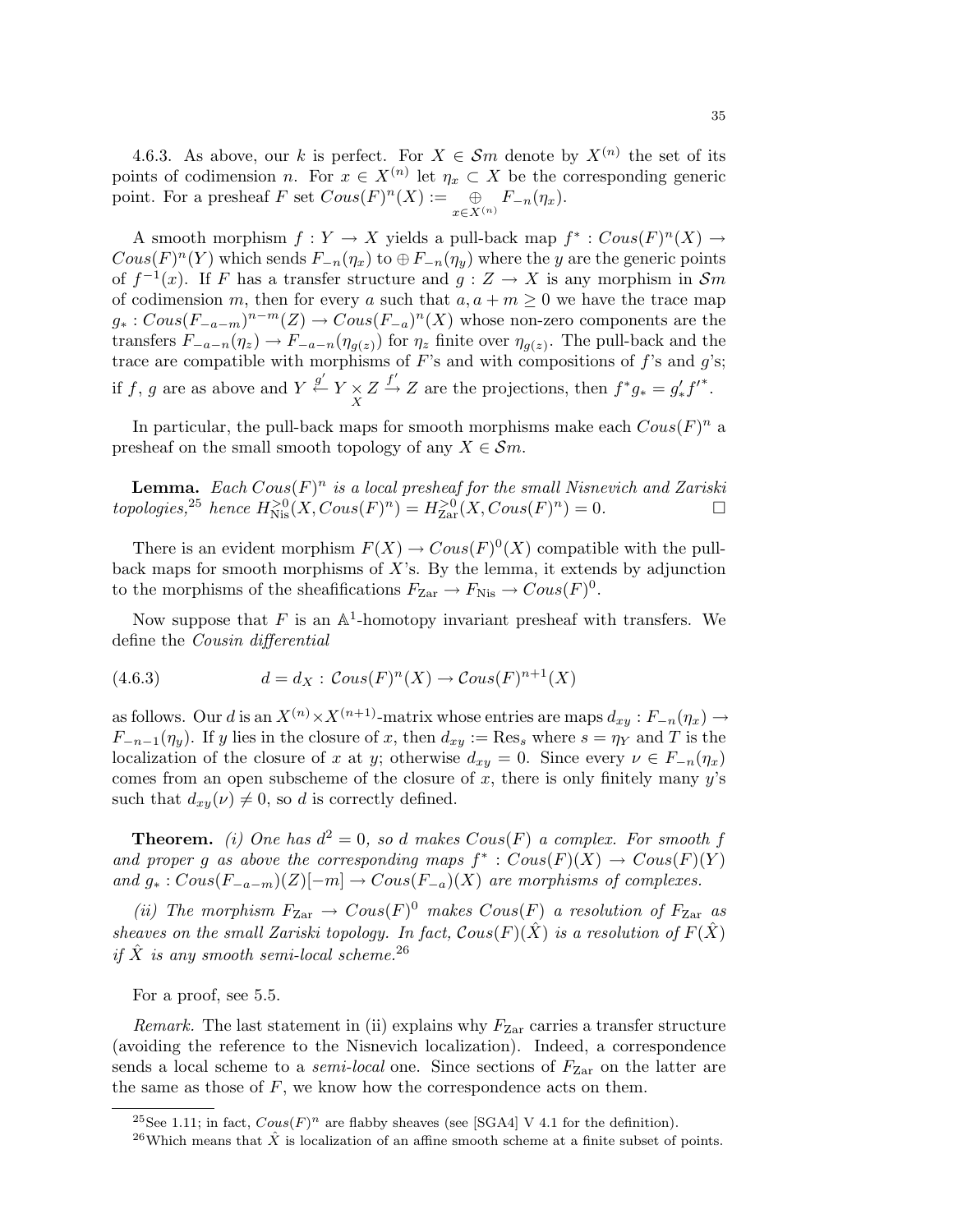4.6.3. As above, our k is perfect. For  $X \in \mathcal{S}m$  denote by  $X^{(n)}$  the set of its points of codimension *n*. For  $x \in X^{(n)}$  let  $\eta_x \subset X$  be the corresponding generic point. For a presheaf F set  $Cous(F)^n(X) := \oplus$  $\bigoplus_{x\in X^{(n)}}F_{-n}(\eta_x).$ 

A smooth morphism  $f: Y \to X$  yields a pull-back map  $f^* : \mathit{Cous}(F)^n(X) \to Y$  $Cous(F)^{n}(Y)$  which sends  $F_{-n}(\eta_x)$  to  $\oplus F_{-n}(\eta_y)$  where the y are the generic points of  $f^{-1}(x)$ . If F has a transfer structure and  $g: Z \to X$  is any morphism in  $\mathcal{S}m$ of codimension m, then for every a such that  $a, a + m \geq 0$  we have the trace map  $g_*: \mathit{Cous}(F_{-a-m})^{n-m}(Z) \to \mathit{Cous}(F_{-a})^n(X)$  whose non-zero components are the transfers  $F_{-a-n}(\eta_z) \to F_{-a-n}(\eta_{g(z)})$  for  $\eta_z$  finite over  $\eta_{g(z)}$ . The pull-back and the trace are compatible with morphisms of  $F$ 's and with compositions of  $f$ 's and  $g$ 's; if f, g are as above and  $Y \stackrel{g'}{\leftarrow} Y \underset{X}{\times} Z \stackrel{f'}{\rightarrow} Z$  are the projections, then  $f^*g_* = g'_* f'^*$ .

In particular, the pull-back maps for smooth morphisms make each  $Cous(F)^n$  a presheaf on the small smooth topology of any  $X \in \mathcal{S}m$ .

**Lemma.** Each  $Cous(F)^n$  is a local presheaf for the small Nisnevich and Zariski  $topologies, \n<sup>25</sup> \text{ hence } H_{Nis}^{>0}(X, \text{Cous}(F)^n) = H_{Zar}^{>0}(X, \text{Cous}(F)^n) = 0.$ 

There is an evident morphism  $F(X) \to \text{Cous}(F)^0(X)$  compatible with the pullback maps for smooth morphisms of  $X$ 's. By the lemma, it extends by adjunction to the morphisms of the sheafifications  $F_{\text{Zar}} \to F_{\text{Nis}} \to Cous(F)^0$ .

Now suppose that  $F$  is an  $\mathbb{A}^1$ -homotopy invariant presheaf with transfers. We define the Cousin differential

(4.6.3) 
$$
d = d_X : \mathcal{C}ous(F)^n(X) \to \mathcal{C}ous(F)^{n+1}(X)
$$

as follows. Our d is an  $X^{(n)} \times X^{(n+1)}$ -matrix whose entries are maps  $d_{xy}: F_{-n}(\eta_x) \to$  $F_{-n-1}(\eta_y)$ . If y lies in the closure of x, then  $d_{xy} := \text{Res}_s$  where  $s = \eta_Y$  and T is the localization of the closure of x at y; otherwise  $d_{xy} = 0$ . Since every  $\nu \in F_{-n}(\eta_x)$ comes from an open subscheme of the closure of x, there is only finitely many  $y$ 's such that  $d_{xy}(\nu) \neq 0$ , so d is correctly defined.

**Theorem.** (i) One has  $d^2 = 0$ , so d makes  $Cous(F)$  a complex. For smooth f and proper g as above the corresponding maps  $f^* : \text{Cous}(F)(X) \to \text{Cous}(F)(Y)$ and  $g_*: \text{Cous}(F_{-a-m})(Z)[-m] \to \text{Cous}(F_{-a})(X)$  are morphisms of complexes.

(ii) The morphism  $F_{\text{Zar}} \to \text{Cous}(F)^0$  makes  $\text{Cous}(F)$  a resolution of  $F_{\text{Zar}}$  as sheaves on the small Zariski topology. In fact,  $Cous(F)(\hat{X})$  is a resolution of  $F(\hat{X})$ if  $\hat{X}$  is any smooth semi-local scheme.<sup>26</sup>

For a proof, see 5.5.

Remark. The last statement in (ii) explains why  $F_{\text{Zar}}$  carries a transfer structure (avoiding the reference to the Nisnevich localization). Indeed, a correspondence sends a local scheme to a *semi-local* one. Since sections of  $F_{\text{Zar}}$  on the latter are the same as those of  $F$ , we know how the correspondence acts on them.

<sup>&</sup>lt;sup>25</sup>See 1.11; in fact,  $Cous(F)^n$  are flabby sheaves (see [SGA4] V 4.1 for the definition).

<sup>&</sup>lt;sup>26</sup>Which means that  $\hat{X}$  is localization of an affine smooth scheme at a finite subset of points.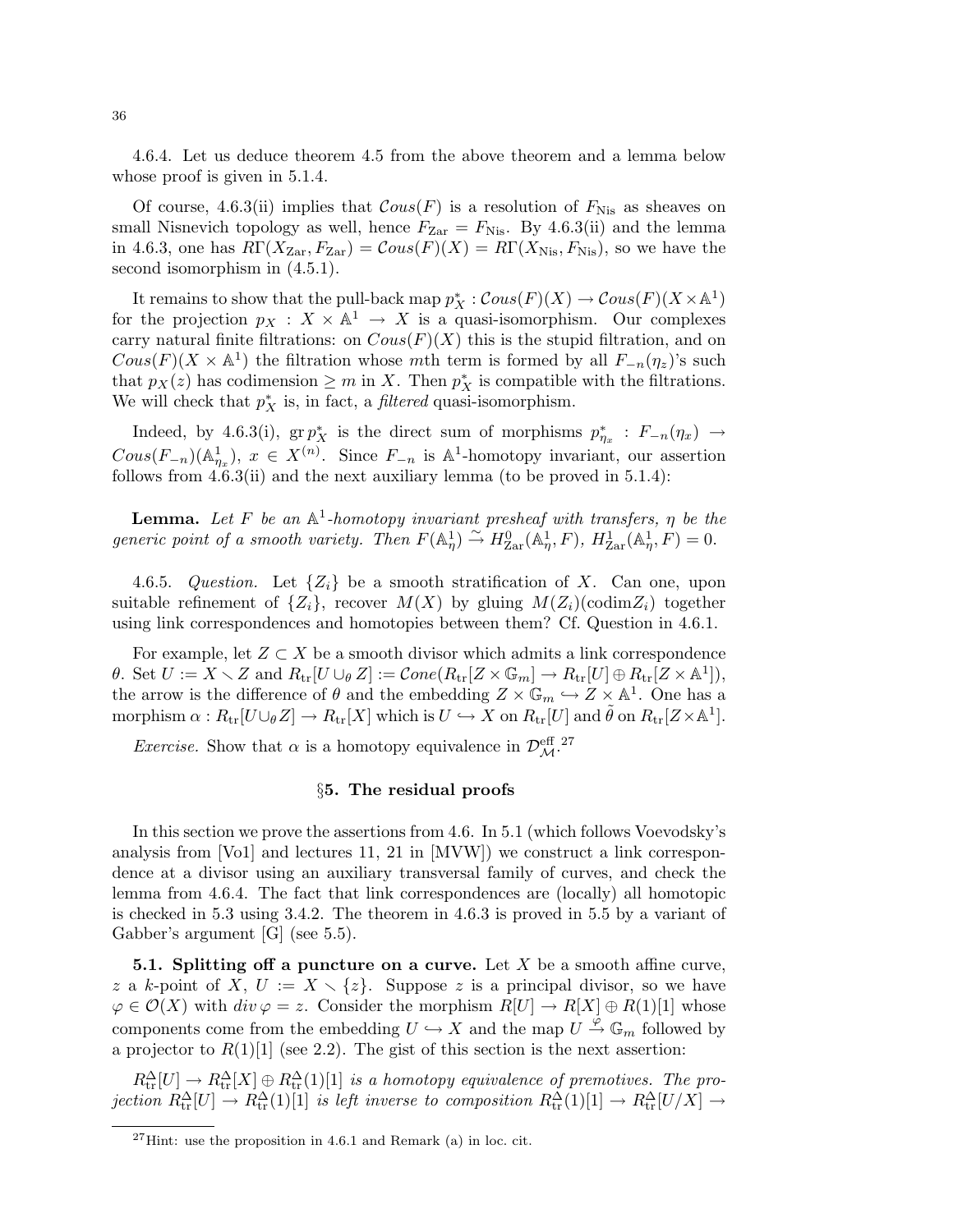4.6.4. Let us deduce theorem 4.5 from the above theorem and a lemma below whose proof is given in  $5.1.4$ .

Of course, 4.6.3(ii) implies that  $Cous(F)$  is a resolution of  $F_{\text{Nis}}$  as sheaves on small Nisnevich topology as well, hence  $F_{\text{Zar}} = F_{\text{Nis}}$ . By 4.6.3(ii) and the lemma in 4.6.3, one has  $R\Gamma(X_{\text{Zar}}, F_{\text{Zar}}) = \text{Cous}(F)(X) = R\Gamma(X_{\text{Nis}}, F_{\text{Nis}})$ , so we have the second isomorphism in  $(4.5.1)$ .

It remains to show that the pull-back map  $p_X^* : \mathcal{C}ous(F)(X) \to \mathcal{C}ous(F)(X \times \mathbb{A}^1)$ for the projection  $p_X : X \times \mathbb{A}^1 \to X$  is a quasi-isomorphism. Our complexes carry natural finite filtrations: on  $Cous(F)(X)$  this is the stupid filtration, and on  $Cous(F)(X \times \mathbb{A}^1)$  the filtration whose mth term is formed by all  $F_{-n}(\eta_z)$ 's such that  $p_X(z)$  has codimension  $\geq m$  in X. Then  $p_X^*$  is compatible with the filtrations. We will check that  $p_X^*$  is, in fact, a *filtered* quasi-isomorphism.

Indeed, by 4.6.3(i),  $\operatorname{gr} p_X^*$  is the direct sum of morphisms  $p_{\eta_x}^* : F_{-n}(\eta_x) \to$  $Cous(F_{-n})(\mathbb{A}^1_{\eta_x}), x \in X^{(n)}$ . Since  $F_{-n}$  is  $\mathbb{A}^1$ -homotopy invariant, our assertion follows from  $4.6.3(ii)$  and the next auxiliary lemma (to be proved in  $5.1.4$ ):

**Lemma.** Let F be an  $\mathbb{A}^1$ -homotopy invariant presheaf with transfers,  $\eta$  be the generic point of a smooth variety. Then  $F(\mathbb{A}_{\eta}^1) \overset{\sim}{\to} H_{\text{Zar}}^0(\mathbb{A}_{\eta}^1, F)$ ,  $H_{\text{Zar}}^1(\mathbb{A}_{\eta}^1, F) = 0$ .

4.6.5. Question. Let  $\{Z_i\}$  be a smooth stratification of X. Can one, upon suitable refinement of  $\{Z_i\}$ , recover  $M(X)$  by gluing  $M(Z_i)(\text{codim}Z_i)$  together using link correspondences and homotopies between them? Cf. Question in 4.6.1.

For example, let  $Z \subset X$  be a smooth divisor which admits a link correspondence  $\theta$ . Set  $U := X \setminus Z$  and  $R_{tr}[U \cup_{\theta} Z] := \mathcal{C}one(R_{tr}[Z \times \mathbb{G}_m] \to R_{tr}[U] \oplus R_{tr}[Z \times \mathbb{A}^1]),$ the arrow is the difference of  $\theta$  and the embedding  $Z \times \mathbb{G}_m \hookrightarrow Z \times \mathbb{A}^1$ . One has a morphism  $\alpha: R_{\text{tr}}[U \cup_{\theta} Z] \to R_{\text{tr}}[X]$  which is  $U \hookrightarrow X$  on  $R_{\text{tr}}[U]$  and  $\tilde{\theta}$  on  $R_{\text{tr}}[Z \times \mathbb{A}^1]$ .

*Exercise.* Show that  $\alpha$  is a homotopy equivalence in  $\mathcal{D}_{\mathcal{M}}^{\text{eff}}$ .<sup>27</sup>

## §5. The residual proofs

In this section we prove the assertions from 4.6. In 5.1 (which follows Voevodsky's analysis from [Vo1] and lectures 11, 21 in [MVW]) we construct a link correspondence at a divisor using an auxiliary transversal family of curves, and check the lemma from 4.6.4. The fact that link correspondences are (locally) all homotopic is checked in 5.3 using 3.4.2. The theorem in 4.6.3 is proved in 5.5 by a variant of Gabber's argument [G] (see 5.5).

**5.1. Splitting off a puncture on a curve.** Let  $X$  be a smooth affine curve, z a k-point of X,  $U := X \setminus \{z\}$ . Suppose z is a principal divisor, so we have  $\varphi \in \mathcal{O}(X)$  with  $div \varphi = z$ . Consider the morphism  $R[U] \to R[X] \oplus R(1)[1]$  whose components come from the embedding  $U \hookrightarrow X$  and the map  $U \stackrel{\varphi}{\to} \mathbb{G}_m$  followed by a projector to  $R(1)[1]$  (see 2.2). The gist of this section is the next assertion:

 $R_{\rm tr}^{\Delta}[U] \to R_{\rm tr}^{\Delta}[X] \oplus R_{\rm tr}^{\Delta}(1)[1]$  is a homotopy equivalence of premotives. The projection  $R_{\rm tr}^{\Delta}[U] \to R_{\rm tr}^{\Delta}(1)[1]$  is left inverse to composition  $R_{\rm tr}^{\Delta}(1)[1] \to R_{\rm tr}^{\Delta}[U/X] \to$ 

 $^{27}$ Hint: use the proposition in 4.6.1 and Remark (a) in loc. cit.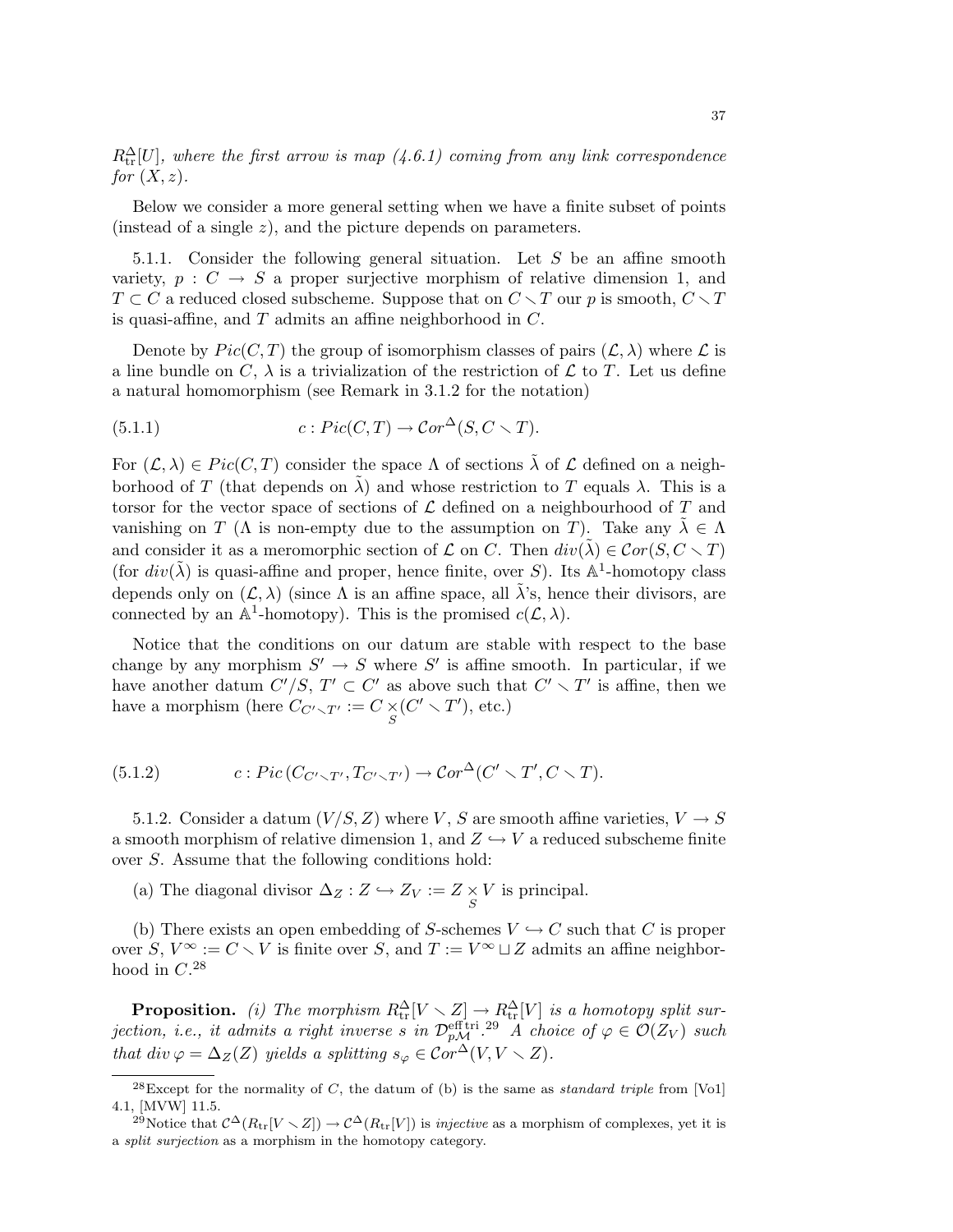$R_{\text{tr}}^{\Delta}[U]$ , where the first arrow is map  $(4.6.1)$  coming from any link correspondence for  $(X, z)$ .

Below we consider a more general setting when we have a finite subset of points (instead of a single z), and the picture depends on parameters.

5.1.1. Consider the following general situation. Let  $S$  be an affine smooth variety,  $p : C \rightarrow S$  a proper surjective morphism of relative dimension 1, and  $T \subset C$  a reduced closed subscheme. Suppose that on  $C \setminus T$  our p is smooth,  $C \setminus T$ is quasi-affine, and  $T$  admits an affine neighborhood in  $C$ .

Denote by  $Pic(C, T)$  the group of isomorphism classes of pairs  $(\mathcal{L}, \lambda)$  where  $\mathcal{L}$  is a line bundle on C,  $\lambda$  is a trivialization of the restriction of L to T. Let us define a natural homomorphism (see Remark in 3.1.2 for the notation)

(5.1.1) 
$$
c: Pic(C,T) \to Cor^{\Delta}(S, C \setminus T).
$$

For  $(\mathcal{L}, \lambda) \in Pic(C, T)$  consider the space  $\Lambda$  of sections  $\tilde{\lambda}$  of  $\mathcal{L}$  defined on a neighborhood of T (that depends on  $\lambda$ ) and whose restriction to T equals  $\lambda$ . This is a torsor for the vector space of sections of  $\mathcal L$  defined on a neighbourhood of T and vanishing on T ( $\Lambda$  is non-empty due to the assumption on T). Take any  $\lambda \in \Lambda$ and consider it as a meromorphic section of  $\mathcal L$  on C. Then  $div(\tilde{\lambda}) \in Cor(S, C \setminus T)$ (for  $div(\tilde{\lambda})$  is quasi-affine and proper, hence finite, over S). Its  $\mathbb{A}^1$ -homotopy class depends only on  $(\mathcal{L}, \lambda)$  (since  $\Lambda$  is an affine space, all  $\tilde{\lambda}$ 's, hence their divisors, are connected by an  $\mathbb{A}^1$ -homotopy). This is the promised  $c(\mathcal{L}, \lambda)$ .

Notice that the conditions on our datum are stable with respect to the base change by any morphism  $S' \to S$  where S' is affine smooth. In particular, if we have another datum  $C'/S$ ,  $T' \subset C'$  as above such that  $C' \setminus T'$  is affine, then we have a morphism (here  $C_{C'\setminus T'} := C \times (C' \setminus T')$ , etc.)

(5.1.2) 
$$
c: Pic(C_{C'\smallsetminus T'}, T_{C'\smallsetminus T'}) \to Cor^{\Delta}(C' \smallsetminus T', C \smallsetminus T).
$$

5.1.2. Consider a datum  $(V/S, Z)$  where V, S are smooth affine varieties,  $V \rightarrow S$ a smooth morphism of relative dimension 1, and  $Z \hookrightarrow V$  a reduced subscheme finite over S. Assume that the following conditions hold:

(a) The diagonal divisor  $\Delta_Z : Z \hookrightarrow Z_V := Z \underset{S}{\times} V$  is principal.

(b) There exists an open embedding of S-schemes  $V \hookrightarrow C$  such that C is proper over S,  $V^{\infty} := C \setminus V$  is finite over S, and  $T := V^{\infty} \sqcup Z$  admits an affine neighborhood in  $C^{28}$ 

**Proposition.** (i) The morphism  $R_{\text{tr}}^{\Delta}[V \setminus Z] \to R_{\text{tr}}^{\Delta}[V]$  is a homotopy split surjection, i.e., it admits a right inverse s in  $\mathcal{D}_{p\mathcal{M}}^{\text{eff tri 29}}$  A choice of  $\varphi \in \mathcal{O}(Z_V)$  such that div  $\varphi = \Delta_Z(Z)$  yields a splitting  $s_{\varphi} \in \widehat{Cor}^{\Delta}(V, V \setminus Z)$ .

 $^{28}$ Except for the normality of C, the datum of (b) is the same as *standard triple* from [Vo1] 4.1, [MVW] 11.5.

<sup>&</sup>lt;sup>29</sup>Notice that  $\mathcal{C}^{\Delta}(R_{\text{tr}}[V \setminus Z]) \to \mathcal{C}^{\Delta}(R_{\text{tr}}[V])$  is *injective* as a morphism of complexes, yet it is a split surjection as a morphism in the homotopy category.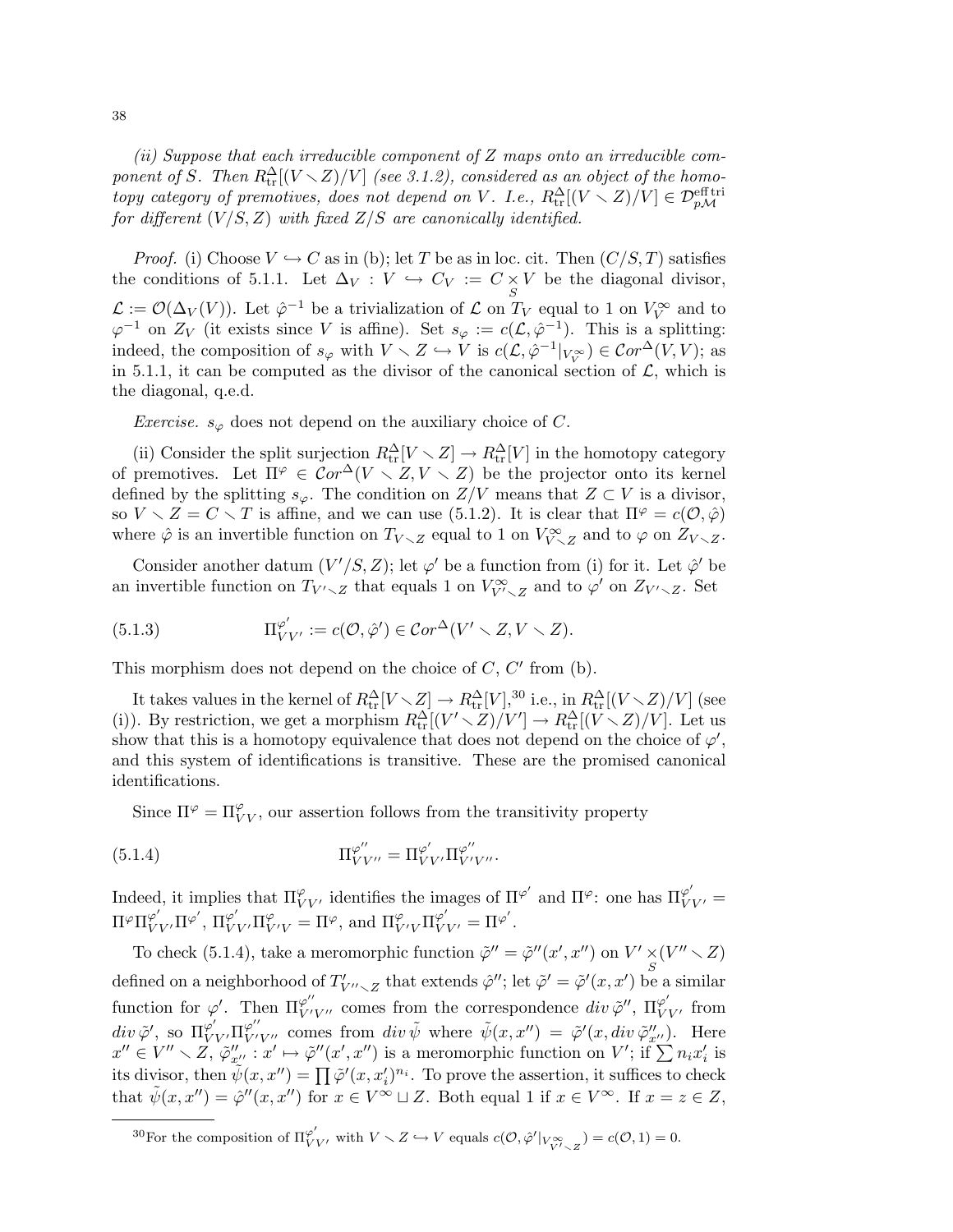(ii) Suppose that each irreducible component of Z maps onto an irreducible component of S. Then  $R_{\rm tr}^{\Delta}[(V\diagdown Z)/V]$  (see 3.1.2), considered as an object of the homotopy category of premotives, does not depend on V. I.e.,  $R_{\rm tr}^{\Delta}[(V\smallsetminus Z)/V]\in {\mathcal D}_{p\mathcal M}^{\rm eff\,tri}$ for different  $(V/S, Z)$  with fixed  $Z/S$  are canonically identified.

*Proof.* (i) Choose  $V \hookrightarrow C$  as in (b); let T be as in loc. cit. Then  $(C/S, T)$  satisfies the conditions of 5.1.1. Let  $\Delta_V : V \hookrightarrow C_V := C \times V$  be the diagonal divisor, S  $\mathcal{L} := \mathcal{O}(\Delta_V(V))$ . Let  $\hat{\varphi}^{-1}$  be a trivialization of  $\mathcal{L}$  on  $T_V$  equal to 1 on  $V_V^{\infty}$  and to  $\varphi^{-1}$  on  $Z_V$  (it exists since V is affine). Set  $s_{\varphi} := c(\mathcal{L}, \hat{\varphi}^{-1})$ . This is a splitting: indeed, the composition of  $s_{\varphi}$  with  $V \setminus Z \hookrightarrow V$  is  $c(\mathcal{L}, \hat{\varphi}^{-1}|_{V_V^{\infty}}) \in Cor^{\Delta}(V, V)$ ; as in 5.1.1, it can be computed as the divisor of the canonical section of  $\mathcal{L}$ , which is the diagonal, q.e.d.

*Exercise.*  $s_{\varphi}$  does not depend on the auxiliary choice of C.

(ii) Consider the split surjection  $R_{tr}^{\Delta}[V \setminus Z] \to R_{tr}^{\Delta}[V]$  in the homotopy category of premotives. Let  $\Pi^{\varphi} \in \mathcal{C}or^{\Delta}(V \setminus Z, V \setminus Z)$  be the projector onto its kernel defined by the splitting  $s_{\varphi}$ . The condition on  $Z/V$  means that  $Z \subset V$  is a divisor, so  $V \setminus Z = C \setminus T$  is affine, and we can use (5.1.2). It is clear that  $\Pi^{\varphi} = c(\mathcal{O}, \hat{\varphi})$ where  $\hat{\varphi}$  is an invertible function on  $T_{V\setminus Z}$  equal to 1 on  $V_{V\setminus Z}^{\infty}$  and to  $\varphi$  on  $Z_{V\setminus Z}$ .

Consider another datum  $(V'/S, Z)$ ; let  $\varphi'$  be a function from (i) for it. Let  $\hat{\varphi}'$  be an invertible function on  $T_{V'\setminus Z}$  that equals 1 on  $V_{V'\setminus Z}^{\infty}$  and to  $\varphi'$  on  $Z_{V'\setminus Z}$ . Set

(5.1.3) 
$$
\Pi_{VV'}^{\varphi'} := c(\mathcal{O}, \hat{\varphi}') \in \mathcal{C}or^{\Delta}(V' \setminus Z, V \setminus Z).
$$

This morphism does not depend on the choice of  $C, C'$  from (b).

It takes values in the kernel of  $R_{\rm tr}^{\Delta}[V \setminus Z] \to R_{\rm tr}^{\Delta}[V],$ <sup>30</sup> i.e., in  $R_{\rm tr}^{\Delta}[(V \setminus Z)/V]$  (see (i)). By restriction, we get a morphism  $R_{tr}^{\Delta}[(V' \setminus Z)/V'] \to R_{tr}^{\Delta}[(V \setminus Z)/V]$ . Let us show that this is a homotopy equivalence that does not depend on the choice of  $\varphi'$ , and this system of identifications is transitive. These are the promised canonical identifications.

Since  $\Pi^{\varphi} = \Pi^{\varphi}_{VV}$ , our assertion follows from the transitivity property

(5.1.4) 
$$
\Pi_{VV''}^{\varphi''} = \Pi_{VV'}^{\varphi'} \Pi_{V'V''}^{\varphi''}.
$$

Indeed, it implies that  $\Pi_{VV'}^{\varphi}$  identifies the images of  $\Pi^{\varphi'}$  and  $\Pi^{\varphi}$ : one has  $\Pi_{VV'}^{\varphi'}$  =  $\Pi^{\varphi}\Pi^{\varphi'}_{VV'}\Pi^{\varphi'}_{VV'}\Pi^{\varphi}_{VV'}=\Pi^{\varphi}$ , and  $\Pi^{\varphi}_{VV'}\Pi^{\varphi'}_{VV'}=\Pi^{\varphi'}$ .

To check (5.1.4), take a meromorphic function  $\tilde{\varphi}'' = \tilde{\varphi}''(x', x'')$  on  $V' \times (V'' \times Z)$ defined on a neighborhood of  $T'_{V''\sim Z}$  that extends  $\hat{\varphi}''$ ; let  $\tilde{\varphi}' = \tilde{\varphi}'(x, x')$  be a similar function for  $\varphi'$ . Then  $\Pi_{VV}^{\varphi''}$  comes from the correspondence  $div \tilde{\varphi}''$ ,  $\Pi_{VV'}^{\varphi'}$  from  $div \tilde{\varphi}'$ , so  $\Pi_{VV'}^{\varphi''} \Pi_{VV''}^{\varphi''}$  comes from  $div \tilde{\psi}$  where  $\tilde{\psi}(x, x'') = \tilde{\varphi}'(x, div \tilde{\varphi}''_{x''})$ . Here  $x'' \in V'' \setminus Z$ ,  $\varphi''_{x''}: x' \mapsto \varphi''(x', x'')$  is a meromorphic function on V'; if  $\sum n_i x'_i$  is its divisor, then  $\widetilde{\psi}(x, x'') = \prod \widetilde{\varphi}'(x, x'_i)^{n_i}$ . To prove the assertion, it suffices to check that  $\tilde{\psi}(x, x'') = \hat{\varphi}''(x, x'')$  for  $x \in V^{\infty} \sqcup Z$ . Both equal 1 if  $x \in V^{\infty}$ . If  $x = z \in Z$ ,

<sup>30</sup>For the composition of  $\Pi_{VV}^{\varphi'}$ , with  $V \setminus Z \hookrightarrow V$  equals  $c(\mathcal{O}, \hat{\varphi}'|_{V_{V' \setminus Z}^{\infty}}) = c(\mathcal{O}, 1) = 0$ .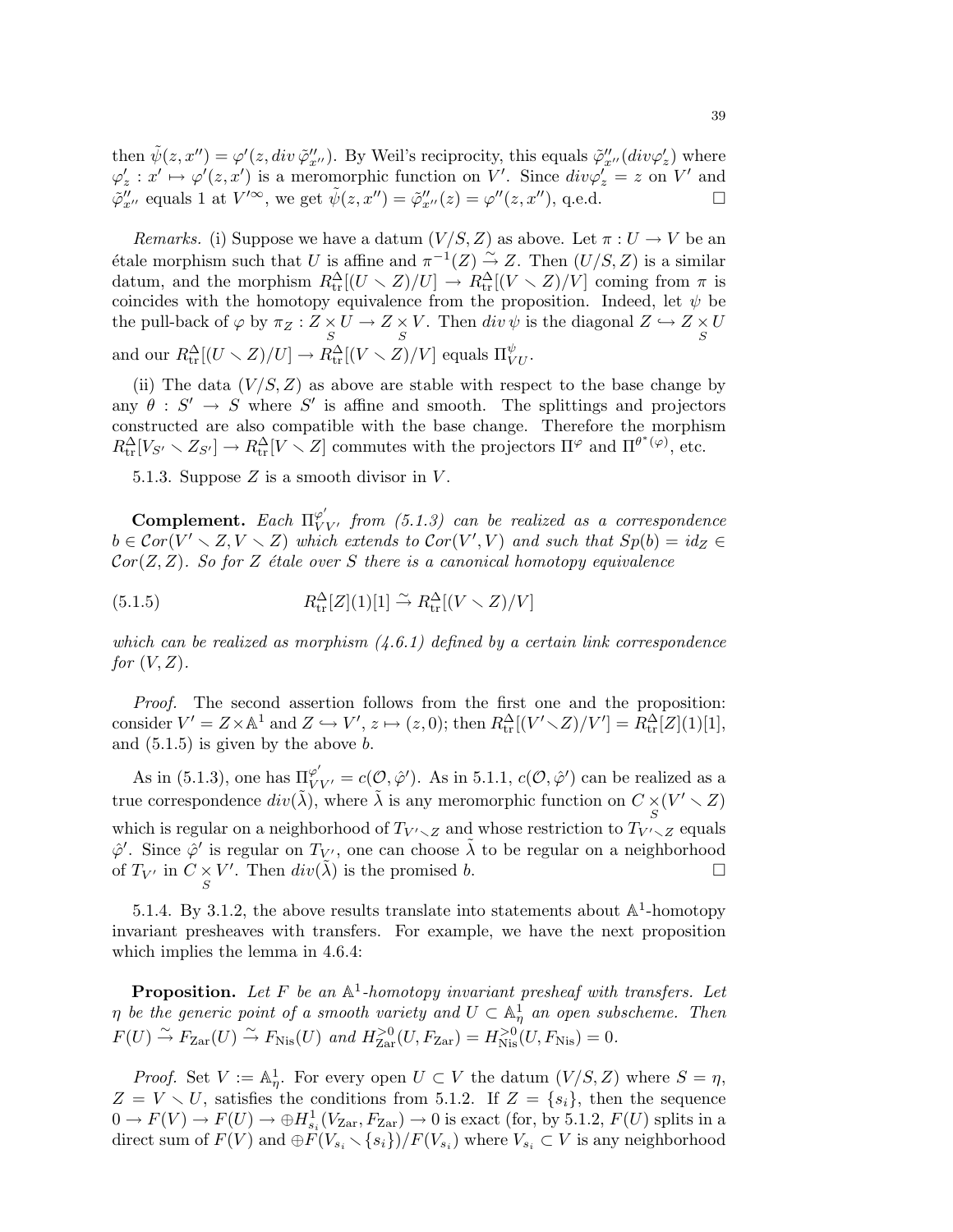then  $\tilde{\psi}(z, x'') = \varphi'(z, div \tilde{\varphi}''_{x''})$ . By Weil's reciprocity, this equals  $\tilde{\varphi}''_{x''}(div \varphi'_z)$  where  $\varphi'_z : x' \mapsto \varphi'(z, x')$  is a meromorphic function on V'. Since  $div \varphi'_z = z$  on V' and  $\tilde{\varphi}''_{x''}$  equals 1 at  $V'^{\infty}$ , we get  $\tilde{\psi}(z, x'') = \tilde{\varphi}''_{x''}(z) = \varphi''(z, x'')$ , q.e.d.

Remarks. (i) Suppose we have a datum  $(V/S, Z)$  as above. Let  $\pi : U \to V$  be an étale morphism such that U is affine and  $\pi^{-1}(Z) \overset{\sim}{\to} Z$ . Then  $(U/S, Z)$  is a similar datum, and the morphism  $R_{\text{tr}}^{\Delta}[(U \setminus Z)/U] \to R_{\text{tr}}^{\Delta}[(V \setminus Z)/V]$  coming from  $\pi$  is coincides with the homotopy equivalence from the proposition. Indeed, let  $\psi$  be the pull-back of  $\varphi$  by  $\pi_Z : Z \times U \to Z \times V$ . Then  $div \psi$  is the diagonal  $Z \hookrightarrow Z \times U$ and our  $R^{\Delta}_{\text{tr}}[(U \setminus Z)/U] \to R^{\Delta}_{\text{tr}}[(V \setminus Z)/V]$  equals  $\Pi^{\psi}_{VU}$ .

(ii) The data  $(V/S, Z)$  as above are stable with respect to the base change by any  $\theta : S' \to S$  where S' is affine and smooth. The splittings and projectors constructed are also compatible with the base change. Therefore the morphism  $R_{\text{tr}}^{\Delta}[V_{S'} \setminus Z_{S'}] \to R_{\text{tr}}^{\Delta}[V \setminus Z]$  commutes with the projectors  $\Pi^{\varphi}$  and  $\Pi^{\theta^*(\varphi)}$ , etc.

5.1.3. Suppose  $Z$  is a smooth divisor in  $V$ .

**Complement.** Each  $\Pi_{VV'}^{\varphi'}$  from (5.1.3) can be realized as a correspondence  $b \in \mathcal{C}or(\overline{V'} \setminus Z, V \setminus Z)$  which extends to  $\mathcal{C}or(V', V)$  and such that  $Sp(b) = id_Z \in$  $Cor(Z, Z)$ . So for Z étale over S there is a canonical homotopy equivalence

(5.1.5) 
$$
R_{\text{tr}}^{\Delta}[Z](1)[1] \stackrel{\sim}{\to} R_{\text{tr}}^{\Delta}[(V \setminus Z)/V]
$$

which can be realized as morphism  $(4.6.1)$  defined by a certain link correspondence for  $(V, Z)$ .

Proof. The second assertion follows from the first one and the proposition: consider  $V' = Z \times \mathbb{A}^1$  and  $Z \hookrightarrow V', z \mapsto (z, 0)$ ; then  $R_{\text{tr}}^{\Delta}[(V' \setminus Z)/V'] = R_{\text{tr}}^{\Delta}[Z](1)[1],$ and  $(5.1.5)$  is given by the above  $\overline{b}$ .

As in (5.1.3), one has  $\Pi_{VV'}^{\varphi'} = c(\mathcal{O}, \hat{\varphi}')$ . As in 5.1.1,  $c(\mathcal{O}, \hat{\varphi}')$  can be realized as a true correspondence  $div(\tilde{\lambda})$ , where  $\tilde{\lambda}$  is any meromorphic function on  $C \underset{S}{\times} (V' \setminus Z)$ which is regular on a neighborhood of  $T_{V' \setminus Z}$  and whose restriction to  $T_{V' \setminus Z}$  equals  $\hat{\varphi}'$ . Since  $\hat{\varphi}'$  is regular on  $T_{V'}$ , one can choose  $\tilde{\lambda}$  to be regular on a neighborhood of  $T_{V'}$  in  $C \underset{S}{\times} V'$ . Then  $div(\tilde{\lambda})$  is the promised b.

5.1.4. By 3.1.2, the above results translate into statements about  $\mathbb{A}^1$ -homotopy invariant presheaves with transfers. For example, we have the next proposition which implies the lemma in 4.6.4:

**Proposition.** Let F be an  $\mathbb{A}^1$ -homotopy invariant presheaf with transfers. Let  $\eta$  be the generic point of a smooth variety and  $U \subset \mathbb{A}^1_\eta$  an open subscheme. Then  $F(U) \stackrel{\sim}{\to} F_{\text{Zar}}(U) \stackrel{\sim}{\to} F_{\text{Nis}}(U)$  and  $H_{\text{Zar}}^{>0}(U, F_{\text{Zar}}) = H_{\text{Nis}}^{>0}(U, F_{\text{Nis}}) = 0.$ 

*Proof.* Set  $V := \mathbb{A}^1_\eta$ . For every open  $U \subset V$  the datum  $(V/S, Z)$  where  $S = \eta$ ,  $Z = V \setminus U$ , satisfies the conditions from 5.1.2. If  $Z = \{s_i\}$ , then the sequence  $0 \to F(V) \to F(U) \to \bigoplus H^1_{s_i}(V_{\text{Zar}}, F_{\text{Zar}}) \to 0$  is exact (for, by 5.1.2,  $F(U)$  splits in a direct sum of  $F(V)$  and  $\oplus F(V_{s_i} \setminus \{s_i\})/F(V_{s_i})$  where  $V_{s_i} \subset V$  is any neighborhood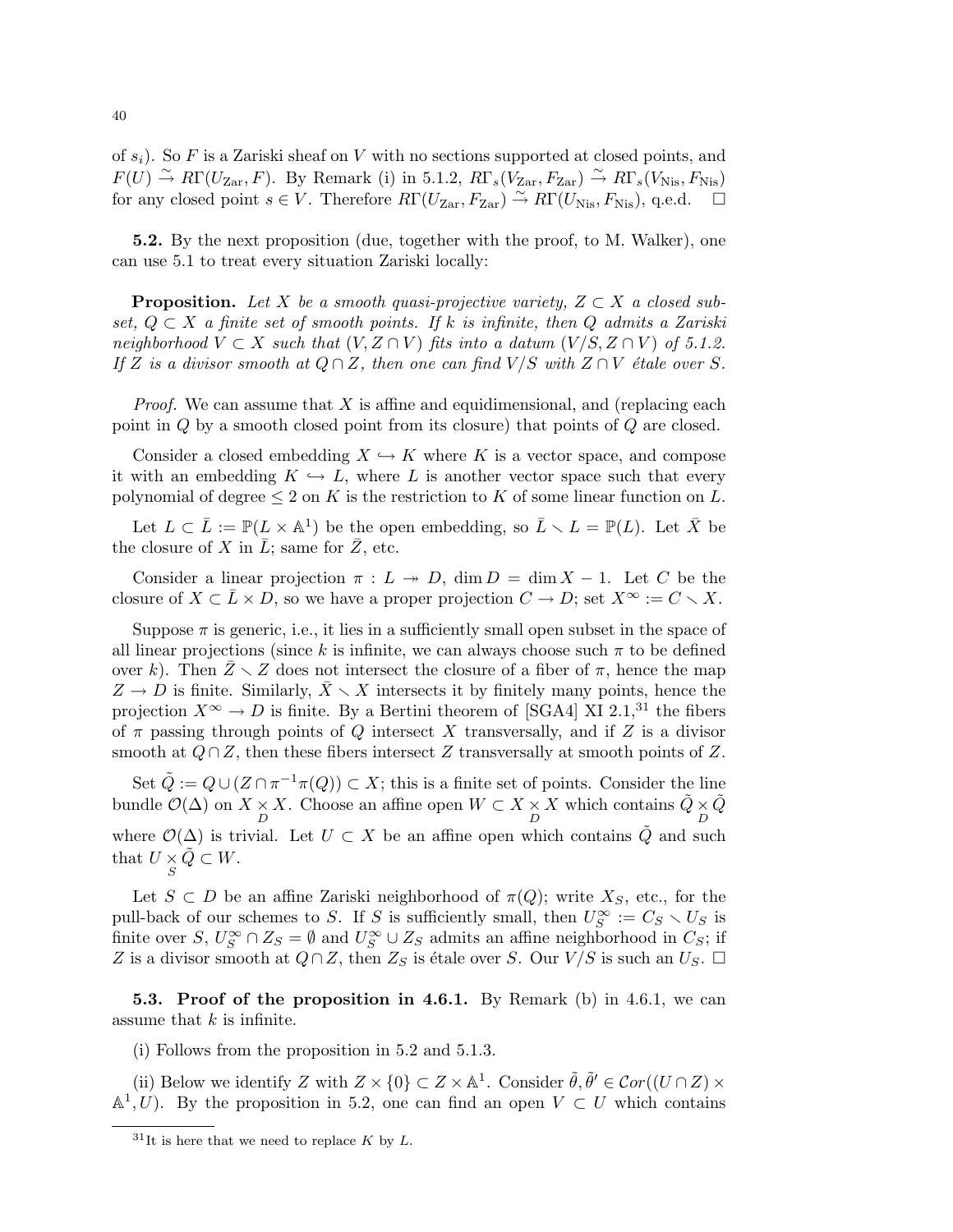of  $s_i$ ). So F is a Zariski sheaf on V with no sections supported at closed points, and  $F(U) \stackrel{\sim}{\to} R\Gamma(U_{\text{Zar}}, F)$ . By Remark (i) in 5.1.2,  $R\Gamma_s(\widetilde{V}_{\text{Zar}}, F_{\text{Zar}}) \stackrel{\sim}{\to} R\Gamma_s(\widetilde{V}_{\text{Nis}}, F_{\text{Nis}})$ for any closed point  $s \in V$ . Therefore  $R\Gamma(U_{\rm Zar}, F_{\rm Zar}) \stackrel{\sim}{\to} R\Gamma(U_{\rm Nis}, F_{\rm Nis})$ , q.e.d.  $\Box$ 

5.2. By the next proposition (due, together with the proof, to M. Walker), one can use 5.1 to treat every situation Zariski locally:

**Proposition.** Let X be a smooth quasi-projective variety,  $Z \subset X$  a closed subset,  $Q \subset X$  a finite set of smooth points. If k is infinite, then Q admits a Zariski neighborhood  $V \subset X$  such that  $(V, Z \cap V)$  fits into a datum  $(V/S, Z \cap V)$  of 5.1.2. If Z is a divisor smooth at  $Q \cap Z$ , then one can find  $V/S$  with  $Z \cap V$  étale over S.

*Proof.* We can assume that  $X$  is affine and equidimensional, and (replacing each point in Q by a smooth closed point from its closure) that points of Q are closed.

Consider a closed embedding  $X \hookrightarrow K$  where K is a vector space, and compose it with an embedding  $K \hookrightarrow L$ , where L is another vector space such that every polynomial of degree  $\leq 2$  on K is the restriction to K of some linear function on L.

Let  $L \subset \overline{L} := \mathbb{P}(L \times \mathbb{A}^1)$  be the open embedding, so  $\overline{L} \setminus L = \mathbb{P}(L)$ . Let  $\overline{X}$  be the closure of X in  $\overline{L}$ ; same for  $\overline{Z}$ , etc.

Consider a linear projection  $\pi : L \to D$ ,  $\dim D = \dim X - 1$ . Let C be the closure of  $X \subset \overline{L} \times D$ , so we have a proper projection  $C \to D$ ; set  $X^{\infty} := C \setminus X$ .

Suppose  $\pi$  is generic, i.e., it lies in a sufficiently small open subset in the space of all linear projections (since k is infinite, we can always choose such  $\pi$  to be defined over k). Then  $\bar{Z} \setminus Z$  does not intersect the closure of a fiber of  $\pi$ , hence the map  $Z \to D$  is finite. Similarly,  $\bar{X} \setminus X$  intersects it by finitely many points, hence the projection  $X^{\infty} \to D$  is finite. By a Bertini theorem of [SGA4] XI 2.1,<sup>31</sup> the fibers of  $\pi$  passing through points of Q intersect X transversally, and if Z is a divisor smooth at  $Q \cap Z$ , then these fibers intersect Z transversally at smooth points of Z.

Set  $\tilde{Q} := Q \cup (Z \cap \pi^{-1}\pi(Q)) \subset X$ ; this is a finite set of points. Consider the line bundle  $\mathcal{O}(\Delta)$  on  $X \times X$ . Choose an affine open  $W \subset X \times X$  which contains  $\tilde{Q} \times \tilde{Q}$ where  $\mathcal{O}(\Delta)$  is trivial. Let  $U \subset X$  be an affine open which contains  $\tilde{Q}$  and such that  $U \underset{S}{\times} \widetilde{Q} \subset W$ .

Let  $S \subset D$  be an affine Zariski neighborhood of  $\pi(Q)$ ; write  $X_S$ , etc., for the pull-back of our schemes to S. If S is sufficiently small, then  $U_S^{\infty} := C_S \setminus U_S$  is finite over  $S, U_S^{\infty} \cap Z_S = \emptyset$  and  $U_S^{\infty} \cup Z_S$  admits an affine neighborhood in  $C_S$ ; if Z is a divisor smooth at  $Q \cap Z$ , then  $Z_S$  is étale over S. Our  $V/S$  is such an  $U_S$ .  $\Box$ 

**5.3. Proof of the proposition in 4.6.1.** By Remark (b) in 4.6.1, we can assume that  $k$  is infinite.

(i) Follows from the proposition in 5.2 and 5.1.3.

(ii) Below we identify Z with  $Z \times \{0\} \subset Z \times \mathbb{A}^1$ . Consider  $\tilde{\theta}, \tilde{\theta}' \in \mathcal{C}or((U \cap Z) \times$  $\mathbb{A}^1, U$ ). By the proposition in 5.2, one can find an open  $V \subset U$  which contains

 $31$ It is here that we need to replace K by L.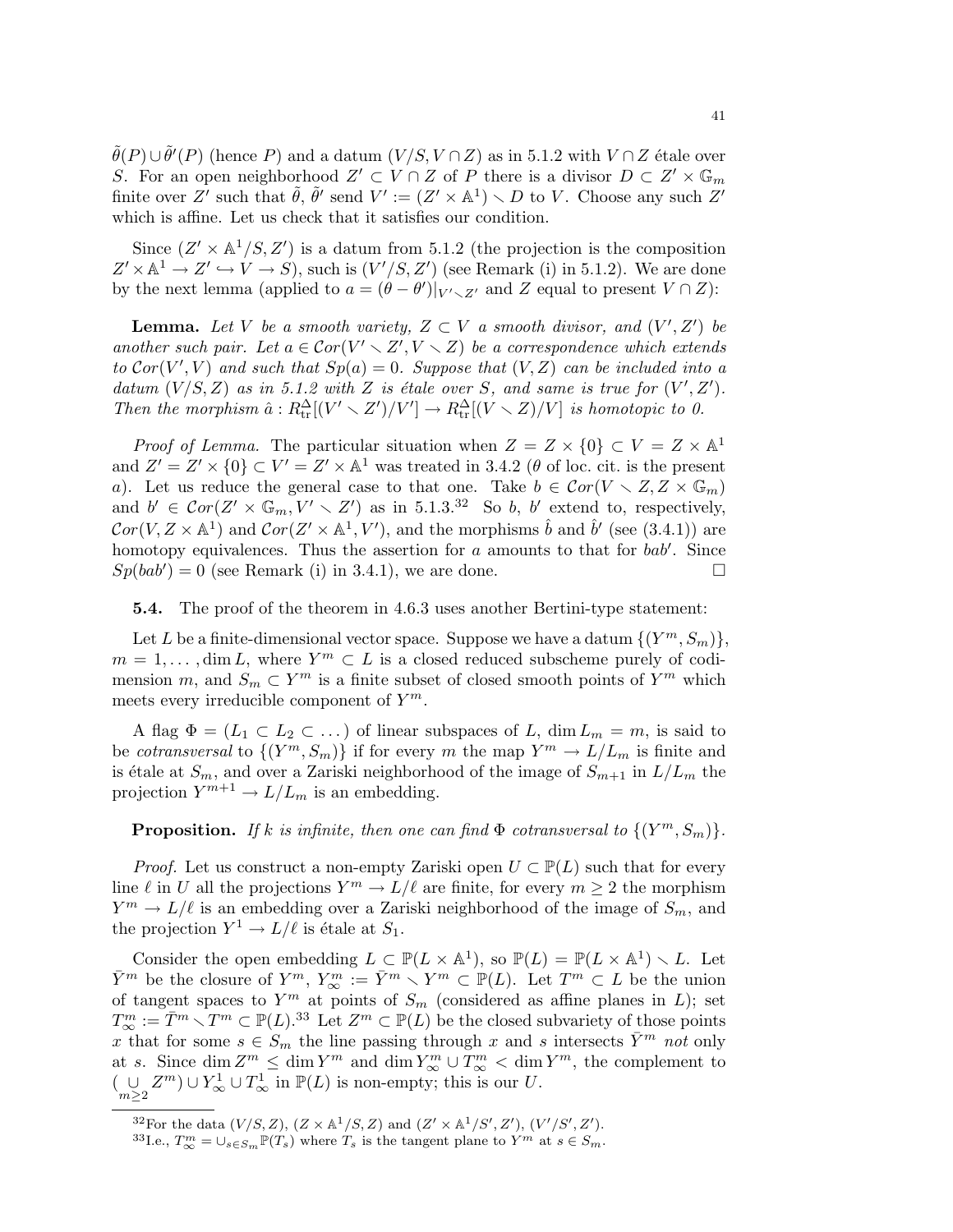$\tilde{\theta}(P) \cup \tilde{\theta}'(P)$  (hence P) and a datum  $(V/S, V \cap Z)$  as in 5.1.2 with  $V \cap Z$  étale over S. For an open neighborhood  $Z' \subset V \cap Z$  of P there is a divisor  $D \subset Z' \times \mathbb{G}_m$ finite over Z' such that  $\tilde{\theta}$ ,  $\tilde{\theta}'$  send  $V' := (Z' \times \mathbb{A}^1) \setminus D$  to V. Choose any such Z' which is affine. Let us check that it satisfies our condition.

Since  $(Z' \times \mathbb{A}^1/S, Z')$  is a datum from 5.1.2 (the projection is the composition  $Z' \times \mathbb{A}^1 \to Z' \hookrightarrow V \to S$ , such is  $(V'/S, Z')$  (see Remark (i) in 5.1.2). We are done by the next lemma (applied to  $a = (\theta - \theta')|_{V' \setminus Z'}$  and Z equal to present  $V \cap Z$ ):

**Lemma.** Let V be a smooth variety,  $Z \subset V$  a smooth divisor, and  $(V', Z')$  be another such pair. Let  $a \in Cor(V' \setminus Z', V \setminus Z)$  be a correspondence which extends to  $Cor(V', V)$  and such that  $Sp(a) = 0$ . Suppose that  $(V, Z)$  can be included into a datum  $(V/S, Z)$  as in 5.1.2 with Z is étale over S, and same is true for  $(V', Z')$ . Then the morphism  $\hat{a}: R_{tr}^{\Delta}[(V' \setminus Z')/V'] \to R_{tr}^{\Delta}[(V \setminus Z)/V]$  is homotopic to 0.

*Proof of Lemma.* The particular situation when  $Z = Z \times \{0\} \subset V = Z \times \mathbb{A}^1$ and  $Z' = Z' \times \{0\} \subset V' = Z' \times \mathbb{A}^1$  was treated in 3.4.2 ( $\theta$  of loc. cit. is the present a). Let us reduce the general case to that one. Take  $b \in \mathcal{C}or(V \setminus Z, Z \times \mathbb{G}_m)$ and  $b' \in \mathcal{C}or(Z' \times \mathbb{G}_m, V' \times Z')$  as in 5.1.3.<sup>32</sup> So b, b' extend to, respectively,  $Cor(V, Z \times \mathbb{A}^1)$  and  $Cor(Z' \times \mathbb{A}^1, V')$ , and the morphisms  $\hat{b}$  and  $\hat{b}'$  (see (3.4.1)) are homotopy equivalences. Thus the assertion for  $a$  amounts to that for  $bab'$ . Since  $Sp(bab') = 0$  (see Remark (i) in 3.4.1), we are done.

5.4. The proof of the theorem in 4.6.3 uses another Bertini-type statement:

Let L be a finite-dimensional vector space. Suppose we have a datum  $\{(Y^m, S_m)\},$  $m = 1, \dots, \dim L$ , where  $Y^m \subset L$  is a closed reduced subscheme purely of codimension m, and  $S_m \subset Y^m$  is a finite subset of closed smooth points of  $Y^m$  which meets every irreducible component of  $Y^m$ .

A flag  $\Phi = (L_1 \subset L_2 \subset \dots)$  of linear subspaces of L, dim  $L_m = m$ , is said to be *cotransversal* to  $\{(Y^m, S_m)\}\$ if for every m the map  $Y^m \to L/L_m$  is finite and is étale at  $S_m$ , and over a Zariski neighborhood of the image of  $S_{m+1}$  in  $L/L_m$  the projection  $Y^{m+1} \to L/L_m$  is an embedding.

**Proposition.** If k is infinite, then one can find  $\Phi$  cotransversal to  $\{(Y^m, S_m)\}.$ 

*Proof.* Let us construct a non-empty Zariski open  $U \subset \mathbb{P}(L)$  such that for every line  $\ell$  in U all the projections  $Y^m \to L/\ell$  are finite, for every  $m \geq 2$  the morphism  $Y^m \to L/\ell$  is an embedding over a Zariski neighborhood of the image of  $S_m$ , and the projection  $Y^1 \to L/\ell$  is étale at  $S_1$ .

Consider the open embedding  $L \subset \mathbb{P}(L \times \mathbb{A}^1)$ , so  $\mathbb{P}(L) = \mathbb{P}(L \times \mathbb{A}^1) \setminus L$ . Let  $\bar{Y}^m$  be the closure of  $Y^m$ ,  $Y^m_{\infty} := \bar{Y}^m \setminus Y^m \subset \mathbb{P}(L)$ . Let  $T^m \subset L$  be the union of tangent spaces to  $Y^m$  at points of  $S_m$  (considered as affine planes in L); set  $T_{\infty}^{m} := \overline{T}^{m} \setminus T^{m} \subset \mathbb{P}(L).^{33}$  Let  $Z^{m} \subset \mathbb{P}(L)$  be the closed subvariety of those points x that for some  $s \in S_m$  the line passing through x and s intersects  $\bar{Y}^m$  not only at s. Since  $\dim \mathbb{Z}^m \leq \dim Y^m$  and  $\dim Y^m_{\infty} \cup T^m_{\infty} < \dim Y^m$ , the complement to  $(\bigcup_{m\geq 2} Z^m) \cup Y^1_{\infty} \cup T^1_{\infty}$  in  $\mathbb{P}(L)$  is non-empty; this is our U.

<sup>&</sup>lt;sup>32</sup>For the data  $(V/S, Z)$ ,  $(Z \times \mathbb{A}^1/S, Z)$  and  $(Z' \times \mathbb{A}^1/S', Z')$ ,  $(V'/S', Z')$ .

<sup>&</sup>lt;sup>33</sup>I.e.,  $T_{\infty}^{m} = \cup_{s \in S_m} \mathbb{P}(T_s)$  where  $T_s$  is the tangent plane to  $Y^m$  at  $s \in S_m$ .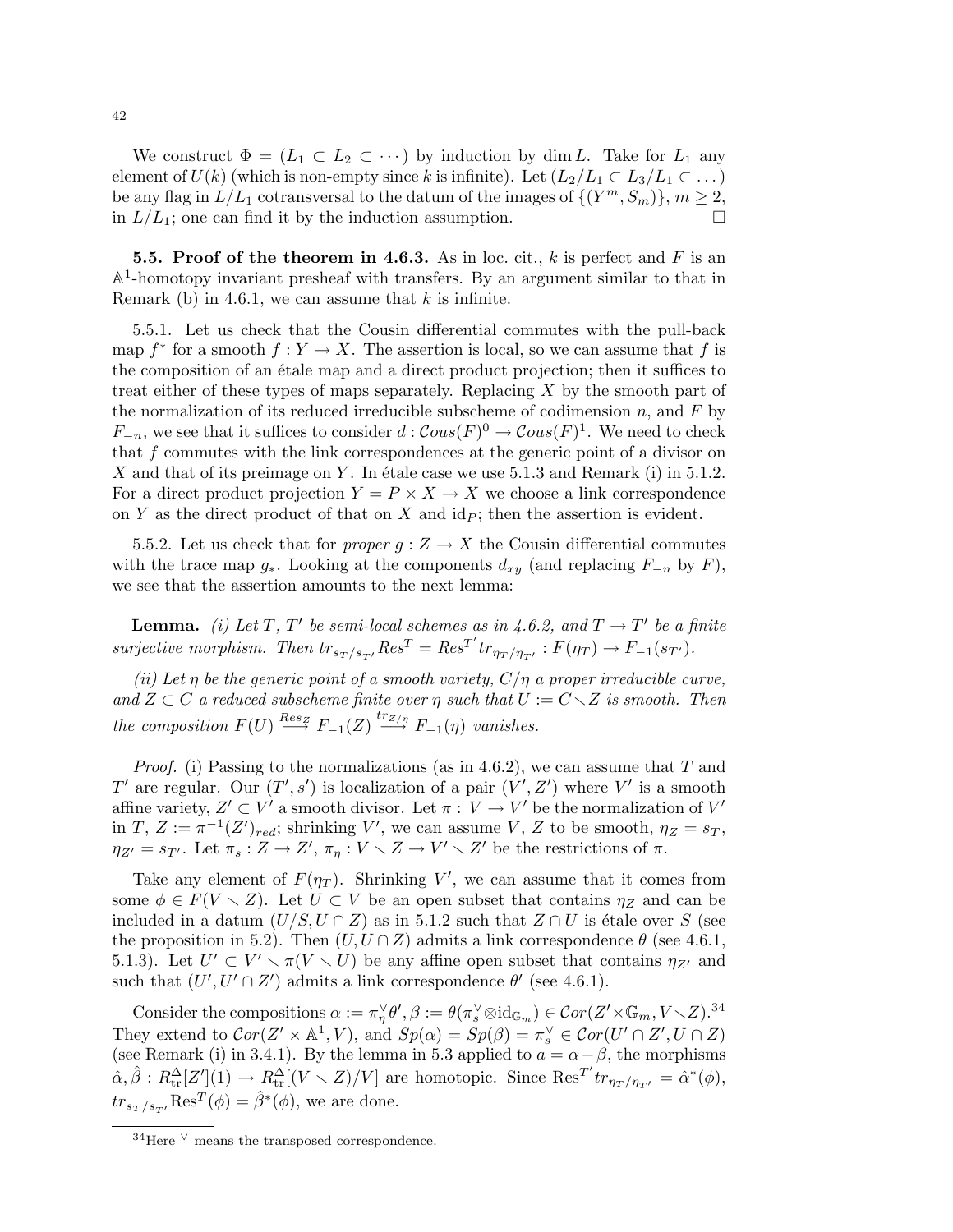We construct  $\Phi = (L_1 \subset L_2 \subset \cdots)$  by induction by dim L. Take for  $L_1$  any element of  $U(k)$  (which is non-empty since k is infinite). Let  $(L_2/L_1 \subset L_3/L_1 \subset \ldots)$ be any flag in  $L/L_1$  cotransversal to the datum of the images of  $\{(Y^m, S_m)\}, m \geq 2$ , in  $L/L_1$ ; one can find it by the induction assumption.

**5.5. Proof of the theorem in 4.6.3.** As in loc. cit., k is perfect and F is an  $\mathbb{A}^1$ -homotopy invariant presheaf with transfers. By an argument similar to that in Remark (b) in 4.6.1, we can assume that  $k$  is infinite.

5.5.1. Let us check that the Cousin differential commutes with the pull-back map  $f^*$  for a smooth  $f: Y \to X$ . The assertion is local, so we can assume that f is the composition of an étale map and a direct product projection; then it suffices to treat either of these types of maps separately. Replacing X by the smooth part of the normalization of its reduced irreducible subscheme of codimension  $n$ , and  $F$  by  $F_{-n}$ , we see that it suffices to consider  $d: \mathcal{C}ous(F)^0 \to \mathcal{C}ous(F)^1$ . We need to check that  $f$  commutes with the link correspondences at the generic point of a divisor on X and that of its preimage on Y. In étale case we use 5.1.3 and Remark (i) in 5.1.2. For a direct product projection  $Y = P \times X \to X$  we choose a link correspondence on Y as the direct product of that on X and  $\mathrm{id}_P$ ; then the assertion is evident.

5.5.2. Let us check that for proper  $g: Z \to X$  the Cousin differential commutes with the trace map  $g_*$ . Looking at the components  $d_{xy}$  (and replacing  $F_{-n}$  by  $F$ ), we see that the assertion amounts to the next lemma:

**Lemma.** (i) Let T, T' be semi-local schemes as in 4.6.2, and  $T \rightarrow T'$  be a finite surjective morphism. Then  $tr_{s_T/s_{T'}} Res^T = Res^{T'} tr_{\eta_T/\eta_{T'}} : F(\eta_T) \to F_{-1}(s_{T'}).$ 

(ii) Let  $\eta$  be the generic point of a smooth variety,  $C/\eta$  a proper irreducible curve, and  $Z \subset C$  a reduced subscheme finite over  $\eta$  such that  $U := C \setminus Z$  is smooth. Then the composition  $F(U) \stackrel{Res_Z}{\longrightarrow} F_{-1}(Z) \stackrel{tr_{Z/\eta}}{\longrightarrow} F_{-1}(\eta)$  vanishes.

*Proof.* (i) Passing to the normalizations (as in 4.6.2), we can assume that T and T' are regular. Our  $(T', s')$  is localization of a pair  $(V', Z')$  where V' is a smooth affine variety,  $Z' \subset V'$  a smooth divisor. Let  $\pi : V \to V'$  be the normalization of  $V'$ in  $T, Z := \pi^{-1}(Z')_{red}$ ; shrinking V', we can assume V, Z to be smooth,  $\eta_Z = s_T$ ,  $\eta_{Z'} = s_{T'}$ . Let  $\pi_s : Z \to Z'$ ,  $\pi_\eta : V \times Z \to V' \times Z'$  be the restrictions of  $\pi$ .

Take any element of  $F(\eta_T)$ . Shrinking V', we can assume that it comes from some  $\phi \in F(V \setminus Z)$ . Let  $U \subset V$  be an open subset that contains  $\eta_Z$  and can be included in a datum  $(U/S, U \cap Z)$  as in 5.1.2 such that  $Z \cap U$  is étale over S (see the proposition in 5.2). Then  $(U, U \cap Z)$  admits a link correspondence  $\theta$  (see 4.6.1, 5.1.3). Let  $U' \subset V' \setminus \pi(V \setminus U)$  be any affine open subset that contains  $\eta_{Z'}$  and such that  $(U', U' \cap Z')$  admits a link correspondence  $\theta'$  (see 4.6.1).

Consider the compositions  $\alpha := \pi_{\eta}^{\vee} \theta', \beta := \theta(\pi_s^{\vee} \otimes id_{\mathbb{G}_m}) \in \mathcal{C}or(Z' \times \mathbb{G}_m, V \setminus Z).^{34}$ They extend to  $Cor(Z' \times \mathbb{A}^1, V)$ , and  $Sp(\alpha) = Sp(\beta) = \pi_s^{\vee} \in Cor(U' \cap Z', U \cap Z)$ (see Remark (i) in 3.4.1). By the lemma in 5.3 applied to  $a = \alpha - \beta$ , the morphisms  $\hat{\alpha}, \hat{\beta}: R_{tr}^{\Delta}[Z'](1) \to R_{tr}^{\Delta}[(V \setminus Z)/V]$  are homotopic. Since  $\text{Res}^{T'} tr_{\eta_T/\eta_{T'}} = \hat{\alpha}^*(\phi)$ ,  $tr_{s_T/s_{T}} Res^{T}(\phi) = \hat{\beta}^*(\phi)$ , we are done.

 $34$ Here  $\vee$  means the transposed correspondence.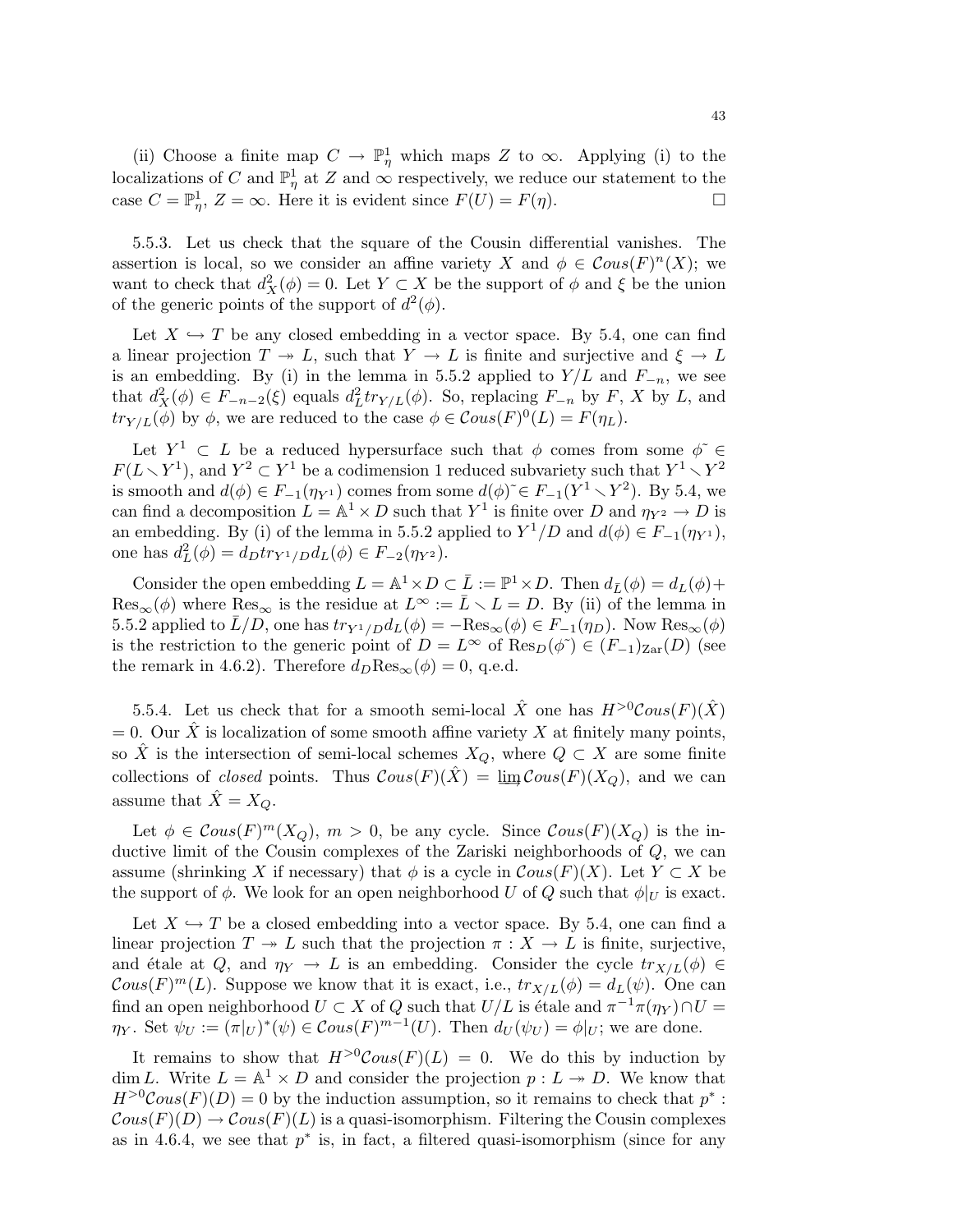(ii) Choose a finite map  $C \to \mathbb{P}^1_\eta$  which maps Z to  $\infty$ . Applying (i) to the localizations of C and  $\mathbb{P}^1_\eta$  at Z and  $\infty$  respectively, we reduce our statement to the case  $C = \mathbb{P}^1_\eta$ ,  $Z = \infty$ . Here it is evident since  $F(U) = F(\eta)$ .

5.5.3. Let us check that the square of the Cousin differential vanishes. The assertion is local, so we consider an affine variety X and  $\phi \in \mathcal{C}ous(F)^{n}(X)$ ; we want to check that  $d_X^2(\phi) = 0$ . Let  $Y \subset X$  be the support of  $\phi$  and  $\xi$  be the union of the generic points of the support of  $d^2(\phi)$ .

Let  $X \hookrightarrow T$  be any closed embedding in a vector space. By 5.4, one can find a linear projection  $T \to L$ , such that  $Y \to L$  is finite and surjective and  $\xi \to L$ is an embedding. By (i) in the lemma in 5.5.2 applied to  $Y/L$  and  $F_{-n}$ , we see that  $d_X^2(\phi) \in F_{-n-2}(\xi)$  equals  $d_L^2 tr_{Y/L}(\phi)$ . So, replacing  $F_{-n}$  by  $F$ , X by L, and  $tr_{Y/L}(\phi)$  by  $\phi$ , we are reduced to the case  $\phi \in \mathcal{C}ous(F)^0(L) = F(\eta_L)$ .

Let  $Y^1 \subset L$  be a reduced hypersurface such that  $\phi$  comes from some  $\phi \in \Theta$  $F(L\setminus Y^1)$ , and  $Y^2\subset Y^1$  be a codimension 1 reduced subvariety such that  $Y^1\setminus Y^2$ is smooth and  $d(\phi) \in F_{-1}(\eta_{Y^1})$  comes from some  $d(\phi) \in F_{-1}(Y^1 \setminus Y^2)$ . By 5.4, we can find a decomposition  $L = \mathbb{A}^1 \times D$  such that  $Y^1$  is finite over D and  $\eta_{Y^2} \to D$  is an embedding. By (i) of the lemma in 5.5.2 applied to  $Y^1/D$  and  $d(\phi) \in F_{-1}(\eta_{Y^1}),$ one has  $d_L^2(\phi) = d_D tr_{Y^1/D} d_L(\phi) \in F_{-2}(\eta_{Y^2}).$ 

Consider the open embedding  $L = \mathbb{A}^1 \times D \subset \overline{L} := \mathbb{P}^1 \times D$ . Then  $d_{\overline{L}}(\phi) = d_L(\phi) +$  $\text{Res}_{\infty}(\phi)$  where  $\text{Res}_{\infty}$  is the residue at  $L^{\infty} := \bar{L} \setminus L = D$ . By (ii) of the lemma in 5.5.2 applied to  $\bar{L}/D$ , one has  $tr_{Y^1/D}d_L(\phi) = -\text{Res}_{\infty}(\phi) \in F_{-1}(\eta_D)$ . Now  $\text{Res}_{\infty}(\phi)$ is the restriction to the generic point of  $D = L^{\infty}$  of  $\text{Res}_{D}(\phi^{\sim}) \in (F_{-1})_{\text{Zar}}(D)$  (see the remark in 4.6.2). Therefore  $d_D \text{Res}_{\infty}(\phi) = 0$ , q.e.d.

5.5.4. Let us check that for a smooth semi-local  $\hat{X}$  one has  $H^{>0} \text{Cous}(F)(\hat{X})$  $= 0.$  Our  $\hat{X}$  is localization of some smooth affine variety X at finitely many points, so  $\hat{X}$  is the intersection of semi-local schemes  $X_Q$ , where  $Q \subset X$  are some finite collections of *closed* points. Thus  $\mathcal{C}ous(F)(\bar{X}) = \underline{\lim} \mathcal{C}ous(F)(X_Q)$ , and we can assume that  $\hat{X} = X_Q$ .

Let  $\phi \in \mathcal{C}ous(F)^m(X_Q)$ ,  $m > 0$ , be any cycle. Since  $\mathcal{C}ous(F)(X_Q)$  is the inductive limit of the Cousin complexes of the Zariski neighborhoods of Q, we can assume (shrinking X if necessary) that  $\phi$  is a cycle in  $\mathcal{C}ous(F)(X)$ . Let  $Y \subset X$  be the support of  $\phi$ . We look for an open neighborhood U of Q such that  $\phi|_U$  is exact.

Let  $X \hookrightarrow T$  be a closed embedding into a vector space. By 5.4, one can find a linear projection  $T \to L$  such that the projection  $\pi : X \to L$  is finite, surjective, and étale at Q, and  $\eta_Y \to L$  is an embedding. Consider the cycle  $tr_{X/L}(\phi) \in$  $\mathcal{C}ous(F)^m(L)$ . Suppose we know that it is exact, i.e.,  $tr_{X/L}(\phi) = d_L(\psi)$ . One can find an open neighborhood  $U \subset X$  of  $Q$  such that  $U/L$  is étale and  $\pi^{-1}\pi(\eta_Y) \cap U =$  $\eta_Y$ . Set  $\psi_U := (\pi|_U)^*(\psi) \in \mathcal{C}ous(F)^{m-1}(U)$ . Then  $d_U(\psi_U) = \phi|_U$ ; we are done.

It remains to show that  $H^{>0} \text{Cous}(F)(L) = 0$ . We do this by induction by dim L. Write  $L = \mathbb{A}^1 \times D$  and consider the projection  $p: L \to D$ . We know that  $H^{>0} \text{Cous}(F)(D) = 0$  by the induction assumption, so it remains to check that  $p^*$ :  $\mathcal{C}ous(F)(D) \to \mathcal{C}ous(F)(L)$  is a quasi-isomorphism. Filtering the Cousin complexes as in 4.6.4, we see that  $p^*$  is, in fact, a filtered quasi-isomorphism (since for any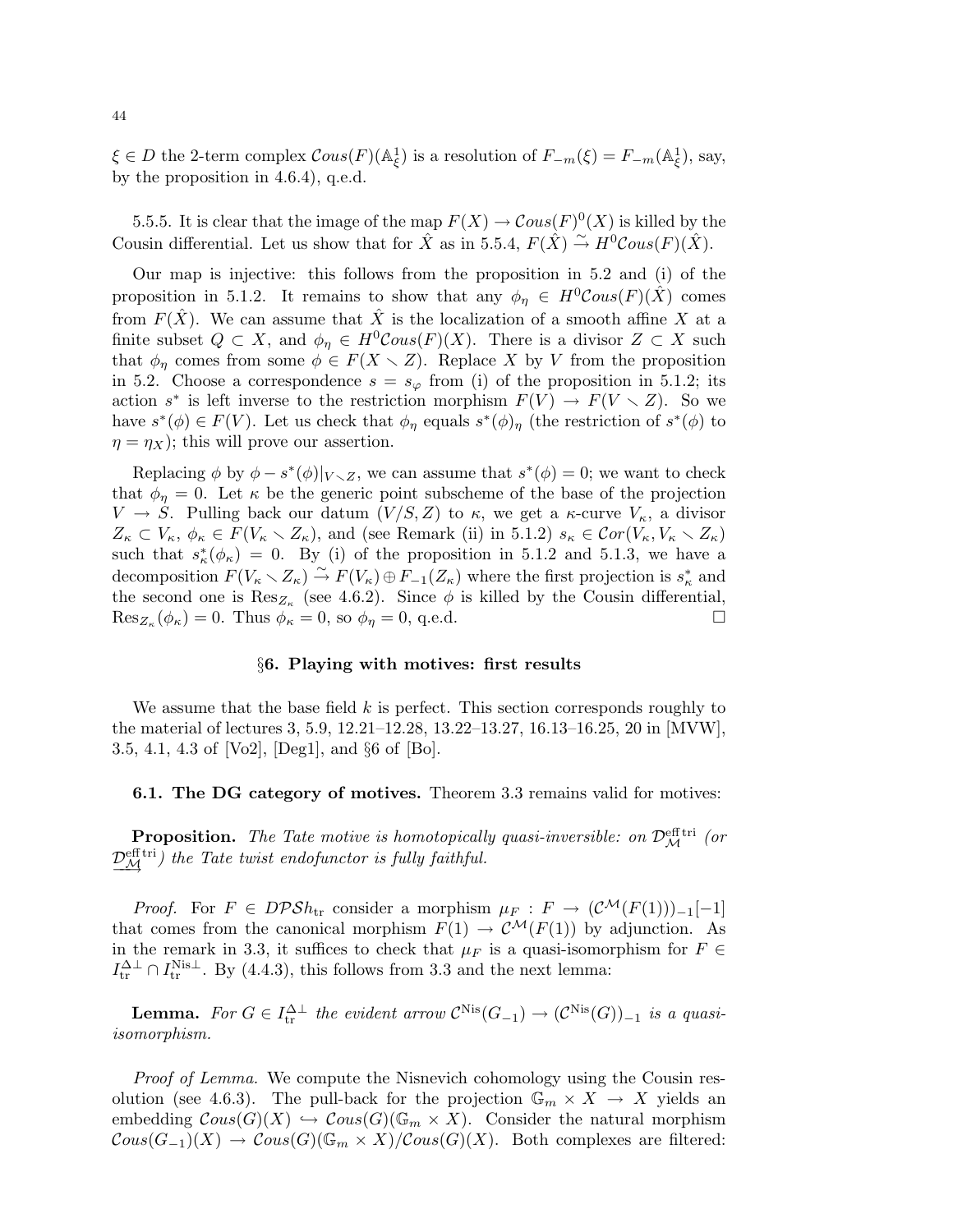$\xi \in D$  the 2-term complex  $\mathcal{C}ous(F)(\mathbb{A}_{\xi}^1)$  is a resolution of  $F_{-m}(\xi) = F_{-m}(\mathbb{A}_{\xi}^1)$ , say, by the proposition in 4.6.4), q.e.d.

5.5.5. It is clear that the image of the map  $F(X) \to \mathcal{C}ous(F)^0(X)$  is killed by the Cousin differential. Let us show that for  $\hat{X}$  as in 5.5.4,  $F(\hat{X}) \stackrel{\sim}{\rightarrow} H^0 \mathcal{C}ous(F)(\hat{X})$ .

Our map is injective: this follows from the proposition in 5.2 and (i) of the proposition in 5.1.2. It remains to show that any  $\phi_{\eta} \in H^0 \mathcal{C}ous(F)(\hat{X})$  comes from  $F(\hat{X})$ . We can assume that  $\hat{X}$  is the localization of a smooth affine X at a finite subset  $Q \subset X$ , and  $\phi_{\eta} \in H^0\mathcal{C}ous(F)(X)$ . There is a divisor  $Z \subset X$  such that  $\phi_{\eta}$  comes from some  $\phi \in F(X \setminus Z)$ . Replace X by V from the proposition in 5.2. Choose a correspondence  $s = s_{\varphi}$  from (i) of the proposition in 5.1.2; its action  $s^*$  is left inverse to the restriction morphism  $F(V) \to F(V \setminus Z)$ . So we have  $s^*(\phi) \in F(V)$ . Let us check that  $\phi_\eta$  equals  $s^*(\phi)_\eta$  (the restriction of  $s^*(\phi)$  to  $\eta = \eta_X$ ; this will prove our assertion.

Replacing  $\phi$  by  $\phi - s^*(\phi)|_{V \setminus Z}$ , we can assume that  $s^*(\phi) = 0$ ; we want to check that  $\phi_{\eta} = 0$ . Let  $\kappa$  be the generic point subscheme of the base of the projection  $V \to S$ . Pulling back our datum  $(V/S, Z)$  to  $\kappa$ , we get a  $\kappa$ -curve  $V_{\kappa}$ , a divisor  $Z_{\kappa} \subset V_{\kappa}, \phi_{\kappa} \in F(V_{\kappa} \setminus Z_{\kappa})$ , and (see Remark (ii) in 5.1.2)  $s_{\kappa} \in Cor(V_{\kappa}, V_{\kappa} \setminus Z_{\kappa})$ such that  $s^*_{\kappa}(\phi_{\kappa}) = 0$ . By (i) of the proposition in 5.1.2 and 5.1.3, we have a decomposition  $F(V_{\kappa} \setminus Z_{\kappa}) \stackrel{\sim}{\to} F(V_{\kappa}) \oplus F_{-1}(Z_{\kappa})$  where the first projection is  $s_{\kappa}^*$  and the second one is  $\text{Res}_{Z_{\kappa}}$  (see 4.6.2). Since  $\phi$  is killed by the Cousin differential,  $\text{Res}_{Z_{\kappa}}(\phi_{\kappa}) = 0.$  Thus  $\phi_{\kappa} = 0$ , so  $\phi_{\eta} = 0$ , q.e.d.

### §6. Playing with motives: first results

We assume that the base field  $k$  is perfect. This section corresponds roughly to the material of lectures 3, 5.9, 12.21–12.28, 13.22–13.27, 16.13–16.25, 20 in [MVW], 3.5, 4.1, 4.3 of [Vo2], [Deg1], and §6 of [Bo].

## 6.1. The DG category of motives. Theorem 3.3 remains valid for motives:

**Proposition.** The Tate motive is homotopically quasi-inversible: on  $\mathcal{D}_{\mathcal{M}}^{\text{eff tri}}$  (or  $\frac{\mathcal{D}_{\mathcal{M}}^{\text{eff}}}{\mathcal{M}}$  the Tate twist endofunctor is fully faithful.

*Proof.* For  $F \in DPSh_{tr}$  consider a morphism  $\mu_F : F \to (\mathcal{C}^{\mathcal{M}}(F(1)))_{-1}[-1]$ that comes from the canonical morphism  $F(1) \rightarrow C^{\mathcal{M}}(F(1))$  by adjunction. As in the remark in 3.3, it suffices to check that  $\mu_F$  is a quasi-isomorphism for  $F \in$  $I_{\text{tr}}^{\Delta\perp} \cap I_{\text{tr}}^{\text{Nis}\perp}$ . By (4.4.3), this follows from 3.3 and the next lemma:

**Lemma.** For  $G \in I_{tr}^{\Delta \perp}$  the evident arrow  $\mathcal{C}^{\text{Nis}}(G_{-1}) \to (\mathcal{C}^{\text{Nis}}(G))_{-1}$  is a quasiisomorphism.

*Proof of Lemma.* We compute the Nisnevich cohomology using the Cousin resolution (see 4.6.3). The pull-back for the projection  $\mathbb{G}_m \times X \to X$  yields an embedding  $\mathcal{C}ous(G)(X) \hookrightarrow \mathcal{C}ous(G)(\mathbb{G}_m \times X)$ . Consider the natural morphism  $Cous(G_{-1})(X) \to \mathcal{C}ous(G)(\mathbb{G}_m \times X)/\mathcal{C}ous(G)(X)$ . Both complexes are filtered: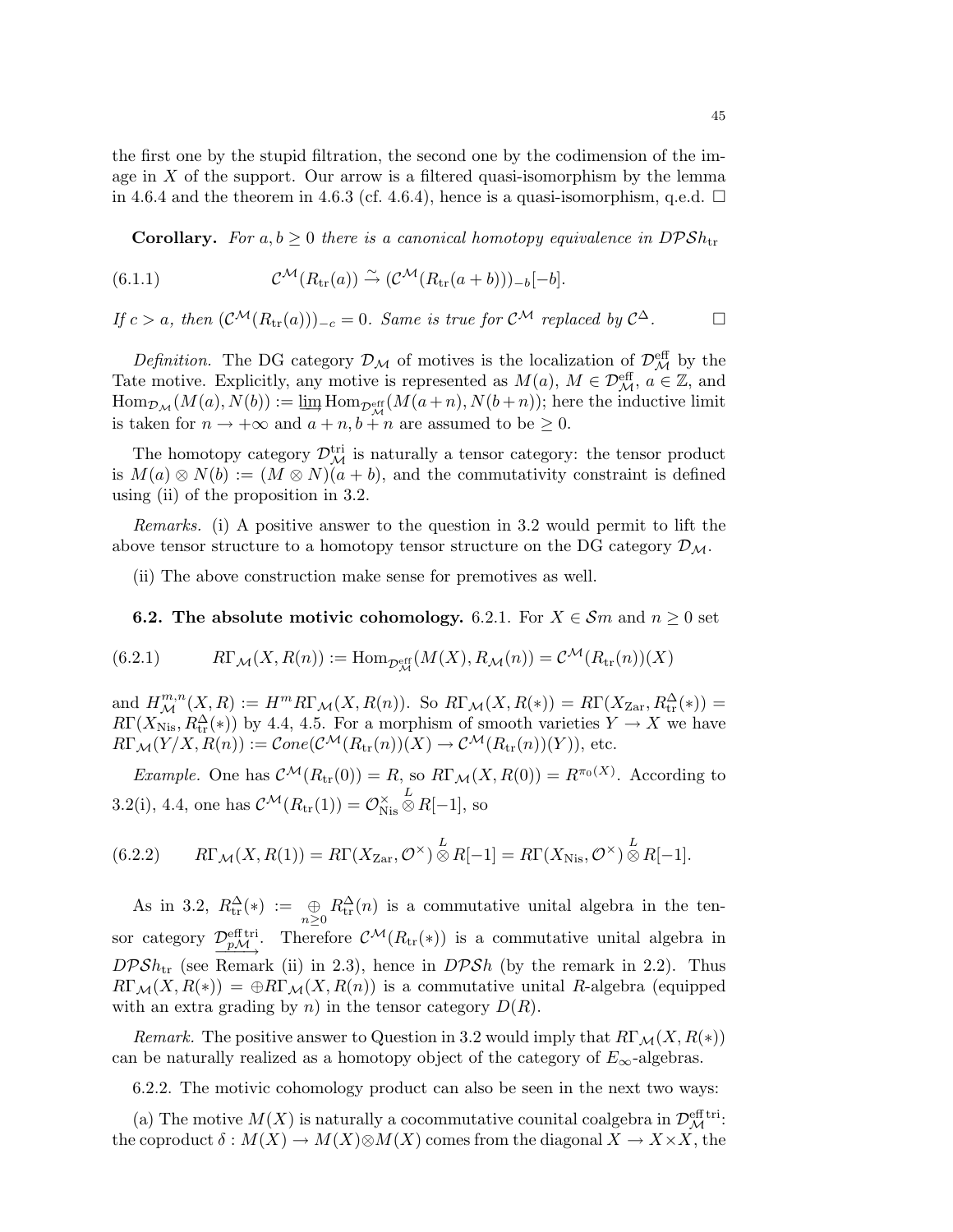the first one by the stupid filtration, the second one by the codimension of the image in  $X$  of the support. Our arrow is a filtered quasi-isomorphism by the lemma in 4.6.4 and the theorem in 4.6.3 (cf. 4.6.4), hence is a quasi-isomorphism, q.e.d.  $\Box$ 

**Corollary.** For  $a, b \geq 0$  there is a canonical homotopy equivalence in  $DPSh_{tr}$ 

(6.1.1) 
$$
\mathcal{C}^{\mathcal{M}}(R_{\text{tr}}(a)) \stackrel{\sim}{\rightarrow} (\mathcal{C}^{\mathcal{M}}(R_{\text{tr}}(a+b)))_{-b}[-b].
$$

If  $c > a$ , then  $(C^{\mathcal{M}}(R_{tr}(a)))_{-c} = 0$ . Same is true for  $C^{\mathcal{M}}$  replaced by  $C^{\Delta}$ .

Definition. The DG category  $\mathcal{D}_{\mathcal{M}}$  of motives is the localization of  $\mathcal{D}_{\mathcal{M}}^{\text{eff}}$  by the Tate motive. Explicitly, any motive is represented as  $M(a)$ ,  $M \in \mathcal{D}_{\mathcal{M}}^{\text{eff}}$ ,  $a \in \mathbb{Z}$ , and  $\operatorname{Hom}_{\mathcal{D}_{\mathcal{M}}}(M(a),N(b)) := \varinjlim \operatorname{Hom}_{\mathcal{D}_{\mathcal{M}}^{\operatorname{eff}}}(M(a+n),N(b+n));$  here the inductive limit is taken for  $n \to +\infty$  and  $a + n$ ,  $b + n$  are assumed to be  $\geq 0$ .

The homotopy category  $\mathcal{D}_{\mathcal{M}}^{\text{tri}}$  is naturally a tensor category: the tensor product is  $M(a) \otimes N(b) := (M \otimes N)(a + b)$ , and the commutativity constraint is defined using (ii) of the proposition in 3.2.

Remarks. (i) A positive answer to the question in 3.2 would permit to lift the above tensor structure to a homotopy tensor structure on the DG category  $\mathcal{D}_{\mathcal{M}}$ .

(ii) The above construction make sense for premotives as well.

**6.2.** The absolute motivic cohomology. 6.2.1. For  $X \in \mathcal{S}m$  and  $n \geq 0$  set

(6.2.1) 
$$
R\Gamma_{\mathcal{M}}(X, R(n)) := \text{Hom}_{\mathcal{D}_{\mathcal{M}}^{\text{eff}}}(M(X), R_{\mathcal{M}}(n)) = \mathcal{C}^{\mathcal{M}}(R_{\text{tr}}(n))(X)
$$

and  $H^{m,n}_{\mathcal{M}}(X,R) := H^m R\Gamma_{\mathcal{M}}(X,R(n))$ . So  $R\Gamma_{\mathcal{M}}(X,R(*) ) = R\Gamma(X_{\text{Zar}}, R_{\text{tr}}^{\Delta}(*)) =$  $R\Gamma(X_{\text{Nis}}, R_{\text{tr}}^{\Delta}(*))$  by 4.4, 4.5. For a morphism of smooth varieties  $Y \to X$  we have  $R\Gamma_{\mathcal{M}}(Y/X, R(n)) := \mathcal{C}one(\mathcal{C}^{\mathcal{M}}(R_{\mathrm{tr}}(n))(X) \to \mathcal{C}^{\mathcal{M}}(R_{\mathrm{tr}}(n))(Y)),$  etc.

*Example.* One has  $C^{\mathcal{M}}(R_{tr}(0)) = R$ , so  $R\Gamma_{\mathcal{M}}(X, R(0)) = R^{\pi_0(X)}$ . According to 3.2(i), 4.4, one has  $\mathcal{C}^{\mathcal{M}}(R_{\text{tr}}(1)) = \mathcal{O}_{N}^{\times}$ Nis  $\stackrel{L}{\otimes}R[-1],$  so

(6.2.2) 
$$
R\Gamma_{\mathcal{M}}(X,R(1)) = R\Gamma(X_{\text{Zar}}, \mathcal{O}^{\times}) \overset{L}{\otimes} R[-1] = R\Gamma(X_{\text{Nis}}, \mathcal{O}^{\times}) \overset{L}{\otimes} R[-1].
$$

As in 3.2,  $R_{tr}^{\Delta}(*) := \bigoplus_{n\geq 0} R_{tr}^{\Delta}(n)$  is a commutative unital algebra in the tensor category  $\mathcal{D}_{p\mathcal{M}}^{\text{eff,tri}}$ . Therefore  $\mathcal{C}^{\mathcal{M}}(R_{\text{tr}}(*))$  is a commutative unital algebra in  $DPSh_{\text{tr}}$  (see Remark (ii) in 2.3), hence in  $DPSh$  (by the remark in 2.2). Thus  $R\Gamma_{\mathcal{M}}(X, R(*) ) = \bigoplus R\Gamma_{\mathcal{M}}(X, R(n))$  is a commutative unital R-algebra (equipped with an extra grading by n) in the tensor category  $D(R)$ .

*Remark.* The positive answer to Question in 3.2 would imply that  $R\Gamma_{\mathcal{M}}(X, R(*)$ can be naturally realized as a homotopy object of the category of  $E_{\infty}$ -algebras.

6.2.2. The motivic cohomology product can also be seen in the next two ways:

(a) The motive  $M(X)$  is naturally a cocommutative counital coalgebra in  $\mathcal{D}_{\mathcal{M}}^{\text{eff tri}}$ : the coproduct  $\delta : M(X) \to M(X) \otimes M(X)$  comes from the diagonal  $X \to X \times X$ , the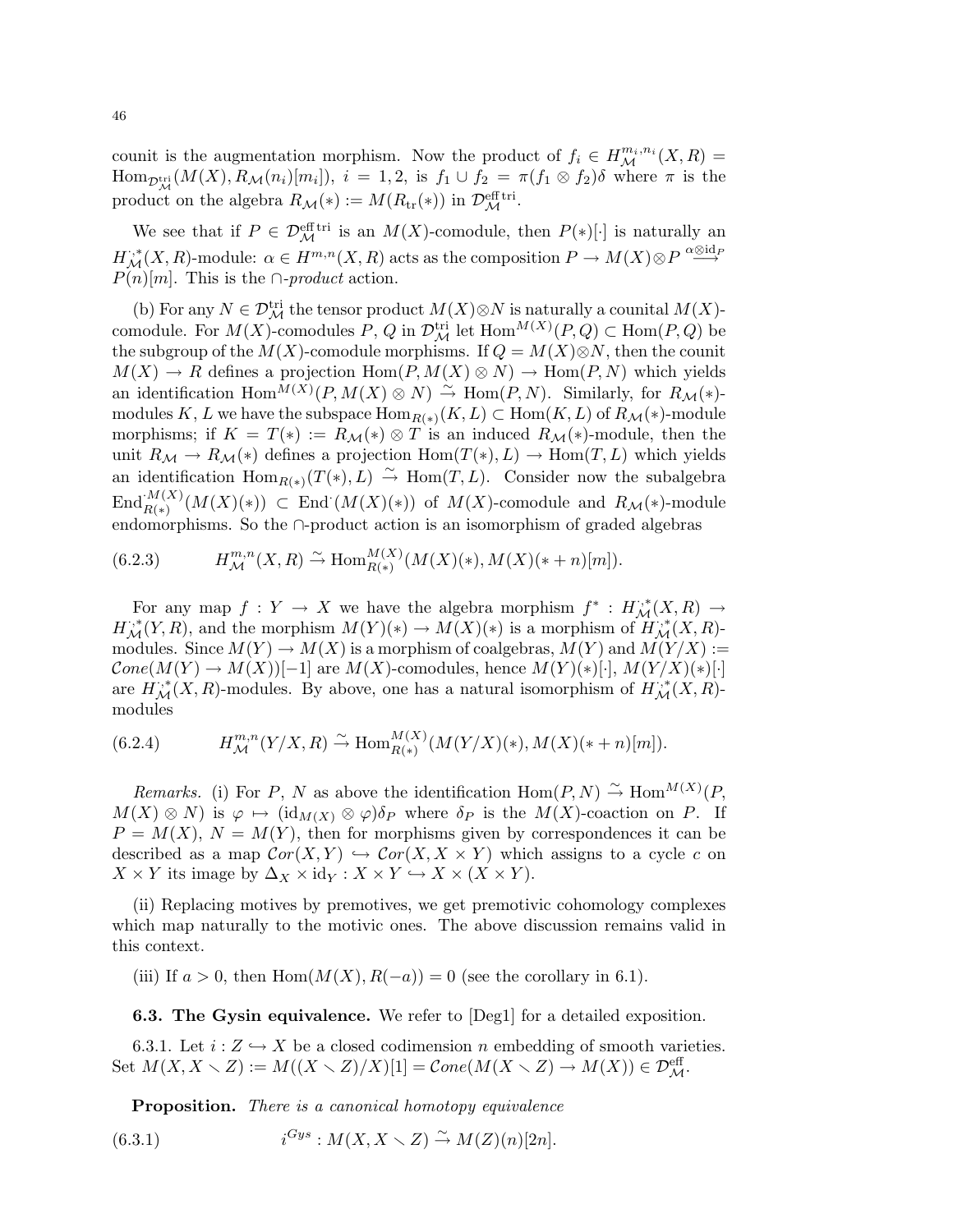counit is the augmentation morphism. Now the product of  $f_i \in H_{\mathcal{M}}^{m_i,n_i}(X,R) =$  $\text{Hom}_{\mathcal{D}_{\mathcal{M}}^{tri}}(M(X), R_{\mathcal{M}}(n_i)[m_i]), i = 1, 2, \text{ is } f_1 \cup f_2 = \pi(f_1 \otimes f_2)\delta \text{ where } \pi \text{ is the }$ product on the algebra  $R_{\mathcal{M}}(*) := M(R_{\text{tr}}(*))$  in  $\mathcal{D}_{\mathcal{M}}^{\text{eff}}$ .

We see that if  $P \in \mathcal{D}_{\mathcal{M}}^{\text{eff}}$  is an  $M(X)$ -comodule, then  $P(*)[\cdot]$  is naturally an  $H^{*,*}_{\mathcal{M}}(X,R)$ -module:  $\alpha \in H^{m,n}(X,R)$  acts as the composition  $P \to M(X) \otimes P \stackrel{\alpha \otimes \text{id}_P} \longrightarrow$  $P(n)[m]$ . This is the ∩-product action.

(b) For any  $N \in \mathcal{D}_{\mathcal{M}}^{\text{tri}}$  the tensor product  $M(X) \otimes N$  is naturally a counital  $M(X)$ comodule. For  $M(X)$ -comodules P, Q in  $\mathcal{D}_{\mathcal{M}}^{\text{tri}}$  let  $\text{Hom}^{M(X)}(P,Q) \subset \text{Hom}(P,Q)$  be the subgroup of the  $M(X)$ -comodule morphisms. If  $Q = M(X) \otimes N$ , then the counit  $M(X) \to R$  defines a projection  $\text{Hom}(P, M(X) \otimes N) \to \text{Hom}(P, N)$  which yields an identification  $\text{Hom}^{\overline{M}(X)}(P, M(X) \otimes N) \stackrel{\sim}{\to} \text{Hom}(P, N)$ . Similarly, for  $R_{\mathcal{M}}(*)$ modules K, L we have the subspace  $\operatorname{Hom}_{R(*)}(K,L) \subset \operatorname{Hom}(K,L)$  of  $R_{\mathcal{M}}(*)$ -module morphisms; if  $K = T(*) := R_{\mathcal{M}}(*) \otimes T$  is an induced  $R_{\mathcal{M}}(*)$ -module, then the unit  $R_{\mathcal{M}} \to R_{\mathcal{M}}(*)$  defines a projection  $\text{Hom}(T(*), L) \to \text{Hom}(T, L)$  which yields an identification  $\text{Hom}_{R(*)}(T(*), L) \stackrel{\sim}{\rightarrow} \text{Hom}(T, L)$ . Consider now the subalgebra  $\text{End}_{R(*)}^{M(X)}(M(X)(*))$   $\subset$  End  $(M(X)(*))$  of  $M(X)$ -comodule and  $R_{\mathcal{M}}(*)$ -module endomorphisms. So the ∩-product action is an isomorphism of graded algebras

(6.2.3) 
$$
H^{m,n}_{\mathcal{M}}(X,R) \stackrel{\sim}{\rightarrow} \text{Hom}_{R(*)}^{M(X)}(M(X)(*),M(X)(*+n)[m]).
$$

For any map  $f: Y \to X$  we have the algebra morphism  $f^* : H_{\mathcal{M}}^{r,*}(X,R) \to$  $H^{*,*}_{\mathcal{M}}(Y,R)$ , and the morphism  $M(Y)(*) \to M(X)(*)$  is a morphism of  $H^{*,*}_{\mathcal{M}}(X,R)$ modules. Since  $M(Y) \to M(X)$  is a morphism of coalgebras,  $M(Y)$  and  $M(Y/X) :=$  $Cone(M(Y) \to M(X))[-1]$  are  $M(X)$ -comodules, hence  $M(Y)(*)[\cdot], M(Y/X)(*)[\cdot]$ are  $\hat{H}_{\mathcal{M}}^{**}(X,R)$ -modules. By above, one has a natural isomorphism of  $\hat{H}_{\mathcal{M}}^{**}(X,R)$ modules

(6.2.4) 
$$
H^{m,n}_{\mathcal{M}}(Y/X,R) \stackrel{\sim}{\rightarrow} \text{Hom}_{R(*)}^{M(X)}(M(Y/X)(*),M(X)(*+n)[m]).
$$

*Remarks.* (i) For P, N as above the identification  $\text{Hom}(P, N) \overset{\sim}{\to} \text{Hom}^{M(X)}(P, N)$  $M(X) \otimes N$  is  $\varphi \mapsto (\mathrm{id}_{M(X)} \otimes \varphi) \delta_P$  where  $\delta_P$  is the  $M(X)$ -coaction on P. If  $P = M(X)$ ,  $N = M(Y)$ , then for morphisms given by correspondences it can be described as a map  $Cor(X, Y) \hookrightarrow Cor(X, X \times Y)$  which assigns to a cycle c on  $X \times Y$  its image by  $\Delta_X \times id_Y : X \times Y \hookrightarrow X \times (X \times Y)$ .

(ii) Replacing motives by premotives, we get premotivic cohomology complexes which map naturally to the motivic ones. The above discussion remains valid in this context.

(iii) If  $a > 0$ , then Hom $(M(X), R(-a)) = 0$  (see the corollary in 6.1).

6.3. The Gysin equivalence. We refer to [Deg1] for a detailed exposition.

6.3.1. Let  $i: Z \hookrightarrow X$  be a closed codimension n embedding of smooth varieties. Set  $M(X, X \setminus Z) := M((X \setminus Z)/X)[1] = Cone(M(X \setminus Z) \rightarrow M(X)) \in \mathcal{D}_{\mathcal{M}}^{\text{eff}}$ .

Proposition. There is a canonical homotopy equivalence

(6.3.1) 
$$
i^{Gys}: M(X, X \setminus Z) \stackrel{\sim}{\rightarrow} M(Z)(n)[2n].
$$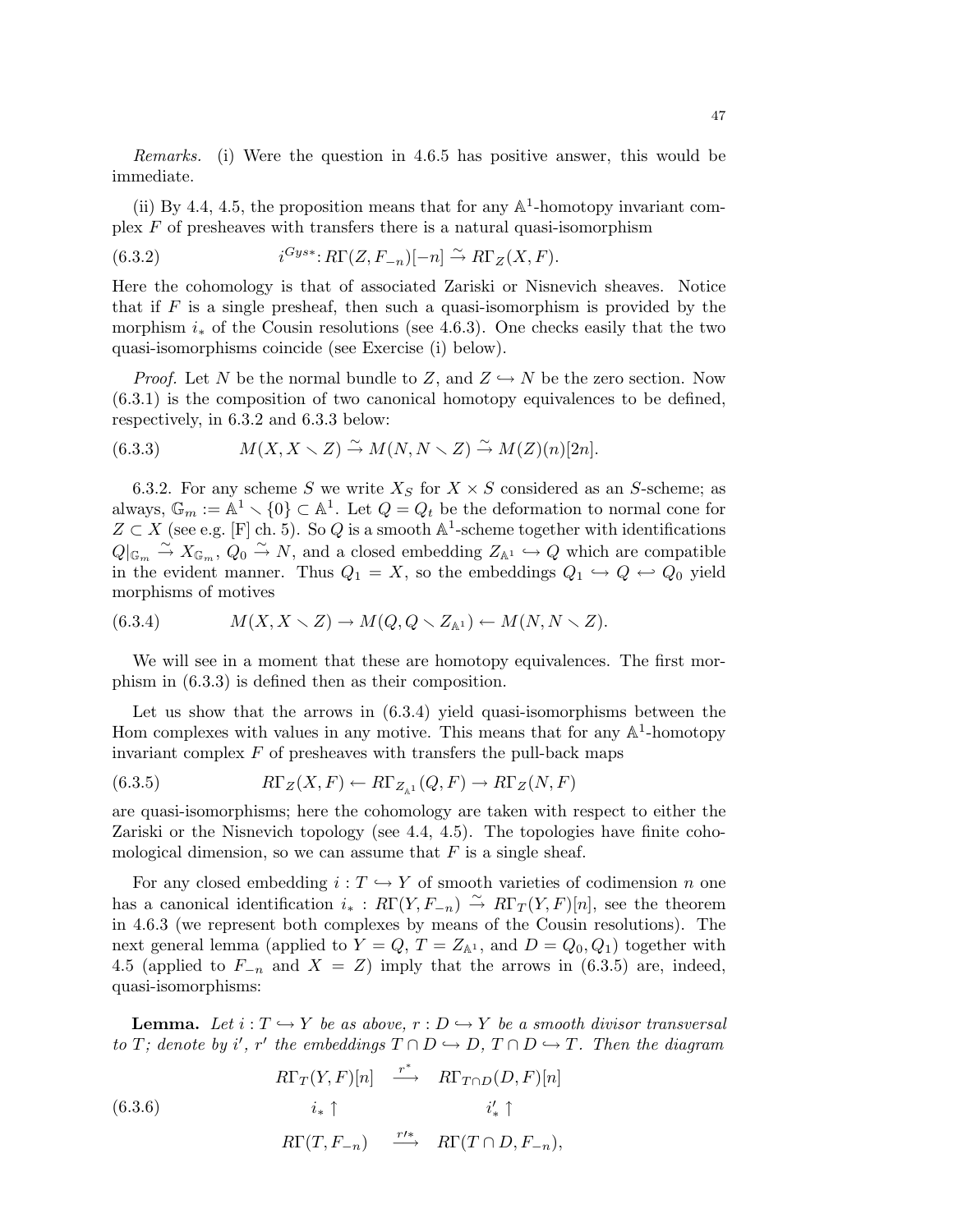Remarks. (i) Were the question in 4.6.5 has positive answer, this would be immediate.

(ii) By 4.4, 4.5, the proposition means that for any  $\mathbb{A}^1$ -homotopy invariant complex  $F$  of presheaves with transfers there is a natural quasi-isomorphism

(6.3.2) 
$$
i^{Gys*}: R\Gamma(Z, F_{-n})[-n] \stackrel{\sim}{\rightarrow} R\Gamma_Z(X, F).
$$

Here the cohomology is that of associated Zariski or Nisnevich sheaves. Notice that if  $F$  is a single presheaf, then such a quasi-isomorphism is provided by the morphism  $i_*$  of the Cousin resolutions (see 4.6.3). One checks easily that the two quasi-isomorphisms coincide (see Exercise (i) below).

*Proof.* Let N be the normal bundle to Z, and  $Z \hookrightarrow N$  be the zero section. Now (6.3.1) is the composition of two canonical homotopy equivalences to be defined, respectively, in 6.3.2 and 6.3.3 below:

(6.3.3) 
$$
M(X, X \setminus Z) \stackrel{\sim}{\rightarrow} M(N, N \setminus Z) \stackrel{\sim}{\rightarrow} M(Z)(n)[2n].
$$

6.3.2. For any scheme S we write  $X_S$  for  $X \times S$  considered as an S-scheme; as always,  $\mathbb{G}_m := \mathbb{A}^1 \setminus \{0\} \subset \mathbb{A}^1$ . Let  $Q = Q_t$  be the deformation to normal cone for  $Z \subset X$  (see e.g. [F] ch. 5). So Q is a smooth  $\mathbb{A}^1$ -scheme together with identifications  $Q|_{\mathbb{G}_m} \stackrel{\sim}{\to} X_{\mathbb{G}_m}, Q_0 \stackrel{\sim}{\to} N$ , and a closed embedding  $Z_{\mathbb{A}^1} \hookrightarrow Q$  which are compatible in the evident manner. Thus  $Q_1 = X$ , so the embeddings  $Q_1 \hookrightarrow Q \hookleftarrow Q_0$  yield morphisms of motives

(6.3.4) 
$$
M(X, X \setminus Z) \to M(Q, Q \setminus Z_{\mathbb{A}^1}) \leftarrow M(N, N \setminus Z).
$$

We will see in a moment that these are homotopy equivalences. The first morphism in (6.3.3) is defined then as their composition.

Let us show that the arrows in  $(6.3.4)$  yield quasi-isomorphisms between the Hom complexes with values in any motive. This means that for any  $\mathbb{A}^1$ -homotopy invariant complex  $F$  of presheaves with transfers the pull-back maps

(6.3.5) 
$$
R\Gamma_Z(X,F) \leftarrow R\Gamma_{Z_{\mathbb{A}^1}}(Q,F) \rightarrow R\Gamma_Z(N,F)
$$

are quasi-isomorphisms; here the cohomology are taken with respect to either the Zariski or the Nisnevich topology (see 4.4, 4.5). The topologies have finite cohomological dimension, so we can assume that  $F$  is a single sheaf.

For any closed embedding  $i : T \hookrightarrow Y$  of smooth varieties of codimension n one has a canonical identification  $i_* : R\Gamma(Y, F_{-n}) \overset{\sim}{\to} R\Gamma_T(Y, F)[n]$ , see the theorem in 4.6.3 (we represent both complexes by means of the Cousin resolutions). The next general lemma (applied to  $Y = Q$ ,  $T = Z_{\mathbb{A}^1}$ , and  $D = Q_0, Q_1$ ) together with 4.5 (applied to  $F_{-n}$  and  $X = Z$ ) imply that the arrows in (6.3.5) are, indeed, quasi-isomorphisms:

**Lemma.** Let  $i : T \hookrightarrow Y$  be as above,  $r : D \hookrightarrow Y$  be a smooth divisor transversal to T; denote by i', r' the embeddings  $T \cap D \hookrightarrow D$ ,  $T \cap D \hookrightarrow T$ . Then the diagram

(6.3.6)  
\n
$$
R\Gamma_T(Y,F)[n] \xrightarrow{r^*} R\Gamma_{T\cap D}(D,F)[n]
$$
\n
$$
i_* \uparrow \qquad i'_* \uparrow
$$
\n
$$
R\Gamma(T,F_{-n}) \xrightarrow{r'^*} R\Gamma(T \cap D,F_{-n}),
$$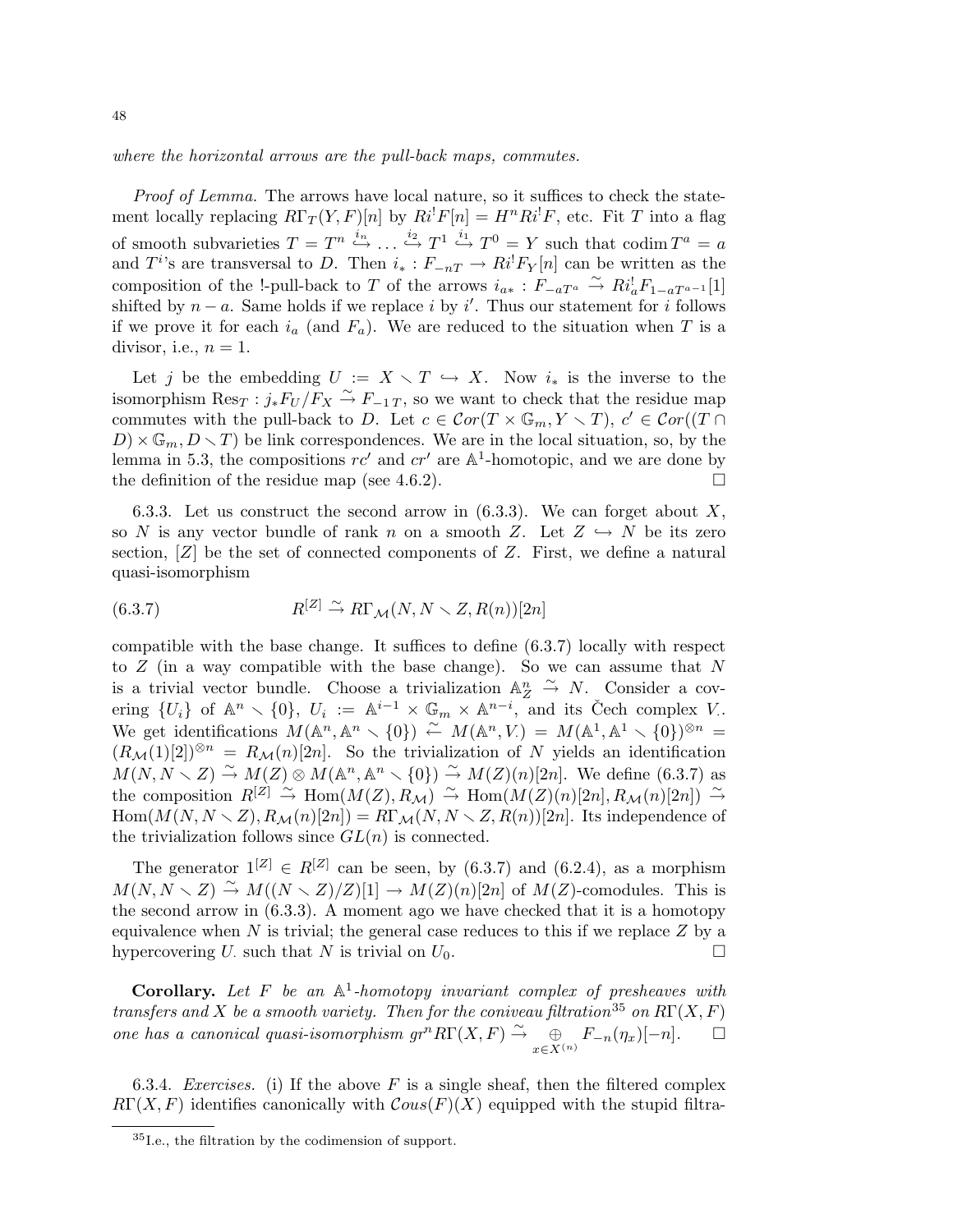where the horizontal arrows are the pull-back maps, commutes.

Proof of Lemma. The arrows have local nature, so it suffices to check the statement locally replacing  $R\Gamma_T(Y, F)[n]$  by  $Ri^!F[n] = H^nRi^!F$ , etc. Fit T into a flag of smooth subvarieties  $T = T^n \stackrel{i_n}{\hookrightarrow} \dots \stackrel{i_2}{\hookrightarrow} T^1 \stackrel{i_1}{\hookrightarrow} T^0 = Y$  such that codim  $T^a = a$ and  $T^{i}$ 's are transversal to D. Then  $i_* : F_{-nT} \to Ri^!F_Y[n]$  can be written as the composition of the !-pull-back to T of the arrows  $i_{a*}: F_{-aT^a} \stackrel{\sim}{\rightarrow} Ri_a^!F_{1-aT^{a-1}}[1]$ shifted by  $n - a$ . Same holds if we replace i by i'. Thus our statement for i follows if we prove it for each  $i_a$  (and  $F_a$ ). We are reduced to the situation when T is a divisor, i.e.,  $n = 1$ .

Let j be the embedding  $U := X \setminus T \hookrightarrow X$ . Now  $i_*$  is the inverse to the isomorphism  $\text{Res}_T : j_* F_U/F_X \overset{\sim}{\to} F_{-1}T$ , so we want to check that the residue map commutes with the pull-back to D. Let  $c \in \mathcal{C}or(T \times \mathbb{G}_m, Y \times T)$ ,  $c' \in \mathcal{C}or((T \cap$  $D \times \mathbb{G}_m, D \times T$  be link correspondences. We are in the local situation, so, by the lemma in 5.3, the compositions  $rc'$  and  $cr'$  are  $\mathbb{A}^1$ -homotopic, and we are done by the definition of the residue map (see 4.6.2).  $\Box$ 

6.3.3. Let us construct the second arrow in  $(6.3.3)$ . We can forget about X, so N is any vector bundle of rank n on a smooth Z. Let  $Z \hookrightarrow N$  be its zero section,  $[Z]$  be the set of connected components of  $Z$ . First, we define a natural quasi-isomorphism

(6.3.7) 
$$
R^{[Z]} \xrightarrow{\sim} R\Gamma_{\mathcal{M}}(N, N \setminus Z, R(n))[2n]
$$

compatible with the base change. It suffices to define (6.3.7) locally with respect to  $Z$  (in a way compatible with the base change). So we can assume that  $N$ is a trivial vector bundle. Choose a trivialization  $\mathbb{A}_{Z}^{n} \stackrel{\sim}{\rightarrow} N$ . Consider a covering  $\{U_i\}$  of  $\mathbb{A}^n \setminus \{0\}$ ,  $U_i := \mathbb{A}^{i-1} \times \mathbb{G}_m \times \mathbb{A}^{n-i}$ , and its Čech complex V. We get identifications  $M(\mathbb{A}^n, \mathbb{A}^n \setminus \{0\}) \stackrel{\sim}{\leftarrow} M(\mathbb{A}^n, V) = M(\mathbb{A}^1, \mathbb{A}^1 \setminus \{0\})^{\otimes n} =$  $(R_{\mathcal{M}}(1)[2])^{\otimes n} = R_{\mathcal{M}}(n)[2n]$ . So the trivialization of N yields an identification  $M(N, N \setminus Z) \stackrel{\sim}{\rightarrow} M(Z) \otimes M(\mathbb{A}^n, \mathbb{A}^n \setminus \{0\}) \stackrel{\sim}{\rightarrow} M(Z)(n)[2n]$ . We define (6.3.7) as the composition  $R^{[Z]} \stackrel{\sim}{\to} \text{Hom}(M(Z), R_{\mathcal{M}}) \stackrel{\sim}{\to} \text{Hom}(M(Z)(n)[2n], R_{\mathcal{M}}(n)[2n]) \stackrel{\sim}{\to}$  $Hom(M(N, N \setminus Z), R_{\mathcal{M}}(n)[2n]) = R\Gamma_{\mathcal{M}}(N, N \setminus Z, R(n))[2n]$ . Its independence of the trivialization follows since  $GL(n)$  is connected.

The generator  $1^{[Z]} \in R^{[Z]}$  can be seen, by (6.3.7) and (6.2.4), as a morphism  $M(N, N \setminus Z) \stackrel{\sim}{\rightarrow} M((N \setminus Z)/Z)[1] \rightarrow M(Z)(n)[2n]$  of  $M(Z)$ -comodules. This is the second arrow in (6.3.3). A moment ago we have checked that it is a homotopy equivalence when  $N$  is trivial; the general case reduces to this if we replace  $Z$  by a hypercovering U. such that N is trivial on  $U_0$ .

**Corollary.** Let F be an  $\mathbb{A}^1$ -homotopy invariant complex of presheaves with transfers and X be a smooth variety. Then for the coniveau filtration<sup>35</sup> on  $R\Gamma(X, F)$ one has a canonical quasi-isomorphism  $gr^n R\Gamma(X,F) \stackrel{\sim}{\rightarrow} \quad \oplus$  $\bigoplus_{x \in X^{(n)}} F_{-n}(\eta_x)[-n].$   $\Box$ 

6.3.4. Exercises. (i) If the above  $F$  is a single sheaf, then the filtered complex  $R\Gamma(X, F)$  identifies canonically with  $\mathcal{C}ous(F)(X)$  equipped with the stupid filtra-

<sup>35</sup>I.e., the filtration by the codimension of support.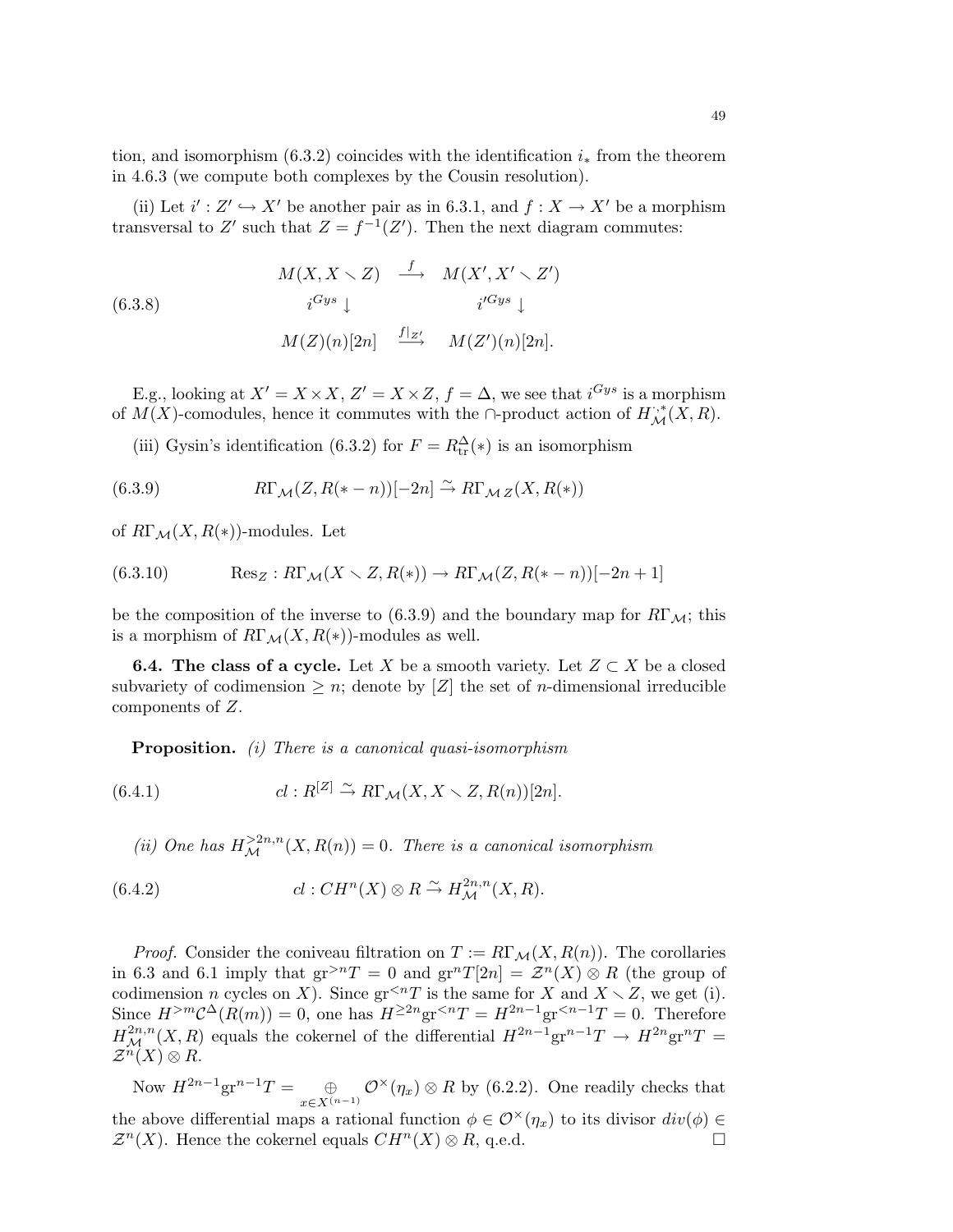tion, and isomorphism  $(6.3.2)$  coincides with the identification  $i_*$  from the theorem in 4.6.3 (we compute both complexes by the Cousin resolution).

(ii) Let  $i' : Z' \hookrightarrow X'$  be another pair as in 6.3.1, and  $f : X \to X'$  be a morphism transversal to Z' such that  $Z = f^{-1}(Z')$ . Then the next diagram commutes:

(6.3.8)  
\n
$$
M(X, X \setminus Z) \xrightarrow{f} M(X', X' \setminus Z')
$$
\n
$$
i^{Gys} \downarrow \qquad i^{Gys} \downarrow
$$
\n
$$
M(Z)(n)[2n] \xrightarrow{f|_{Z'}} M(Z')(n)[2n].
$$

E.g., looking at  $X' = X \times X$ ,  $Z' = X \times Z$ ,  $f = \Delta$ , we see that  $i^{Gys}$  is a morphism of  $\overline{M}(X)$ -comodules, hence it commutes with the ∩-product action of  $H_{\mathcal{M}}^{,*}(X,R)$ .

(iii) Gysin's identification (6.3.2) for  $F = R_{tr}^{\Delta}(*)$  is an isomorphism

(6.3.9) 
$$
R\Gamma_{\mathcal{M}}(Z, R(*-n))[-2n] \stackrel{\sim}{\to} R\Gamma_{\mathcal{M}}(Z, R(*))
$$

of  $R\Gamma_{\mathcal{M}}(X, R(*)$ -modules. Let

(6.3.10) 
$$
\text{Res}_Z: R\Gamma_{\mathcal{M}}(X \setminus Z, R(*) ) \to R\Gamma_{\mathcal{M}}(Z, R(*-n))[-2n+1]
$$

be the composition of the inverse to (6.3.9) and the boundary map for  $R\Gamma_{\mathcal{M}}$ ; this is a morphism of  $R\Gamma_M(X, R(*))$ -modules as well.

**6.4.** The class of a cycle. Let X be a smooth variety. Let  $Z \subset X$  be a closed subvariety of codimension  $\geq n$ ; denote by [Z] the set of *n*-dimensional irreducible components of Z.

Proposition. (i) There is a canonical quasi-isomorphism

(6.4.1) 
$$
cl: R^{[Z]} \xrightarrow{\sim} R\Gamma_{\mathcal{M}}(X, X \setminus Z, R(n))[2n].
$$

(ii) One has  $H_{\mathcal{M}}^{\geq 2n,n}(X,R(n))=0$ . There is a canonical isomorphism

(6.4.2) 
$$
cl: CH^{n}(X) \otimes R \stackrel{\sim}{\to} H^{2n,n}_{\mathcal{M}}(X,R).
$$

*Proof.* Consider the coniveau filtration on  $T := R\Gamma_{\mathcal{M}}(X, R(n))$ . The corollaries in 6.3 and 6.1 imply that  $gr^{>n}T = 0$  and  $gr^{n}T[2n] = \mathcal{Z}^{n}(X) \otimes R$  (the group of codimension n cycles on X). Since  $gr^{ is the same for X and  $X \setminus Z$ , we get (i).$ Since  $H^{>m}\mathcal{C}^{\Delta}(R(m))=0$ , one has  $H^{\geq 2n}$ gr<sup><n</sup> $T = H^{2n-1}$ gr<sup><n-1</sup> $T = 0$ . Therefore  $H^{2n,n}_{\mathcal{M}}(X,R)$  equals the cokernel of the differential  $H^{2n-1}\text{gr}^{n-1}T \to H^{2n}\text{gr}^nT =$  $\mathcal{Z}^n(X)\otimes R$ .

Now  $H^{2n-1}\text{gr}^{n-1}T = \oplus$  $\bigoplus_{x \in X^{(n-1)}} \mathcal{O}^{\times}(\eta_x) \otimes R$  by (6.2.2). One readily checks that the above differential maps a rational function  $\phi \in \mathcal{O}^{\times}(\eta_x)$  to its divisor  $div(\phi) \in$  $\mathcal{Z}^n(X)$ . Hence the cokernel equals  $CH^n(X) \otimes R$ , q.e.d.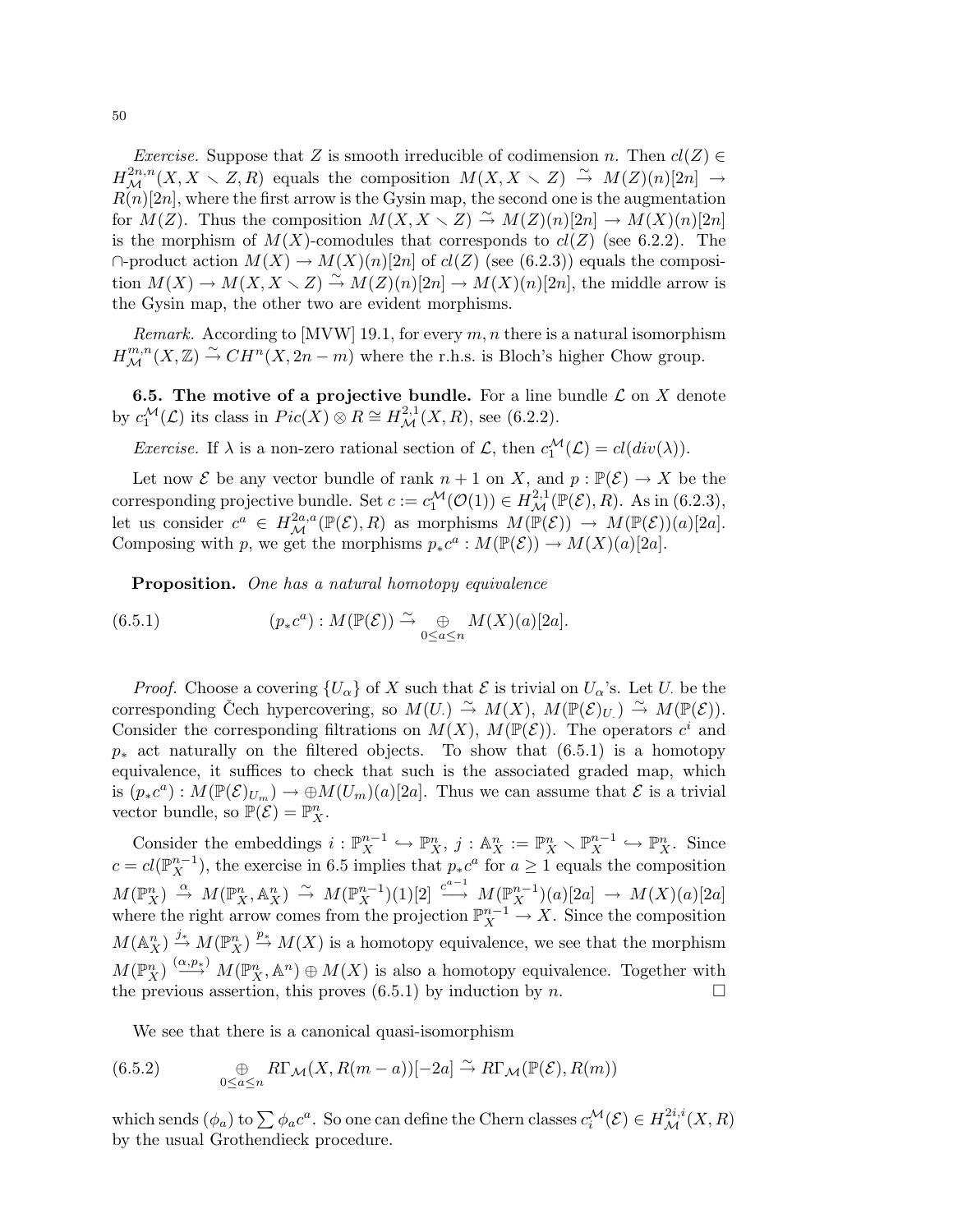*Exercise.* Suppose that Z is smooth irreducible of codimension n. Then  $cl(Z) \in$  $H^{2n,n}_{\mathcal{M}}(X,X\smallsetminus Z,R)$  equals the composition  $M(X,X\smallsetminus Z)\,\stackrel{\sim}{\to}\, M(Z)(n)[2n]\,\rightarrow\, N$  $R(n)[2n]$ , where the first arrow is the Gysin map, the second one is the augmentation for  $M(Z)$ . Thus the composition  $M(X, X \setminus Z) \stackrel{\sim}{\rightarrow} M(Z)(n)[2n] \rightarrow M(X)(n)[2n]$ is the morphism of  $M(X)$ -comodules that corresponds to  $cl(Z)$  (see 6.2.2). The  $\cap$ -product action  $M(X) \to M(X)(n)[2n]$  of  $cl(Z)$  (see (6.2.3)) equals the composition  $M(X) \to M(X, X \times Z) \stackrel{\sim}{\to} M(Z)(n)[2n] \to M(X)(n)[2n]$ , the middle arrow is the Gysin map, the other two are evident morphisms.

*Remark.* According to [MVW] 19.1, for every  $m, n$  there is a natural isomorphism  $H^{m,n}_{\mathcal{M}}(X,\mathbb{Z}) \stackrel{\sim}{\rightarrow} CH^n(X,2n-m)$  where the r.h.s. is Bloch's higher Chow group.

**6.5. The motive of a projective bundle.** For a line bundle  $\mathcal{L}$  on X denote by  $c_1^{\mathcal{M}}(\mathcal{L})$  its class in  $Pic(X) \otimes R \cong H^{2,1}_{\mathcal{M}}(X,R)$ , see (6.2.2).

*Exercise.* If  $\lambda$  is a non-zero rational section of  $\mathcal{L}$ , then  $c_1^{\mathcal{M}}(\mathcal{L}) = cl(div(\lambda)).$ 

Let now  $\mathcal E$  be any vector bundle of rank  $n + 1$  on X, and  $p : \mathbb{P}(\mathcal E) \to X$  be the corresponding projective bundle. Set  $c := c_1^{\mathcal{M}}(\mathcal{O}(1)) \in H^{2,1}_{\mathcal{M}}(\mathbb{P}(\mathcal{E}), R)$ . As in (6.2.3), let us consider  $c^a \in H^{2a,a}_{\mathcal{M}}(\mathbb{P}(\mathcal{E}),R)$  as morphisms  $M(\mathbb{P}(\mathcal{E})) \to M(\mathbb{P}(\mathcal{E}))(a)[2a]$ . Composing with p, we get the morphisms  $p_*c^a : M(\mathbb{P}(\mathcal{E})) \to M(X)(a)[2a]$ .

Proposition. One has a natural homotopy equivalence

 $(6.5.1)$  $\alpha^{(a)}: M(\mathbb{P}(\mathcal{E})) \stackrel{\sim}{\rightarrow} \underset{0 \leq a \leq n}{\oplus} M(X)(a)[2a].$ 

*Proof.* Choose a covering  $\{U_{\alpha}\}\$  of X such that  $\mathcal E$  is trivial on  $U_{\alpha}$ 's. Let U. be the corresponding Čech hypercovering, so  $M(U) \stackrel{\sim}{\rightarrow} M(X)$ ,  $M(\mathbb{P}(\mathcal{E})_U) \stackrel{\sim}{\rightarrow} M(\mathbb{P}(\mathcal{E}))$ . Consider the corresponding filtrations on  $M(X)$ ,  $M(\mathbb{P}(\mathcal{E}))$ . The operators  $c^i$  and  $p_{*}$  act naturally on the filtered objects. To show that (6.5.1) is a homotopy equivalence, it suffices to check that such is the associated graded map, which is  $(p_*c^a): M(\mathbb{P}(\mathcal{E})_{U_m}) \to \oplus M(U_m)(a)[2a]$ . Thus we can assume that  $\mathcal E$  is a trivial vector bundle, so  $\mathbb{P}(\mathcal{E}) = \mathbb{P}_{X}^{n}$ .

Consider the embeddings  $i : \mathbb{P}_{X}^{n-1} \hookrightarrow \mathbb{P}_{X}^{n}$ ,  $j : \mathbb{A}_{X}^{n} := \mathbb{P}_{X}^{n} \setminus \mathbb{P}_{X}^{n-1} \hookrightarrow \mathbb{P}_{X}^{n}$ . Since  $c = cl(\mathbb{P}_{X}^{n-1})$ , the exercise in 6.5 implies that  $p_*c^a$  for  $a \ge 1$  equals the composition  $M(\mathbb{P}_{X}^{n})\stackrel{\alpha}{\to} M(\mathbb{P}_{X}^{n},\mathbb{A}_{X}^{n})\stackrel{\sim}{\to} M(\mathbb{P}_{X}^{n-1})(1)[2]\stackrel{c^{a-1}}{\longrightarrow} M(\mathbb{P}_{X}^{n-1})(a)[2a]\to M(X)(a)[2a]$ where the right arrow comes from the projection  $\mathbb{P}_{X}^{n-1} \to X$ . Since the composition  $M(\mathbb{A}_X^n) \stackrel{j_*}{\to} M(\mathbb{P}_X^n) \stackrel{p_*}{\to} M(X)$  is a homotopy equivalence, we see that the morphism  $M(\mathbb{P}_{X}^{n}) \stackrel{(\alpha,p_{*})}{\longrightarrow} M(\mathbb{P}_{X}^{n}, \mathbb{A}^{n}) \oplus M(X)$  is also a homotopy equivalence. Together with the previous assertion, this proves (6.5.1) by induction by  $n$ .

We see that there is a canonical quasi-isomorphism

(6.5.2) 
$$
\bigoplus_{0 \le a \le n} R\Gamma_{\mathcal{M}}(X, R(m-a))[-2a] \xrightarrow{\sim} R\Gamma_{\mathcal{M}}(\mathbb{P}(\mathcal{E}), R(m))
$$

which sends  $(\phi_a)$  to  $\sum \phi_a c^a$ . So one can define the Chern classes  $c_i^{\mathcal{M}}(\mathcal{E}) \in H^{2i,i}_{\mathcal{M}}(X,R)$ by the usual Grothendieck procedure.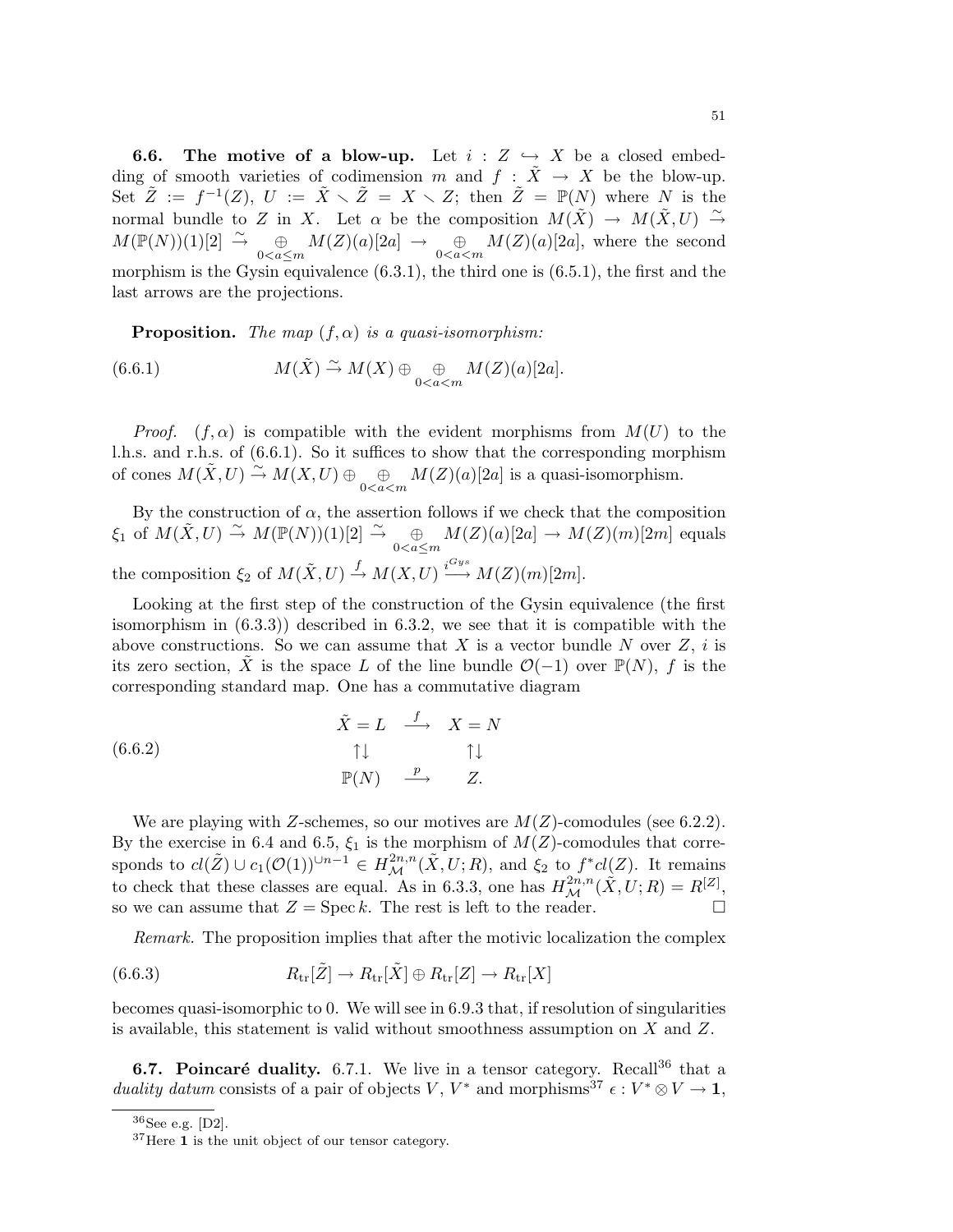**6.6.** The motive of a blow-up. Let  $i : Z \hookrightarrow X$  be a closed embedding of smooth varieties of codimension m and  $f : \tilde{X} \to X$  be the blow-up. Set  $\tilde{Z} := f^{-1}(Z), U := \tilde{X} \setminus \tilde{Z} = X \setminus Z;$  then  $\tilde{Z} = \mathbb{P}(N)$  where N is the normal bundle to Z in X. Let  $\alpha$  be the composition  $M(\tilde{X}) \to M(\tilde{X}, U) \stackrel{\sim}{\to}$  $M(\mathbb{P}(N))(1)[2] \stackrel{\sim}{\rightarrow} \bigoplus_{0 < a \leq m} M(Z)(a)[2a] \rightarrow \bigoplus_{0 < a < m} M(Z)(a)[2a]$ , where the second morphism is the Gysin equivalence  $(6.3.1)$ , the third one is  $(6.5.1)$ , the first and the last arrows are the projections.

**Proposition.** The map  $(f, \alpha)$  is a quasi-isomorphism:

(6.6.1) 
$$
M(\tilde{X}) \stackrel{\sim}{\rightarrow} M(X) \oplus \bigoplus_{0 < a < m} M(Z)(a)[2a].
$$

*Proof.*  $(f, \alpha)$  is compatible with the evident morphisms from  $M(U)$  to the l.h.s. and r.h.s. of (6.6.1). So it suffices to show that the corresponding morphism of cones  $M(\tilde{X}, U) \stackrel{\sim}{\rightarrow} M(X, U) \oplus \bigoplus_{0 < a < m} M(Z)(a)[2a]$  is a quasi-isomorphism.

By the construction of  $\alpha$ , the assertion follows if we check that the composition  $\xi_1$  of  $M(\tilde{X}, U) \stackrel{\sim}{\rightarrow} M(\mathbb{P}(N))(1)[2] \stackrel{\sim}{\rightarrow} \bigoplus_{0 < a \le m} M(Z)(a)[2a] \rightarrow M(Z)(m)[2m]$  equals the composition  $\xi_2$  of  $M(\tilde{X}, U) \stackrel{f}{\rightarrow} M(X, U) \stackrel{i^{Gys}}{\longrightarrow} M(Z)(m)[2m]$ .

Looking at the first step of the construction of the Gysin equivalence (the first isomorphism in (6.3.3)) described in 6.3.2, we see that it is compatible with the above constructions. So we can assume that X is a vector bundle N over  $Z$ , i is its zero section,  $\tilde{X}$  is the space L of the line bundle  $\mathcal{O}(-1)$  over  $\mathbb{P}(N)$ , f is the corresponding standard map. One has a commutative diagram

(6.6.2) 
$$
\begin{array}{cccc}\n\tilde{X} = L & \xrightarrow{f} & X = N \\
\uparrow \downarrow & & \uparrow \downarrow \\
\mathbb{P}(N) & \xrightarrow{p} & Z.\n\end{array}
$$

We are playing with Z-schemes, so our motives are  $M(Z)$ -comodules (see 6.2.2). By the exercise in 6.4 and 6.5,  $\xi_1$  is the morphism of  $M(Z)$ -comodules that corresponds to  $cl(\tilde{Z}) \cup c_1(\mathcal{O}(1))^{n-1} \in H^{2n,n}_{\mathcal{M}}(\tilde{X},U;R)$ , and  $\xi_2$  to  $f^*cl(Z)$ . It remains to check that these classes are equal. As in 6.3.3, one has  $H^{2n,n}_{\mathcal{M}}(\tilde{X}, U; R) = R^{[Z]},$ so we can assume that  $Z = \text{Spec } k$ . The rest is left to the reader.

Remark. The proposition implies that after the motivic localization the complex

(6.6.3) 
$$
R_{\text{tr}}[\tilde{Z}] \to R_{\text{tr}}[\tilde{X}] \oplus R_{\text{tr}}[Z] \to R_{\text{tr}}[X]
$$

becomes quasi-isomorphic to 0. We will see in 6.9.3 that, if resolution of singularities is available, this statement is valid without smoothness assumption on X and Z.

**6.7. Poincaré duality.** 6.7.1. We live in a tensor category. Recall<sup>36</sup> that a duality datum consists of a pair of objects V,  $V^*$  and morphisms<sup>37</sup>  $\epsilon: V^* \otimes V \to \mathbf{1}$ ,

 $36$ See e.g. [D2].

<sup>&</sup>lt;sup>37</sup>Here 1 is the unit object of our tensor category.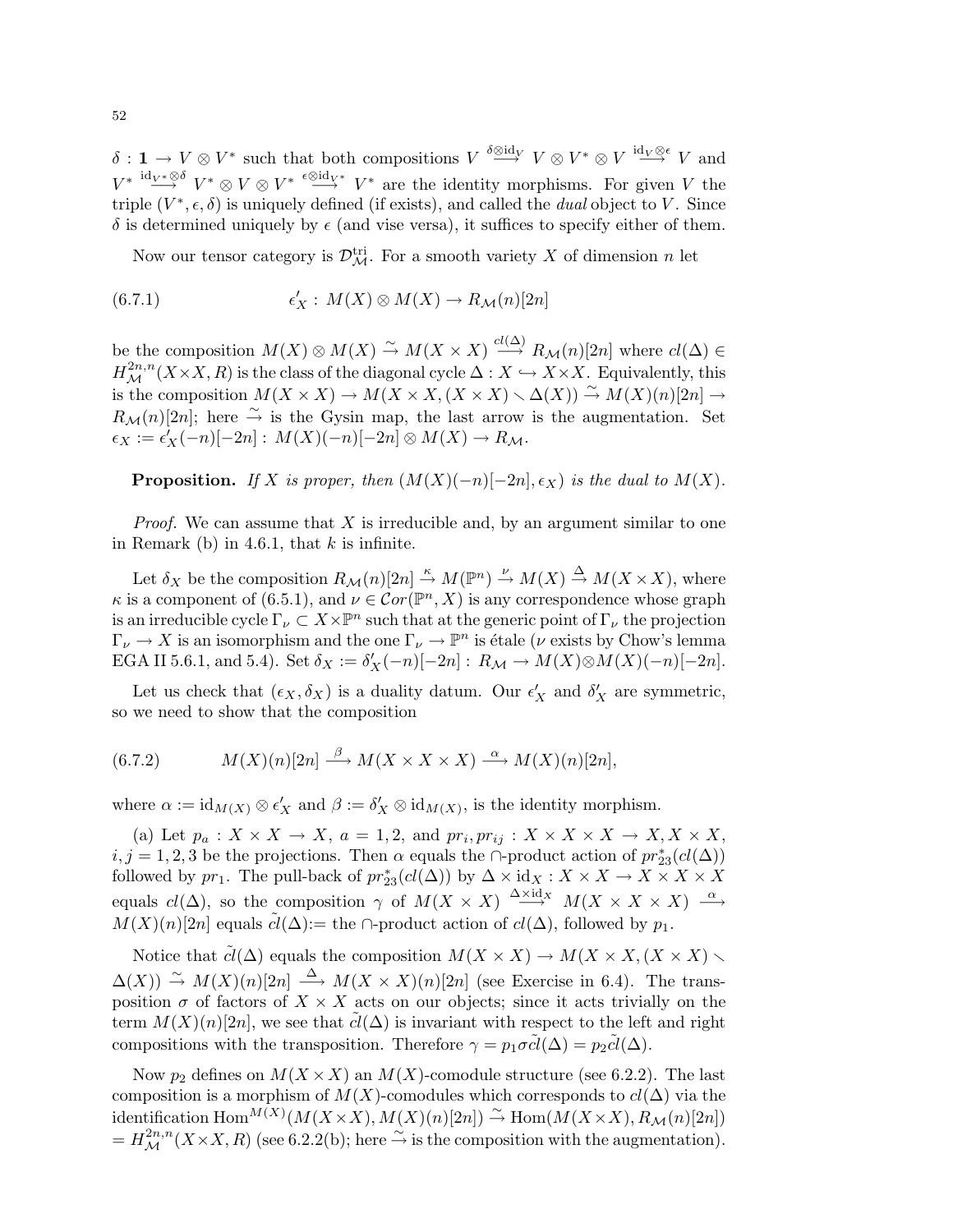$\delta: \mathbf{1} \to V \otimes V^*$  such that both compositions  $V \stackrel{\delta \otimes id_V}{\longrightarrow} V \otimes V^* \otimes V \stackrel{id_V \otimes \epsilon}{\longrightarrow} V$  and  $V^* \stackrel{id_{V^*} \otimes \delta}{\longrightarrow} V^* \otimes V \otimes V^* \stackrel{\epsilon \otimes id_{V^*}}{\longrightarrow} V^*$  are the identity morphisms. For given V the triple  $(V^*, \epsilon, \delta)$  is uniquely defined (if exists), and called the *dual* object to V. Since  $δ$  is determined uniquely by  $ε$  (and vise versa), it suffices to specify either of them.

Now our tensor category is  $\mathcal{D}_{\mathcal{M}}^{\text{tri}}$ . For a smooth variety X of dimension n let

(6.7.1) 
$$
\epsilon'_X : M(X) \otimes M(X) \to R_{\mathcal{M}}(n)[2n]
$$

be the composition  $M(X) \otimes M(X) \stackrel{\sim}{\to} M(X \times X) \stackrel{cl(\Delta)}{\longrightarrow} R_{\mathcal{M}}(n)[2n]$  where  $cl(\Delta) \in$  $H^{2n,n}_{\mathcal{M}}(X\times X,R)$  is the class of the diagonal cycle  $\Delta:X\hookrightarrow X\times X$ . Equivalently, this is the composition  $M(X \times X) \to M(X \times X,(X \times X) \times \Delta(X)) \stackrel{\sim}{\to} M(X)(n)[2n] \to$  $R_{\mathcal{M}}(n)[2n]$ ; here  $\stackrel{\sim}{\rightarrow}$  is the Gysin map, the last arrow is the augmentation. Set  $\epsilon_X := \epsilon'_X(-n)[-2n] : M(X)(-n)[-2n] \otimes M(X) \to R_{\mathcal{M}}.$ 

**Proposition.** If X is proper, then  $(M(X)(-n)[-2n], \epsilon_X)$  is the dual to  $M(X)$ .

*Proof.* We can assume that X is irreducible and, by an argument similar to one in Remark (b) in 4.6.1, that  $k$  is infinite.

Let  $\delta_X$  be the composition  $R_{\mathcal{M}}(n)[2n] \stackrel{\kappa}{\to} M(\mathbb{P}^n) \stackrel{\nu}{\to} M(X) \stackrel{\Delta}{\to} M(X \times X)$ , where  $\kappa$  is a component of (6.5.1), and  $\nu \in \mathcal{C}or(\mathbb{P}^n, X)$  is any correspondence whose graph is an irreducible cycle  $\Gamma_\nu \subset X\times \mathbb{P}^n$  such that at the generic point of  $\Gamma_\nu$  the projection  $\Gamma_{\nu} \to X$  is an isomorphism and the one  $\Gamma_{\nu} \to \mathbb{P}^n$  is étale ( $\nu$  exists by Chow's lemma EGA II 5.6.1, and 5.4). Set  $\delta_X := \delta'_X(-n)[-2n] : R_{\mathcal{M}} \to M(X) \otimes M(X)(-n)[-2n]$ .

Let us check that  $(\epsilon_X, \delta_X)$  is a duality datum. Our  $\epsilon'_X$  and  $\delta'_X$  are symmetric, so we need to show that the composition

(6.7.2) 
$$
M(X)(n)[2n] \stackrel{\beta}{\longrightarrow} M(X \times X \times X) \stackrel{\alpha}{\longrightarrow} M(X)(n)[2n],
$$

where  $\alpha := \mathrm{id}_{M(X)} \otimes \epsilon'_X$  and  $\beta := \delta'_X \otimes \mathrm{id}_{M(X)}$ , is the identity morphism.

(a) Let  $p_a: X \times X \to X$ ,  $a = 1, 2$ , and  $pr_i, pr_{ij}: X \times X \times X \to X, X \times X$ ,  $i, j = 1, 2, 3$  be the projections. Then  $\alpha$  equals the ∩-product action of  $pr_{23}^{*}(cl(\Delta))$ followed by  $pr_1$ . The pull-back of  $pr_{23}^*(cl(\Delta))$  by  $\Delta \times id_X : X \times X \to X \times X \times X$ equals  $cl(\Delta)$ , so the composition  $\gamma$  of  $M(X \times X) \stackrel{\Delta \times id_X}{\longrightarrow} M(X \times X \times X) \stackrel{\alpha}{\longrightarrow}$  $M(X)(n)[2n]$  equals  $cl(\Delta) :=$  the ∩-product action of  $cl(\Delta)$ , followed by  $p_1$ .

Notice that  $\tilde{cl}(\Delta)$  equals the composition  $M(X \times X) \to M(X \times X, (X \times X) \times$  $\Delta(X)$   $\stackrel{\sim}{\to}$   $M(X)(n)[2n] \stackrel{\Delta}{\longrightarrow} M(X \times X)(n)[2n]$  (see Exercise in 6.4). The transposition  $\sigma$  of factors of  $X \times X$  acts on our objects; since it acts trivially on the term  $M(X)(n)[2n]$ , we see that  $cl(\Delta)$  is invariant with respect to the left and right compositions with the transposition. Therefore  $\gamma = p_1 \sigma \tilde{cl}(\Delta) = p_2 \tilde{cl}(\Delta)$ .

Now  $p_2$  defines on  $M(X \times X)$  an  $M(X)$ -comodule structure (see 6.2.2). The last composition is a morphism of  $M(X)$ -comodules which corresponds to  $cl(\Delta)$  via the identification  $\text{Hom}^{M(X)}(M(X \times X), M(X)(n)[2n]) \stackrel{\sim}{\to} \text{Hom}(M(X \times X), R_\mathcal{M}(n)[2n])$  $= H_{\mathcal{M}}^{2n,n}(X\times X,R)$  (see 6.2.2(b); here  $\stackrel{\sim}{\rightarrow}$  is the composition with the augmentation).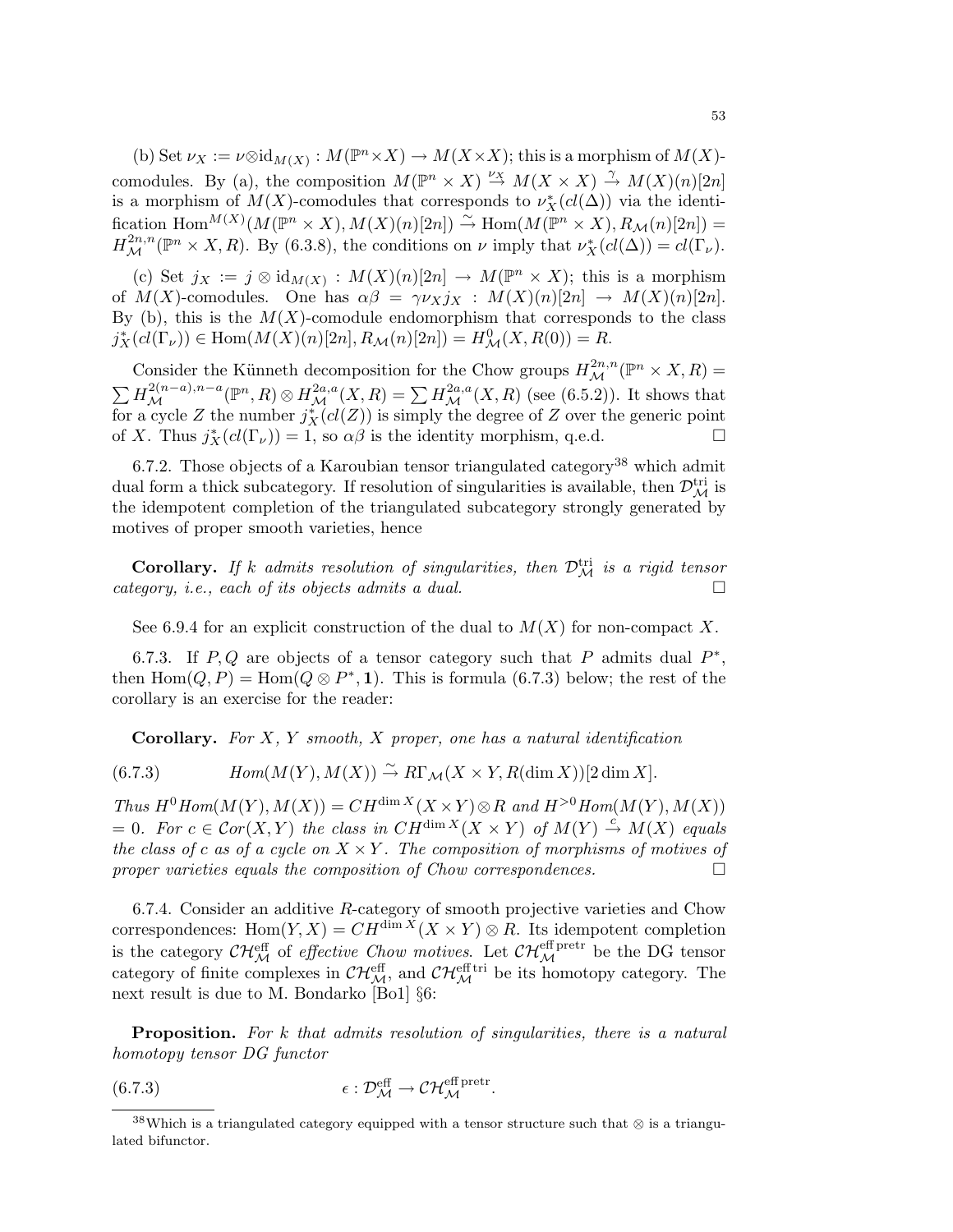(b) Set  $\nu_X := \nu \otimes id_{M(X)} : M(\mathbb{P}^n \times X) \to M(X \times X)$ ; this is a morphism of  $M(X)$ comodules. By (a), the composition  $M(\mathbb{P}^n \times X) \stackrel{\nu_X}{\to} M(X \times X) \stackrel{\gamma}{\to} M(X)(n)[2n]$ is a morphism of  $M(X)$ -comodules that corresponds to  $\nu_X^*(cl(\Delta))$  via the identification  $\text{Hom}^{M(X)}(M(\mathbb{P}^n \times X), M(X)(n)[2n]) \stackrel{\sim}{\to} \text{Hom}(M(\mathbb{P}^n \times X), R_{\mathcal{M}}(n)[2n]) =$  $H^{2n,n}_{\mathcal{M}}(\mathbb{P}^n \times X,R)$ . By (6.3.8), the conditions on  $\nu$  imply that  $\nu_X^*(cl(\Delta)) = cl(\Gamma_{\nu})$ .

(c) Set  $j_X := j \otimes id_{M(X)} : M(X)(n)[2n] \to M(\mathbb{P}^n \times X)$ ; this is a morphism of  $M(X)$ -comodules. One has  $\alpha\beta = \gamma \nu_X j_X : M(X)(n)[2n] \rightarrow M(X)(n)[2n]$ . By (b), this is the  $M(X)$ -comodule endomorphism that corresponds to the class  $j_X^*(cl(\Gamma_{\nu})) \in \text{Hom}(M(X)(n)[2n], R_{\mathcal{M}}(n)[2n]) = H^0_{\mathcal{M}}(X, R(0)) = R.$ 

Consider the Künneth decomposition for the Chow groups  $H^{2n,n}_{\mathcal{M}}(\mathbb{P}^n \times X, R) =$  $\sum H_{\mathcal{M}}^{2(n-a),n-a}(\mathbb{P}^n,R)\otimes H_{\mathcal{M}}^{2a,a}(X,R)=\sum H_{\mathcal{M}}^{2a,a}(X,R)$  (see (6.5.2)). It shows that for a cycle Z the number  $j_X^*(cl(Z))$  is simply the degree of Z over the generic point of X. Thus  $j_X^*(cl(\Gamma_\nu)) = 1$ , so  $\alpha\beta$  is the identity morphism, q.e.d.  $\Box$ 

6.7.2. Those objects of a Karoubian tensor triangulated category<sup>38</sup> which admit dual form a thick subcategory. If resolution of singularities is available, then  $\mathcal{D}_{\mathcal{M}}^{\text{tri}}$  is the idempotent completion of the triangulated subcategory strongly generated by motives of proper smooth varieties, hence

**Corollary.** If k admits resolution of singularities, then  $\mathcal{D}_{\mathcal{M}}^{\text{tri}}$  is a rigid tensor category, i.e., each of its objects admits a dual.

See 6.9.4 for an explicit construction of the dual to  $M(X)$  for non-compact X.

6.7.3. If  $P, Q$  are objects of a tensor category such that P admits dual  $P^*$ , then  $\text{Hom}(Q, P) = \text{Hom}(Q \otimes P^*, 1)$ . This is formula (6.7.3) below; the rest of the corollary is an exercise for the reader:

**Corollary.** For  $X, Y$  smooth,  $X$  proper, one has a natural identification

 $Hom(M(Y), M(X)) \stackrel{\sim}{\rightarrow} R\Gamma_M(X \times Y, R(\dim X))[2 \dim X].$ 

Thus  $H^0Hom(M(Y), M(X)) = CH^{\dim X}(X \times Y) \otimes R$  and  $H^{>0}Hom(M(Y), M(X))$  $= 0.$  For  $c \in \mathcal{C}or(X, Y)$  the class in  $CH^{\dim X}(X \times Y)$  of  $M(Y) \stackrel{c}{\rightarrow} M(X)$  equals the class of c as of a cycle on  $X \times Y$ . The composition of morphisms of motives of proper varieties equals the composition of Chow correspondences.

6.7.4. Consider an additive  $R$ -category of smooth projective varieties and Chow correspondences: Hom $(Y, X) = CH^{\dim X}(X \times Y) \otimes R$ . Its idempotent completion is the category  $\mathcal{CH}_{\mathcal{M}}^{\text{eff}}$  of *effective Chow motives*. Let  $\mathcal{CH}_{\mathcal{M}}^{\text{eff\,pert}}$  be the DG tensor category of finite complexes in  $\mathcal{CH}_{\mathcal{M}}^{\text{eff}}$ , and  $\mathcal{CH}_{\mathcal{M}}^{\text{eff}}$  be its homotopy category. The next result is due to M. Bondarko [Bo1] §6:

**Proposition.** For k that admits resolution of singularities, there is a natural homotopy tensor DG functor

(6.7.3) 
$$
\epsilon : \mathcal{D}_{\mathcal{M}}^{\text{eff}} \to \mathcal{C} \mathcal{H}_{\mathcal{M}}^{\text{eff pret}}.
$$

<sup>&</sup>lt;sup>38</sup>Which is a triangulated category equipped with a tensor structure such that ⊗ is a triangulated bifunctor.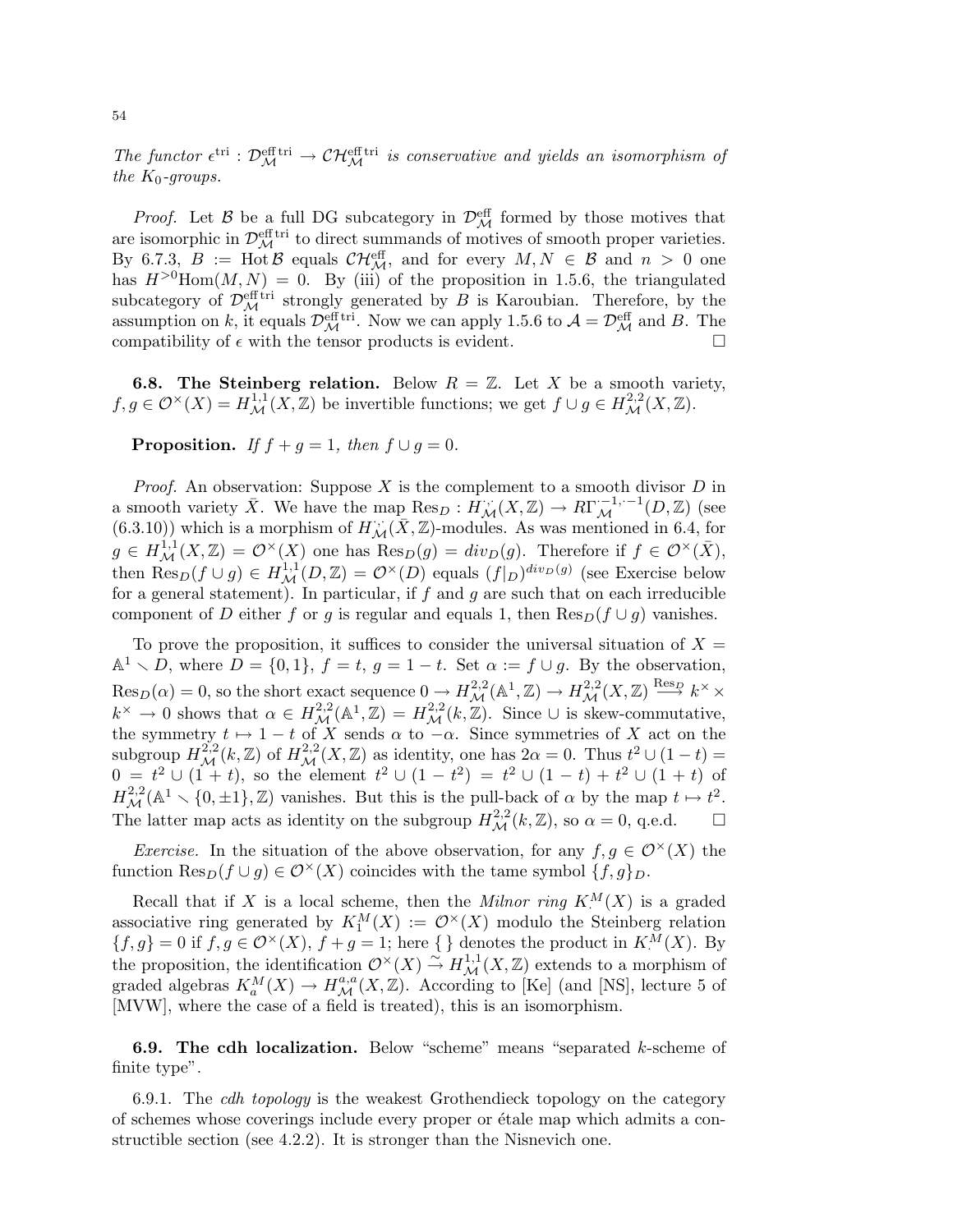The functor  $\epsilon^{tri} : \mathcal{D}_{\mathcal{M}}^{\text{eff tri}} \to \mathcal{CH}_{\mathcal{M}}^{\text{eff tri}}$  is conservative and yields an isomorphism of the  $K_0$ -groups.

*Proof.* Let  $\beta$  be a full DG subcategory in  $\mathcal{D}_{\mathcal{M}}^{\text{eff}}$  formed by those motives that are isomorphic in  $\mathcal{D}_{\mathcal{M}}^{\text{eff tri}}$  to direct summands of motives of smooth proper varieties. By 6.7.3,  $B := \text{Hot } \mathcal{B}$  equals  $\mathcal{CH}_{\mathcal{M}}^{\text{eff}}$ , and for every  $M, N \in \mathcal{B}$  and  $n > 0$  one has  $H^{>0}Hom(M, N) = 0$ . By (iii) of the proposition in 1.5.6, the triangulated subcategory of  $\mathcal{D}_{\mathcal{M}}^{\text{eff}}$  is trongly generated by B is Karoubian. Therefore, by the assumption on k, it equals  $\mathcal{D}_{\mathcal{M}}^{\text{eff}}$  in Mow we can apply 1.5.6 to  $\mathcal{A} = \mathcal{D}_{\mathcal{M}}^{\text{eff}}$  and B. The compatibility of  $\epsilon$  with the tensor products is evident.

**6.8. The Steinberg relation.** Below  $R = \mathbb{Z}$ . Let X be a smooth variety,  $f, g \in \mathcal{O}^\times(X) = H^{1,1}_\mathcal{M}(X,\mathbb{Z})$  be invertible functions; we get  $f \cup g \in H^{2,2}_\mathcal{M}(X,\mathbb{Z})$ .

**Proposition.** If  $f + g = 1$ , then  $f \cup g = 0$ .

*Proof.* An observation: Suppose  $X$  is the complement to a smooth divisor  $D$  in a smooth variety  $\bar{X}$ . We have the map  $\text{Res}_D: H_{\mathcal{M}}^{\cdots}(X, \mathbb{Z}) \to R\Gamma_{\mathcal{M}}^{-1, -1}(D, \mathbb{Z})$  (see  $(6.3.10)$ ) which is a morphism of  $H_{\mathcal{M}}^{\cdot,\cdot}(\bar{X},\mathbb{Z})$ -modules. As was mentioned in 6.4, for  $g \in H^{1,1}_{\mathcal{M}}(X,\mathbb{Z}) = \mathcal{O}^\times(X)$  one has  $\text{Res}_D(g) = div_D(g)$ . Therefore if  $f \in \mathcal{O}^\times(\bar{X})$ , then  $\text{Res}_D(f \cup g) \in H^{1,1}_{\mathcal{M}}(D,\mathbb{Z}) = \mathcal{O}^{\times}(D)$  equals  $(f|_D)^{div_D(g)}$  (see Exercise below for a general statement). In particular, if  $f$  and  $g$  are such that on each irreducible component of D either f or g is regular and equals 1, then  $\text{Res}_D(f \cup g)$  vanishes.

To prove the proposition, it suffices to consider the universal situation of  $X =$  $\mathbb{A}^1 \setminus D$ , where  $D = \{0, 1\}$ ,  $f = t$ ,  $g = 1 - t$ . Set  $\alpha := f \cup g$ . By the observation,  $\text{Res}_D(\alpha) = 0$ , so the short exact sequence  $0 \to H^{2,2}_{\mathcal{M}}(\mathbb{A}^1, \mathbb{Z}) \to H^{2,2}_{\mathcal{M}}(X, \mathbb{Z}) \overset{\text{Res}_D}{\longrightarrow} k^{\times} \times$  $k^{\times} \to 0$  shows that  $\alpha \in H^{2,2}_{\mathcal{M}}(\mathbb{A}^1,\mathbb{Z}) = H^{2,2}_{\mathcal{M}}(k,\mathbb{Z})$ . Since  $\cup$  is skew-commutative, the symmetry  $t \mapsto 1 - t$  of X sends  $\alpha$  to  $-\alpha$ . Since symmetries of X act on the subgroup  $H^{2,2}_{\mathcal{M}}(k,\mathbb{Z})$  of  $H^{2,2}_{\mathcal{M}}(X,\mathbb{Z})$  as identity, one has  $2\alpha=0$ . Thus  $t^2\cup(1-t)=$  $0 = t^2 \cup (1+t)$ , so the element  $t^2 \cup (1-t^2) = t^2 \cup (1-t) + t^2 \cup (1+t)$  of  $H^{2,2}_{\mathcal{M}}(\mathbb{A}^1 \setminus \{0,\pm 1\}, \mathbb{Z})$  vanishes. But this is the pull-back of  $\alpha$  by the map  $t \mapsto t^2$ . The latter map acts as identity on the subgroup  $H_{\mathcal{M}}^{2,2}(k,\mathbb{Z})$ , so  $\alpha = 0$ , q.e.d.  $\Box$ 

*Exercise.* In the situation of the above observation, for any  $f, g \in \mathcal{O}(\times)}(X)$  the function  $\text{Res}_D(f \cup g) \in \mathcal{O}^\times(X)$  coincides with the tame symbol  $\{f, g\}_D$ .

Recall that if X is a local scheme, then the *Milnor ring*  $K^M(X)$  is a graded associative ring generated by  $K_1^M(X) := \mathcal{O}^\times(X)$  modulo the Steinberg relation  $\{f,g\} = 0$  if  $f, g \in \mathcal{O}^\times(X)$ ,  $f + g = 1$ ; here  $\{\}\$  denotes the product in  $K^M(X)$ . By the proposition, the identification  $\mathcal{O}^{\times}(X) \stackrel{\sim}{\to} H^{1,1}_{\mathcal{M}}(X,\mathbb{Z})$  extends to a morphism of graded algebras  $K_a^M(X) \to H_{\mathcal{M}}^{a,a}(X,\mathbb{Z})$ . According to [Ke] (and [NS], lecture 5 of [MVW], where the case of a field is treated), this is an isomorphism.

**6.9.** The cdh localization. Below "scheme" means "separated  $k$ -scheme of finite type".

6.9.1. The *cdh topology* is the weakest Grothendieck topology on the category of schemes whose coverings include every proper or ´etale map which admits a constructible section (see 4.2.2). It is stronger than the Nisnevich one.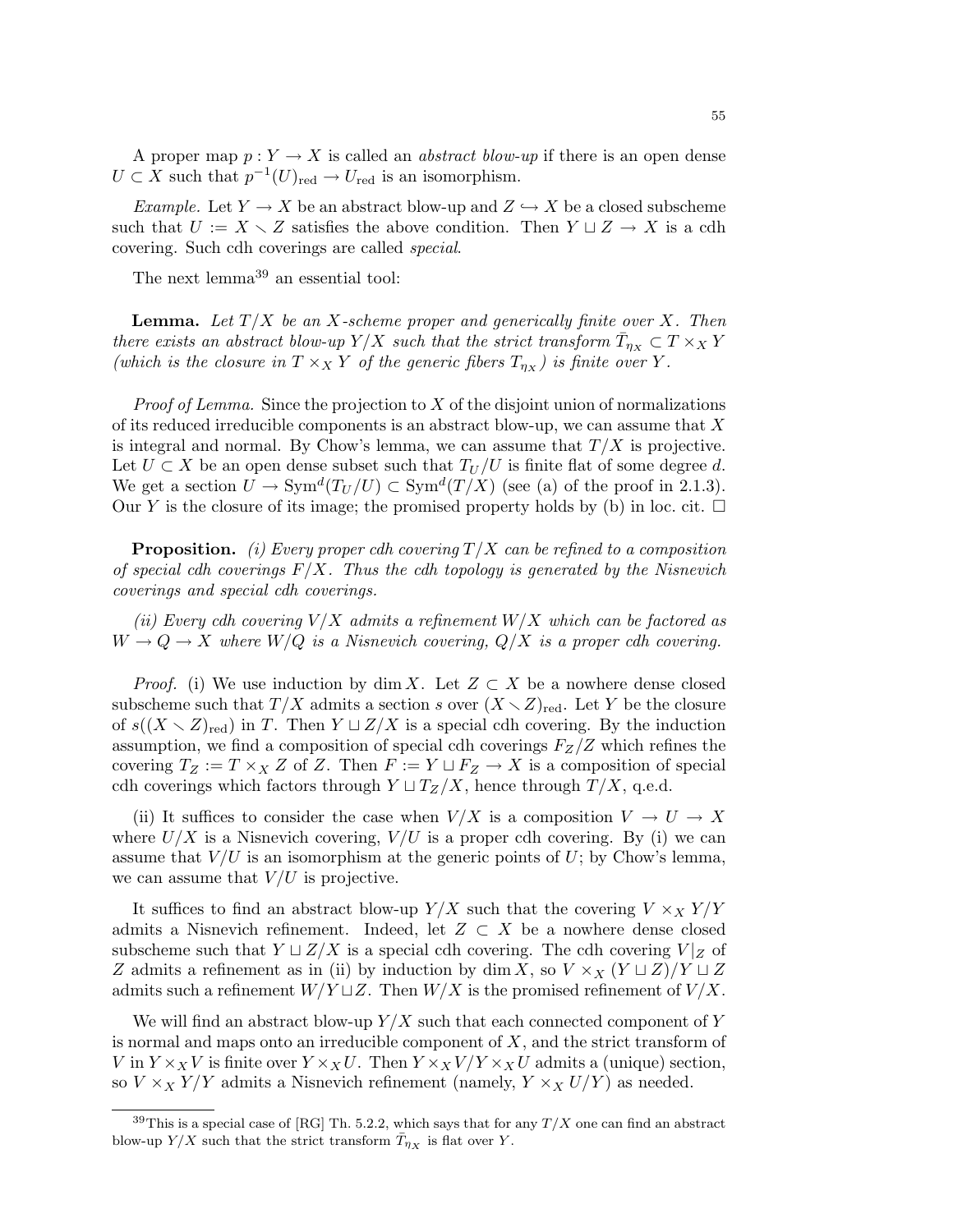A proper map  $p: Y \to X$  is called an *abstract blow-up* if there is an open dense  $U \subset X$  such that  $p^{-1}(U)_{\text{red}} \to U_{\text{red}}$  is an isomorphism.

Example. Let  $Y \to X$  be an abstract blow-up and  $Z \hookrightarrow X$  be a closed subscheme such that  $U := X \setminus Z$  satisfies the above condition. Then  $Y \sqcup Z \to X$  is a cdh covering. Such cdh coverings are called special.

The next lemma<sup>39</sup> an essential tool:

**Lemma.** Let  $T/X$  be an X-scheme proper and generically finite over X. Then there exists an abstract blow-up  $Y/X$  such that the strict transform  $\bar{T}_{\eta_X} \subset T \times_X Y$ (which is the closure in  $T \times_X Y$  of the generic fibers  $T_{\eta_X}$ ) is finite over Y.

*Proof of Lemma.* Since the projection to  $X$  of the disjoint union of normalizations of its reduced irreducible components is an abstract blow-up, we can assume that  $X$ is integral and normal. By Chow's lemma, we can assume that  $T/X$  is projective. Let  $U \subset X$  be an open dense subset such that  $T_U/U$  is finite flat of some degree d. We get a section  $U \to \text{Sym}^d(T_U/U) \subset \text{Sym}^d(T/X)$  (see (a) of the proof in 2.1.3). Our Y is the closure of its image; the promised property holds by (b) in loc. cit.  $\Box$ 

**Proposition.** (i) Every proper cdh covering  $T/X$  can be refined to a composition of special cdh coverings  $F/X$ . Thus the cdh topology is generated by the Nisnevich coverings and special cdh coverings.

(ii) Every cdh covering  $V/X$  admits a refinement  $W/X$  which can be factored as  $W \to Q \to X$  where  $W/Q$  is a Nisnevich covering,  $Q/X$  is a proper cdh covering.

*Proof.* (i) We use induction by dim X. Let  $Z \subset X$  be a nowhere dense closed subscheme such that  $T/X$  admits a section s over  $(X \setminus Z)_{\text{red}}$ . Let Y be the closure of  $s((X \setminus Z)_{\text{red}})$  in T. Then  $Y \sqcup Z/X$  is a special cdh covering. By the induction assumption, we find a composition of special cdh coverings  $F_Z/Z$  which refines the covering  $T_Z := T \times_X Z$  of Z. Then  $F := Y \sqcup F_Z \to X$  is a composition of special cdh coverings which factors through  $Y \sqcup T_Z/X$ , hence through  $T/X$ , q.e.d.

(ii) It suffices to consider the case when  $V/X$  is a composition  $V \to U \to X$ where  $U/X$  is a Nisnevich covering,  $V/U$  is a proper cdh covering. By (i) we can assume that  $V/U$  is an isomorphism at the generic points of U; by Chow's lemma, we can assume that  $V/U$  is projective.

It suffices to find an abstract blow-up  $Y/X$  such that the covering  $V \times_X Y/Y$ admits a Nisnevich refinement. Indeed, let  $Z \subset X$  be a nowhere dense closed subscheme such that  $Y \sqcup Z/X$  is a special cdh covering. The cdh covering  $V|_Z$  of Z admits a refinement as in (ii) by induction by dim X, so  $V \times_X (Y \sqcup Z)/Y \sqcup Z$ admits such a refinement  $W/Y \sqcup Z$ . Then  $W/X$  is the promised refinement of  $V/X$ .

We will find an abstract blow-up  $Y/X$  such that each connected component of Y is normal and maps onto an irreducible component of  $X$ , and the strict transform of V in  $Y \times_X V$  is finite over  $Y \times_X U$ . Then  $Y \times_X V/Y \times_X U$  admits a (unique) section, so  $V \times_X Y/Y$  admits a Nisnevich refinement (namely,  $Y \times_X U/Y$ ) as needed.

<sup>&</sup>lt;sup>39</sup>This is a special case of [RG] Th. 5.2.2, which says that for any  $T/X$  one can find an abstract blow-up  $Y/X$  such that the strict transform  $\bar{T}_{\eta_X}$  is flat over Y.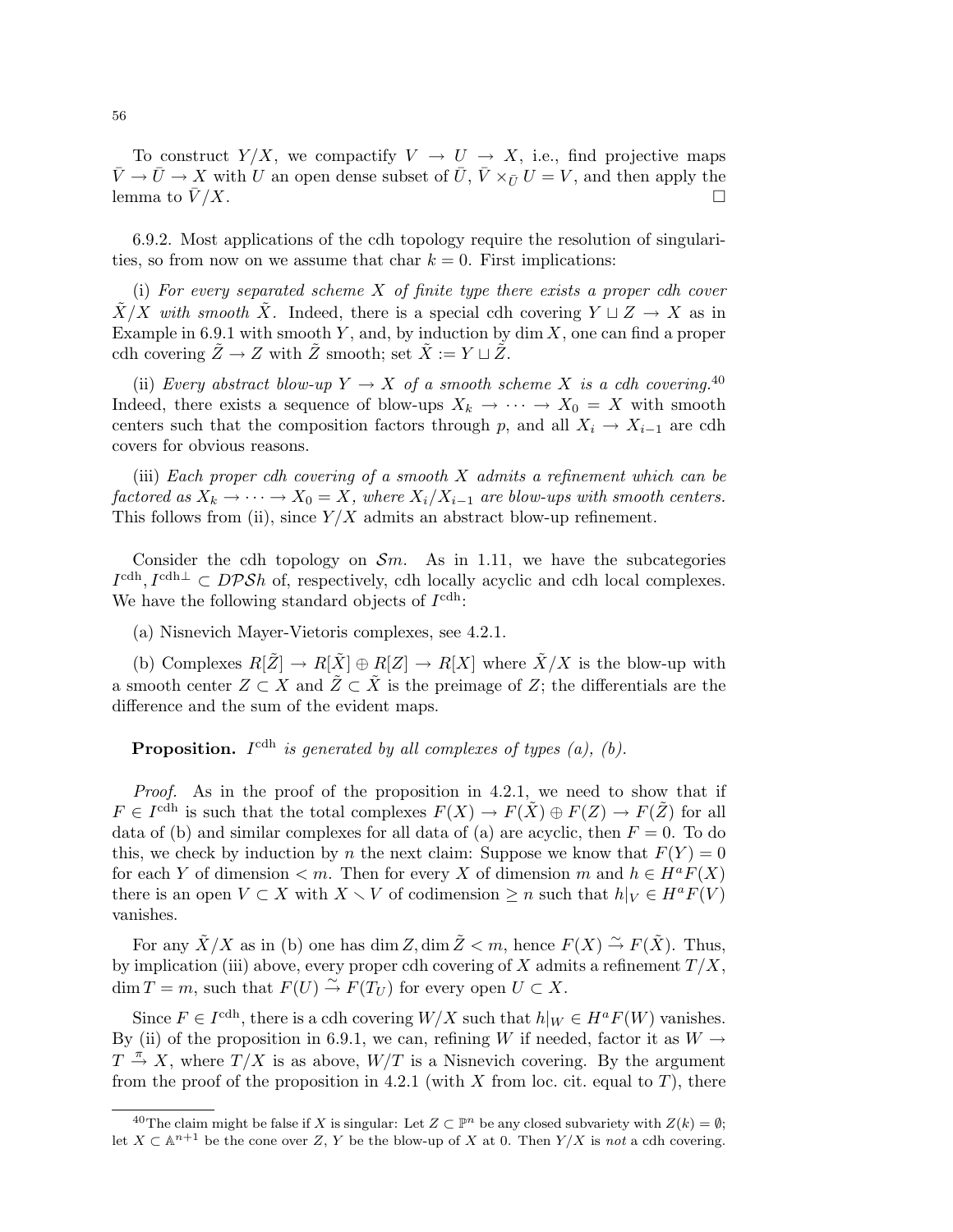To construct  $Y/X$ , we compactify  $V \to U \to X$ , i.e., find projective maps  $\bar{V} \rightarrow \bar{U} \rightarrow X$  with U an open dense subset of  $\bar{U}, \bar{V} \times_{\bar{U}} U = V$ , and then apply the lemma to  $\bar{V}/X$ .

6.9.2. Most applications of the cdh topology require the resolution of singularities, so from now on we assume that char  $k = 0$ . First implications:

(i) For every separated scheme  $X$  of finite type there exists a proper cdh cover  $\tilde{X}/X$  with smooth  $\tilde{X}$ . Indeed, there is a special cdh covering  $Y \sqcup Z \to X$  as in Example in 6.9.1 with smooth  $Y$ , and, by induction by dim  $X$ , one can find a proper cdh covering  $\tilde{Z} \to Z$  with  $\tilde{Z}$  smooth; set  $\tilde{X} := Y \sqcup \tilde{Z}$ .

(ii) Every abstract blow-up  $Y \to X$  of a smooth scheme X is a cdh covering.<sup>40</sup> Indeed, there exists a sequence of blow-ups  $X_k \to \cdots \to X_0 = X$  with smooth centers such that the composition factors through p, and all  $X_i \to X_{i-1}$  are cdh covers for obvious reasons.

(iii) Each proper cdh covering of a smooth X admits a refinement which can be factored as  $X_k \to \cdots \to X_0 = X$ , where  $X_i/X_{i-1}$  are blow-ups with smooth centers. This follows from (ii), since  $Y/X$  admits an abstract blow-up refinement.

Consider the cdh topology on  $\mathcal{S}_m$ . As in 1.11, we have the subcategories  $I^{\text{cdh}}, I^{\text{cdh}\perp} \subset DPSh$  of, respectively, cdh locally acyclic and cdh local complexes. We have the following standard objects of  $I^{\text{cdh}}$ :

(a) Nisnevich Mayer-Vietoris complexes, see 4.2.1.

(b) Complexes  $R[\tilde{Z}] \to R[\tilde{X}] \oplus R[Z] \to R[X]$  where  $\tilde{X}/X$  is the blow-up with a smooth center  $Z \subset X$  and  $\tilde{Z} \subset \tilde{X}$  is the preimage of Z; the differentials are the difference and the sum of the evident maps.

**Proposition.** I<sup>cdh</sup> is generated by all complexes of types  $(a)$ ,  $(b)$ .

Proof. As in the proof of the proposition in 4.2.1, we need to show that if  $F \in I^{\text{cdh}}$  is such that the total complexes  $F(X) \to F(\tilde{X}) \oplus F(Z) \to F(\tilde{Z})$  for all data of (b) and similar complexes for all data of (a) are acyclic, then  $F = 0$ . To do this, we check by induction by n the next claim: Suppose we know that  $F(Y) = 0$ for each Y of dimension  $\lt m$ . Then for every X of dimension m and  $h \in H^aF(X)$ there is an open  $V \subset X$  with  $X \setminus V$  of codimension  $\geq n$  such that  $h|_V \in H^a F(V)$ vanishes.

For any  $\tilde{X}/X$  as in (b) one has dim Z, dim  $\tilde{Z} < m$ , hence  $F(X) \stackrel{\sim}{\to} F(\tilde{X})$ . Thus, by implication (iii) above, every proper cdh covering of X admits a refinement  $T/X$ ,  $\dim T = m$ , such that  $F(U) \stackrel{\sim}{\to} F(T_U)$  for every open  $U \subset X$ .

Since  $F \in I^{\text{cdh}}$ , there is a cdh covering  $W/X$  such that  $h|_W \in H^a F(W)$  vanishes. By (ii) of the proposition in 6.9.1, we can, refining W if needed, factor it as  $W \rightarrow$  $T \stackrel{\pi}{\rightarrow} X$ , where  $T/X$  is as above,  $W/T$  is a Nisnevich covering. By the argument from the proof of the proposition in 4.2.1 (with X from loc. cit. equal to T), there

<sup>&</sup>lt;sup>40</sup>The claim might be false if X is singular: Let  $Z \subset \mathbb{P}^n$  be any closed subvariety with  $Z(k) = \emptyset$ ; let  $X \subset \mathbb{A}^{n+1}$  be the cone over Z, Y be the blow-up of X at 0. Then  $Y/X$  is not a cdh covering.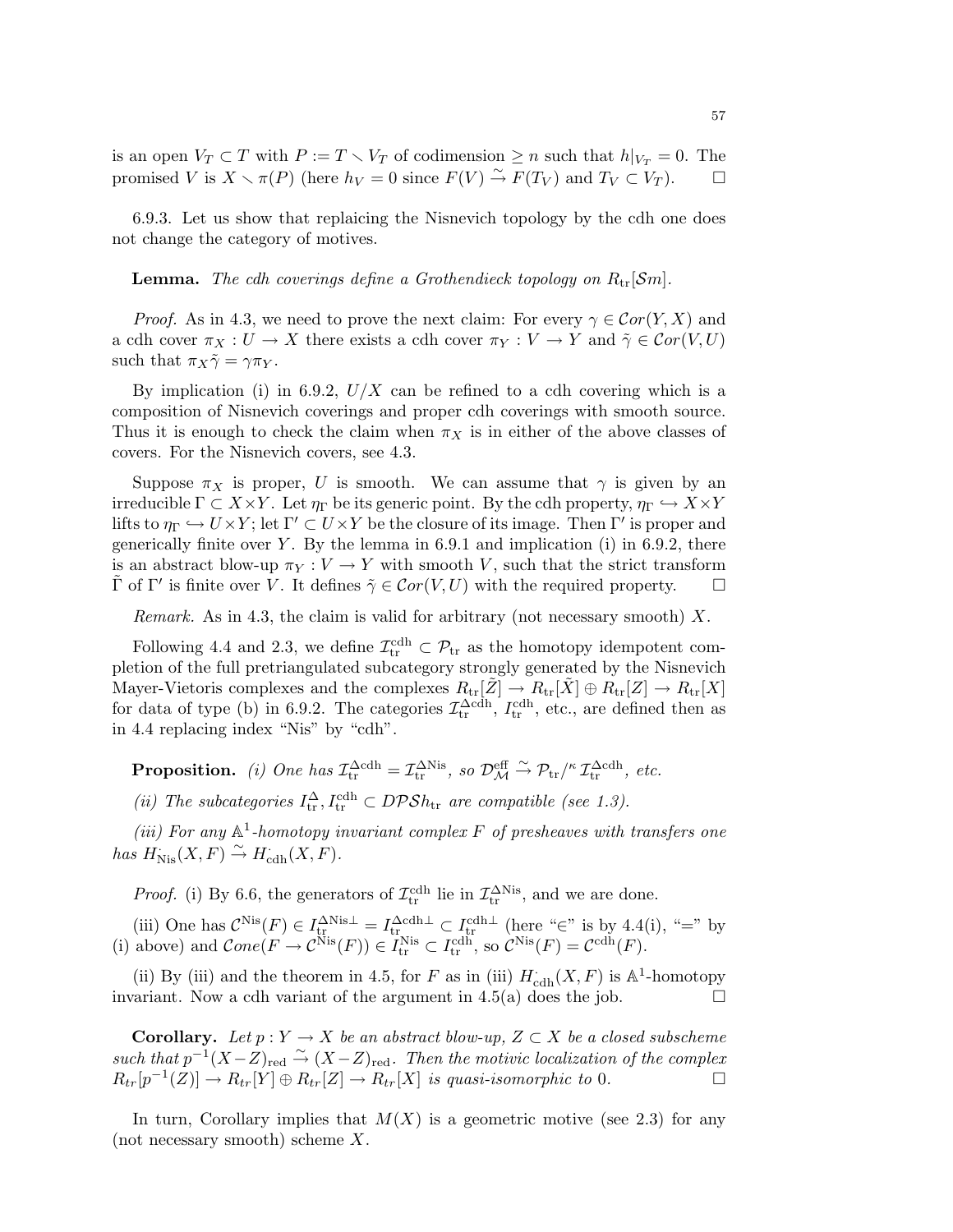is an open  $V_T \subset T$  with  $P := T \setminus V_T$  of codimension  $\geq n$  such that  $h|_{V_T} = 0$ . The promised V is  $X \setminus \pi(P)$  (here  $h_V = 0$  since  $F(V) \stackrel{\sim}{\to} F(T_V)$  and  $T_V \subset V_T$ ).  $\Box$ 

6.9.3. Let us show that replaicing the Nisnevich topology by the cdh one does not change the category of motives.

**Lemma.** The cdh coverings define a Grothendieck topology on  $R_{\text{tr}}[\mathcal{S}m]$ .

*Proof.* As in 4.3, we need to prove the next claim: For every  $\gamma \in \mathcal{C}or(Y,X)$  and a cdh cover  $\pi_X : U \to X$  there exists a cdh cover  $\pi_Y : V \to Y$  and  $\tilde{\gamma} \in \mathcal{C}or(V, U)$ such that  $\pi_X \tilde{\gamma} = \gamma \pi_Y$ .

By implication (i) in 6.9.2,  $U/X$  can be refined to a cdh covering which is a composition of Nisnevich coverings and proper cdh coverings with smooth source. Thus it is enough to check the claim when  $\pi_X$  is in either of the above classes of covers. For the Nisnevich covers, see 4.3.

Suppose  $\pi_X$  is proper, U is smooth. We can assume that  $\gamma$  is given by an irreducible  $\Gamma \subset X \times Y$ . Let  $\eta_{\Gamma}$  be its generic point. By the cdh property,  $\eta_{\Gamma} \hookrightarrow X \times Y$ lifts to  $\eta_{\Gamma} \hookrightarrow U \times Y$ ; let  $\Gamma' \subset U \times Y$  be the closure of its image. Then  $\Gamma'$  is proper and generically finite over Y. By the lemma in  $6.9.1$  and implication (i) in  $6.9.2$ , there is an abstract blow-up  $\pi_Y : V \to Y$  with smooth V, such that the strict transform  $\tilde{\Gamma}$  of  $\Gamma'$  is finite over V. It defines  $\tilde{\gamma} \in \mathcal{C}or(V, U)$  with the required property.  $\Box$ 

Remark. As in 4.3, the claim is valid for arbitrary (not necessary smooth)  $X$ .

Following 4.4 and 2.3, we define  $\mathcal{I}_{tr}^{cdh} \subset \mathcal{P}_{tr}$  as the homotopy idempotent completion of the full pretriangulated subcategory strongly generated by the Nisnevich Mayer-Vietoris complexes and the complexes  $R_{\text{tr}}[\tilde{Z}] \to R_{\text{tr}}[\tilde{X}] \oplus R_{\text{tr}}[Z] \to R_{\text{tr}}[X]$ for data of type (b) in 6.9.2. The categories  $\mathcal{I}_{tr}^{\Delta cdh}$ ,  $I_{tr}^{cdh}$ , etc., are defined then as in 4.4 replacing index "Nis" by "cdh".

**Proposition.** (i) One has  $\mathcal{I}_{tr}^{\Delta cdh} = \mathcal{I}_{tr}^{\Delta Nis}$ , so  $\mathcal{D}_{\mathcal{M}}^{\text{eff}} \xrightarrow{\sim} \mathcal{P}_{tr}/^{\kappa} \mathcal{I}_{tr}^{\Delta cdh}$ , etc.

(ii) The subcategories  $I_{tr}^{\Delta}$ ,  $I_{tr}^{cdh} \subset DPSh_{tr}$  are compatible (see 1.3).

(iii) For any  $\mathbb{A}^1$ -homotopy invariant complex F of presheaves with transfers one has  $H_{\text{Nis}}(X, F) \overset{\sim}{\rightarrow} H_{\text{cdh}}(X, F)$ .

*Proof.* (i) By 6.6, the generators of  $\mathcal{I}_{tr}^{cdh}$  lie in  $\mathcal{I}_{tr}^{\Delta Nis}$ , and we are done.

(iii) One has  $\mathcal{C}^{\text{Nis}}(F) \in I_{tr}^{\Delta \text{Nis}\perp} = I_{tr}^{\Delta \text{cdh}\perp} \subset I_{tr}^{\text{cdh}\perp}$  (here "∈" is by 4.4(i), "=" by (i) above) and  $Cone(F \to \mathcal{C}^{\text{Nis}}(F)) \in I_{tr}^{\text{Nis}} \subset I_{tr}^{\text{cdh}},$  so  $\mathcal{C}^{\text{Nis}}(F) = \mathcal{C}^{\text{cdh}}(F)$ .

(ii) By (iii) and the theorem in 4.5, for F as in (iii)  $H_{\text{cdh}}^{\cdot}(X, F)$  is  $\mathbb{A}^1$ -homotopy invariant. Now a cdh variant of the argument in 4.5(a) does the job.  $\Box$ 

**Corollary.** Let  $p: Y \to X$  be an abstract blow-up,  $Z \subset X$  be a closed subscheme such that  $p^{-1}(X-Z)_{\text{red}} \stackrel{\sim}{\rightarrow} (X-Z)_{\text{red}}$ . Then the motivic localization of the complex  $R_{tr}[p^{-1}(Z)] \rightarrow R_{tr}[Y] \oplus R_{tr}[Z] \rightarrow R_{tr}[X]$  is quasi-isomorphic to 0.

In turn, Corollary implies that  $M(X)$  is a geometric motive (see 2.3) for any (not necessary smooth) scheme X.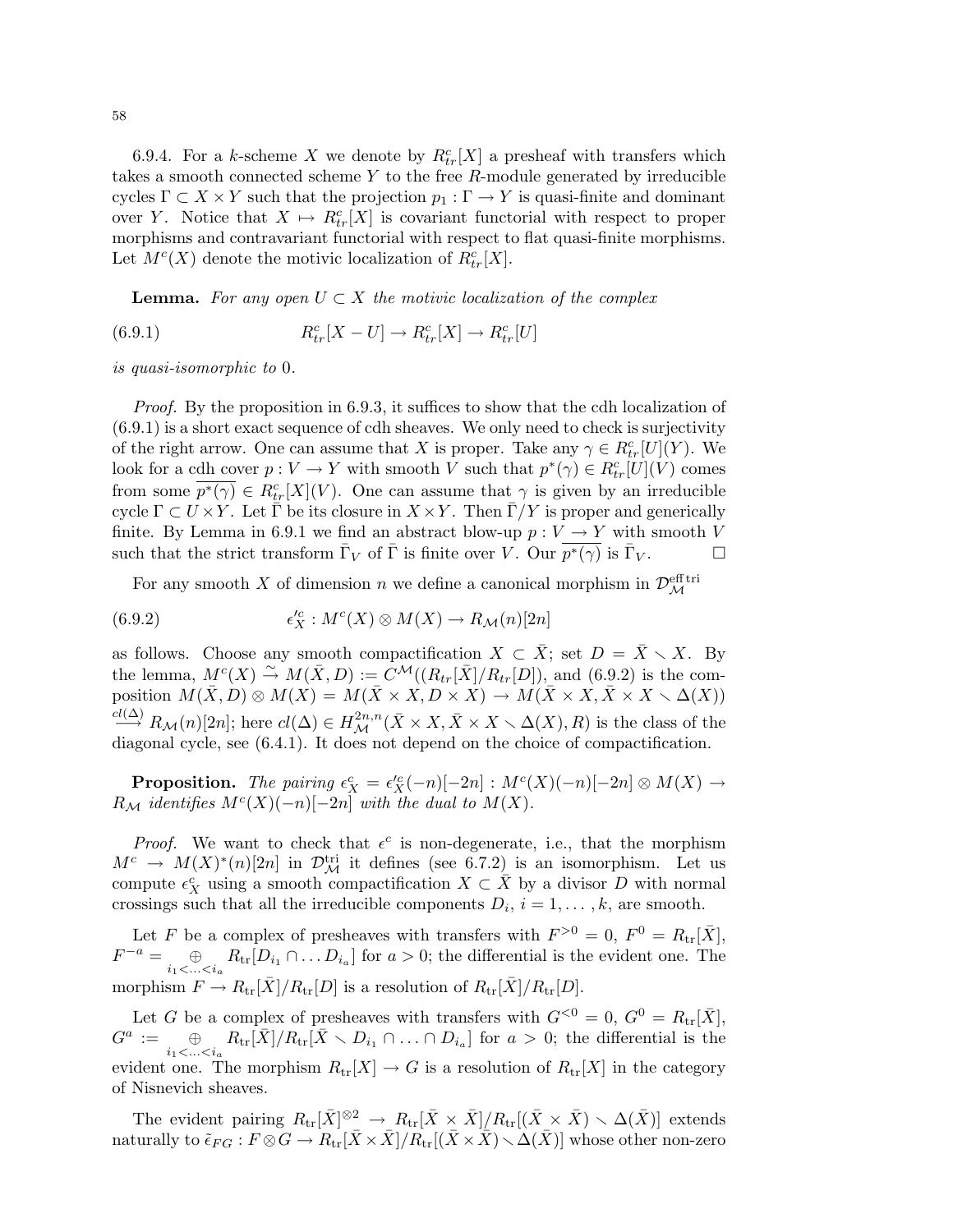6.9.4. For a k-scheme X we denote by  $R_{tr}^{c}[X]$  a presheaf with transfers which takes a smooth connected scheme  $Y$  to the free  $R$ -module generated by irreducible cycles  $\Gamma \subset X \times Y$  such that the projection  $p_1 : \Gamma \to Y$  is quasi-finite and dominant over Y. Notice that  $X \mapsto R_{tr}^{c}[X]$  is covariant functorial with respect to proper morphisms and contravariant functorial with respect to flat quasi-finite morphisms. Let  $M^{c}(X)$  denote the motivic localization of  $R_{tr}^{c}[X]$ .

**Lemma.** For any open  $U \subset X$  the motivic localization of the complex

(6.9.1) 
$$
R_{tr}^c[X-U] \to R_{tr}^c[X] \to R_{tr}^c[U]
$$

is quasi-isomorphic to 0.

*Proof.* By the proposition in 6.9.3, it suffices to show that the cdh localization of (6.9.1) is a short exact sequence of cdh sheaves. We only need to check is surjectivity of the right arrow. One can assume that X is proper. Take any  $\gamma \in R_{tr}^{c}[U](Y)$ . We look for a cdh cover  $p: V \to Y$  with smooth V such that  $p^*(\gamma) \in R_{tr}^c[U](V)$  comes from some  $\overline{p^*(\gamma)} \in R^c_{tr}[X](V)$ . One can assume that  $\gamma$  is given by an irreducible cycle  $\Gamma \subset U \times Y$ . Let  $\overline{\Gamma}$  be its closure in  $X \times Y$ . Then  $\overline{\Gamma}/Y$  is proper and generically finite. By Lemma in 6.9.1 we find an abstract blow-up  $p: V \to Y$  with smooth V such that the strict transform  $\bar{\Gamma}_V$  of  $\bar{\Gamma}$  is finite over V. Our  $\overline{p^*(\gamma)}$  is  $\bar{\Gamma}_V$ .

For any smooth X of dimension n we define a canonical morphism in  $\mathcal{D}_{\mathcal{M}}^{\text{eff tri}}$ 

(6.9.2) 
$$
\epsilon_X^{\prime c}: M^c(X) \otimes M(X) \to R_\mathcal{M}(n)[2n]
$$

as follows. Choose any smooth compactification  $X \subset \overline{X}$ ; set  $D = \overline{X} \setminus X$ . By the lemma,  $M^{c}(X) \stackrel{\sim}{\rightarrow} M(\bar{X}, D) := \tilde{C}^{\mathcal{M}}((R_{tr}[\bar{X}]/R_{tr}[D]),$  and (6.9.2) is the composition  $M(\bar{X}, D) \otimes M(X) = M(\bar{X} \times X, D \times X) \rightarrow M(\bar{X} \times X, \bar{X} \times X \setminus \Delta(X))$  $\stackrel{cl(\Delta)}{\longrightarrow} R_{\mathcal{M}}(n)[2n];$  here  $cl(\Delta) \in H^{2n,n}_{\mathcal{M}}(\bar{X} \times X, \bar{X} \times X \setminus \Delta(X), R)$  is the class of the diagonal cycle, see (6.4.1). It does not depend on the choice of compactification.

**Proposition.** The pairing  $\epsilon_X^c = \epsilon_X^{\prime c}(-n)[-2n] : M^c(X)(-n)[-2n] \otimes M(X) \rightarrow$  $R_{\mathcal{M}}$  identifies  $M^{c}(X)(-n)[-2n]$  with the dual to  $M(X)$ .

*Proof.* We want to check that  $\epsilon^c$  is non-degenerate, i.e., that the morphism  $M^c \to M(X)^*(n)[2n]$  in  $\mathcal{D}^{\text{tri}}_{\mathcal{M}}$  it defines (see 6.7.2) is an isomorphism. Let us compute  $\epsilon_X^c$  using a smooth compactification  $X \subset \overline{X}$  by a divisor D with normal crossings such that all the irreducible components  $D_i$ ,  $i = 1, ..., k$ , are smooth.

Let F be a complex of presheaves with transfers with  $F^{>0} = 0$ ,  $F^{0} = R_{tr}[\bar{X}],$  $F^{-a} = \bigoplus_{i_1 < ... < i_a} R_{\text{tr}}[D_{i_1} \cap ... D_{i_a}]$  for  $a > 0$ ; the differential is the evident one. The morphism  $F \to R_{\text{tr}}[\bar{X}]/R_{\text{tr}}[D]$  is a resolution of  $R_{\text{tr}}[\bar{X}]/R_{\text{tr}}[D]$ .

Let G be a complex of presheaves with transfers with  $G^{<0} = 0$ ,  $G^{0} = R_{tr}[\bar{X}]$ ,  $G^a$  $:= \bigoplus_{i_1 < ... < i_a} R_{\text{tr}}[\bar{X}] / R_{\text{tr}}[\bar{X} \setminus D_{i_1} \cap ... \cap D_{i_a}]$  for  $a > 0$ ; the differential is the evident one. The morphism  $R_{tr}[X] \to G$  is a resolution of  $R_{tr}[X]$  in the category of Nisnevich sheaves.

The evident pairing  $R_{tr}[\bar{X}]^{\otimes 2} \to R_{tr}[\bar{X} \times \bar{X}] / R_{tr}[(\bar{X} \times \bar{X}) \setminus \Delta(\bar{X})]$  extends naturally to  $\tilde{\epsilon}_{FG}: F \otimes G \to R_{tr}[\bar{X} \times \bar{X}]/R_{tr}[(\bar{X} \times \bar{X}) \setminus \Delta(\bar{X})]$  whose other non-zero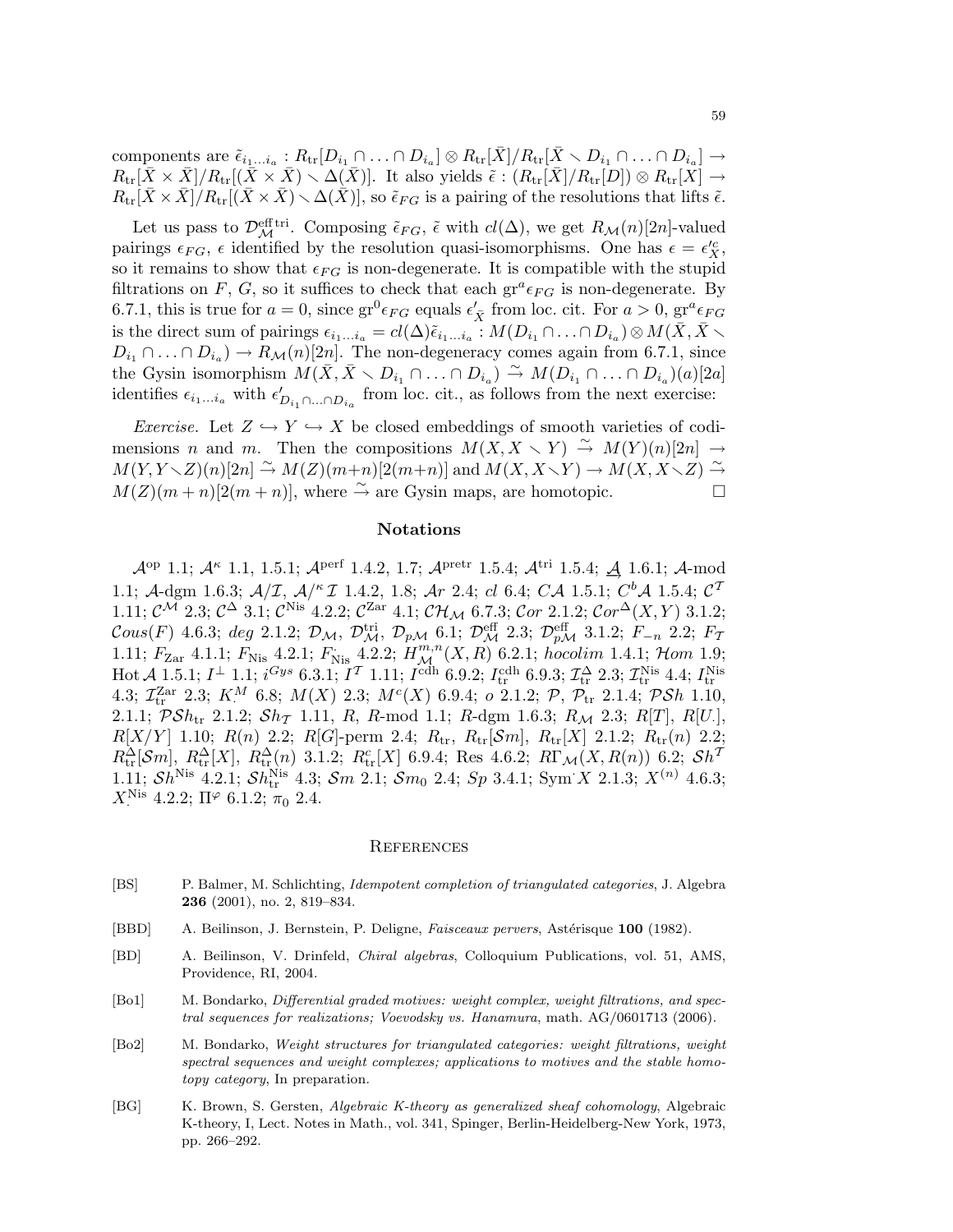components are  $\tilde{\epsilon}_{i_1...i_a}:R_{\text{tr}}[D_{i_1}\cap\ldots\cap D_{i_a}]\otimes R_{\text{tr}}[\bar{X}]/R_{\text{tr}}[\bar{X}\smallsetminus D_{i_1}\cap\ldots\cap D_{i_a}]\to$  $R_{\text{tr}}[\bar{X}\times\bar{X}]/R_{\text{tr}}[(\bar{X}\times\bar{X})\setminus\Delta(X)]$ . It also yields  $\tilde{\epsilon}: (R_{\text{tr}}[X]/R_{\text{tr}}[D])\otimes R_{\text{tr}}[X] \rightarrow$  $R_{\text{tr}}[\bar{X}\times\bar{X}]/R_{\text{tr}}[(\bar{X}\times\bar{X})\setminus\Delta(\bar{X})]$ , so  $\tilde{\epsilon}_{FG}$  is a pairing of the resolutions that lifts  $\tilde{\epsilon}$ .

Let us pass to  $\mathcal{D}_{\mathcal{M}}^{\text{eff tri}}$ . Composing  $\tilde{\epsilon}_{FG}$ ,  $\tilde{\epsilon}$  with  $cl(\Delta)$ , we get  $R_{\mathcal{M}}(n)[2n]$ -valued pairings  $\epsilon_{FG}$ ,  $\epsilon$  identified by the resolution quasi-isomorphisms. One has  $\epsilon = \epsilon_{X}^{\prime c}$ , so it remains to show that  $\epsilon_{FG}$  is non-degenerate. It is compatible with the stupid filtrations on F, G, so it suffices to check that each  $gr^a \epsilon_{FG}$  is non-degenerate. By 6.7.1, this is true for  $a = 0$ , since  $\text{gr}^0 \epsilon_{FG}$  equals  $\epsilon'_{\bar{X}}$  from loc. cit. For  $a > 0$ ,  $\text{gr}^a \epsilon_{FG}$ is the direct sum of pairings  $\epsilon_{i_1...i_a} = cl(\Delta) \tilde{\epsilon}_{i_1...i_a}$  :  $M(D_{i_1} \cap ... \cap D_{i_a}) \otimes M(\bar{X}, \bar{X} \setminus \bar{X})$  $D_{i_1} \cap \ldots \cap D_{i_a}$   $\to R_{\mathcal{M}}(n)[2n]$ . The non-degeneracy comes again from 6.7.1, since the Gysin isomorphism  $M(\bar{X}, \bar{X} \setminus D_{i_1} \cap ... \cap D_{i_a}) \overset{\sim}{\rightarrow} M(D_{i_1} \cap ... \cap D_{i_a})(a)[2a]$ identifies  $\epsilon_{i_1...i_a}$  with  $\epsilon'_{D_{i_1}\cap...\cap D_{i_a}}$  from loc. cit., as follows from the next exercise:

Exercise. Let  $Z \hookrightarrow Y \hookrightarrow X$  be closed embeddings of smooth varieties of codimensions n and m. Then the compositions  $M(X, X \setminus Y) \stackrel{\sim}{\rightarrow} M(Y)(n)[2n] \rightarrow$  $M(Y, Y \setminus Z)(n)[2n] \stackrel{\sim}{\to} M(Z)(m+n)[2(m+n)]$  and  $M(X, X \setminus Y) \to M(X, X \setminus Z) \stackrel{\sim}{\to}$  $M(Z)(m+n)[2(m+n)],$  where  $\stackrel{\sim}{\to}$  are Gysin maps, are homotopic.

### Notations

 $\mathcal{A}^{\rm op}$  1.1;  $\mathcal{A}^{\kappa}$  1.1, 1.5.1;  $\mathcal{A}^{\rm perf}$  1.4.2, 1.7;  $\mathcal{A}^{\rm pretr}$  1.5.4;  $\mathcal{A}^{\rm tri}$  1.5.4;  $\underline{\mathcal{A}}$  1.6.1;  $\mathcal{A}\text{-mod}$ 1.1; A-dgm 1.6.3;  $A/T$ ,  $A/K$  I 1.4.2, 1.8; Ar 2.4; cl 6.4; CA 1.5.1;  $C<sup>b</sup>A$  1.5.4;  $C<sup>T</sup>$ 1.11;  $\mathcal{C}^{\mathcal{M}}$  2.3;  $\mathcal{C}^{\Delta}$  3.1;  $\mathcal{C}^{\text{Nis}}$  4.2.2;  $\mathcal{C}^{\text{Zar}}$  4.1;  $\mathcal{CH}_{\mathcal{M}}$  6.7.3;  $\mathcal{C}or$  2.1.2;  $\mathcal{C}or^{\Delta}(X, Y)$  3.1.2;  $\mathcal{C}ous(F)$  4.6.3; deg 2.1.2;  $\mathcal{D}_\mathcal{M}, \ \mathcal{D}_\mathcal{M}^{\text{tri}}, \ \mathcal{D}_{p\mathcal{M}}$  6.1;  $\mathcal{D}_{\mathcal{M}}^{\text{eff}}$  2.3;  $\mathcal{D}_{p\mathcal{M}}^{\text{eff}}$  3.1.2;  $F_{-n}$  2.2;  $F_{\mathcal{I}}$ 1.11;  $F_{\text{Zar}}$  4.1.1;  $F_{\text{Nis}}$  4.2.1;  $F_{\text{Nis}}$  4.2.2;  $H^{m,n}_{\mathcal{M}}(X,R)$  6.2.1; hocolim 1.4.1; Hom 1.9; Hot  $\mathcal{A}$  1.5.1;  $I^{\perp}$  1.1;  $i^{Gys}$  6.3.1;  $I^{\mathcal{T}}$  1.11;  $I^{\text{cdh}}$  6.9.2;  $I_{\text{tr}}^{\text{cdh}}$  6.9.3;  $\mathcal{I}_{\text{tr}}^{\Delta}$  2.3;  $\mathcal{I}_{\text{tr}}^{\text{Nis}}$  4.4;  $I_{\text{tr}}^{\text{Nis}}$ <br>4.3;  $\mathcal{I}_{\text{tr}}^{\text{Zar}}$  2.3;  $K^M$  6.8;  $M(X)$  2.1.1;  $\mathcal{PSh}_{tr}$  2.1.2;  $\mathcal{Sh}_{\mathcal{T}}$  1.11, R, R-mod 1.1; R-dgm 1.6.3; R<sub>M</sub> 2.3; R[T], R[U.],  $R[X/Y]$  1.10;  $R(n)$  2.2;  $R[G]$ -perm 2.4;  $R_{tr}$ ,  $R_{tr}[Sm]$ ,  $R_{tr}[X]$  2.1.2;  $R_{tr}(n)$  2.2;  $R_{\text{tr}}^{\Delta}[\mathcal{S}m], R_{\text{tr}}^{\Delta}[X], R_{\text{tr}}^{\Delta}(n)$  3.1.2;  $R_{\text{tr}}^{c}[X]$  6.9.4; Res 4.6.2;  $R\Gamma_{\mathcal{M}}(X, R(n))$  6.2;  $\mathcal{S}h^{T}$ 1.11;  $Sh^{\text{Nis}}$  4.2.1;  $Sh_{\text{tr}}^{\text{Nis}}$  4.3;  $Sm$  2.1;  $Sm_0$  2.4;  $Sp$  3.4.1;  $\text{Sym } X$  2.1.3;  $X^{(n)}$  4.6.3;  $X_{\cdot}^{\text{Nis}}$  4.2.2;  $\Pi^{\varphi}$  6.1.2;  $\pi_0$  2.4.

#### **REFERENCES**

- [BS] P. Balmer, M. Schlichting, Idempotent completion of triangulated categories, J. Algebra 236 (2001), no. 2, 819–834.
- [BBD] A. Beilinson, J. Bernstein, P. Deligne, Faisceaux pervers, Astérisque 100 (1982).
- [BD] A. Beilinson, V. Drinfeld, Chiral algebras, Colloquium Publications, vol. 51, AMS, Providence, RI, 2004.
- [Bo1] M. Bondarko, *Differential graded motives: weight complex, weight filtrations, and spec*tral sequences for realizations; Voevodsky vs. Hanamura, math. AG/0601713 (2006).
- [Bo2] M. Bondarko, Weight structures for triangulated categories: weight filtrations, weight spectral sequences and weight complexes; applications to motives and the stable homotopy category, In preparation.
- [BG] K. Brown, S. Gersten, Algebraic K-theory as generalized sheaf cohomology, Algebraic K-theory, I, Lect. Notes in Math., vol. 341, Spinger, Berlin-Heidelberg-New York, 1973, pp. 266–292.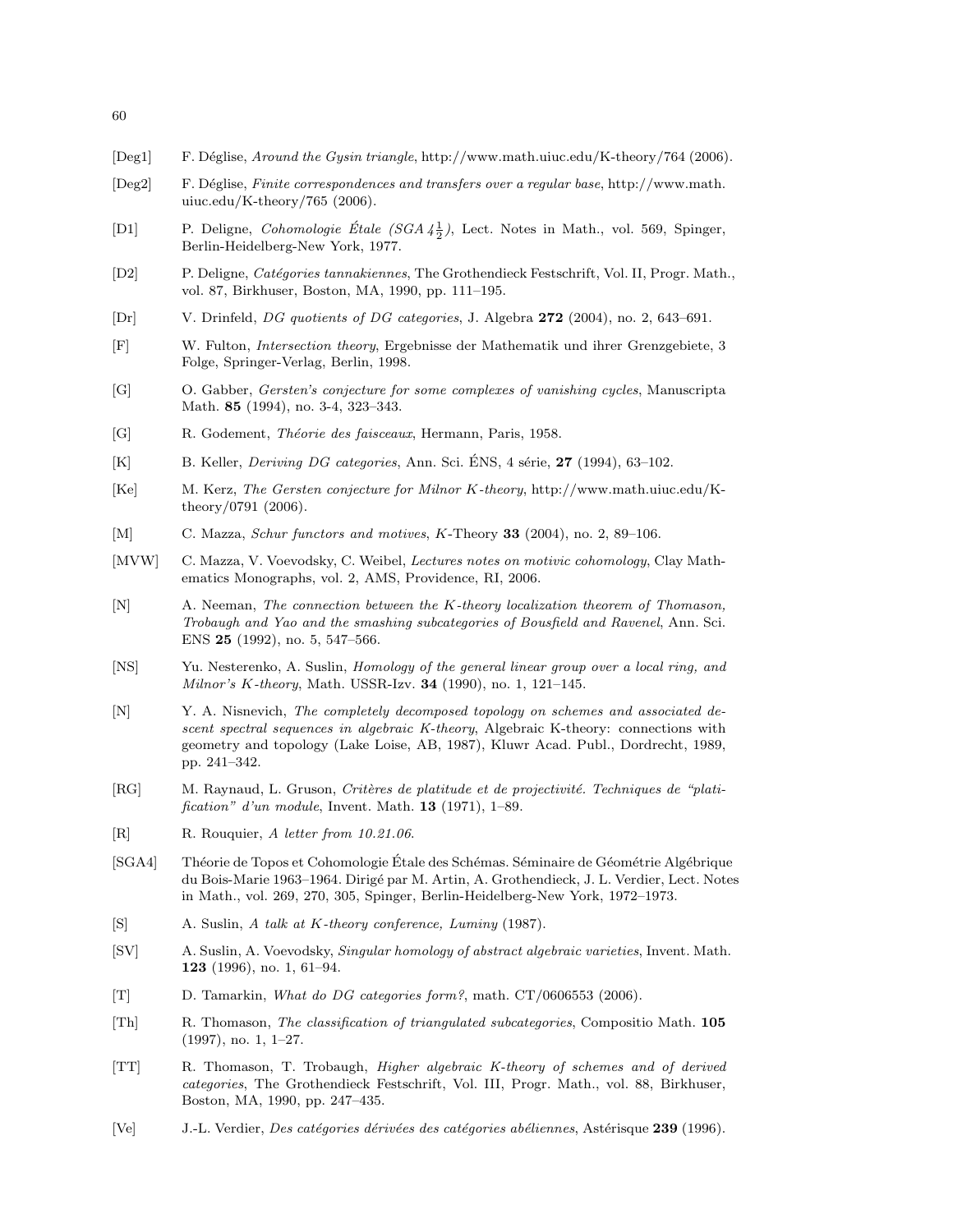- [Deg1] F. D´eglise, Around the Gysin triangle, http://www.math.uiuc.edu/K-theory/764 (2006).
- [Deg2] F. D´eglise, Finite correspondences and transfers over a regular base, http://www.math. uiuc.edu/K-theory/765 (2006).
- [D1] P. Deligne, *Cohomologie Étale (SGA*  $4\frac{1}{2}$ ), Lect. Notes in Math., vol. 569, Spinger, Berlin-Heidelberg-New York, 1977.
- [D2] P. Deligne, Catégories tannakiennes, The Grothendieck Festschrift, Vol. II, Progr. Math., vol. 87, Birkhuser, Boston, MA, 1990, pp. 111–195.
- [Dr] V. Drinfeld, DG quotients of DG categories, J. Algebra 272 (2004), no. 2, 643–691.
- [F] W. Fulton, Intersection theory, Ergebnisse der Mathematik und ihrer Grenzgebiete, 3 Folge, Springer-Verlag, Berlin, 1998.
- [G] O. Gabber, Gersten's conjecture for some complexes of vanishing cycles, Manuscripta Math. 85 (1994), no. 3-4, 323–343.
- [G] R. Godement, Théorie des faisceaux, Hermann, Paris, 1958.
- [K] B. Keller, *Deriving DG categories*, Ann. Sci. ÉNS, 4 série,  $27$  (1994), 63–102.
- [Ke] M. Kerz, The Gersten conjecture for Milnor K-theory, http://www.math.uiuc.edu/Ktheory/0791 (2006).
- [M] C. Mazza, Schur functors and motives, K-Theory 33 (2004), no. 2, 89–106.
- [MVW] C. Mazza, V. Voevodsky, C. Weibel, Lectures notes on motivic cohomology, Clay Mathematics Monographs, vol. 2, AMS, Providence, RI, 2006.
- [N] A. Neeman, The connection between the K-theory localization theorem of Thomason, Trobaugh and Yao and the smashing subcategories of Bousfield and Ravenel, Ann. Sci. ENS 25 (1992), no. 5, 547–566.
- [NS] Yu. Nesterenko, A. Suslin, Homology of the general linear group over a local ring, and Milnor's K-theory, Math. USSR-Izv. **34** (1990), no. 1, 121-145.
- [N] Y. A. Nisnevich, The completely decomposed topology on schemes and associated descent spectral sequences in algebraic K-theory, Algebraic K-theory: connections with geometry and topology (Lake Loise, AB, 1987), Kluwr Acad. Publ., Dordrecht, 1989, pp. 241–342.
- [RG] M. Raynaud, L. Gruson, Critères de platitude et de projectivité. Techniques de "platification" d'un module, Invent. Math. 13 (1971), 1–89.
- [R] R. Rouquier, A letter from 10.21.06.
- [SGA4] Théorie de Topos et Cohomologie Étale des Schémas. Séminaire de Géométrie Algébrique du Bois-Marie 1963–1964. Dirigé par M. Artin, A. Grothendieck, J. L. Verdier, Lect. Notes in Math., vol. 269, 270, 305, Spinger, Berlin-Heidelberg-New York, 1972–1973.
- [S] A. Suslin, A talk at K-theory conference, Luminy (1987).
- [SV] A. Suslin, A. Voevodsky, Singular homology of abstract algebraic varieties, Invent. Math. 123 (1996), no. 1, 61–94.
- [T] D. Tamarkin, What do DG categories form?, math. CT/0606553 (2006).
- [Th] R. Thomason, The classification of triangulated subcategories, Compositio Math. 105 (1997), no. 1, 1–27.
- [TT] R. Thomason, T. Trobaugh, Higher algebraic K-theory of schemes and of derived categories, The Grothendieck Festschrift, Vol. III, Progr. Math., vol. 88, Birkhuser, Boston, MA, 1990, pp. 247–435.
- [Ve] J.-L. Verdier, *Des catégories dérivées des catégories abéliennes*, Astérisque 239 (1996).